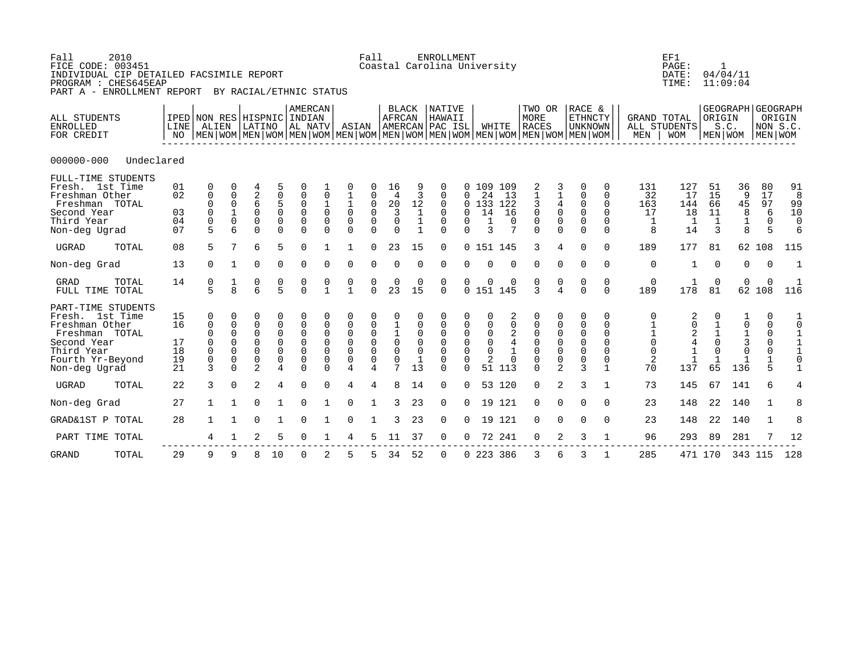| 2010<br>Fall<br>FICE CODE: 003451<br>INDIVIDUAL CIP DETAILED FACSIMILE REPORT<br>PROGRAM : CHES645EAP<br>PART A - ENROLLMENT REPORT         |                                                        |                                                                                           |                                                         |                                                                   | BY RACIAL/ETHNIC STATUS                                          |                                                                      |                                                                                |                                                                                                   | Fall                                                                |                                                                                 |                                             | <b>ENROLLMENT</b><br>Coastal Carolina University                                   |                                                   |                                                        |                                                      |                                                                                                                                                      |                                                              |                                                                         |                                                                 |                                  | EF1<br>PAGE:<br>DATE:<br>TIME:            | $\mathbf{1}$                                | 04/04/11<br>11:09:04                  |                                                                                               |                                                                         |
|---------------------------------------------------------------------------------------------------------------------------------------------|--------------------------------------------------------|-------------------------------------------------------------------------------------------|---------------------------------------------------------|-------------------------------------------------------------------|------------------------------------------------------------------|----------------------------------------------------------------------|--------------------------------------------------------------------------------|---------------------------------------------------------------------------------------------------|---------------------------------------------------------------------|---------------------------------------------------------------------------------|---------------------------------------------|------------------------------------------------------------------------------------|---------------------------------------------------|--------------------------------------------------------|------------------------------------------------------|------------------------------------------------------------------------------------------------------------------------------------------------------|--------------------------------------------------------------|-------------------------------------------------------------------------|-----------------------------------------------------------------|----------------------------------|-------------------------------------------|---------------------------------------------|---------------------------------------|-----------------------------------------------------------------------------------------------|-------------------------------------------------------------------------|
| ALL STUDENTS<br><b>ENROLLED</b><br>FOR CREDIT                                                                                               | IPED NON RES HISPNIC INDIAN<br>LINE <sup> </sup><br>NO | ALIEN                                                                                     |                                                         |                                                                   | LATINO  AL NATV                                                  | AMERCAN                                                              |                                                                                | ASIAN                                                                                             |                                                                     | <b>BLACK</b><br>AFRCAN                                                          |                                             | <b>NATIVE</b><br>HAWAII<br>AMERCAN PAC ISL                                         |                                                   |                                                        | WHITE                                                | TWO OR<br><b>MORE</b><br><b>RACES</b><br>  MEN   WOM   MEN   WOM   MEN   WOM   MEN   WOM   MEN   WOM   MEN   WOM   MEN   WOM   MEN   WOM   MEN   WOM |                                                              | RACE &<br><b>ETHNCTY</b><br>UNKNOWN                                     |                                                                 | MEN                              | <b>GRAND TOTAL</b><br>ALL STUDENTS<br>WOM | ORIGIN                                      | S.C.                                  | GEOGRAPH GEOGRAPH<br>NON S.C.<br>  MEN   WOM   MEN   WOM                                      | ORIGIN                                                                  |
| $000000 - 000$<br>Undeclared                                                                                                                |                                                        |                                                                                           |                                                         |                                                                   |                                                                  |                                                                      |                                                                                |                                                                                                   |                                                                     |                                                                                 |                                             |                                                                                    |                                                   |                                                        |                                                      |                                                                                                                                                      |                                                              |                                                                         |                                                                 |                                  |                                           |                                             |                                       |                                                                                               |                                                                         |
| FULL-TIME STUDENTS<br>Fresh. 1st Time<br>Freshman Other<br>Freshman TOTAL<br>Second Year<br>Third Year<br>Non-deg Ugrad                     | 01<br>02<br>03<br>04<br>07                             | 0<br>$\mathbf 0$<br>0<br>$\mathbf 0$<br>$\mathsf 0$<br>5                                  | $\Omega$<br>0<br>0<br>$\mathbf 1$<br>0                  | $\frac{2}{6}$<br>0<br>$\mathbf 0$<br>$\Omega$                     | 5<br>$\begin{array}{c} 0 \\ 5 \end{array}$<br>0<br>0<br>$\Omega$ | 0<br>0<br>0<br>$\overline{0}$<br>$\mathbf 0$<br>$\Omega$             | $\mathbf 0$<br>$\begin{matrix} 1 \\ 0 \end{matrix}$<br>$\mathbf 0$<br>$\Omega$ | 0<br>$\mathbf 1$<br>$\mathbf 0$<br>$\mathsf 0$<br>$\Omega$                                        | $\pmb{0}$<br>$\mathbf 0$<br>0<br>$\Omega$                           | 16<br>$\overline{4}$<br>20<br>$\overline{3}$<br>$\mathsf{O}\xspace$<br>$\Omega$ | 3<br>12<br>1<br>$1\,$<br>$\mathbf{1}$       | $\Omega$<br>$\mathbf 0$<br>$\mathbf 0$<br>$\Omega$<br>$\mathbf 0$<br>$\Omega$      | $\Omega$<br>0<br>$\Omega$                         | 0, 109<br>24<br>0, 133<br>14<br>1<br>3                 | 109<br>13<br>122<br>16<br>0<br>7                     | 2<br>1<br>$\mathsf{3}$<br>$\mathbf 0$<br>$\mathsf 0$<br>$\Omega$                                                                                     | 3<br>$\frac{1}{4}$<br>$\mathsf 0$<br>$\mathbf 0$<br>$\Omega$ | 0<br>$\mathbf 0$<br>0<br>$\overline{0}$<br>$\mathsf 0$<br>$\Omega$      | 0<br>$\Omega$<br>$\Omega$<br>$\Omega$<br>$\Omega$<br>$\Omega$   | 131<br>32<br>163<br>17<br>1<br>8 | 127<br>17<br>144<br>18<br>1<br>14         | 51<br>15<br>66<br>11<br>$\mathbf{1}$<br>3   | 36<br>9<br>45<br>8<br>$1\,$<br>8      | 80<br>17<br>97<br>6<br>$\mathbf 0$<br>5                                                       | 91<br>8<br>99<br>10<br>0<br>6                                           |
| UGRAD<br>TOTAL                                                                                                                              | 08                                                     | 5                                                                                         | 7                                                       | 6                                                                 | 5                                                                | $\Omega$                                                             |                                                                                |                                                                                                   | $\Omega$                                                            | 23                                                                              | 15                                          | $\Omega$                                                                           |                                                   |                                                        | 0 151 145                                            | 3                                                                                                                                                    | 4                                                            | $\Omega$                                                                | $\Omega$                                                        | 189                              | 177                                       | 81                                          |                                       | 62 108                                                                                        | 115                                                                     |
| Non-deg Grad                                                                                                                                | 13                                                     | $\Omega$                                                                                  | 1                                                       | $\Omega$                                                          | $\Omega$                                                         | $\Omega$                                                             | $\Omega$                                                                       | $\Omega$                                                                                          | $\Omega$                                                            | $\Omega$                                                                        | $\Omega$                                    | $\mathbf 0$                                                                        | <sup>n</sup>                                      | $\Omega$                                               | $\Omega$                                             | $\mathbf 0$                                                                                                                                          | $\mathbf 0$                                                  | $\Omega$                                                                | $\mathbf 0$                                                     | $\mathbf 0$                      | 1                                         | $\Omega$                                    | 0                                     | $\Omega$                                                                                      | 1                                                                       |
| GRAD<br>TOTAL<br>FULL TIME TOTAL                                                                                                            | 14                                                     | $\begin{array}{c} 0 \\ 5 \end{array}$                                                     | $\frac{1}{8}$                                           | $\begin{array}{c} 0 \\ 6 \end{array}$                             | $\begin{array}{c} 0 \\ 5 \end{array}$                            | $\begin{matrix} 0 \\ 0 \end{matrix}$                                 | $\begin{smallmatrix} 0 \\ 1 \end{smallmatrix}$                                 | $\begin{smallmatrix} 0 \\ 1 \end{smallmatrix}$                                                    | $\Omega$                                                            | $2\overline{3}$                                                                 | $\begin{smallmatrix}0\15\end{smallmatrix}$  | 0<br>$\Omega$                                                                      | 0<br>$\mathbf 0$                                  | 0                                                      | 151 145                                              | $\frac{0}{3}$                                                                                                                                        | $\frac{0}{4}$                                                | $\begin{matrix}0\\0\end{matrix}$                                        | 0<br>$\Omega$                                                   | $\mathbf 0$<br>189               | 178                                       | $\Omega$<br>81                              | 0<br>62                               | $\Omega$<br>108                                                                               | 116                                                                     |
| PART-TIME STUDENTS<br>Fresh. 1st Time<br>Freshman Other<br>Freshman TOTAL<br>Second Year<br>Third Year<br>Fourth Yr-Beyond<br>Non-deg Ugrad | 15<br>16<br>17<br>18<br>19<br>21                       | 0<br>$\mathbf 0$<br>$\mathbf 0$<br>$\mathbf 0$<br>$\mathsf{O}\xspace$<br>$\mathsf 0$<br>3 | 0<br>0<br>0<br>$\Omega$<br>$\mathbf 0$<br>0<br>$\Omega$ | 0<br>0<br>$\Omega$<br>$\Omega$<br>$\Omega$<br>0<br>$\overline{2}$ | 0<br>0<br>0<br>0<br>0<br>0<br>4                                  | 0<br>0<br>$\mathbf 0$<br>$\mathbf 0$<br>$\mathbf 0$<br>0<br>$\Omega$ | 0<br>$\mathbf 0$<br>$\Omega$<br>$\mathbf 0$<br>0<br>$\Omega$                   | 0<br>$\mathbf 0$<br>$\mathbf 0$<br>$\overline{0}$<br>$\mathsf 0$<br>$\mathsf 0$<br>$\overline{4}$ | $\mathbf 0$<br>$\mathbf 0$<br>$\overline{0}$<br>0<br>$\overline{4}$ | $\Omega$<br>$\mathbf 0$<br>$\mathsf 0$<br>7                                     | 0<br>$\Omega$<br>$\Omega$<br>$\Omega$<br>13 | 0<br>$\mathbf 0$<br>$\mathbf 0$<br>$\Omega$<br>$\Omega$<br>$\mathbf 0$<br>$\Omega$ | 0<br>$\Omega$<br>$\Omega$<br>$\Omega$<br>$\Omega$ | $\mathbf 0$<br>0<br>$\Omega$<br>$\mathbf 0$<br>2<br>51 | 2<br>0<br>2<br>$\overline{4}$<br>$\mathbf{1}$<br>113 | 0<br>$\mathbf 0$<br>$\overline{0}$<br>$\mathbf 0$<br>$\mathbf 0$<br>$\mathbf 0$<br>$\Omega$                                                          | 0<br>0<br>0<br>$\mathbf 0$<br>$\mathsf 0$<br>0<br>2          | 0<br>0<br>$\mathbf 0$<br>$\mathbf 0$<br>$\mathsf 0$<br>$\mathsf 0$<br>3 | 0<br>0<br>$\Omega$<br>$\Omega$<br>$\Omega$<br>0<br>$\mathbf{1}$ | 0<br>0<br>0<br>2<br>70           | 2<br>137                                  | $\Omega$<br>$\frac{1}{0}$<br>$\Omega$<br>65 | 0<br>$\frac{1}{3}$<br>$\Omega$<br>136 | 0<br>$\mathbf 0$<br>$\mathbf 0$<br>$\Omega$<br>$\mathbf 0$<br>$\mathbf{1}$<br>$5\overline{2}$ | $\mathbf 1$<br>$\overline{0}$<br>$\mathbf{1}$<br>1<br>0<br>$\mathbf{1}$ |
| <b>UGRAD</b><br>TOTAL                                                                                                                       | 22                                                     | 3                                                                                         | $\Omega$                                                | 2                                                                 | 4                                                                | $\Omega$                                                             |                                                                                | 4                                                                                                 | 4                                                                   | $\mathsf{R}$                                                                    | 14                                          | $\Omega$                                                                           | $\Omega$                                          |                                                        | 53 120                                               | $\Omega$                                                                                                                                             | 2                                                            | २                                                                       | 1                                                               | 73                               | 145                                       | 67                                          | 141                                   | 6                                                                                             | 4                                                                       |
| Non-deg Grad                                                                                                                                | 27                                                     | $\mathbf{1}$                                                                              |                                                         | $\Omega$                                                          |                                                                  | $\Omega$                                                             |                                                                                | $\Omega$                                                                                          |                                                                     | 3                                                                               | 23                                          | $\mathbf{0}$                                                                       | $\Omega$                                          |                                                        | 19 121                                               | $\Omega$                                                                                                                                             | $\Omega$                                                     | $\Omega$                                                                | $\Omega$                                                        | 23                               | 148                                       | 22                                          | 140                                   | $\mathbf{1}$                                                                                  | 8                                                                       |
| GRAD&1ST P TOTAL                                                                                                                            | 28                                                     |                                                                                           |                                                         | $\Omega$                                                          |                                                                  | $\Omega$                                                             |                                                                                | $\Omega$                                                                                          |                                                                     | 3                                                                               | 23                                          | $\mathbf 0$                                                                        | $\Omega$                                          |                                                        | 19 121                                               | $\mathbf 0$                                                                                                                                          | $\Omega$                                                     | $\Omega$                                                                | $\Omega$                                                        | 23                               | 148                                       | 22                                          | 140                                   | $\mathbf{1}$                                                                                  | 8                                                                       |
| PART TIME TOTAL                                                                                                                             |                                                        | 4                                                                                         |                                                         | 2                                                                 | 5                                                                | $\Omega$                                                             |                                                                                |                                                                                                   |                                                                     | 11                                                                              | 37                                          | 0                                                                                  | 0                                                 | 72                                                     | 241                                                  | 0                                                                                                                                                    | 2                                                            | 3                                                                       | 1                                                               | 96                               | 293                                       | 89                                          | 281                                   |                                                                                               | 12                                                                      |
| TOTAL<br><b>GRAND</b>                                                                                                                       | 29                                                     | 9                                                                                         | 9                                                       | 8                                                                 | 10                                                               | $\mathbf 0$                                                          | 2                                                                              | 5                                                                                                 | 5                                                                   | 34                                                                              | 52                                          | $\mathbf 0$                                                                        |                                                   |                                                        | 0 223 386                                            | 3                                                                                                                                                    | 6                                                            | 3                                                                       |                                                                 | 285                              |                                           | 471 170                                     |                                       | 343 115                                                                                       | 128                                                                     |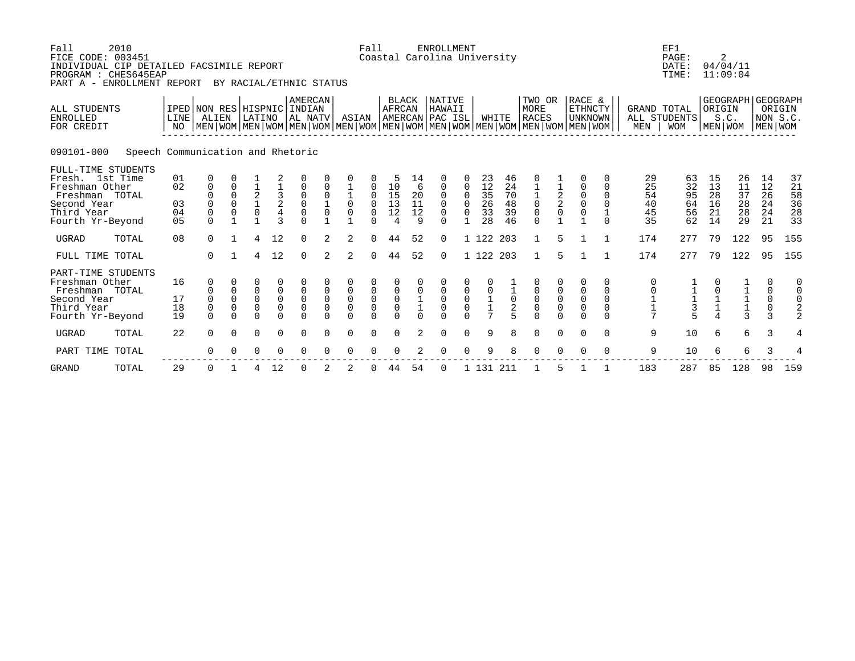| Fall<br>2010<br>FICE CODE: 003451<br>INDIVIDUAL CIP DETAILED FACSIMILE REPORT<br>PROGRAM : CHES645EAP<br>PART A - ENROLLMENT REPORT |                                   |                                                                                                                                                     |                                               |                                               | BY RACIAL/ETHNIC STATUS      |                                                                      |                                    |                                               | Fall                                        |                                        |                                | <b>ENROLLMENT</b><br>Coastal Carolina University |                                    |                                   |                                  |                                          |                                                            |                                                                        |                                                              |                                    | EF1<br>PAGE:<br>DATE:<br>TIME:   | 2                                | 04/04/11<br>11:09:04                              |                                           |                                                     |
|-------------------------------------------------------------------------------------------------------------------------------------|-----------------------------------|-----------------------------------------------------------------------------------------------------------------------------------------------------|-----------------------------------------------|-----------------------------------------------|------------------------------|----------------------------------------------------------------------|------------------------------------|-----------------------------------------------|---------------------------------------------|----------------------------------------|--------------------------------|--------------------------------------------------|------------------------------------|-----------------------------------|----------------------------------|------------------------------------------|------------------------------------------------------------|------------------------------------------------------------------------|--------------------------------------------------------------|------------------------------------|----------------------------------|----------------------------------|---------------------------------------------------|-------------------------------------------|-----------------------------------------------------|
| ALL STUDENTS<br><b>ENROLLED</b><br>FOR CREDIT                                                                                       | <b>LINE</b><br>NO.                | IPED NON RES HISPNIC INDIAN<br>ALIEN<br>  MEN   WOM   MEN   WOM   MEN   WOM   MEN   WOM   MEN   WOM   MEN   WOM   MEN   WOM   MEN   WOM   MEN   WOM |                                               |                                               | LATINO AL NATV               | AMERCAN                                                              |                                    | ASIAN                                         |                                             | <b>BLACK</b><br><b>AFRCAN</b>          |                                | <b>NATIVE</b><br>HAWAII<br>AMERCAN PAC ISL       |                                    | WHITE                             |                                  | TWO OR<br><b>MORE</b><br><b>RACES</b>    |                                                            | RACE &<br><b>ETHNCTY</b><br><b>UNKNOWN</b>                             |                                                              | GRAND TOTAL<br>ALL STUDENTS<br>MEN | <b>WOM</b>                       | ORIGIN<br>MEN WOM                | GEOGRAPH   GEOGRAPH<br>S.C.                       | NON S.C.<br>MEN WOM                       | ORIGIN                                              |
| 090101-000                                                                                                                          | Speech Communication and Rhetoric |                                                                                                                                                     |                                               |                                               |                              |                                                                      |                                    |                                               |                                             |                                        |                                |                                                  |                                    |                                   |                                  |                                          |                                                            |                                                                        |                                                              |                                    |                                  |                                  |                                                   |                                           |                                                     |
| FULL-TIME STUDENTS<br>Fresh. 1st Time<br>Freshman Other<br>Freshman TOTAL<br>Second Year<br>Third Year<br>Fourth Yr-Beyond          | 01<br>02<br>03<br>04<br>05        | 0<br>0<br>0<br>0<br>0<br>$\Omega$                                                                                                                   | 0<br>$\Omega$<br>0<br>$\overline{1}$          | $^2_{\mathbb{1}}$<br>$\Omega$<br>$\mathbf{1}$ | $\frac{3}{2}$<br>3           | 0<br>$\mathsf 0$<br>$\mathsf 0$<br>$\Omega$                          | 0<br>$\mathbf 0$<br>$\overline{1}$ | $\mathsf 0$<br>$\mathsf 0$<br>$\overline{1}$  | 0<br>$\mathbf 0$<br>0<br>$\cap$             | 10<br>15<br>13<br>12<br>$\overline{4}$ | 14<br>6<br>20<br>11<br>12<br>9 | 0<br>0<br>0<br>$\mathbf 0$<br>$\Omega$           | $\Omega$<br>0<br>$\mathbf 0$       | 23<br>12<br>35<br>26<br>33<br>28  | 46<br>24<br>70<br>48<br>39<br>46 | $\frac{1}{0}$<br>$\mathbf 0$<br>$\Omega$ | $\begin{array}{c} 2 \\ 2 \\ 0 \end{array}$<br>$\mathbf{1}$ | $\mathbf 0$<br>0<br>$\mathsf{O}\xspace$<br>$\mathsf 0$<br>$\mathbf{1}$ | $\Omega$<br>$\Omega$<br>$\Omega$<br>$\mathbf{1}$<br>$\Omega$ | 29<br>25<br>54<br>40<br>45<br>35   | 63<br>32<br>95<br>64<br>56<br>62 | 15<br>13<br>28<br>16<br>21<br>14 | 26<br>11<br>37<br>28<br>28<br>29                  | 14<br>12<br>26<br>24<br>24<br>21          | 37<br>21<br>58<br>36<br>28<br>33                    |
| <b>UGRAD</b><br>TOTAL                                                                                                               | 08                                | $\Omega$                                                                                                                                            | $\mathbf{1}$                                  | 4                                             | 12                           | $\Omega$                                                             | 2                                  | 2                                             | $\Omega$                                    | 44                                     | 52                             | $\Omega$                                         |                                    | 1 122 203                         |                                  | $\mathbf{1}$                             | 5                                                          | $\mathbf{1}$                                                           | $\overline{1}$                                               | 174                                | 277                              | 79                               | 122                                               | 95                                        | 155                                                 |
| FULL TIME TOTAL                                                                                                                     |                                   | $\Omega$                                                                                                                                            | $\overline{1}$                                | 4                                             | 12                           | $\Omega$                                                             | 2                                  | 2                                             | $\Omega$                                    | 44                                     | 52                             | $\Omega$                                         |                                    | 1 122 203                         |                                  | 1                                        | 5                                                          | $\mathbf{1}$                                                           | $\overline{1}$                                               | 174                                | 277                              | 79                               | 122                                               | 95                                        | 155                                                 |
| PART-TIME STUDENTS<br>Freshman Other<br>Freshman TOTAL<br>Second Year<br>Third Year<br>Fourth Yr-Beyond                             | 16<br>17<br>18<br>19              | $\Omega$<br>$\mathbf 0$<br>0<br>$\Omega$                                                                                                            | $\Omega$<br>$\mathbf 0$<br>0<br>0<br>$\Omega$ | 0<br>$\mathbf 0$<br>0<br>0<br>U               | 0<br>0<br>0<br>0<br>$\Omega$ | $\Omega$<br>$\mathbf 0$<br>$\mathbf 0$<br>$\overline{0}$<br>$\Omega$ | $\mathbf 0$<br>0<br>0<br>$\Omega$  | 0<br>$\mathbf 0$<br>0<br>$\Omega$<br>$\Omega$ | 0<br>$\mathbf 0$<br>$\mathsf 0$<br>$\Omega$ | 0<br>0<br>0<br>$\mathbf 0$<br>$\Omega$ | $\mathbf 0$<br>$\Omega$        | 0<br>$\mathbf 0$<br>0<br>0<br>$\cap$             | 0<br>0<br>$\mathsf{O}$<br>$\Omega$ | $\mathbf 0$<br>$\frac{1}{1}$<br>7 | $\mathbf 0$<br>$\sqrt{2}$        | 0<br>0<br>$\mathsf 0$<br>$\Omega$        | $\mathbf 0$<br>$\mathsf{O}$<br>$\mathsf 0$<br>$\cap$       | $\Omega$<br>$\mathbf 0$<br>$\mathsf 0$<br>$\mathsf 0$<br>$\Omega$      | $\Omega$<br>$\Omega$<br>$\Omega$<br>$\Omega$<br>$\Omega$     | 0<br>0<br>$1\,$<br>7               | $\frac{1}{1}$ $\frac{1}{3}$      | $\overline{4}$                   | $\begin{array}{c}\n1 \\ 1 \\ 1 \\ 3\n\end{array}$ | 0<br>0<br>$\mathsf 0$<br>$\mathsf 0$<br>3 | $\mathbf 0$<br>$\mathbf 0$<br>0<br>$\mathbf 2$<br>2 |
| <b>UGRAD</b><br>TOTAL                                                                                                               | 22                                | $\Omega$                                                                                                                                            | $\Omega$                                      | 0                                             | 0                            | $\Omega$                                                             | $\Omega$                           | $\Omega$                                      | 0                                           | $\Omega$                               | $\mathfrak{D}$                 | $\Omega$                                         | $\Omega$                           | 9                                 | 8                                | $\Omega$                                 | $\Omega$                                                   | $\Omega$                                                               | $\Omega$                                                     | 9                                  | 10                               | 6                                | 6                                                 | 3                                         | 4                                                   |
| TOTAL<br>PART TIME                                                                                                                  |                                   | 0                                                                                                                                                   |                                               | O                                             | $\Omega$                     | 0                                                                    |                                    | O                                             | O                                           | <sup>0</sup>                           |                                | $\Omega$                                         | $\Omega$                           | 9                                 | 8                                | $\Omega$                                 | $\Omega$                                                   | $\Omega$                                                               | $\Omega$                                                     | 9                                  | 10                               | 6                                | 6                                                 | 3                                         |                                                     |
| <b>GRAND</b><br>TOTAL                                                                                                               | 29                                | 0                                                                                                                                                   | -1                                            | 4                                             | 12                           | 0                                                                    |                                    | 2                                             | O                                           | 44                                     | 54                             | 0                                                |                                    | 1 131                             | 211                              |                                          |                                                            |                                                                        |                                                              | 183                                | 287                              | 85                               | 128                                               | 98                                        | 159                                                 |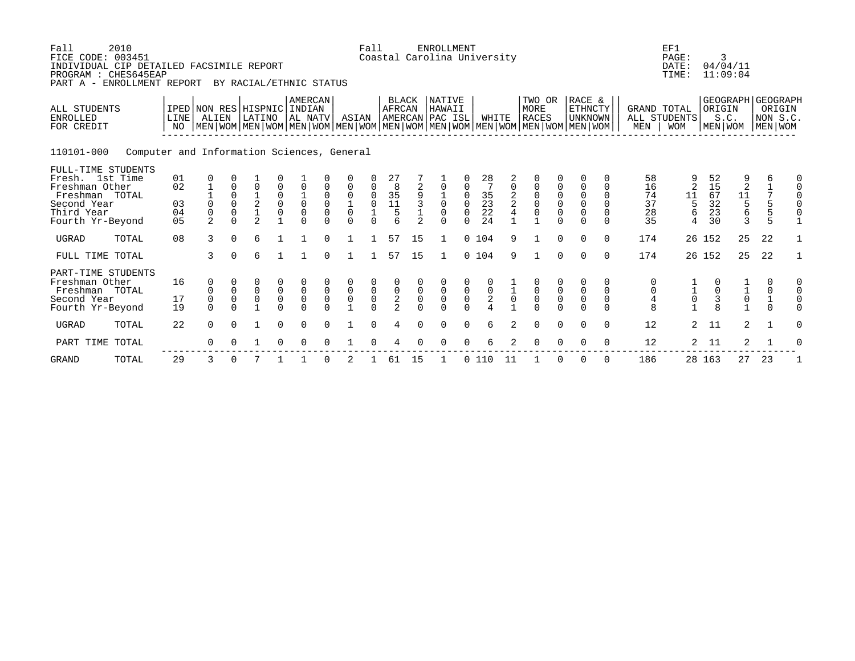| Fall<br>FICE CODE: 003451                                                                                                  | 2010<br>INDIVIDUAL CIP DETAILED FACSIMILE REPORT<br>PROGRAM : CHES645EAP<br>PART A - ENROLLMENT REPORT |                                        |                                                |                                                             | BY RACIAL/ETHNIC STATUS                                          |                                           |                                                       |                                                          |                                                      | Fall                                      |                                           |                                    | <b>ENROLLMENT</b><br>Coastal Carolina University       |                                            |                                                                |                                           |                                                                                                                                                      |                                                       |                                                            |                                                        |                                  | EF1<br>PAGE:<br>DATE:<br>TIME:                   |                                  | 3<br>04/04/11<br>11:09:04                                                     |                                                              |                    |
|----------------------------------------------------------------------------------------------------------------------------|--------------------------------------------------------------------------------------------------------|----------------------------------------|------------------------------------------------|-------------------------------------------------------------|------------------------------------------------------------------|-------------------------------------------|-------------------------------------------------------|----------------------------------------------------------|------------------------------------------------------|-------------------------------------------|-------------------------------------------|------------------------------------|--------------------------------------------------------|--------------------------------------------|----------------------------------------------------------------|-------------------------------------------|------------------------------------------------------------------------------------------------------------------------------------------------------|-------------------------------------------------------|------------------------------------------------------------|--------------------------------------------------------|----------------------------------|--------------------------------------------------|----------------------------------|-------------------------------------------------------------------------------|--------------------------------------------------------------|--------------------|
| ALL STUDENTS<br><b>ENROLLED</b><br>FOR CREDIT                                                                              |                                                                                                        | LINE<br>NO                             | ALIEN                                          |                                                             | IPED NON RES HISPNIC INDIAN<br>LATINO                            |                                           | <b>AMERCAN</b><br>AL NATV                             |                                                          | ASIAN                                                |                                           | <b>BLACK</b><br>AFRCAN                    |                                    | <b>NATIVE</b><br>HAWAII<br>AMERCAN PAC ISL             |                                            | WHITE                                                          |                                           | TWO OR<br><b>MORE</b><br><b>RACES</b><br>  MEN   WOM   MEN   WOM   MEN   WOM   MEN   WOM   MEN   WOM   MEN   WOM   MEN   WOM   MEN   WOM   MEN   WOM |                                                       | RACE &<br>ETHNCTY<br><b>UNKNOWN</b>                        |                                                        | <b>GRAND TOTAL</b><br>MEN        | ALL STUDENTS<br><b>WOM</b>                       |                                  | GEOGRAPH GEOGRAPH<br>ORIGIN<br>S.C.<br>MEN   WOM                              | MEN WOM                                                      | ORIGIN<br>NON S.C. |
| 110101-000                                                                                                                 | Computer and Information Sciences, General                                                             |                                        |                                                |                                                             |                                                                  |                                           |                                                       |                                                          |                                                      |                                           |                                           |                                    |                                                        |                                            |                                                                |                                           |                                                                                                                                                      |                                                       |                                                            |                                                        |                                  |                                                  |                                  |                                                                               |                                                              |                    |
| FULL-TIME STUDENTS<br>Fresh. 1st Time<br>Freshman Other<br>Freshman TOTAL<br>Second Year<br>Third Year<br>Fourth Yr-Beyond |                                                                                                        | 01<br>02<br>03<br>04<br>0 <sub>5</sub> | 0<br>$\Omega$<br>$\mathsf 0$<br>$\overline{2}$ | $\Omega$<br>$\Omega$<br>$\Omega$<br>$\mathbf 0$<br>$\Omega$ | $\overline{0}$<br>$\overline{c}$<br>$\mathbf 1$<br>$\mathcal{L}$ | $\mathbf 0$<br>$\mathsf 0$<br>$\mathsf 0$ | $\begin{matrix} 1 \\ 0 \\ 0 \end{matrix}$<br>$\Omega$ | 0<br>$\mathbf 0$<br>$\mathbf 0$<br>$\mathsf 0$<br>$\cap$ | $\mathbf 0$<br>$\mathsf 0$<br>$\mbox{O}$<br>$\Omega$ | 0<br>0<br>$\mathbf 0$<br>$\Omega$         | 27<br>8<br>$35$<br>$11$<br>$5$            | 9<br>3<br>$\overline{2}$           | $\overline{0}$<br>$\mathbf 0$<br>$\mathbf 0$<br>$\cap$ | 0<br>$\Omega$<br>$\mathbf 0$               | $\begin{array}{c} 28 \\ 7 \end{array}$<br>35<br>23<br>22<br>24 | $\overline{\mathbf{c}}$                   | $\mathsf 0$<br>$\mathsf{O}$<br>$\overline{0}$<br>0                                                                                                   | $\begin{matrix} 0 \\ 0 \\ 0 \end{matrix}$<br>$\Omega$ | 0<br>$\mathbf 0$<br>$\mathbf 0$<br>$\mathsf 0$<br>$\Omega$ | 0<br>$\Omega$<br>$\Omega$<br>$\Omega$<br>0<br>$\Omega$ | 58<br>16<br>74<br>37<br>28<br>35 | 2<br>11<br>5<br>6<br>4                           | 52<br>15<br>67<br>32<br>23<br>30 | $\overline{2}$<br>$\begin{array}{c} 11 \\ 5 \\ 6 \end{array}$<br>$\mathbf{3}$ | 6<br>$\mathbf{1}$<br>$\sqrt{ }$<br>5<br>5<br>$5\overline{5}$ |                    |
| <b>UGRAD</b>                                                                                                               | TOTAL                                                                                                  | 08                                     | 3                                              | $\Omega$                                                    | 6                                                                |                                           |                                                       | $\cap$                                                   |                                                      |                                           | 57                                        | 15                                 | $\mathbf{1}$                                           |                                            | 0, 104                                                         | 9                                         | $\mathbf{1}$                                                                                                                                         | $\Omega$                                              | $\Omega$                                                   | $\Omega$                                               | 174                              |                                                  | 26 152                           | 25                                                                            | 22                                                           |                    |
| FULL TIME TOTAL                                                                                                            |                                                                                                        |                                        | 3                                              | $\Omega$                                                    | 6                                                                |                                           |                                                       | $\cap$                                                   |                                                      |                                           | 57                                        | 15                                 | 1                                                      |                                            | 0, 104                                                         | 9                                         |                                                                                                                                                      | $\Omega$                                              | $\Omega$                                                   | $\Omega$                                               | 174                              |                                                  | 26 152                           | 25                                                                            | 22                                                           | $\mathbf{1}$       |
| Freshman Other<br>Freshman TOTAL<br>Second Year<br>Fourth Yr-Beyond                                                        | PART-TIME STUDENTS                                                                                     | 16<br>17<br>19                         | 0<br>0<br>$\mathsf 0$<br>$\Omega$              | $\boldsymbol{0}$<br>$\mathsf 0$                             | $\begin{matrix} 0 \\ 0 \end{matrix}$<br>$\mathsf{O}\xspace$      | $\begin{matrix} 0 \\ 0 \\ 0 \end{matrix}$ | $\overline{0}$<br>$\Omega$                            | $\overline{0}$                                           | $\overline{0}$<br>$\overline{0}$<br>$\overline{1}$   | $\begin{matrix} 0 \\ 0 \\ 0 \end{matrix}$ | $\begin{matrix} 0 \\ 2 \\ 2 \end{matrix}$ | $\mathsf 0$<br>$\mathsf{O}\xspace$ | $\overline{0}$                                         | $\begin{smallmatrix}0\\0\end{smallmatrix}$ | $\begin{matrix} 0 \\ 2 \\ 4 \end{matrix}$                      | $\begin{smallmatrix}1\0\end{smallmatrix}$ | $\begin{matrix} 0 \\ 0 \\ 0 \\ 0 \end{matrix}$                                                                                                       | $_{\rm 0}^{\rm 0}$                                    | $\begin{smallmatrix}0\\0\end{smallmatrix}$                 | 0<br>0<br>$\Omega$                                     | 0<br>$\overline{4}$<br>8         | $\begin{bmatrix} 1 \\ 1 \\ 0 \\ 1 \end{bmatrix}$ | $\frac{3}{8}$                    | $\frac{1}{0}$<br>$\frac{0}{1}$                                                | 0<br>$\begin{matrix} 0 \\ 1 \\ 0 \end{matrix}$               |                    |
| <b>UGRAD</b>                                                                                                               | TOTAL                                                                                                  | 22                                     | $\Omega$                                       | $\Omega$                                                    | 1                                                                | $\Omega$                                  | $\Omega$                                              |                                                          |                                                      |                                           |                                           |                                    | $\Omega$                                               | $\Omega$                                   | 6                                                              | 2                                         | $\Omega$                                                                                                                                             | $\Omega$                                              | $\Omega$                                                   | $\Omega$                                               | 12                               | $\overline{2}$                                   | 11                               | $\overline{2}$                                                                | $\mathbf{1}$                                                 | $\Omega$           |
| PART TIME                                                                                                                  | TOTAL                                                                                                  |                                        | $\Omega$                                       |                                                             |                                                                  |                                           |                                                       |                                                          |                                                      |                                           |                                           |                                    |                                                        |                                            | 6                                                              |                                           | $\Omega$                                                                                                                                             | $\Omega$                                              | $\Omega$                                                   | $\mathbf 0$                                            | 12                               | $\overline{2}$                                   | 11                               | 2                                                                             |                                                              |                    |
| <b>GRAND</b>                                                                                                               | TOTAL                                                                                                  | 29                                     | 3                                              |                                                             |                                                                  |                                           |                                                       |                                                          | 2                                                    |                                           | 61                                        | 15                                 |                                                        |                                            | 0110                                                           | 11                                        |                                                                                                                                                      | $\Omega$                                              | 0                                                          | 0                                                      | 186                              |                                                  | 28 163                           | 27                                                                            | 23                                                           |                    |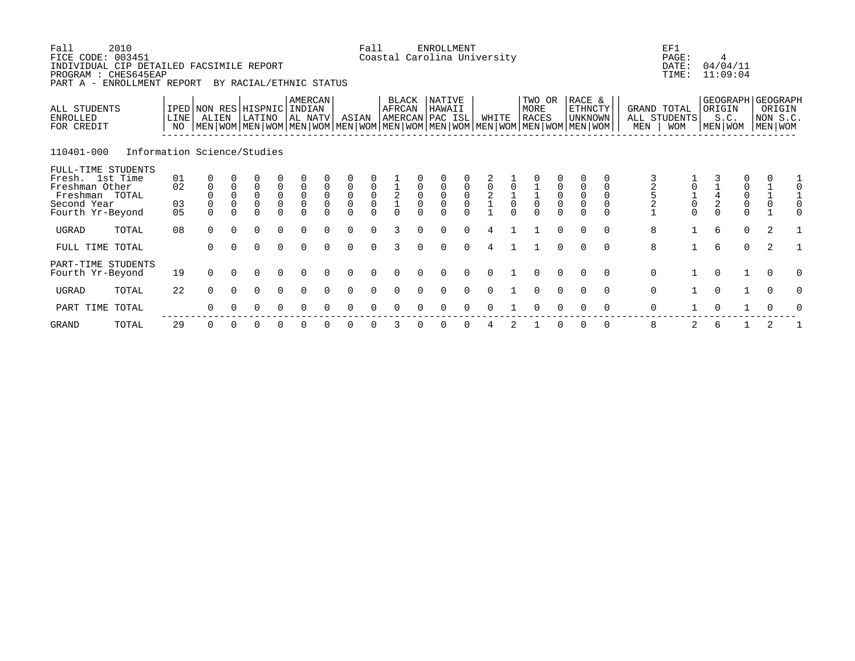| Fall<br>FICE CODE:<br>INDIVIDUAL CIP DETAILED FACSIMILE REPORT<br>PROGRAM : CHES645EAP<br>PART A - ENROLLMENT REPORT | 2010<br>003451              |                      |                                     |                                                     | BY RACIAL/ETHNIC STATUS                               |                                                     |                                         |                                                                       |                                              | Fall                                                | Coastal Carolina University                                                                                                                         |                                            | <b>ENROLLMENT</b>   |                                           |                                           |               |                                                      |                                           |                                                        |             |                                            | EF1<br>PAGE:<br>DATE:<br>TIME:            |                                            | 4<br>04/04/11<br>11:09:04                      |                                                    |
|----------------------------------------------------------------------------------------------------------------------|-----------------------------|----------------------|-------------------------------------|-----------------------------------------------------|-------------------------------------------------------|-----------------------------------------------------|-----------------------------------------|-----------------------------------------------------------------------|----------------------------------------------|-----------------------------------------------------|-----------------------------------------------------------------------------------------------------------------------------------------------------|--------------------------------------------|---------------------|-------------------------------------------|-------------------------------------------|---------------|------------------------------------------------------|-------------------------------------------|--------------------------------------------------------|-------------|--------------------------------------------|-------------------------------------------|--------------------------------------------|------------------------------------------------|----------------------------------------------------|
| ALL STUDENTS<br>ENROLLED<br>FOR CREDIT                                                                               |                             | LINE<br>NO           | ALIEN                               |                                                     | IPED NON RES HISPNIC INDIAN<br>LATINO                 |                                                     | <b>AMERCAN</b><br>AL NATV               |                                                                       | ASIAN                                        |                                                     | BLACK<br>AFRCAN<br> AMERCAN PAC ISL <br>  MEN   WOM   MEN   WOM   MEN   WOM   MEN   WOM   MEN   WOM   MEN   WOM   MEN   WOM   MEN   WOM   MEN   WOM |                                            | NATIVE<br>HAWAII    |                                           | WHITE                                     |               | TWO OR<br>MORE<br><b>RACES</b>                       |                                           | RACE &<br>ETHNCTY<br>UNKNOWN                           |             | MEN                                        | GRAND TOTAL<br>ALL STUDENTS<br><b>WOM</b> | ORIGIN                                     | S.C.<br>MEN WOM                                | GEOGRAPH GEOGRAPH<br>ORIGIN<br>NON S.C.<br>MEN WOM |
| 110401-000                                                                                                           | Information Science/Studies |                      |                                     |                                                     |                                                       |                                                     |                                         |                                                                       |                                              |                                                     |                                                                                                                                                     |                                            |                     |                                           |                                           |               |                                                      |                                           |                                                        |             |                                            |                                           |                                            |                                                |                                                    |
| FULL-TIME STUDENTS<br>Fresh. 1st Time<br>Freshman Other<br>Freshman TOTAL<br>Second Year<br>Fourth Yr-Beyond         |                             | 01<br>02<br>03<br>05 | $\mathbf 0$<br>$\Omega$<br>$\Omega$ | $\mathsf 0$<br>$\mathsf 0$<br>$\mathbf 0$<br>$\cap$ | 0<br>$\begin{matrix} 0 \\ 0 \end{matrix}$<br>$\Omega$ | $\begin{matrix} 0 \\ 0 \\ 0 \end{matrix}$<br>$\cap$ | $\mathsf 0$<br>$\overline{0}$<br>$\cap$ | $\mathbf 0$<br>$\begin{smallmatrix} 0\\0 \end{smallmatrix}$<br>$\cap$ | $\mathsf 0$<br>$\overline{0}$<br>0<br>$\cap$ | $\begin{matrix} 0 \\ 0 \\ 0 \end{matrix}$<br>$\cap$ | $\frac{1}{2}$                                                                                                                                       | $\begin{smallmatrix}0\\0\end{smallmatrix}$ | $\overline{0}$<br>0 | $\begin{matrix} 0 \\ 0 \\ 0 \end{matrix}$ | $\begin{matrix} 0 \\ 2 \\ 1 \end{matrix}$ | $\frac{1}{0}$ | $\begin{array}{c} 1 \\ 1 \\ 0 \end{array}$<br>$\cap$ | $\begin{matrix} 0 \\ 0 \\ 0 \end{matrix}$ | $\begin{smallmatrix}0\\0\end{smallmatrix}$<br>$\Omega$ | 0<br>$\cap$ | $\begin{array}{c} 2 \\ 5 \\ 2 \end{array}$ | $\frac{1}{0}$<br>$\cap$                   | $\begin{array}{c} 1 \\ 4 \\ 2 \end{array}$ | $\begin{matrix} 0 \\ 0 \\ 0 \\ 0 \end{matrix}$ | $\begin{matrix} 1 \\ 1 \\ 0 \end{matrix}$          |
| UGRAD                                                                                                                | TOTAL                       | 08                   | $\Omega$                            | $\Omega$                                            | $\Omega$                                              | $\Omega$                                            | $\Omega$                                | $\cap$                                                                | $\Omega$                                     | $\Omega$                                            | 3                                                                                                                                                   | $\Omega$                                   | $\Omega$            | $\Omega$                                  | 4                                         |               |                                                      | $\Omega$                                  | $\Omega$                                               | $\Omega$    | 8                                          | $\mathbf{1}$                              | 6                                          | $\Omega$                                       | 2                                                  |
| FULL TIME TOTAL                                                                                                      |                             |                      | $\Omega$                            | $\Omega$                                            | $\Omega$                                              | $\Omega$                                            | $\Omega$                                | $\cap$                                                                | $\Omega$                                     | $\Omega$                                            | 3                                                                                                                                                   |                                            | $\Omega$            | $\Omega$                                  |                                           |               |                                                      | $\Omega$                                  | $\Omega$                                               | $\Omega$    | 8                                          |                                           | 6                                          | $\mathbf 0$                                    | 2                                                  |
| PART-TIME STUDENTS<br>Fourth Yr-Beyond                                                                               |                             | 19                   | $\mathbf 0$                         | $\Omega$                                            | 0                                                     | 0                                                   |                                         |                                                                       |                                              |                                                     |                                                                                                                                                     |                                            |                     |                                           |                                           |               |                                                      | $\Omega$                                  | $\Omega$                                               | $\Omega$    | $\mathsf{O}$                               |                                           | $\Omega$                                   |                                                | $\overline{0}$                                     |
| UGRAD                                                                                                                | TOTAL                       | 22                   | $\Omega$                            | $\Omega$                                            | $\Omega$                                              | $\Omega$                                            | $\Omega$                                |                                                                       | $\Omega$                                     | $\cap$                                              |                                                                                                                                                     |                                            |                     |                                           |                                           |               | $\Omega$                                             | $\Omega$                                  | $\Omega$                                               | $\Omega$    | $\mathbf 0$                                |                                           | $\Omega$                                   | $\mathbf{1}$                                   | $\Omega$<br>O                                      |
| PART TIME                                                                                                            | TOTAL                       |                      | $\Omega$                            |                                                     | O                                                     | 0                                                   |                                         |                                                                       |                                              |                                                     |                                                                                                                                                     |                                            |                     |                                           |                                           |               |                                                      |                                           |                                                        | $\Omega$    | 0                                          |                                           |                                            |                                                |                                                    |

GRAND TOTAL 29 0 0 0 0 0 0 0 0 3 0 0 0 4 2 1 0 0 0 8 2 6 1 2 1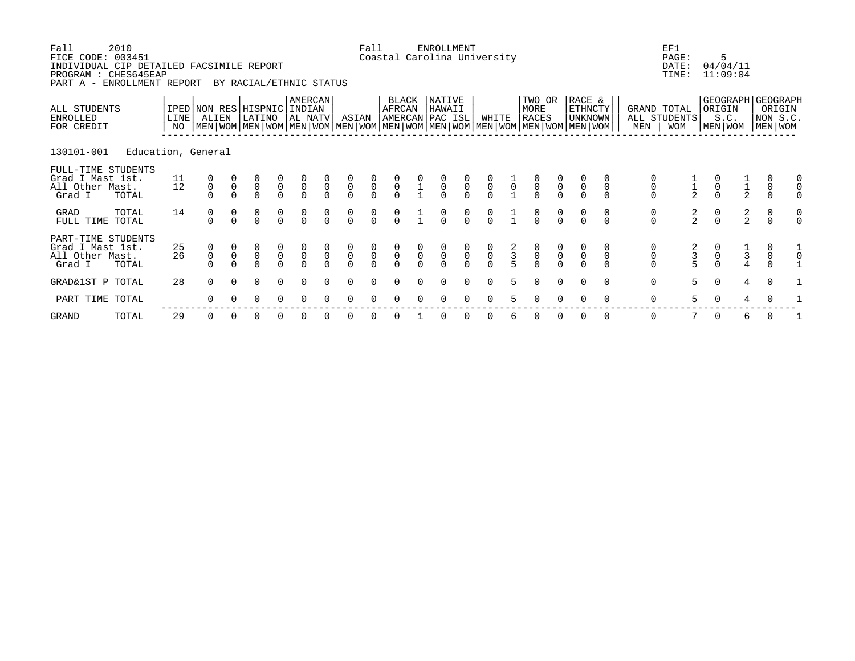| Fall<br>FICE CODE:<br>INDIVIDUAL CIP DETAILED FACSIMILE REPORT<br>PROGRAM : CHES645EAP<br>PART A - ENROLLMENT REPORT | 2010<br>003451     |            |                                      |                | BY RACIAL/ETHNIC STATUS                   |                                           |                                           |                                           |                                           | Fall                                      | Coastal Carolina University               |                | ENROLLMENT                                |                                           |                                           |                |                                                                                                                                               |                                           |                              |             |                                      | EF1<br>PAGE:<br>DATE:<br>TIME:            | 5<br>04/04/11<br>11:09:04                      |                                            |                                       |  |
|----------------------------------------------------------------------------------------------------------------------|--------------------|------------|--------------------------------------|----------------|-------------------------------------------|-------------------------------------------|-------------------------------------------|-------------------------------------------|-------------------------------------------|-------------------------------------------|-------------------------------------------|----------------|-------------------------------------------|-------------------------------------------|-------------------------------------------|----------------|-----------------------------------------------------------------------------------------------------------------------------------------------|-------------------------------------------|------------------------------|-------------|--------------------------------------|-------------------------------------------|------------------------------------------------|--------------------------------------------|---------------------------------------|--|
| ALL STUDENTS<br>ENROLLED<br>FOR CREDIT                                                                               |                    | LINE<br>NO | IPED NON RES HISPNIC<br>ALIEN        |                | LATINO                                    |                                           | <b>AMERCAN</b><br>INDIAN<br>AL NATV       |                                           | ASIAN                                     |                                           | BLACK<br>AFRCAN<br>AMERCAN PAC ISL        |                | NATIVE<br>HAWAII                          |                                           | WHITE                                     |                | TWO OR<br>MORE<br><b>RACES</b><br>  MEN   WOM   MEN   WOM   MEN   WOM   MEN   WOM   MEN   WOM   MEN   WOM   MEN   WOM   MEN   WOM   MEN   WOM |                                           | RACE &<br>ETHNCTY<br>UNKNOWN |             | MEN                                  | GRAND TOTAL<br>ALL STUDENTS<br><b>WOM</b> | GEOGRAPH GEOGRAPH<br>ORIGIN<br>S.C.<br>MEN WOM |                                            | ORIGIN<br>NON S.C.<br>MEN WOM         |  |
| 130101-001                                                                                                           | Education, General |            |                                      |                |                                           |                                           |                                           |                                           |                                           |                                           |                                           |                |                                           |                                           |                                           |                |                                                                                                                                               |                                           |                              |             |                                      |                                           |                                                |                                            |                                       |  |
| FULL-TIME STUDENTS<br>Grad I Mast 1st.<br>All Other Mast.<br>Grad I                                                  | TOTAL              | 11<br>12   | $\begin{matrix} 0 \\ 0 \end{matrix}$ | $\overline{0}$ | $\begin{matrix} 0 \\ 0 \\ 0 \end{matrix}$ | $\begin{matrix} 0 \\ 0 \\ 0 \end{matrix}$ | $\begin{matrix} 0 \\ 0 \\ 0 \end{matrix}$ | $\begin{matrix} 0 \\ 0 \\ 0 \end{matrix}$ | $\begin{matrix}0\\0\\0\end{matrix}$       | $\begin{matrix} 0 \\ 0 \\ 0 \end{matrix}$ | $\begin{matrix} 0 \\ 0 \\ 0 \end{matrix}$ |                | $\begin{matrix} 0 \\ 0 \\ 0 \end{matrix}$ | $\begin{matrix} 0 \\ 0 \\ 0 \end{matrix}$ | $\begin{matrix} 0 \\ 0 \\ 0 \end{matrix}$ | $\overline{0}$ | $\begin{matrix} 0 \\ 0 \\ 0 \end{matrix}$                                                                                                     | $\begin{matrix} 0 \\ 0 \\ 0 \end{matrix}$ | $\overline{0}$               | $\mathsf 0$ | $\overline{0}$                       |                                           | $\overline{0}$                                 | $\frac{1}{2}$                              | $\begin{matrix} 0 \\ 0 \end{matrix}$  |  |
| GRAD<br>FULL TIME TOTAL                                                                                              | TOTAL              | 14         | $\begin{matrix} 0 \\ 0 \end{matrix}$ |                | $\begin{matrix} 0 \\ 0 \end{matrix}$      | $\frac{0}{0}$                             |                                           | $\begin{matrix}0\\0\end{matrix}$          | $\begin{matrix}0\\0\end{matrix}$          | $\frac{0}{0}$                             | $\frac{0}{0}$                             |                | $\frac{0}{0}$                             | $\begin{matrix}0\\0\end{matrix}$          |                                           |                | $\frac{0}{0}$                                                                                                                                 | $\frac{0}{0}$                             |                              |             | $\begin{matrix} 0 \\ 0 \end{matrix}$ | $\frac{2}{2}$                             | $\begin{matrix}0\\0\end{matrix}$               | $\frac{2}{2}$                              | $\begin{matrix}0\\0\end{matrix}$      |  |
| PART-TIME STUDENTS<br>Grad I Mast 1st.<br>All Other Mast.<br>Grad I                                                  | TOTAL              | 25<br>26   | $\begin{matrix} 0 \\ 0 \end{matrix}$ | $\mathsf{O}$   | $\begin{matrix} 0 \\ 0 \\ 0 \end{matrix}$ | $\begin{matrix} 0 \\ 0 \\ 0 \end{matrix}$ | $\overline{0}$                            | $\int_{0}^{0}$                            | $\begin{matrix} 0 \\ 0 \\ 0 \end{matrix}$ | $\begin{matrix} 0 \\ 0 \\ 0 \end{matrix}$ | $\overline{0}$                            | $\overline{0}$ | $\alpha$                                  | $\overline{0}$                            | $\overline{0}$                            | $\frac{2}{3}$  | $\begin{matrix} 0 \\ 0 \\ 0 \end{matrix}$                                                                                                     | $\begin{matrix} 0 \\ 0 \\ 0 \end{matrix}$ | $\overline{0}$               |             | $\begin{matrix}0\\0\end{matrix}$     | $\frac{3}{5}$                             | $\overline{0}$                                 | $\begin{array}{c} 1 \\ 3 \\ 4 \end{array}$ | 0<br>$\begin{matrix}0\\0\end{matrix}$ |  |
| GRAD&1ST P TOTAL                                                                                                     |                    | 28         | $\Omega$                             | $\Omega$       | $\Omega$                                  | $\Omega$                                  | $\Omega$                                  | $\cap$                                    | $\Omega$                                  | $\Omega$                                  | $\Omega$                                  |                | $\Omega$                                  | $\Omega$                                  | $\Omega$                                  | 5              | $\Omega$                                                                                                                                      | $\Omega$                                  | $\Omega$                     | $\Omega$    | $\mathbf 0$                          | 5                                         | $\Omega$                                       | $\overline{4}$                             | $\Omega$                              |  |
| PART TIME TOTAL                                                                                                      |                    |            | $\Omega$                             |                | 0                                         | $\Omega$                                  |                                           |                                           |                                           |                                           |                                           |                |                                           |                                           |                                           |                |                                                                                                                                               |                                           |                              | $\Omega$    | 0                                    | 5                                         |                                                |                                            |                                       |  |
|                                                                                                                      |                    |            |                                      |                |                                           |                                           |                                           |                                           |                                           |                                           |                                           |                |                                           |                                           |                                           |                |                                                                                                                                               |                                           |                              |             |                                      |                                           |                                                |                                            |                                       |  |

GRAND TOTAL 29 0 0 0 0 0 0 0 0 0 1 0 0 0 6 0 0 0 0 0 7 0 6 0 1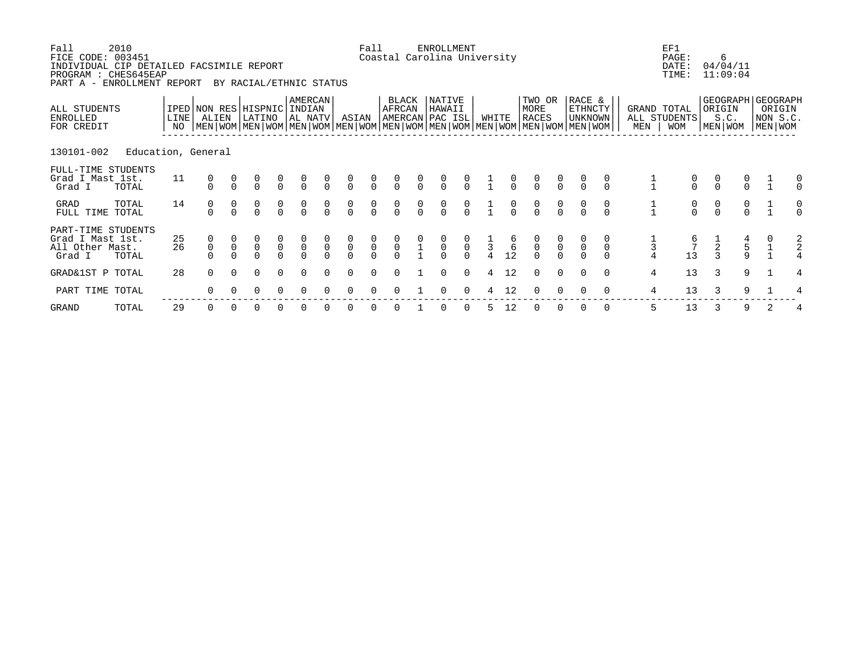| Fall<br>FICE CODE: 003451<br>INDIVIDUAL CIP DETAILED FACSIMILE REPORT<br>PROGRAM : CHES645EAP<br>PART A - ENROLLMENT REPORT | 2010               |              |                                      |              | BY RACIAL/ETHNIC STATUS              |                                           |                                           |                                      |                                  | Fall                                |                 |               | ENROLLMENT<br>Coastal Carolina University                                                                                                            |                                           |             |                |                                           |                                      |                                      |               |                | EF1<br>PAGE:<br>DATE:<br>TIME:            |                                  | 6<br>04/04/11<br>11:09:04                          |                                   |               |
|-----------------------------------------------------------------------------------------------------------------------------|--------------------|--------------|--------------------------------------|--------------|--------------------------------------|-------------------------------------------|-------------------------------------------|--------------------------------------|----------------------------------|-------------------------------------|-----------------|---------------|------------------------------------------------------------------------------------------------------------------------------------------------------|-------------------------------------------|-------------|----------------|-------------------------------------------|--------------------------------------|--------------------------------------|---------------|----------------|-------------------------------------------|----------------------------------|----------------------------------------------------|-----------------------------------|---------------|
| ALL STUDENTS<br>ENROLLED<br>FOR CREDIT                                                                                      |                    | LINE  <br>NO | IPED NON RES HISPNIC<br>ALIEN        |              | LATINO                               |                                           | AMERCAN<br>INDIAN<br>AL NATV              |                                      | ASIAN                            |                                     | BLACK<br>AFRCAN |               | NATIVE<br>HAWAII<br> AMERCAN PAC ISL <br>  MEN   WOM   MEN   WOM   MEN   WOM   MEN   WOM   MEN   WOM   MEN   WOM   MEN   WOM   MEN   WOM   MEN   WOM |                                           | WHITE       |                | TWO OR<br>MORE<br><b>RACES</b>            |                                      | RACE &<br><b>ETHNCTY</b><br>UNKNOWN  |               | MEN            | GRAND TOTAL<br>ALL STUDENTS<br><b>WOM</b> |                                  | GEOGRAPH GEOGRAPH<br>ORIGIN<br>S.C.<br>  MEN   WOM | ORIGIN<br>NON S.C.<br>  MEN   WOM |               |
| 130101-002                                                                                                                  | Education, General |              |                                      |              |                                      |                                           |                                           |                                      |                                  |                                     |                 |               |                                                                                                                                                      |                                           |             |                |                                           |                                      |                                      |               |                |                                           |                                  |                                                    |                                   |               |
| FULL-TIME STUDENTS<br>Grad I Mast 1st.<br>Grad I                                                                            | TOTAL              | 11           |                                      |              | $\begin{matrix} 0 \\ 0 \end{matrix}$ | $\begin{matrix} 0 \\ 0 \end{matrix}$      | $\int_{0}^{0}$                            | $\overline{0}$                       | $\int_{0}^{0}$                   | $\frac{0}{0}$                       | $\overline{0}$  | $\frac{0}{0}$ | $\frac{0}{0}$                                                                                                                                        | $\frac{0}{0}$                             |             | $\frac{0}{0}$  | $\begin{matrix} 0 \\ 0 \end{matrix}$      | $\frac{0}{0}$                        |                                      | $\frac{0}{0}$ |                | $\frac{0}{0}$                             | $\begin{matrix}0\\0\end{matrix}$ | $\frac{0}{0}$                                      |                                   |               |
| GRAD<br>FULL TIME                                                                                                           | TOTAL<br>TOTAL     | 14           | $\begin{matrix} 0 \\ 0 \end{matrix}$ |              | $\begin{matrix} 0 \\ 0 \end{matrix}$ | $\frac{0}{0}$                             | $\frac{0}{0}$                             | $\begin{matrix} 0 \\ 0 \end{matrix}$ | $\begin{matrix}0\\0\end{matrix}$ | $\begin{matrix}0\\0\end{matrix}$    | $\frac{0}{0}$   | $\frac{0}{0}$ | $\begin{matrix} 0 \\ 0 \end{matrix}$                                                                                                                 | $\frac{0}{0}$                             |             | $\alpha$       | $\begin{matrix}0\\0\end{matrix}$          | $\begin{matrix} 0 \\ 0 \end{matrix}$ | $\begin{matrix} 0 \\ 0 \end{matrix}$ | $\frac{0}{0}$ | $\frac{1}{1}$  | $\begin{matrix}0\\0\end{matrix}$          | $\begin{matrix}0\\0\end{matrix}$ | $\frac{0}{0}$                                      |                                   |               |
| PART-TIME STUDENTS<br>Grad I Mast 1st.<br>All Other Mast.<br>Grad I                                                         | TOTAL              | 25<br>26     | $\overline{0}$                       | $\mathsf{O}$ | $\begin{matrix}0\\0\end{matrix}$     | $\begin{matrix} 0 \\ 0 \\ 0 \end{matrix}$ | $\begin{matrix} 0 \\ 0 \\ 0 \end{matrix}$ | $\begin{matrix}0\\0\end{matrix}$     | $\overline{0}$                   | $\begin{matrix}0\\0\\0\end{matrix}$ | $\overline{0}$  |               | $\overline{0}$                                                                                                                                       | $\begin{matrix} 0 \\ 0 \\ 0 \end{matrix}$ | $rac{1}{3}$ | $\frac{6}{12}$ | $\begin{matrix} 0 \\ 0 \\ 0 \end{matrix}$ | $\overline{0}$                       | $\mathsf 0$                          | $\mathsf 0$   | $\frac{1}{3}$  |                                           | $\frac{1}{2}$                    | $\begin{array}{c} 4 \\ 5 \\ 9 \end{array}$         |                                   | $\frac{2}{2}$ |
| GRAD&1ST P TOTAL                                                                                                            |                    | 28           | $\Omega$                             | $\cap$       | $\Omega$                             | $\Omega$                                  | $\Omega$                                  |                                      | $\Omega$                         | $\Omega$                            |                 |               | $\Omega$                                                                                                                                             | $\Omega$                                  | 4           | 12             | $\Omega$                                  | $\Omega$                             | $\Omega$                             | $\Omega$      | $\overline{4}$ | 13                                        | 3                                | 9                                                  |                                   | 4             |
| PART TIME TOTAL                                                                                                             |                    |              | $\Omega$                             |              | 0                                    | $\Omega$                                  |                                           |                                      |                                  |                                     |                 |               |                                                                                                                                                      |                                           |             | 12             |                                           |                                      |                                      | $\Omega$      | 4              | 13                                        | 3                                | 9                                                  |                                   |               |
|                                                                                                                             |                    |              |                                      |              |                                      |                                           |                                           |                                      |                                  |                                     |                 |               |                                                                                                                                                      |                                           |             |                |                                           |                                      |                                      |               |                |                                           |                                  |                                                    |                                   |               |

GRAND TOTAL 29 0 0 0 0 0 0 0 0 0 1 0 0 5 12 0 0 0 0 5 13 3 9 2 4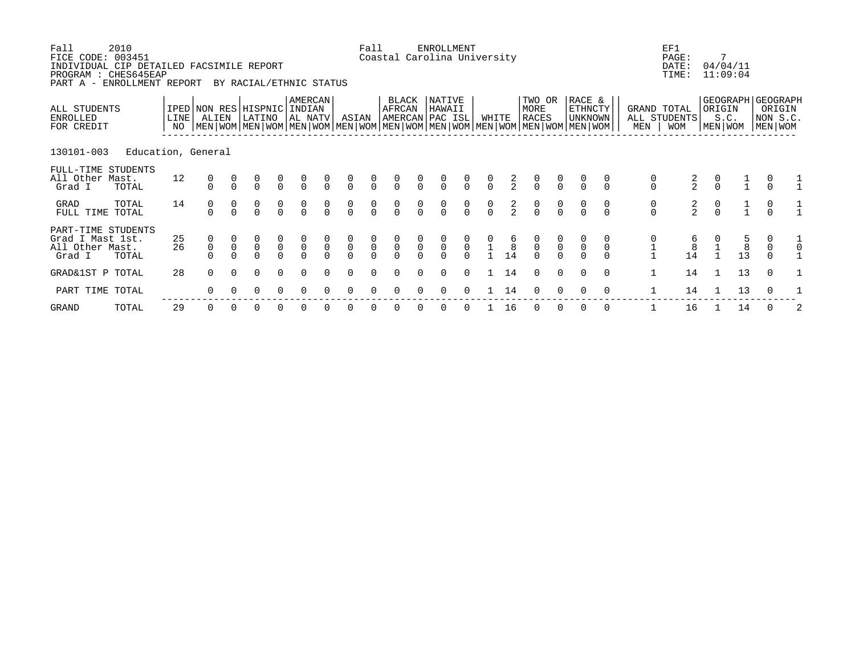| Fall<br>FICE CODE: 003451<br>INDIVIDUAL CIP DETAILED FACSIMILE REPORT<br>PROGRAM : CHES645EAP<br>PART A - ENROLLMENT REPORT | 2010               |              |                                      |              | BY RACIAL/ETHNIC STATUS              |                                           |                                           |                                  |                                  | Fall                                 | Coastal Carolina University               |                                      | ENROLLMENT                       |                                     |               |                      |                                                                                                                                               |                |                                     |          |                                      | EF1<br>PAGE:<br>DATE:<br>TIME:            |                                               | 7<br>04/04/11<br>11:09:04              |                                                        |  |
|-----------------------------------------------------------------------------------------------------------------------------|--------------------|--------------|--------------------------------------|--------------|--------------------------------------|-------------------------------------------|-------------------------------------------|----------------------------------|----------------------------------|--------------------------------------|-------------------------------------------|--------------------------------------|----------------------------------|-------------------------------------|---------------|----------------------|-----------------------------------------------------------------------------------------------------------------------------------------------|----------------|-------------------------------------|----------|--------------------------------------|-------------------------------------------|-----------------------------------------------|----------------------------------------|--------------------------------------------------------|--|
| ALL STUDENTS<br>ENROLLED<br>FOR CREDIT                                                                                      |                    | LINE  <br>NO | IPED NON RES HISPNIC<br>ALIEN        |              | LATINO                               |                                           | AMERCAN<br>INDIAN<br>AL NATV              |                                  | ASIAN                            |                                      | BLACK<br>AFRCAN<br> AMERCAN PAC ISL       |                                      | NATIVE<br>HAWAII                 |                                     | WHITE         |                      | TWO OR<br>MORE<br><b>RACES</b><br>  MEN   WOM   MEN   WOM   MEN   WOM   MEN   WOM   MEN   WOM   MEN   WOM   MEN   WOM   MEN   WOM   MEN   WOM |                | RACE &<br><b>ETHNCTY</b><br>UNKNOWN |          | MEN                                  | GRAND TOTAL<br>ALL STUDENTS<br><b>WOM</b> | ORIGIN                                        | S.C.<br>  MEN   WOM                    | GEOGRAPH GEOGRAPH<br>ORIGIN<br>NON S.C.<br>  MEN   WOM |  |
| 130101-003                                                                                                                  | Education, General |              |                                      |              |                                      |                                           |                                           |                                  |                                  |                                      |                                           |                                      |                                  |                                     |               |                      |                                                                                                                                               |                |                                     |          |                                      |                                           |                                               |                                        |                                                        |  |
| FULL-TIME STUDENTS<br>All Other Mast.<br>Grad I                                                                             | TOTAL              | 12           | $\begin{matrix} 0 \\ 0 \end{matrix}$ |              | $\begin{matrix} 0 \\ 0 \end{matrix}$ | $\begin{matrix} 0 \\ 0 \end{matrix}$      | $\int_{0}^{0}$                            | $\overline{0}$                   | $\int_{0}^{0}$                   | $\frac{0}{0}$                        | $\overline{0}$                            | $\frac{0}{0}$                        | $\frac{0}{0}$                    | $\int_{0}^{0}$                      | $\frac{0}{0}$ | $\frac{2}{2}$        | $\begin{matrix}0\\0\end{matrix}$                                                                                                              | $\frac{0}{0}$  |                                     |          | $_{0}^{0}$                           | $\frac{2}{2}$                             | $\begin{smallmatrix}0\\0\\0\end{smallmatrix}$ |                                        |                                                        |  |
| GRAD<br>FULL TIME                                                                                                           | TOTAL<br>TOTAL     | 14           | $\begin{matrix} 0 \\ 0 \end{matrix}$ |              | $\begin{matrix} 0 \\ 0 \end{matrix}$ | $\frac{0}{0}$                             | $\frac{0}{0}$                             | $\alpha$                         | $\begin{matrix}0\\0\end{matrix}$ | $\begin{matrix} 0 \\ 0 \end{matrix}$ | $\frac{0}{0}$                             | $\frac{0}{0}$                        | $\begin{matrix}0\\0\end{matrix}$ | $\begin{matrix}0\\0\end{matrix}$    | $\frac{0}{0}$ | $\frac{2}{2}$        | $\begin{matrix} 0 \\ 0 \end{matrix}$                                                                                                          | $\frac{0}{0}$  |                                     | $\alpha$ | $\begin{matrix} 0 \\ 0 \end{matrix}$ | $\frac{2}{2}$                             | $\frac{0}{0}$                                 | $\frac{1}{1}$                          | $\frac{0}{0}$                                          |  |
| PART-TIME STUDENTS<br>Grad I Mast 1st.<br>All Other Mast.<br>Grad I                                                         | TOTAL              | 25<br>26     | $\overline{0}$                       | $\mathsf{O}$ | $\begin{matrix}0\\0\end{matrix}$     | $\begin{matrix} 0 \\ 0 \\ 0 \end{matrix}$ | $\begin{matrix} 0 \\ 0 \\ 0 \end{matrix}$ | $\begin{matrix}0\\0\end{matrix}$ | $\begin{matrix}0\\0\end{matrix}$ | $\overline{0}$                       | $\begin{matrix} 0 \\ 0 \\ 0 \end{matrix}$ | $\begin{matrix} 0 \\ 0 \end{matrix}$ | $\overline{0}$                   | $\begin{matrix}0\\0\\0\end{matrix}$ |               | $\overline{8}$<br>14 | $\begin{matrix} 0 \\ 0 \\ 0 \end{matrix}$                                                                                                     | $\overline{0}$ | $\mathsf{O}\xspace$                 |          |                                      | $\begin{array}{c} 8 \\ 14 \end{array}$    |                                               | $\begin{array}{c} 8 \\ 13 \end{array}$ | 0<br>$\mathsf{O}$                                      |  |
| GRAD&1ST P TOTAL                                                                                                            |                    | 28           | $\Omega$                             | $\cap$       | $\Omega$                             | $\Omega$                                  | $\Omega$                                  |                                  | $\Omega$                         | $\Omega$                             |                                           |                                      | $\Omega$                         | $\Omega$                            |               | 14                   | $\Omega$                                                                                                                                      | $\Omega$       | $\Omega$                            | $\Omega$ | $\mathbf{1}$                         | 14                                        |                                               | 13                                     | $\Omega$                                               |  |
| PART TIME TOTAL                                                                                                             |                    |              | $\Omega$                             |              | 0                                    | $\Omega$                                  |                                           |                                  |                                  |                                      |                                           |                                      |                                  |                                     |               | 14                   |                                                                                                                                               |                |                                     | $\Omega$ |                                      | 14                                        |                                               | 13                                     |                                                        |  |
|                                                                                                                             |                    |              |                                      |              |                                      |                                           |                                           |                                  |                                  |                                      |                                           |                                      |                                  |                                     |               |                      |                                                                                                                                               |                |                                     |          |                                      |                                           |                                               |                                        |                                                        |  |

GRAND TOTAL 29 0 0 0 0 0 0 0 0 0 0 0 0 1 16 0 0 0 0 1 16 1 14 0 2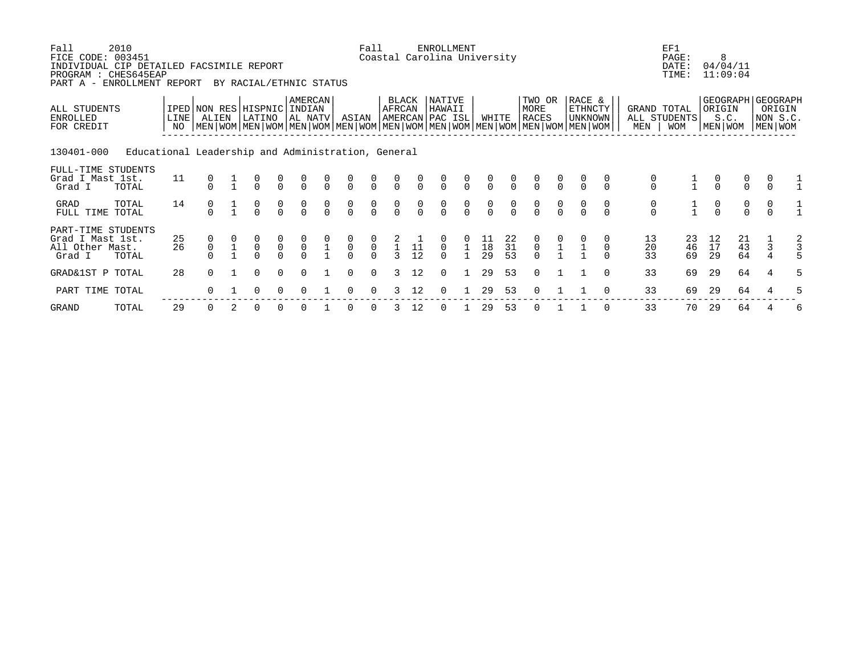| Fall<br>FICE CODE: 003451<br>INDIVIDUAL CIP DETAILED FACSIMILE REPORT<br>PROGRAM : CHES645EAP<br>PART A - ENROLLMENT REPORT | 2010                                               |              |                | BY RACIAL/ETHNIC STATUS                                                                                                                       |                                           |                                      |                |                                  | Fall                                 |                                      |                 | <b>ENROLLMENT</b><br>Coastal Carolina University |                                      |                                               |                                               |                                      |                                  |                                            |          |                                      | EF1<br>PAGE:<br>DATE:<br>TIME: |                                      | 8<br>04/04/11<br>11:09:04                     |                |                                                    |
|-----------------------------------------------------------------------------------------------------------------------------|----------------------------------------------------|--------------|----------------|-----------------------------------------------------------------------------------------------------------------------------------------------|-------------------------------------------|--------------------------------------|----------------|----------------------------------|--------------------------------------|--------------------------------------|-----------------|--------------------------------------------------|--------------------------------------|-----------------------------------------------|-----------------------------------------------|--------------------------------------|----------------------------------|--------------------------------------------|----------|--------------------------------------|--------------------------------|--------------------------------------|-----------------------------------------------|----------------|----------------------------------------------------|
| ALL STUDENTS<br>ENROLLED<br>FOR CREDIT                                                                                      |                                                    | LINE  <br>NO | ALIEN          | IPED NON RES HISPNIC<br>LATINO<br>  MEN   WOM   MEN   WOM   MEN   WOM   MEN   WOM   MEN   WOM   MEN   WOM   MEN   WOM   MEN   WOM   MEN   WOM |                                           | AMERCAN<br>INDIAN<br> AL NATV        |                | ASIAN                            |                                      | BLACK<br>AFRCAN                      |                 | NATIVE<br>HAWAII<br>AMERCAN PAC ISL              |                                      | WHITE                                         |                                               | TWO OR<br>MORE<br>RACES              |                                  | RACE &<br><b>ETHNCTY</b><br><b>UNKNOWN</b> |          | GRAND TOTAL<br>MEN                   | ALL STUDENTS<br><b>WOM</b>     | ORIGIN                               | S.C.<br>MEN   WOM                             |                | GEOGRAPH GEOGRAPH<br>ORIGIN<br>NON S.C.<br>MEN WOM |
| 130401-000                                                                                                                  | Educational Leadership and Administration, General |              |                |                                                                                                                                               |                                           |                                      |                |                                  |                                      |                                      |                 |                                                  |                                      |                                               |                                               |                                      |                                  |                                            |          |                                      |                                |                                      |                                               |                |                                                    |
| FULL-TIME STUDENTS<br>Grad I Mast 1st.<br>Grad I                                                                            | TOTAL                                              | 11           |                | $\frac{0}{0}$                                                                                                                                 | $\begin{matrix} 0 \\ 0 \end{matrix}$      | $\frac{0}{0}$                        | $\frac{0}{0}$  | $\frac{0}{0}$                    | $\frac{0}{0}$                        | $\begin{matrix} 0 \\ 0 \end{matrix}$ | $\frac{0}{0}$   | $\frac{0}{0}$                                    | $\frac{0}{0}$                        | $\begin{matrix}0\\0\end{matrix}$              | $\frac{0}{0}$                                 | $\begin{matrix} 0 \\ 0 \end{matrix}$ | $\frac{0}{0}$                    |                                            |          | $\begin{matrix} 0 \\ 0 \end{matrix}$ |                                | $\frac{0}{0}$                        | $\begin{matrix} 0 \\ 0 \end{matrix}$          | $\Omega$       |                                                    |
| GRAD<br>FULL TIME TOTAL                                                                                                     | TOTAL                                              | 14           | $\frac{0}{0}$  | $\frac{0}{0}$                                                                                                                                 | $\frac{0}{0}$                             | $\begin{matrix} 0 \\ 0 \end{matrix}$ | $\int_{0}^{0}$ | $\begin{matrix}0\\0\end{matrix}$ | $\begin{matrix}0\\0\end{matrix}$     | $\frac{0}{0}$                        | $\int_{0}^{0}$  | $\begin{matrix} 0 \\ 0 \end{matrix}$             | $\begin{matrix} 0 \\ 0 \end{matrix}$ | $\frac{0}{0}$                                 | $\int_{0}^{0}$                                | $\begin{matrix} 0 \\ 0 \end{matrix}$ | $\begin{matrix}0\\0\end{matrix}$ | $\frac{0}{0}$                              |          | $\begin{matrix}0\\0\end{matrix}$     | $\frac{1}{1}$                  | $\begin{matrix} 0 \\ 0 \end{matrix}$ | $\begin{matrix}0\\0\end{matrix}$              | $\frac{0}{0}$  |                                                    |
| PART-TIME STUDENTS<br>Grad I Mast 1st.<br>All Other Mast.<br>Grad I                                                         | TOTAL                                              | 25<br>26     | $\overline{0}$ | $\mathsf 0$                                                                                                                                   | $\begin{matrix} 0 \\ 0 \\ 0 \end{matrix}$ | $\begin{matrix} 0 \\ 0 \end{matrix}$ | $\frac{1}{1}$  | $\begin{matrix}0\\0\end{matrix}$ | $\begin{matrix} 0 \\ 0 \end{matrix}$ | $\frac{1}{3}$                        | $\frac{11}{12}$ | $\mathsf{O}$                                     |                                      | $\begin{array}{c} 11 \\ 18 \\ 29 \end{array}$ | $\begin{array}{c} 22 \\ 31 \end{array}$<br>53 | $\begin{matrix}0\\0\\0\end{matrix}$  |                                  |                                            |          | 13<br>20<br>33                       | 23<br>46<br>69                 | 12<br>$17$<br>29                     | $\begin{array}{c} 21 \\ 43 \end{array}$<br>64 | $\overline{3}$ | $\frac{2}{3}$                                      |
| GRAD&1ST P TOTAL                                                                                                            |                                                    | 28           | $\Omega$       | 0                                                                                                                                             | $\Omega$                                  | $\Omega$                             |                | $\Omega$                         | $\Omega$                             | 3                                    | 12              | $\Omega$                                         | $\mathbf{1}$                         | 29                                            | 53                                            | $\Omega$                             |                                  |                                            | $\Omega$ | 33                                   | 69                             | 29                                   | 64                                            | $\overline{4}$ |                                                    |
| PART TIME TOTAL                                                                                                             |                                                    |              |                |                                                                                                                                               | $\Omega$                                  |                                      |                |                                  |                                      |                                      | 12              | 0                                                |                                      | 29                                            | 53                                            | $\Omega$                             |                                  |                                            |          | 33                                   | 69                             | 29                                   | 64                                            |                |                                                    |

GRAND TOTAL 29 0 2 0 0 0 1 0 0 3 12 0 1 29 53 0 1 1 0 33 70 29 64 4 6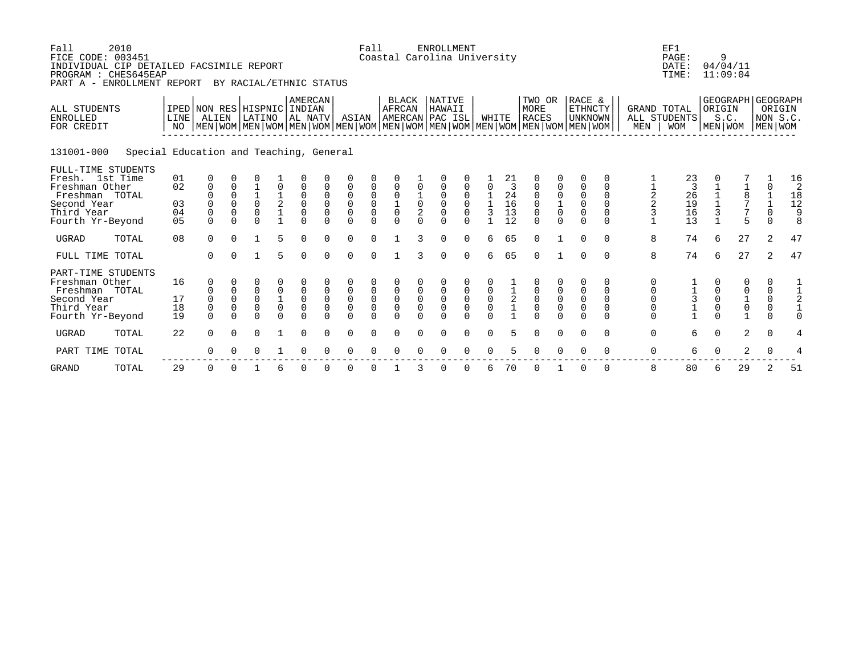| Fall<br>FICE CODE: 003451<br>INDIVIDUAL CIP DETAILED FACSIMILE REPORT<br>PROGRAM : CHES645EAP<br>PART A - ENROLLMENT REPORT | 2010                                    |                |                                           |                                              | BY RACIAL/ETHNIC STATUS                  |                                                               |                                           |                                                    |                         | Fall                                                                          |                                                   |                                             | <b>ENROLLMENT</b><br>Coastal Carolina University |                                                        |                            |                                               |                                                                                                                                        |                                                   |                                                             |                                              |                    | EF1<br>PAGE:<br>DATE:<br>TIME:                    |                                       | 9<br>04/04/11<br>11:09:04                                     |                                      |                                                          |
|-----------------------------------------------------------------------------------------------------------------------------|-----------------------------------------|----------------|-------------------------------------------|----------------------------------------------|------------------------------------------|---------------------------------------------------------------|-------------------------------------------|----------------------------------------------------|-------------------------|-------------------------------------------------------------------------------|---------------------------------------------------|---------------------------------------------|--------------------------------------------------|--------------------------------------------------------|----------------------------|-----------------------------------------------|----------------------------------------------------------------------------------------------------------------------------------------|---------------------------------------------------|-------------------------------------------------------------|----------------------------------------------|--------------------|---------------------------------------------------|---------------------------------------|---------------------------------------------------------------|--------------------------------------|----------------------------------------------------------|
| <b>ALL STUDENTS</b><br><b>ENROLLED</b><br>FOR CREDIT                                                                        |                                         | NO             | IPED NON RES HISPNIC INDIAN<br>LINE ALIEN |                                              | LATINO                                   |                                                               | AMERCAN<br>AL NATV                        |                                                    | ASIAN                   |                                                                               | <b>BLACK</b><br>AFRCAN                            |                                             | NATIVE<br>HAWAII<br>AMERCAN PAC ISL              |                                                        | WHITE                      |                                               | TWO OR<br>MORE<br>RACES<br>  MEN   WOM   MEN   WOM   MEN   WOM   MEN   WOM   MEN   WOM   MEN   WOM   MEN   WOM   MEN   WOM   MEN   WOM |                                                   | RACE &<br><b>ETHNCTY</b><br>  UNKNOWN                       |                                              | MEN                | GRAND TOTAL<br>ALL STUDENTS<br><b>WOM</b>         | ORIGIN                                | GEOGRAPH GEOGRAPH<br>S.C.<br>  MEN   WOM                      | MEN WOM                              | ORIGIN<br>NON S.C.                                       |
| 131001-000                                                                                                                  | Special Education and Teaching, General |                |                                           |                                              |                                          |                                                               |                                           |                                                    |                         |                                                                               |                                                   |                                             |                                                  |                                                        |                            |                                               |                                                                                                                                        |                                                   |                                                             |                                              |                    |                                                   |                                       |                                                               |                                      |                                                          |
| FULL-TIME STUDENTS<br>Fresh. 1st Time<br>Freshman Other                                                                     |                                         | 01<br>02       | 0<br>0                                    | $\Omega$                                     |                                          | 0                                                             |                                           |                                                    | 0                       | 0                                                                             | 0                                                 | 0                                           | 0                                                | 0                                                      | 0                          | 21                                            | 0                                                                                                                                      | 0                                                 | 0                                                           | 0<br>0                                       |                    | $\begin{array}{c} 23 \\ 3 \end{array}$            |                                       |                                                               | 0                                    | 16<br>2                                                  |
| Freshman TOTAL<br>Second Year<br>Third Year<br>Fourth Yr-Beyond                                                             |                                         | 03<br>04<br>05 | 0<br>$\Omega$                             | $\Omega$<br>$\Omega$<br>$\Omega$<br>$\Omega$ | $\mathbf 1$<br>$\Omega$<br>0<br>$\Omega$ | $\mathbf{1}$<br>$\overline{a}$<br>$\mathbf 1$<br>$\mathbf{1}$ | $\Omega$<br>$\Omega$<br>0<br>$\Omega$     | $\mathbf 0$<br>$\Omega$<br>$\mathbf 0$<br>$\Omega$ | 0<br>0<br>0<br>$\Omega$ | $\ddot{\mathbf{0}}$<br>$\ddot{\mathbf{0}}$<br>$\mathsf{O}\xspace$<br>$\Omega$ | $\mathsf{O}\xspace$<br>$\frac{1}{0}$<br>$\Omega$  | $\frac{1}{0}$<br>$\overline{2}$<br>$\Omega$ | 0<br>$\Omega$<br>0<br>$\Omega$                   | $\Omega$<br>$\Omega$<br>$\Omega$<br>$\Omega$           | 3                          | 24<br>16<br>13<br>12                          | 0<br>0<br>0<br>$\Omega$                                                                                                                | $\mathsf{O}\xspace$<br>$\frac{1}{0}$<br>$\Omega$  | $\mathsf 0$<br>$\overline{0}$<br>$\overline{0}$<br>$\Omega$ | $\Omega$<br>$\Omega$<br>$\Omega$<br>$\Omega$ | $\frac{1}{2}$<br>3 | 26<br>19<br>16<br>13                              | $\frac{1}{1}$<br>$\mathsf{3}$         | $\frac{1}{8}$<br>7<br>7<br>$\overline{5}$                     | $\frac{1}{1}$<br>0<br>$\Omega$       | $\begin{smallmatrix}1&8\\1&2\end{smallmatrix}$<br>9<br>8 |
| <b>UGRAD</b>                                                                                                                | TOTAL                                   | 08             | $\Omega$                                  | $\Omega$                                     | 1                                        | 5                                                             | $\Omega$                                  | $\Omega$                                           | 0                       | $\Omega$                                                                      | $\mathbf{1}$                                      | 3                                           | 0                                                | $\Omega$                                               | 6                          | 65                                            | $\Omega$                                                                                                                               | $\mathbf{1}$                                      | 0                                                           | $\Omega$                                     | 8                  | 74                                                | 6                                     | 27                                                            | 2                                    | 47                                                       |
| FULL TIME TOTAL                                                                                                             |                                         |                | $\Omega$                                  | $\Omega$                                     | $\mathbf{1}$                             | 5                                                             | $\Omega$                                  | $\Omega$                                           | $\Omega$                | $\Omega$                                                                      | $\mathbf{1}$                                      | 3                                           | $\Omega$                                         | $\Omega$                                               | 6                          | 65                                            | $\Omega$                                                                                                                               | $\mathbf{1}$                                      | 0                                                           | $\Omega$                                     | 8                  | 74                                                | 6                                     | 27                                                            | $\overline{2}$                       | 47                                                       |
| PART-TIME STUDENTS<br>Freshman Other<br>Freshman TOTAL<br>Second Year<br>Third Year                                         |                                         | 16<br>17<br>18 | $\Omega$<br>0<br>0                        | $\mathbf 0$<br>$\mathbf 0$<br>$\mathbf 0$    | 0<br>0<br>0<br>0                         | 0<br>0<br>$\mathbf 1$<br>$\mathsf 0$                          | $\mathbf 0$<br>$\mathsf 0$<br>$\mathbf 0$ | $\mathbf 0$<br>$\mathbf 0$<br>$\mathbf 0$          | 0<br>0<br>0<br>0        | $\mathsf 0$<br>$\mathsf{O}\xspace$<br>0                                       | $\mathsf 0$<br>$\mathsf{O}\xspace$<br>$\mathsf 0$ | 0<br>$\mathsf{O}\xspace$<br>$\mathbf 0$     | 0<br>0<br>0                                      | $\boldsymbol{0}$<br>$\mathsf{O}\xspace$<br>$\mathsf 0$ | $\mathsf 0$<br>$\mathsf 0$ | $\begin{smallmatrix}1\\2\\1\end{smallmatrix}$ | 0<br>0<br>0                                                                                                                            | $\mathsf 0$<br>$\mathsf{O}\xspace$<br>$\mathsf 0$ | 0<br>0<br>$\mathsf{O}\xspace$<br>$\mathsf 0$                | 0<br>$\mathbf 0$<br>$\Omega$<br>$\mathbf 0$  | 0<br>0<br>0<br>0   | $\begin{array}{c}\n1 \\ 3 \\ 1 \\ 1\n\end{array}$ | 0<br>0<br>$\mathsf{O}$<br>$\mathsf 0$ | $\mathbf 0$<br>$\begin{matrix} 0 \\ 1 \\ 0 \\ 1 \end{matrix}$ | 0<br>0<br>$\mathsf 0$<br>$\mathsf 0$ | $\mathbf{1}$<br>$1\,$<br>$\sqrt{2}$<br>$1\,$             |
| Fourth Yr-Beyond                                                                                                            |                                         | 19             | $\Omega$                                  | $\Omega$                                     | U                                        | $\Omega$                                                      | $\Omega$                                  | $\Omega$                                           | $\Omega$                | $\Omega$                                                                      | $\Omega$                                          |                                             | U                                                | $\cap$                                                 | $\Omega$                   |                                               | U                                                                                                                                      | $\Omega$                                          | 0                                                           | $\Omega$                                     | 0                  |                                                   | $\Omega$                              |                                                               | 0                                    | $\Omega$                                                 |
| <b>UGRAD</b>                                                                                                                | TOTAL                                   | 22             | 0                                         | $\Omega$                                     | $\Omega$                                 | $\mathbf{1}$                                                  | 0                                         | $\Omega$                                           | 0                       | $\mathbf 0$                                                                   | 0                                                 | $\Omega$                                    | 0                                                | 0                                                      | 0                          | 5                                             | 0                                                                                                                                      | $\mathbf 0$                                       | $\mathbf 0$                                                 | $\Omega$                                     | $\mathbf 0$        | 6                                                 | $\mathbf 0$                           | 2                                                             | $\mathbf 0$                          | 4                                                        |
| PART TIME                                                                                                                   | TOTAL                                   |                | 0                                         |                                              |                                          |                                                               | $\Omega$                                  |                                                    | O                       |                                                                               | 0                                                 |                                             |                                                  | $\Omega$                                               | 0                          | 5                                             | $\Omega$                                                                                                                               | $\Omega$                                          | 0                                                           | $\Omega$                                     | 0                  | 6                                                 | $\Omega$                              | $\overline{a}$                                                | $\mathbf 0$                          | 4                                                        |
| <b>GRAND</b>                                                                                                                | TOTAL                                   | 29             | 0                                         | 0                                            |                                          | 6                                                             | 0                                         | $\Omega$                                           | O                       | 0                                                                             |                                                   | 3                                           | 0                                                | $\Omega$                                               | 6                          | 70                                            | O                                                                                                                                      |                                                   | 0                                                           | $\Omega$                                     | 8                  | 80                                                | 6                                     | 29                                                            | 2                                    | 51                                                       |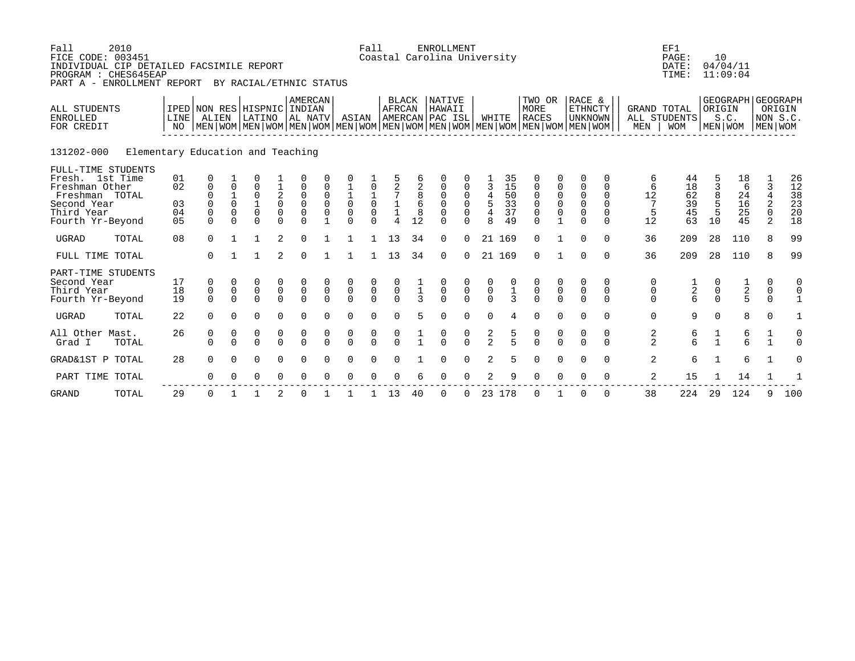| Fall<br>FICE CODE: 003451<br>INDIVIDUAL CIP DETAILED FACSIMILE REPORT<br>PROGRAM : CHES645EAP<br>PART A - ENROLLMENT REPORT | 2010                              |                            |                                              |                                                  | BY RACIAL/ETHNIC STATUS                                                                                                                            |                                      |                                                       |                                        |                                                       | Fall                                                |                                            |                               | <b>ENROLLMENT</b><br>Coastal Carolina University |                                      |                                                   |                             |                                                                       |                                                                     |                                                          |                                          |                    | EF1<br>PAGE:<br>DATE:<br>TIME: | 10                           | 04/04/11<br>11:09:04                  |                                         |                      |
|-----------------------------------------------------------------------------------------------------------------------------|-----------------------------------|----------------------------|----------------------------------------------|--------------------------------------------------|----------------------------------------------------------------------------------------------------------------------------------------------------|--------------------------------------|-------------------------------------------------------|----------------------------------------|-------------------------------------------------------|-----------------------------------------------------|--------------------------------------------|-------------------------------|--------------------------------------------------|--------------------------------------|---------------------------------------------------|-----------------------------|-----------------------------------------------------------------------|---------------------------------------------------------------------|----------------------------------------------------------|------------------------------------------|--------------------|--------------------------------|------------------------------|---------------------------------------|-----------------------------------------|----------------------|
| ALL STUDENTS<br><b>ENROLLED</b><br>FOR CREDIT                                                                               |                                   | NO                         | LINE   ALIEN                                 |                                                  | IPED NON RES HISPNIC INDIAN<br>LATINO<br>NEN   WOM   MEN   WOM   MEN   WOM   MEN   WOM   MEN   WOM   MEN   WOM   MEN   WOM   MEN   WOM   MEN   WOM |                                      | <b>AMERCAN</b><br>AL NATV                             |                                        | ASIAN                                                 |                                                     | <b>BLACK</b><br><b>AFRCAN</b>              |                               | <b>NATIVE</b><br>HAWAII<br>AMERCAN PAC ISL       |                                      | WHITE                                             |                             | TWO OR<br>MORE<br><b>RACES</b>                                        |                                                                     | RACE &<br><b>ETHNCTY</b><br><b>UNKNOWN</b>               |                                          | GRAND TOTAL<br>MEN | ALL STUDENTS<br><b>WOM</b>     | ORIGIN<br>MEN WOM            | GEOGRAPH GEOGRAPH<br>S.C.             | MEN WOM                                 | ORIGIN<br>NON S.C.   |
| 131202-000                                                                                                                  | Elementary Education and Teaching |                            |                                              |                                                  |                                                                                                                                                    |                                      |                                                       |                                        |                                                       |                                                     |                                            |                               |                                                  |                                      |                                                   |                             |                                                                       |                                                                     |                                                          |                                          |                    |                                |                              |                                       |                                         |                      |
| FULL-TIME STUDENTS<br>Fresh. 1st Time<br>Freshman Other                                                                     |                                   | 01<br>02                   | 0<br>$\mathbf 0$                             | 0                                                | 0                                                                                                                                                  | $\frac{1}{2}$                        | $\mathbf 0$                                           |                                        |                                                       |                                                     | $\frac{2}{7}$                              | 2                             | 0                                                |                                      | $\overline{3}$                                    | 35<br>15                    | $\mathsf 0$                                                           | 0                                                                   | $\Omega$<br>$\mathsf 0$                                  | 0<br>0                                   | 6<br>6             | 44<br>18                       | 3                            | 18<br>6                               | 3                                       | 26<br>12             |
| Freshman TOTAL<br>Second Year<br>Third Year<br>Fourth Yr-Beyond                                                             |                                   | 03<br>04<br>0 <sub>5</sub> | $\overline{0}$<br>0<br>$\mathbf 0$<br>$\cap$ | $\mathbf 1$<br>$\Omega$<br>$\mathbf 0$<br>$\cap$ | 0<br>$\mathbf 0$<br>$\cap$                                                                                                                         | 0<br>$\mathsf{O}\xspace$<br>$\Omega$ | $\mathbf 0$<br>$\mathsf 0$<br>$\mathsf 0$<br>$\Omega$ | $\mathbf 0$<br>$\Omega$<br>$\mathbf 0$ | $\begin{matrix} 1 \\ 0 \\ 0 \end{matrix}$<br>$\Omega$ | $\begin{matrix} 1 \\ 0 \\ 0 \end{matrix}$<br>$\cap$ | $\begin{smallmatrix}1\\1\end{smallmatrix}$ | 8<br>6<br>8<br>12             | $\mathbf 0$<br>$\Omega$<br>$\mathbf 0$<br>$\cap$ | $\mathsf 0$<br>$\mathbf 0$<br>$\cap$ | $\ensuremath{4}$<br>$\frac{5}{4}$<br>$\mathsf{R}$ | 50<br>33<br>37<br>49        | $\mathsf 0$<br>$\begin{smallmatrix}0\\0\end{smallmatrix}$<br>$\Omega$ | $\mathsf 0$<br>$\begin{matrix} 0 \\ 0 \end{matrix}$<br>$\mathbf{1}$ | $\mathbf 0$<br>$\mathsf 0$<br>$\overline{0}$<br>$\Omega$ | $\mathbf 0$<br>$\Omega$<br>0<br>$\Omega$ | 12<br>5<br>12      | 62<br>$\frac{39}{45}$<br>63    | 8<br>5<br>5<br>10            | 24<br>16<br>25<br>45                  | $\overline{4}$<br>2<br>$\mathbf 0$<br>2 | 38<br>23<br>20<br>18 |
| <b>UGRAD</b>                                                                                                                | TOTAL                             | 08                         | $\Omega$                                     |                                                  | 1                                                                                                                                                  | 2                                    | $\Omega$                                              |                                        |                                                       |                                                     | 13                                         | 34                            | $\Omega$                                         | $\Omega$                             | 21                                                | 169                         | $\Omega$                                                              |                                                                     | $\Omega$                                                 | $\Omega$                                 | 36                 | 209                            | 28                           | 110                                   | 8                                       | 99                   |
| FULL TIME TOTAL                                                                                                             |                                   |                            | $\Omega$                                     |                                                  |                                                                                                                                                    | 2                                    | $\Omega$                                              |                                        |                                                       |                                                     | 13                                         | 34                            | $\Omega$                                         | $\Omega$                             | 21                                                | 169                         | $\Omega$                                                              |                                                                     | $\Omega$                                                 | $\Omega$                                 | 36                 | 209                            | 28                           | 110                                   | 8                                       | 99                   |
| PART-TIME STUDENTS<br>Second Year<br>Third Year<br>Fourth Yr-Beyond                                                         |                                   | 17<br>18<br>19             | 0<br>$\mathsf 0$<br>$\Omega$                 | 0<br>$\Omega$                                    | 0<br>$\mathbf 0$<br>$\Omega$                                                                                                                       | 0<br>$\mathsf 0$<br>$\Omega$         | 0<br>$\mathbb O$<br>$\Omega$                          | $\mathsf 0$<br>$\Omega$                | 0<br>$\mathsf 0$<br>$\Omega$                          | 0<br>$\mathsf 0$<br>$\Omega$                        | $\mathsf 0$<br>$\Omega$                    | $\frac{1}{1}$<br>$\mathbf{3}$ | $\begin{matrix} 0 \\ 0 \end{matrix}$<br>$\Omega$ | 0<br>$\mathsf 0$<br>$\Omega$         | $\mathsf 0$<br>$\Omega$                           | $\mathbf 1$<br>$\mathbf{3}$ | 0<br>$\mathsf 0$<br>$\Omega$                                          | 0<br>$\mathbf 0$<br>$\Omega$                                        | 0<br>$\overline{0}$<br>$\Omega$                          | 0<br>$\mathbf 0$<br>$\Omega$             | 0<br>0<br>0        | $\sqrt{2}$<br>6                | 0<br>$\mathbf 0$<br>$\Omega$ | $\frac{1}{2}$<br>5                    | 0<br>$\mathbf 0$<br>$\Omega$            | 0<br>0               |
| <b>UGRAD</b>                                                                                                                | TOTAL                             | 22                         | $\Omega$                                     | $\Omega$                                         | $\Omega$                                                                                                                                           | $\Omega$                             | $\Omega$                                              | $\cap$                                 | $\Omega$                                              | $\Omega$                                            | $\cap$                                     | 5                             | $\Omega$                                         | $\Omega$                             | $\Omega$                                          | 4                           | $\Omega$                                                              | $\Omega$                                                            | $\Omega$                                                 | $\Omega$                                 | $\Omega$           | 9                              | $\Omega$                     | 8                                     | $\Omega$                                |                      |
| All Other Mast.<br>Grad I                                                                                                   | TOTAL                             | 26                         | 0<br>$\Omega$                                | 0<br>$\Omega$                                    | 0<br>$\Omega$                                                                                                                                      | 0<br>$\Omega$                        | 0<br>$\Omega$                                         | 0<br>$\cap$                            | $\begin{matrix}0\\0\end{matrix}$                      | 0<br>$\overline{0}$                                 | $\begin{matrix} 0 \\ 0 \end{matrix}$       | $\frac{1}{1}$                 | $\begin{matrix} 0 \\ 0 \end{matrix}$             | $\begin{matrix}0\\0\end{matrix}$     | $\frac{2}{2}$                                     | $\frac{5}{5}$               | $\begin{matrix}0\\0\end{matrix}$                                      | $\boldsymbol{0}$<br>$\Omega$                                        | 0<br>$\Omega$                                            | 0<br>$\Omega$                            | $\frac{2}{2}$      | 6<br>$\overline{6}$            | $\frac{1}{1}$                | $\begin{array}{c} 6 \\ 6 \end{array}$ | $\frac{1}{1}$                           | 0<br>$\Omega$        |
| GRAD&1ST P TOTAL                                                                                                            |                                   | 28                         | $\Omega$                                     | $\Omega$                                         | $\Omega$                                                                                                                                           | 0                                    | $\Omega$                                              | $\Omega$                               | $\Omega$                                              | $\Omega$                                            |                                            |                               | ∩                                                | $\Omega$                             | 2                                                 | 5                           | $\Omega$                                                              | $\mathbf 0$                                                         | $\Omega$                                                 | $\Omega$                                 | 2                  | 6                              | $\mathbf 1$                  | 6                                     | $\mathbf{1}$                            | O                    |
| PART TIME TOTAL                                                                                                             |                                   |                            | $\Omega$                                     |                                                  | $\Omega$                                                                                                                                           | $\Omega$                             | $\Omega$                                              |                                        | ∩                                                     |                                                     |                                            |                               | ∩                                                | $\Omega$                             | 2                                                 | 9                           | $\Omega$                                                              | $\Omega$                                                            | $\Omega$                                                 | $\Omega$                                 | 2                  | 15                             |                              | 14                                    | 1                                       |                      |
| <b>GRAND</b>                                                                                                                | TOTAL                             | 29                         | $\Omega$                                     |                                                  |                                                                                                                                                    | 2                                    | 0                                                     |                                        |                                                       |                                                     | 13                                         | 40                            | $\mathbf 0$                                      | 0                                    | 23                                                | 178                         | $\mathbf 0$                                                           |                                                                     | $\mathbf 0$                                              | $\mathbf 0$                              | 38                 | 224                            | 29                           | 124                                   | 9                                       | 100                  |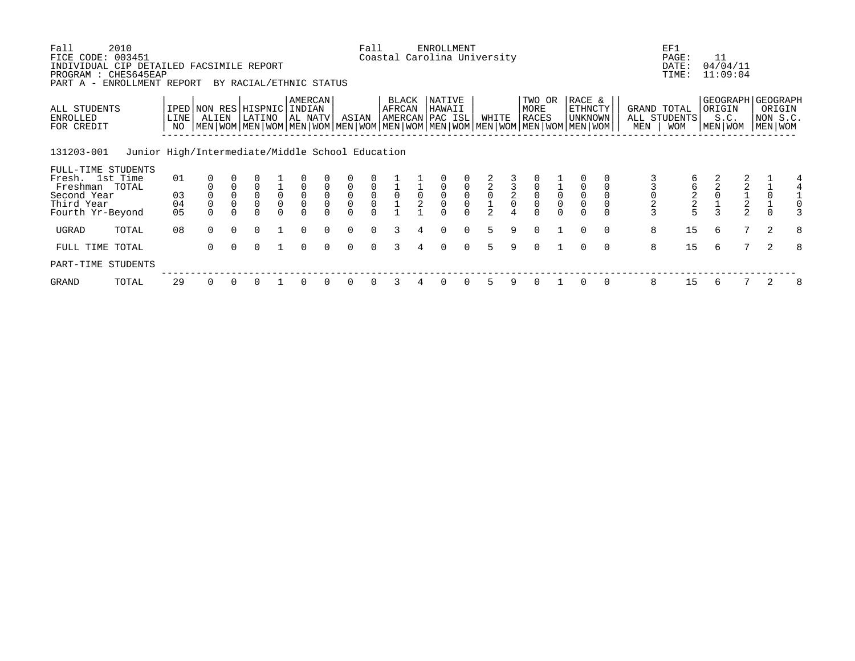| Fall<br>FICE CODE: 003451<br>INDIVIDUAL CIP DETAILED FACSIMILE REPORT<br>PROGRAM : CHES645EAP | 2010                                             |                         |                               |                                            |                                            |                                   |                                           |                               |                                     | Fall                                      |                                              |                                             | <b>ENROLLMENT</b><br>Coastal Carolina University |                                           |                |               |                                           |                                           |                                                                                                                                             |          |                                    | EF1<br>PAGE:<br>DATE:<br>TIME: | 11<br>04/04/11<br>11:09:04 |                                                   |           |                                           |
|-----------------------------------------------------------------------------------------------|--------------------------------------------------|-------------------------|-------------------------------|--------------------------------------------|--------------------------------------------|-----------------------------------|-------------------------------------------|-------------------------------|-------------------------------------|-------------------------------------------|----------------------------------------------|---------------------------------------------|--------------------------------------------------|-------------------------------------------|----------------|---------------|-------------------------------------------|-------------------------------------------|---------------------------------------------------------------------------------------------------------------------------------------------|----------|------------------------------------|--------------------------------|----------------------------|---------------------------------------------------|-----------|-------------------------------------------|
| PART A -                                                                                      | ENROLLMENT REPORT                                |                         |                               |                                            | BY RACIAL/ETHNIC STATUS                    |                                   |                                           |                               |                                     |                                           |                                              |                                             |                                                  |                                           |                |               |                                           |                                           |                                                                                                                                             |          |                                    |                                |                            |                                                   |           |                                           |
| ALL STUDENTS<br><b>ENROLLED</b><br>FOR CREDIT                                                 |                                                  | LINE <sup>1</sup><br>NO | IPED NON RES HISPNIC<br>ALIEN |                                            | LATINO                                     |                                   | AMERCAN<br>INDIAN<br>AL NATV              |                               | ASIAN                               |                                           | BLACK<br>AFRCAN                              |                                             | NATIVE<br>HAWAII<br>AMERCAN PAC ISL              |                                           | WHITE          |               | TWO OR<br>MORE<br>RACES                   |                                           | RACE &<br>ETHNCTY<br>UNKNOWN<br>  MEN   WOM   MEN   WOM   MEN   WOM   MEN   WOM   MEN   WOM   MEN   WOM   MEN   WOM   MEN   WOM   MEN   WOM |          | GRAND TOTAL<br>ALL STUDENTS<br>MEN | <b>WOM</b>                     | ORIGIN<br>S.C.<br>MEN WOM  |                                                   | MEN   WOM | GEOGRAPH   GEOGRAPH<br>ORIGIN<br>NON S.C. |
| 131203-001                                                                                    | Junior High/Intermediate/Middle School Education |                         |                               |                                            |                                            |                                   |                                           |                               |                                     |                                           |                                              |                                             |                                                  |                                           |                |               |                                           |                                           |                                                                                                                                             |          |                                    |                                |                            |                                                   |           |                                           |
| FULL-TIME STUDENTS<br>Fresh. 1st Time<br>Freshman TOTAL                                       |                                                  | 01                      |                               | $\mathbf 0$                                | $\mathsf 0$                                |                                   |                                           | $\mathsf 0$                   |                                     |                                           |                                              |                                             |                                                  |                                           |                |               |                                           |                                           |                                                                                                                                             |          |                                    |                                |                            |                                                   |           |                                           |
| Second Year<br>Third Year<br>Fourth Yr-Beyond                                                 |                                                  | 03<br>04<br>05          | $\overline{0}$                | $\mathsf{O}\xspace$<br>$\mathsf{O}\xspace$ | $\mathsf{O}\xspace$<br>$\mathsf{O}\xspace$ | $\begin{matrix}1\0\0\end{matrix}$ | $\begin{matrix} 0 \\ 0 \\ 0 \end{matrix}$ | $\overline{0}$<br>$\mathsf 0$ | $\begin{matrix}0\\0\\0\end{matrix}$ | $\begin{matrix} 0 \\ 0 \\ 0 \end{matrix}$ | $\begin{array}{c}\n1 \\ 0 \\ 1\n\end{array}$ | $\begin{smallmatrix}1\0\0\end{smallmatrix}$ | $\begin{matrix}0\\0\\0\end{matrix}$              | $\begin{matrix} 0 \\ 0 \\ 0 \end{matrix}$ |                | $\frac{3}{2}$ | $\begin{matrix} 0 \\ 0 \\ 0 \end{matrix}$ | $\begin{matrix} 0 \\ 0 \\ 0 \end{matrix}$ | $\overline{0}$<br>0                                                                                                                         |          | $\frac{2}{3}$                      | 6<br>2<br>2<br>5               |                            | $\begin{array}{c}\n2 \\ 1 \\ 2 \\ 2\n\end{array}$ |           |                                           |
| UGRAD                                                                                         | TOTAL                                            | 08                      | $\Omega$                      | $\Omega$                                   | $\Omega$                                   |                                   | $\Omega$                                  | $\Omega$                      | $\Omega$                            | $\Omega$                                  | 3                                            |                                             | $\Omega$                                         | $\Omega$                                  | 5              | 9             | $\Omega$                                  |                                           | $\Omega$                                                                                                                                    | $\Omega$ | 8                                  | 15                             | 6                          | 7                                                 | 2         | 8                                         |
| FULL TIME TOTAL                                                                               |                                                  |                         | $\Omega$                      | $\Omega$                                   | $\Omega$                                   |                                   | $\Omega$                                  | $\Omega$                      | $\Omega$                            | $\Omega$                                  |                                              |                                             | $\Omega$                                         | $\Omega$                                  | $\overline{5}$ | 9             | $\Omega$                                  |                                           | $\Omega$                                                                                                                                    | $\Omega$ | 8                                  | 15                             | 6                          | 7                                                 | 2         | 8                                         |
| PART-TIME STUDENTS                                                                            |                                                  |                         |                               |                                            |                                            |                                   |                                           |                               |                                     |                                           |                                              |                                             |                                                  |                                           |                |               |                                           |                                           |                                                                                                                                             |          |                                    |                                |                            |                                                   |           |                                           |
| GRAND                                                                                         | TOTAL                                            | 29                      | $\Omega$                      |                                            |                                            |                                   | 0                                         |                               | 0                                   | $\Omega$                                  | 3                                            |                                             | 0                                                | 0                                         | 5              |               | $\Omega$                                  |                                           |                                                                                                                                             | $\Omega$ | 8                                  | 15                             | 6                          |                                                   | 2         | 8                                         |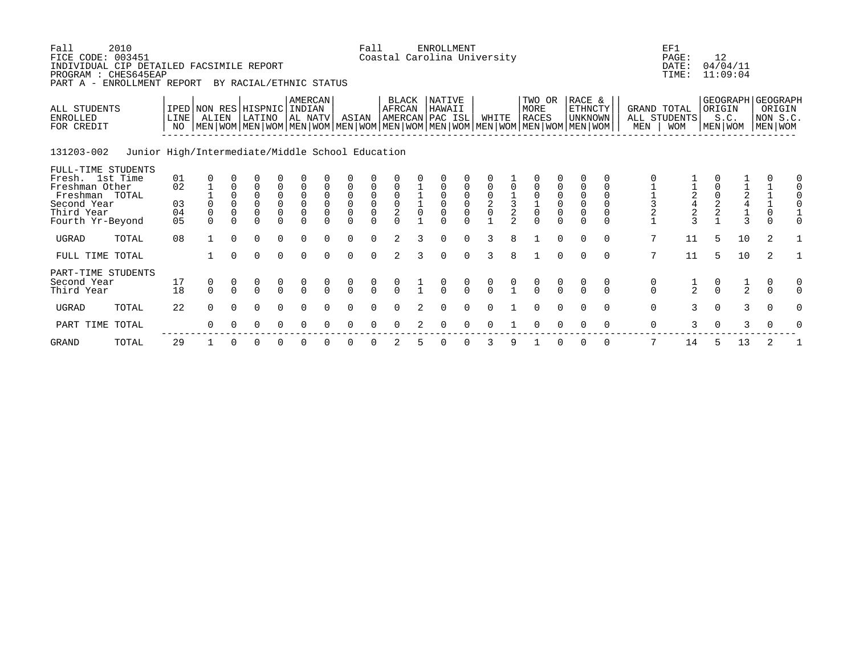| Fall<br>FICE CODE: 003451<br>INDIVIDUAL CIP DETAILED FACSIMILE REPORT<br>PROGRAM : CHES645EAP<br>PART A - ENROLLMENT REPORT | 2010                                             |                                        |                                      |                                          | BY RACIAL/ETHNIC STATUS                                        |                                                |                                           |                                              |                                         | Fall                                      |                                           |   | <b>ENROLLMENT</b><br>Coastal Carolina University |                                           |                                           |                                |                                                                                                                                               |                                           |                                                            |                                                       |                                                   | EF1<br>PAGE:<br>DATE:<br>TIME: | 12            | 04/04/11<br>11:09:04                                   |                                                        |                                                        |
|-----------------------------------------------------------------------------------------------------------------------------|--------------------------------------------------|----------------------------------------|--------------------------------------|------------------------------------------|----------------------------------------------------------------|------------------------------------------------|-------------------------------------------|----------------------------------------------|-----------------------------------------|-------------------------------------------|-------------------------------------------|---|--------------------------------------------------|-------------------------------------------|-------------------------------------------|--------------------------------|-----------------------------------------------------------------------------------------------------------------------------------------------|-------------------------------------------|------------------------------------------------------------|-------------------------------------------------------|---------------------------------------------------|--------------------------------|---------------|--------------------------------------------------------|--------------------------------------------------------|--------------------------------------------------------|
| ALL STUDENTS<br><b>ENROLLED</b><br>FOR CREDIT                                                                               |                                                  | LINE<br>NO.                            | IPED NON RES HISPNIC INDIAN<br>ALIEN |                                          | LATINO                                                         |                                                | <b>AMERCAN</b><br>AL NATV                 |                                              | ASIAN                                   |                                           | BLACK<br>AFRCAN                           |   | NATIVE<br>HAWAII<br>AMERCAN PAC ISL              |                                           | WHITE                                     |                                | TWO OR<br>MORE<br><b>RACES</b><br>  MEN   WOM   MEN   WOM   MEN   WOM   MEN   WOM   MEN   WOM   MEN   WOM   MEN   WOM   MEN   WOM   MEN   WOM |                                           | RACE &<br>ETHNCTY<br><b>UNKNOWN</b>                        |                                                       | GRAND TOTAL<br>MEN                                | ALL STUDENTS<br><b>WOM</b>     | ORIGIN        | S.C.<br>MEN   WOM                                      |                                                        | GEOGRAPH GEOGRAPH<br>ORIGIN<br>NON S.C.<br>  MEN   WOM |
| 131203-002                                                                                                                  | Junior High/Intermediate/Middle School Education |                                        |                                      |                                          |                                                                |                                                |                                           |                                              |                                         |                                           |                                           |   |                                                  |                                           |                                           |                                |                                                                                                                                               |                                           |                                                            |                                                       |                                                   |                                |               |                                                        |                                                        |                                                        |
| FULL-TIME STUDENTS<br>Fresh. 1st Time<br>Freshman Other<br>Freshman TOTAL<br>Second Year<br>Third Year<br>Fourth Yr-Beyond  |                                                  | 01<br>02<br>03<br>04<br>0 <sub>5</sub> | 0<br>$\mathbf 0$<br>$\Omega$         | $\Omega$<br>$\Omega$<br>0<br>$\mathbf 0$ | $\Omega$<br>$\Omega$<br>$\overline{0}$<br>$\Omega$<br>$\Omega$ | 0<br>0<br>$\begin{matrix} 0 \\ 0 \end{matrix}$ | $\begin{matrix} 0 \\ 0 \\ 0 \end{matrix}$ | $\mathsf 0$<br>$\overline{0}$<br>$\mathbf 0$ | 0<br>$\mathsf 0$<br>$\overline{0}$<br>0 | $\begin{matrix} 0 \\ 0 \\ 0 \end{matrix}$ | $\begin{matrix} 0 \\ 0 \\ 2 \end{matrix}$ |   | 0<br>$\overline{0}$                              | $\begin{matrix} 0 \\ 0 \\ 0 \end{matrix}$ | $\begin{matrix} 0 \\ 2 \\ 0 \end{matrix}$ | $\frac{1}{3}$<br>$\mathcal{L}$ | 0<br>$\overline{0}$<br>$\frac{1}{0}$<br>$\Omega$                                                                                              | $\begin{matrix} 0 \\ 0 \\ 0 \end{matrix}$ | 0<br>$\begin{matrix} 0 \\ 0 \\ 0 \end{matrix}$<br>$\Omega$ | $\Omega$<br>$\Omega$<br>$\mathbf 0$<br>$\overline{0}$ | $\begin{array}{c}\n1 \\ 1 \\ 3 \\ 2\n\end{array}$ | 242                            | $\frac{0}{2}$ | $\begin{array}{c}\n1 \\ 2 \\ 4 \\ 1 \\ 3\n\end{array}$ | $\begin{array}{c} 1 \\ 1 \\ 0 \end{array}$<br>$\Omega$ |                                                        |
| UGRAD                                                                                                                       | TOTAL                                            | 08                                     |                                      | $\Omega$                                 | $\mathbf 0$                                                    | $\Omega$                                       | $\Omega$                                  | $\Omega$                                     | $\Omega$                                | $\Omega$                                  | 2                                         | 3 | $\Omega$                                         | $\Omega$                                  | 3                                         | 8                              |                                                                                                                                               | $\Omega$                                  | $\Omega$                                                   | $\Omega$                                              | 7                                                 | 11                             | 5             | 10                                                     | 2                                                      |                                                        |
| FULL TIME TOTAL                                                                                                             |                                                  |                                        |                                      | $\Omega$                                 | $\Omega$                                                       | $\Omega$                                       | $\Omega$                                  | $\Omega$                                     | $\Omega$                                | $\Omega$                                  | 2                                         | 3 | $\Omega$                                         | $\Omega$                                  | $\mathbf{3}$                              | 8                              | $\mathbf{1}$                                                                                                                                  | $\Omega$                                  | $\Omega$                                                   | $\Omega$                                              | 7                                                 | 11                             | 5             | 10                                                     | 2                                                      |                                                        |
| PART-TIME STUDENTS<br>Second Year<br>Third Year                                                                             |                                                  | 17<br>18                               | 0<br>$\Omega$                        | $\Omega$                                 | $\begin{matrix} 0 \\ 0 \end{matrix}$                           | $\frac{0}{0}$                                  | $\begin{matrix} 0 \\ 0 \end{matrix}$      | $\frac{0}{0}$                                | $\begin{matrix} 0 \\ 0 \end{matrix}$    | $\frac{0}{0}$                             | $\frac{0}{0}$                             |   | $\frac{0}{0}$                                    | $\frac{0}{0}$                             |                                           |                                | $\frac{0}{0}$                                                                                                                                 | $\frac{0}{0}$                             | $\Omega$                                                   | 0<br>$\Omega$                                         | $\begin{matrix} 0 \\ 0 \end{matrix}$              | $\frac{1}{2}$                  | $\frac{0}{0}$ | $\frac{1}{2}$                                          | 0<br>$\Omega$                                          |                                                        |
| <b>UGRAD</b>                                                                                                                | TOTAL                                            | 22                                     | $\Omega$                             | $\Omega$                                 | $\Omega$                                                       | $\Omega$                                       | ∩                                         |                                              | $\Omega$                                |                                           |                                           |   | ∩                                                |                                           |                                           |                                |                                                                                                                                               | $\Omega$                                  |                                                            | $\Omega$                                              | $\mathbf 0$                                       | 3                              | $\Omega$      | $\mathbf{3}$                                           | $\Omega$                                               |                                                        |
| PART TIME TOTAL                                                                                                             |                                                  |                                        | $\Omega$                             |                                          | 0                                                              | $\Omega$                                       | $\Omega$                                  |                                              | $\Omega$                                |                                           |                                           |   |                                                  |                                           |                                           |                                |                                                                                                                                               |                                           |                                                            | 0                                                     | 0                                                 | 3                              | $\mathbf 0$   | 3                                                      | 0                                                      |                                                        |
| <b>GRAND</b>                                                                                                                | TOTAL                                            | 29                                     |                                      |                                          | 0                                                              |                                                |                                           |                                              |                                         |                                           |                                           |   |                                                  |                                           | 3                                         |                                |                                                                                                                                               |                                           |                                                            | 0                                                     | 7                                                 | 14                             | 5             | 13                                                     |                                                        |                                                        |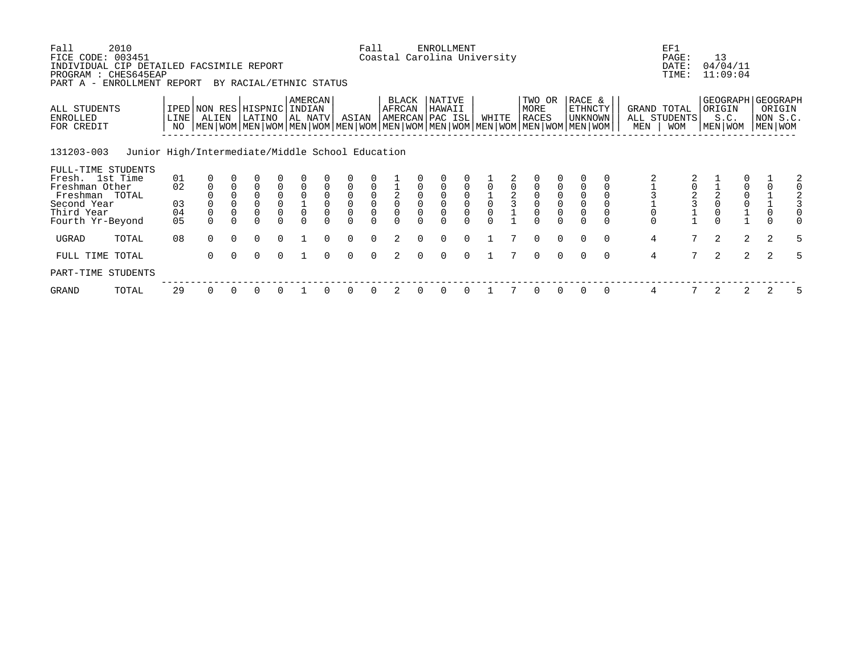| Fall<br>FICE CODE: 003451                                                    | 2010                                             |            |                                                                                                                                              |             |                         |                                                           |                               |                                        |                                           | Fall                                                         |                          |             | <b>ENROLLMENT</b><br>Coastal Carolina University |          |             |               |                                            |          |                              |          |                    | EF1<br>PAGE:                               | 13             |                      |                                                          |   |
|------------------------------------------------------------------------------|--------------------------------------------------|------------|----------------------------------------------------------------------------------------------------------------------------------------------|-------------|-------------------------|-----------------------------------------------------------|-------------------------------|----------------------------------------|-------------------------------------------|--------------------------------------------------------------|--------------------------|-------------|--------------------------------------------------|----------|-------------|---------------|--------------------------------------------|----------|------------------------------|----------|--------------------|--------------------------------------------|----------------|----------------------|----------------------------------------------------------|---|
| INDIVIDUAL CIP DETAILED FACSIMILE REPORT<br>PROGRAM : CHES645EAP<br>PART A - | ENROLLMENT REPORT                                |            |                                                                                                                                              |             | BY RACIAL/ETHNIC STATUS |                                                           |                               |                                        |                                           |                                                              |                          |             |                                                  |          |             |               |                                            |          |                              |          |                    | DATE:<br>TIME:                             |                | 04/04/11<br>11:09:04 |                                                          |   |
| ALL STUDENTS<br>ENROLLED<br>FOR CREDIT                                       |                                                  | LINE<br>NO | IPED NON RES HISPNIC<br>ALIEN<br>  MEN   WOM   MEN   WOM   MEN   WOM   MEN   WOM   MEN   WOM   MEN   WOM   MEN   WOM   MEN   WOM   MEN   WOM |             | LATINO                  |                                                           | AMERCAN<br>INDIAN<br> AL NATV |                                        | ASIAN                                     |                                                              | <b>BLACK</b><br>AFRCAN   |             | NATIVE<br>HAWAII<br>AMERCAN PAC ISL              |          | WHITE       |               | TWO OR<br>MORE<br><b>RACES</b>             |          | RACE &<br>ETHNCTY<br>UNKNOWN |          | GRAND TOTAL<br>MEN | ALL STUDENTS<br><b>WOM</b>                 | ORIGIN         | S.C.<br>MEN WOM      | GEOGRAPH   GEOGRAPH<br>ORIGIN<br>NON S.C.<br>  MEN   WOM |   |
| 131203-003                                                                   | Junior High/Intermediate/Middle School Education |            |                                                                                                                                              |             |                         |                                                           |                               |                                        |                                           |                                                              |                          |             |                                                  |          |             |               |                                            |          |                              |          |                    |                                            |                |                      |                                                          |   |
| FULL-TIME STUDENTS<br>Fresh. 1st Time                                        |                                                  | 01         |                                                                                                                                              |             |                         |                                                           |                               |                                        |                                           |                                                              |                          |             |                                                  |          |             |               |                                            |          |                              |          |                    |                                            |                |                      |                                                          | 2 |
| Freshman Other                                                               |                                                  | 02         | $\mathbf 0$                                                                                                                                  |             | $\mathbf 0$             | 0                                                         |                               |                                        | $\overline{0}$                            |                                                              |                          |             |                                                  |          |             |               |                                            |          |                              |          |                    | 0                                          |                |                      |                                                          |   |
| Freshman TOTAL<br>Second Year<br>Third Year                                  |                                                  | 03<br>04   | $\mathbf 0$                                                                                                                                  | $\mathbf 0$ | 0<br>$\Omega$           | $\begin{smallmatrix}0\\0\end{smallmatrix}$<br>$\mathbf 0$ | $\mathbf 0$                   | $\mathbf 0$<br>$\mathbf 0$<br>$\Omega$ | $\mathbf 0$<br>$\overline{0}$<br>$\Omega$ | $\begin{smallmatrix}0\\0\end{smallmatrix}$<br>$\overline{0}$ | $^2_{\rm 0}$<br>$\Omega$ | $\mathbf 0$ | $\Omega$                                         |          | $\mathbf 0$ | $\frac{2}{3}$ | $\begin{smallmatrix}0\\0\end{smallmatrix}$ |          | $\Omega$                     |          |                    | $\begin{array}{c} 2 \\ 3 \\ 1 \end{array}$ |                |                      |                                                          |   |
| Fourth Yr-Beyond                                                             |                                                  | 05         |                                                                                                                                              |             |                         |                                                           |                               |                                        | $\Omega$                                  |                                                              |                          |             |                                                  |          |             |               |                                            |          |                              |          |                    |                                            |                |                      |                                                          |   |
| UGRAD                                                                        | TOTAL                                            | 08         | $\Omega$                                                                                                                                     | $\Omega$    | $\Omega$                | $\Omega$                                                  |                               | $\Omega$                               | $\Omega$                                  | $\Omega$                                                     | 2                        | $\Omega$    | $\Omega$                                         | $\Omega$ |             |               | $\Omega$                                   | $\Omega$ | $\Omega$                     | $\Omega$ | $\overline{4}$     | $7^{\circ}$                                | $\overline{2}$ | $\overline{2}$       | 2                                                        | 5 |
| FULL TIME TOTAL                                                              |                                                  |            | $\Omega$                                                                                                                                     | $\Omega$    | $\Omega$                | $\Omega$                                                  |                               | $\Omega$                               | $\Omega$                                  | $\Omega$                                                     | 2                        | $\Omega$    | $\Omega$                                         | $\Omega$ |             |               | $\Omega$                                   | $\Omega$ | $\Omega$                     | $\Omega$ | $\overline{4}$     | $7^{\circ}$                                | 2              | $\overline{2}$       | 2                                                        | 5 |
| PART-TIME STUDENTS                                                           |                                                  |            |                                                                                                                                              |             |                         |                                                           |                               |                                        |                                           |                                                              |                          |             |                                                  |          |             |               |                                            |          |                              |          |                    |                                            |                |                      |                                                          |   |
| GRAND                                                                        | TOTAL                                            | 29         | $\Omega$                                                                                                                                     | $\Omega$    | 0                       |                                                           |                               |                                        | 0                                         |                                                              |                          |             | $\Omega$                                         | 0        |             |               | <sup>0</sup>                               |          |                              | $\Omega$ | 4                  |                                            |                | 2                    |                                                          | 5 |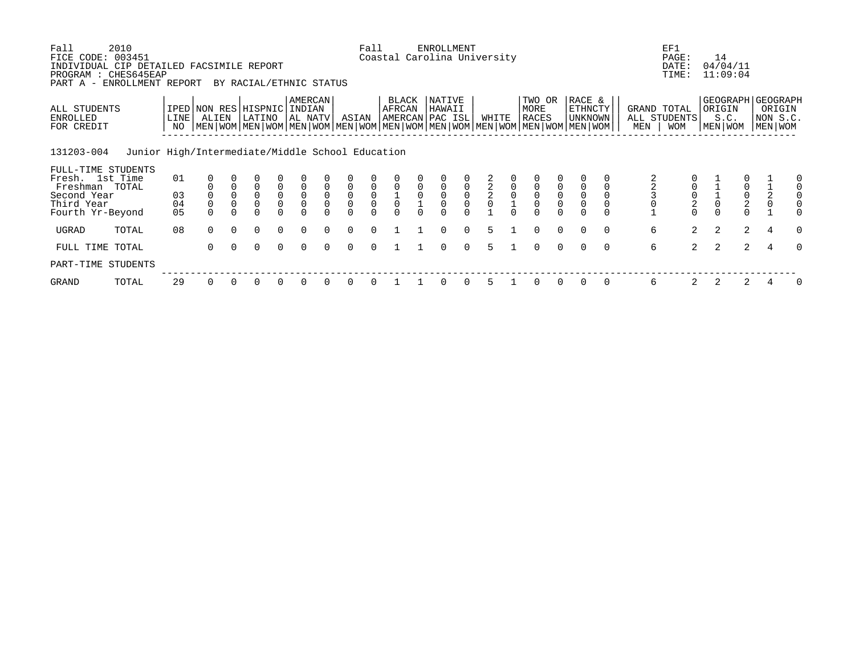| Fall<br>FICE CODE: 003451<br>INDIVIDUAL CIP DETAILED FACSIMILE REPORT<br>PROGRAM : CHES645EAP | 2010                                             |                         |                |                                            |                                                 |                                           |                                           |                                    |                                     | Fall                                |                                           |                | <b>ENROLLMENT</b><br>Coastal Carolina University |                                                |               |                |                                           |                                           |                                                                                                                        |                     | EF1<br>PAGE:<br>DATE:<br>TIME:                 | 14      | 04/04/11<br>11:09:04                           |                |                               |
|-----------------------------------------------------------------------------------------------|--------------------------------------------------|-------------------------|----------------|--------------------------------------------|-------------------------------------------------|-------------------------------------------|-------------------------------------------|------------------------------------|-------------------------------------|-------------------------------------|-------------------------------------------|----------------|--------------------------------------------------|------------------------------------------------|---------------|----------------|-------------------------------------------|-------------------------------------------|------------------------------------------------------------------------------------------------------------------------|---------------------|------------------------------------------------|---------|------------------------------------------------|----------------|-------------------------------|
| PART A -<br>ALL STUDENTS                                                                      | ENROLLMENT REPORT                                |                         |                |                                            | BY RACIAL/ETHNIC STATUS<br>IPED NON RES HISPNIC |                                           | AMERCAN<br>INDIAN                         |                                    |                                     |                                     | BLACK<br>AFRCAN                           |                | NATIVE<br>HAWAII                                 |                                                |               |                | TWO OR<br>MORE                            |                                           | RACE &<br>ETHNCTY                                                                                                      | GRAND TOTAL         |                                                | ORIGIN  |                                                |                | GEOGRAPH   GEOGRAPH<br>ORIGIN |
| <b>ENROLLED</b><br>FOR CREDIT                                                                 |                                                  | LINE <sup>1</sup><br>NO | ALIEN          |                                            | LATINO                                          |                                           | AL NATV                                   |                                    | ASIAN                               |                                     |                                           |                | AMERCAN PAC ISL                                  |                                                | WHITE         |                | RACES                                     |                                           | UNKNOWN<br>  MEN   WOM   MEN   WOM   MEN   WOM   MEN   WOM   MEN   WOM   MEN   WOM   MEN   WOM   MEN   WOM   MEN   WOM | ALL STUDENTS<br>MEN | <b>WOM</b>                                     | MEN WOM | S.C.                                           |                | NON S.C.<br>  MEN   WOM       |
| 131203-004                                                                                    | Junior High/Intermediate/Middle School Education |                         |                |                                            |                                                 |                                           |                                           |                                    |                                     |                                     |                                           |                |                                                  |                                                |               |                |                                           |                                           |                                                                                                                        |                     |                                                |         |                                                |                |                               |
| FULL-TIME STUDENTS<br>Fresh. 1st Time<br>Freshman TOTAL                                       |                                                  | 01                      |                | $\mathbf 0$                                | $\mathsf 0$                                     |                                           |                                           | $\mathsf 0$                        |                                     |                                     |                                           |                |                                                  |                                                |               | $\overline{0}$ |                                           |                                           |                                                                                                                        |                     |                                                |         |                                                |                | 0<br>0                        |
| Second Year<br>Third Year                                                                     |                                                  | 03<br>04                | $\overline{0}$ | $\mathsf{O}\xspace$<br>$\mathsf{O}\xspace$ | $\overline{0}$<br>$\mathsf{O}\xspace$           | $\begin{matrix} 0 \\ 0 \\ 0 \end{matrix}$ | $\begin{matrix} 0 \\ 0 \\ 0 \end{matrix}$ | $\ddot{\mathbf{0}}$<br>$\mathsf 0$ | $\begin{matrix}0\\0\\0\end{matrix}$ | $\begin{matrix}0\\0\\0\end{matrix}$ | $\begin{matrix} 0 \\ 1 \\ 0 \end{matrix}$ | $\overline{0}$ | $\begin{matrix}0\\0\\0\end{matrix}$              | $\begin{matrix} 0 \\ 0 \\ 0 \\ 0 \end{matrix}$ | $\frac{2}{2}$ |                | $\begin{matrix} 0 \\ 0 \\ 0 \end{matrix}$ | $\begin{matrix} 0 \\ 0 \\ 0 \end{matrix}$ | $\overline{0}$<br>0                                                                                                    |                     | $\begin{matrix} 0 \\ 0 \\ 2 \\ 0 \end{matrix}$ |         | $\begin{matrix} 0 \\ 0 \\ 2 \\ 0 \end{matrix}$ | $\frac{2}{0}$  |                               |
| Fourth Yr-Beyond                                                                              |                                                  | 05                      |                |                                            |                                                 |                                           |                                           |                                    |                                     |                                     |                                           |                |                                                  |                                                |               |                |                                           |                                           |                                                                                                                        |                     |                                                |         |                                                |                |                               |
| UGRAD                                                                                         | TOTAL                                            | 08                      | $\Omega$       | $\Omega$                                   | $\Omega$                                        | $\Omega$                                  | $\Omega$                                  | $\Omega$                           | $\Omega$                            | $\Omega$                            |                                           |                | $\Omega$                                         | $\Omega$                                       | 5             |                | $\Omega$                                  | $\Omega$                                  | $\Omega$<br>$\Omega$                                                                                                   | 6                   | $\overline{2}$                                 | 2       | $\overline{a}$                                 | 4              | $\Omega$                      |
| FULL TIME TOTAL                                                                               |                                                  |                         | $\Omega$       |                                            | $\Omega$                                        | $\Omega$                                  | $\Omega$                                  | $\Omega$                           | $\Omega$                            | $\Omega$                            |                                           |                | $\Omega$                                         | $\Omega$                                       | 5             |                | $\Omega$                                  | $\Omega$                                  | $\Omega$<br>$\Omega$                                                                                                   | 6                   | $\overline{2}$                                 | 2       | $\overline{2}$                                 | $\overline{4}$ | $\Omega$                      |
| PART-TIME STUDENTS                                                                            |                                                  |                         |                |                                            |                                                 |                                           |                                           |                                    |                                     |                                     |                                           |                |                                                  |                                                |               |                |                                           |                                           |                                                                                                                        |                     |                                                |         |                                                |                |                               |
| GRAND                                                                                         | TOTAL                                            | 29                      | $\Omega$       |                                            | 0                                               | $\Omega$                                  | 0                                         |                                    | 0                                   | $\Omega$                            |                                           |                | $\Omega$                                         | 0                                              | 5             |                | $\Omega$                                  | $\Omega$                                  | $\Omega$                                                                                                               | 6                   | 2                                              |         | 2                                              |                | 0                             |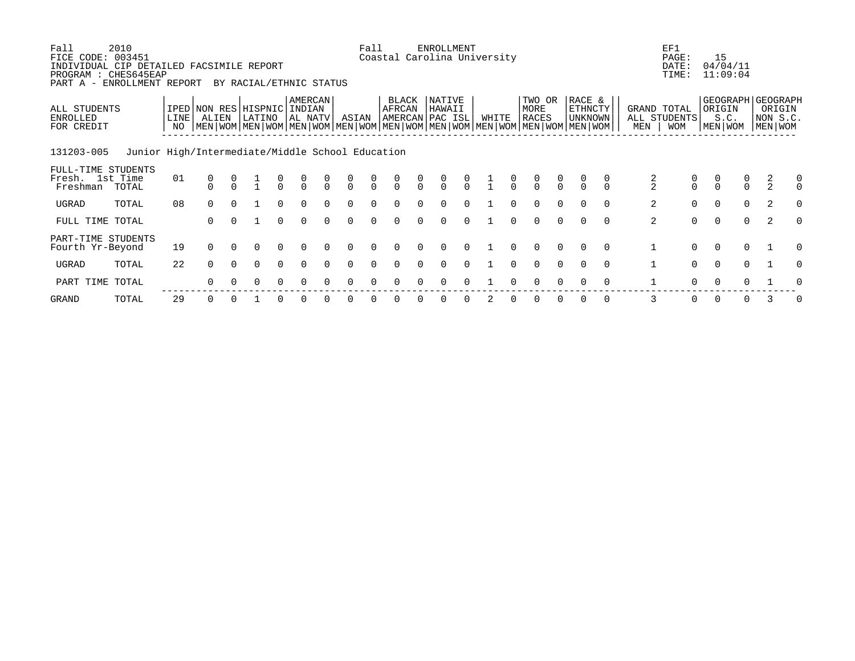| Fall<br>FICE CODE:<br>PART A -                | 2010<br>003451<br>INDIVIDUAL CIP DETAILED FACSIMILE REPORT<br>PROGRAM : CHES645EAP<br>ENROLLMENT REPORT |            |                                      |          | BY RACIAL/ETHNIC STATUS |               |                    |                |               | Fall                             |                 |                | <b>ENROLLMENT</b>                           |               | Coastal Carolina University |                |                                                                                                                                               |               |                              |          |                | EF1<br>PAGE:<br>DATE:<br>TIME:            | 15<br>04/04/11<br>11:09:04                     |               |                                   |               |
|-----------------------------------------------|---------------------------------------------------------------------------------------------------------|------------|--------------------------------------|----------|-------------------------|---------------|--------------------|----------------|---------------|----------------------------------|-----------------|----------------|---------------------------------------------|---------------|-----------------------------|----------------|-----------------------------------------------------------------------------------------------------------------------------------------------|---------------|------------------------------|----------|----------------|-------------------------------------------|------------------------------------------------|---------------|-----------------------------------|---------------|
| ALL STUDENTS<br><b>ENROLLED</b><br>FOR CREDIT |                                                                                                         | LINE<br>NO | IPED NON RES HISPNIC INDIAN<br>ALIEN |          | LATINO                  |               | AMERCAN<br>AL NATV |                | ASIAN         |                                  | BLACK<br>AFRCAN |                | <b>NATIVE</b><br>HAWAII<br> AMERCAN PAC ISL |               | WHITE                       |                | TWO OR<br>MORE<br><b>RACES</b><br>  MEN   WOM   MEN   WOM   MEN   WOM   MEN   WOM   MEN   WOM   MEN   WOM   MEN   WOM   MEN   WOM   MEN   WOM |               | RACE &<br>ETHNCTY<br>UNKNOWN |          | MEN            | GRAND TOTAL<br>ALL STUDENTS<br><b>WOM</b> | GEOGRAPH GEOGRAPH<br>ORIGIN<br>S.C.<br>MEN WOM |               | ORIGIN<br>NON S.C.<br>  MEN   WOM |               |
| 131203-005                                    | Junior High/Intermediate/Middle School Education                                                        |            |                                      |          |                         |               |                    |                |               |                                  |                 |                |                                             |               |                             |                |                                                                                                                                               |               |                              |          |                |                                           |                                                |               |                                   |               |
| FULL-TIME STUDENTS<br>Fresh.<br>Freshman      | 1st Time<br>TOTAL                                                                                       | 01         |                                      |          |                         | $\frac{0}{0}$ | $\frac{0}{0}$      | $\overline{0}$ | $\frac{0}{0}$ | $\begin{matrix}0\\0\end{matrix}$ | $\int_{0}^{0}$  | $\overline{0}$ | $\frac{0}{0}$                               | $\frac{0}{0}$ |                             | $\overline{0}$ | $\frac{0}{0}$                                                                                                                                 | $\frac{0}{0}$ | $\frac{0}{0}$                |          | $\frac{2}{2}$  | $\begin{matrix} 0 \\ 0 \end{matrix}$      | $\begin{matrix} 0 \\ 0 \end{matrix}$           | $\frac{0}{0}$ | $\frac{2}{2}$                     | 0<br>$\Omega$ |
| UGRAD                                         | TOTAL                                                                                                   | 08         | 0                                    |          |                         |               | $\Omega$           |                | 0             |                                  | 0               |                |                                             |               |                             |                | 0                                                                                                                                             |               | 0                            |          | $\overline{a}$ | 0                                         | $\mathbf 0$                                    | $\Omega$      | 2                                 | $\Omega$      |
| FULL TIME TOTAL                               |                                                                                                         |            | $\Omega$                             |          |                         |               |                    |                |               |                                  |                 |                |                                             |               |                             |                |                                                                                                                                               |               |                              | $\cap$   | 2              | $\Omega$                                  | $\Omega$                                       | $\Omega$      | $\overline{a}$                    |               |
| PART-TIME STUDENTS<br>Fourth Yr-Beyond        |                                                                                                         | 19         | $\Omega$                             |          |                         |               |                    |                |               |                                  |                 |                |                                             |               |                             |                |                                                                                                                                               |               | 0                            | $\Omega$ |                | $\Omega$                                  | $\Omega$                                       | $\Omega$      |                                   |               |
| UGRAD                                         | TOTAL                                                                                                   | 22         | $\Omega$                             | $\Omega$ | 0                       | $\Omega$      | $\Omega$           | $\Omega$       | $\Omega$      | $\Omega$                         | 0               |                | 0                                           |               |                             |                | $\Omega$                                                                                                                                      | $\Omega$      | $\Omega$                     | $\Omega$ |                | $\mathbf 0$                               | $\mathbf 0$                                    | $\Omega$      |                                   | $\Omega$      |
| PART TIME TOTAL                               |                                                                                                         |            |                                      |          |                         |               |                    |                |               |                                  |                 |                |                                             |               |                             |                |                                                                                                                                               |               |                              |          |                |                                           |                                                |               |                                   |               |
|                                               |                                                                                                         |            |                                      |          |                         |               |                    |                |               |                                  |                 |                |                                             |               |                             |                |                                                                                                                                               |               |                              |          |                |                                           |                                                |               |                                   |               |

GRAND TOTAL 29 0 0 1 0 0 0 0 0 0 0 0 0 2 0 0 0 0 0 3 0 0 0 3 0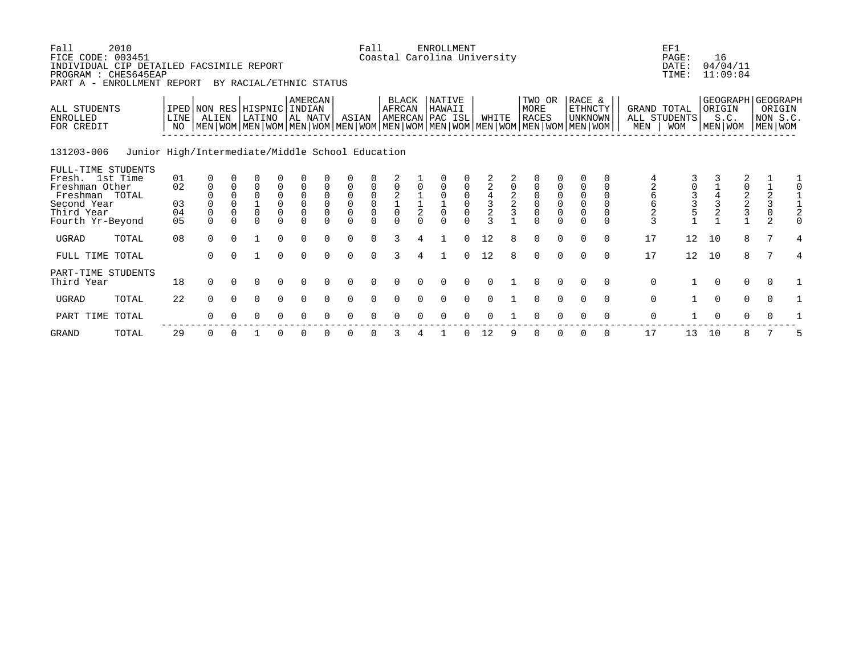| Fall<br>FICE CODE: 003451<br>INDIVIDUAL CIP DETAILED FACSIMILE REPORT<br>PROGRAM : CHES645EAP<br>PART A -                  | 2010<br>ENROLLMENT REPORT                        |                            |                                         |                                                  | BY RACIAL/ETHNIC STATUS                    |                                                                |                                                                              |                                                    |                                                                                      | Fall     | Coastal Carolina University                                                                                                                       |        | <b>ENROLLMENT</b>        |                               |                                                                   |        |                                                                 |          |                                              |          |                                              | EF1<br>PAGE:<br>DATE:<br>TIME:               | 16       | 04/04/11<br>11:09:04        |                                                        |                                                  |
|----------------------------------------------------------------------------------------------------------------------------|--------------------------------------------------|----------------------------|-----------------------------------------|--------------------------------------------------|--------------------------------------------|----------------------------------------------------------------|------------------------------------------------------------------------------|----------------------------------------------------|--------------------------------------------------------------------------------------|----------|---------------------------------------------------------------------------------------------------------------------------------------------------|--------|--------------------------|-------------------------------|-------------------------------------------------------------------|--------|-----------------------------------------------------------------|----------|----------------------------------------------|----------|----------------------------------------------|----------------------------------------------|----------|-----------------------------|--------------------------------------------------------|--------------------------------------------------|
| ALL STUDENTS<br><b>ENROLLED</b><br>FOR CREDIT                                                                              |                                                  | <b>LINE</b><br>NO          | IPED NON RES HISPNIC INDIAN<br>ALIEN    |                                                  | LATINO                                     |                                                                | AMERCAN<br>  AL NATV                                                         |                                                    | ASIAN                                                                                |          | BLACK<br>AFRCAN<br>AMERCAN PAC ISL<br>  MEN   WOM   MEN   WOM   MEN   WOM   MEN   WOM   MEN   WOM   MEN   WOM   MEN   WOM   MEN   WOM   MEN   WOM |        | NATIVE<br>HAWAII         |                               | WHITE                                                             |        | TWO OR<br>MORE<br><b>RACES</b>                                  |          | RACE &<br><b>ETHNCTY</b><br>UNKNOWN          |          | GRAND TOTAL<br>MEN                           | ALL STUDENTS<br>WOM                          | ORIGIN   | GEOGRAPH<br>S.C.<br>MEN WOM |                                                        | <b>GEOGRAPH</b><br>ORIGIN<br>NON S.C.<br>MEN WOM |
| 131203-006                                                                                                                 | Junior High/Intermediate/Middle School Education |                            |                                         |                                                  |                                            |                                                                |                                                                              |                                                    |                                                                                      |          |                                                                                                                                                   |        |                          |                               |                                                                   |        |                                                                 |          |                                              |          |                                              |                                              |          |                             |                                                        |                                                  |
| FULL-TIME STUDENTS<br>Fresh. 1st Time<br>Freshman Other<br>Freshman TOTAL<br>Second Year<br>Third Year<br>Fourth Yr-Beyond |                                                  | 01<br>02<br>03<br>04<br>05 | $\mathbf 0$<br>$\mathbf{0}$<br>$\Omega$ | $\mathbf 0$<br>$\mathbf 0$<br>$\Omega$<br>$\cap$ | $\overline{0}$<br>$\overline{0}$<br>$\cap$ | $\begin{matrix}0\\0\\0\end{matrix}$<br>$\mathbf 0$<br>$\Omega$ | $\mathsf 0$<br>$\mathsf{O}\xspace$<br>$\mathbf 0$<br>$\mathbf 0$<br>$\Omega$ | $\mathbf 0$<br>$\Omega$<br>$\mathbf 0$<br>$\Omega$ | $\begin{matrix} 0 \\ 0 \end{matrix}$<br>$\overline{0}$<br>$\overline{0}$<br>$\Omega$ | $\cap$   | $\begin{matrix} 0 \\ 2 \\ 1 \\ 0 \end{matrix}$                                                                                                    | $\cap$ | $\overline{0}$<br>$\cap$ | $\overline{0}$<br>$\mathsf 0$ | $\begin{array}{c}\n2 \\ 4 \\ 3 \\ 2\n\end{array}$<br>$\mathbf{z}$ | $_2^2$ | $\begin{matrix}0\\0\\0\end{matrix}$<br>$\overline{0}$<br>$\cap$ | $\cap$   | $\mathsf{O}\xspace$<br>$\mathbf 0$<br>$\cap$ |          | $\sqrt{6}$<br>$\overline{2}$<br>$\mathbf{3}$ | $\begin{array}{c}\n3 \\ 3 \\ 5\n\end{array}$ |          | $0$<br>22<br>3              | $\begin{array}{c}\n1 \\ 2 \\ 3 \\ 0\n\end{array}$<br>2 | ⊥<br>0                                           |
| UGRAD                                                                                                                      | TOTAL                                            | 08                         | $\Omega$                                | $\Omega$                                         |                                            | $\Omega$                                                       | $\Omega$                                                                     |                                                    | $\Omega$                                                                             | $\Omega$ | 3                                                                                                                                                 |        |                          |                               | 12                                                                |        |                                                                 |          |                                              | $\cap$   | 17                                           | 12 <sup>°</sup>                              | 10       | 8                           | 7                                                      | 4                                                |
| FULL TIME TOTAL                                                                                                            |                                                  |                            | $\Omega$                                |                                                  |                                            | $\Omega$                                                       | $\Omega$                                                                     | $\Omega$                                           | $\Omega$                                                                             | $\Omega$ | 3                                                                                                                                                 |        |                          |                               | 12                                                                |        | $\Omega$                                                        | $\Omega$ | $\cap$                                       | $\cap$   | 17                                           | 12 <sup>°</sup>                              | 10       | 8                           |                                                        | 4                                                |
| PART-TIME STUDENTS<br>Third Year                                                                                           |                                                  | 18                         | $\Omega$                                | $\Omega$                                         | $\Omega$                                   | $\Omega$                                                       | $\Omega$                                                                     | $\Omega$                                           | $\Omega$                                                                             | $\Omega$ | $\Omega$                                                                                                                                          | $\cap$ | $\Omega$                 | $\Omega$                      | $\Omega$                                                          |        | $\Omega$                                                        | $\Omega$ | $\cap$                                       | $\Omega$ | $\Omega$                                     |                                              | $\Omega$ | $\mathbf 0$                 | $\Omega$                                               |                                                  |
| <b>UGRAD</b>                                                                                                               | TOTAL                                            | 22                         | $\Omega$                                | $\Omega$                                         | $\Omega$                                   | $\Omega$                                                       | $\Omega$                                                                     | $\Omega$                                           | $\Omega$                                                                             | $\Omega$ | $\Omega$                                                                                                                                          |        | $\Omega$                 |                               |                                                                   |        |                                                                 |          |                                              | $\Omega$ | $\mathbf 0$                                  |                                              | $\Omega$ | $\mathbf 0$                 | $\Omega$                                               |                                                  |
| PART TIME TOTAL                                                                                                            |                                                  |                            |                                         |                                                  | O                                          | 0                                                              | $\Omega$                                                                     |                                                    | ∩                                                                                    |          |                                                                                                                                                   |        |                          |                               |                                                                   |        |                                                                 |          |                                              |          | $\mathbf 0$                                  |                                              | $\Omega$ | 0                           |                                                        |                                                  |
|                                                                                                                            |                                                  |                            |                                         |                                                  |                                            |                                                                |                                                                              |                                                    |                                                                                      |          |                                                                                                                                                   |        |                          |                               |                                                                   |        |                                                                 |          |                                              |          |                                              |                                              |          |                             |                                                        |                                                  |

GRAND TOTAL 29 0 0 1 0 0 0 0 0 3 4 1 0 12 9 0 0 0 0 17 13 10 8 7 5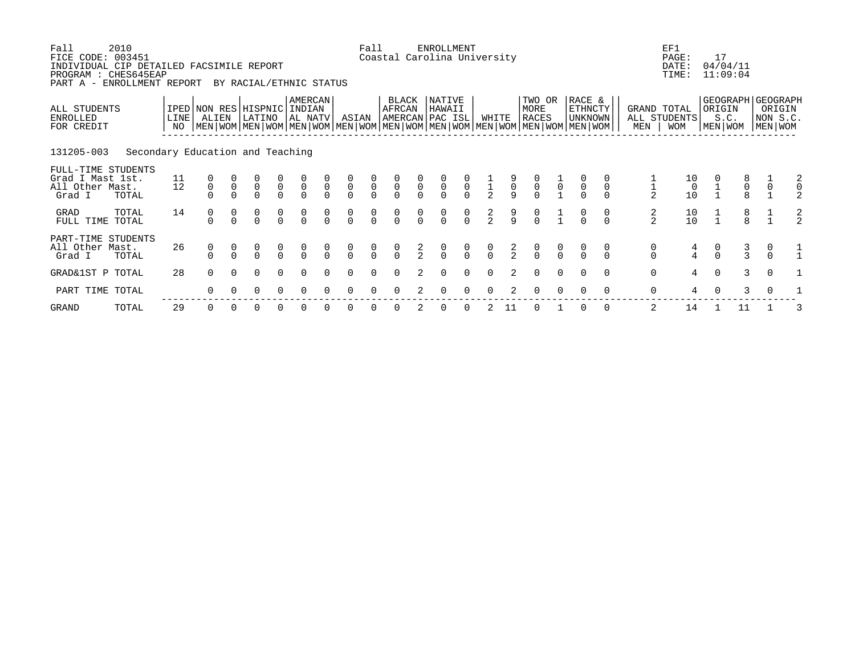| Fall<br>FICE CODE: 003451<br>INDIVIDUAL CIP DETAILED FACSIMILE REPORT<br>PROGRAM : CHES645EAP<br>PART A - ENROLLMENT REPORT | 2010                             |              |                                      |               | BY RACIAL/ETHNIC STATUS                   |                                           |                                           |                                  |                                           | Fall                                      |                                      |                | ENROLLMENT<br>Coastal Carolina University |                                  |               |               |                                                                                                                                               |                |                                            |          |               | EF1<br>PAGE:<br>DATE:<br>TIME:               | 17            | 04/04/11<br>11:09:04                     |                                           |  |
|-----------------------------------------------------------------------------------------------------------------------------|----------------------------------|--------------|--------------------------------------|---------------|-------------------------------------------|-------------------------------------------|-------------------------------------------|----------------------------------|-------------------------------------------|-------------------------------------------|--------------------------------------|----------------|-------------------------------------------|----------------------------------|---------------|---------------|-----------------------------------------------------------------------------------------------------------------------------------------------|----------------|--------------------------------------------|----------|---------------|----------------------------------------------|---------------|------------------------------------------|-------------------------------------------|--|
| ALL STUDENTS<br>ENROLLED<br>FOR CREDIT                                                                                      |                                  | LINE  <br>NO | ALIEN                                |               | IPED NON RES HISPNIC<br>LATINO            |                                           | AMERCAN<br>INDIAN<br>  AL NATV            |                                  | ASIAN                                     |                                           | BLACK<br>AFRCAN                      |                | NATIVE<br>HAWAII<br> AMERCAN PAC ISL      |                                  | WHITE         |               | TWO OR<br>MORE<br><b>RACES</b><br>  MEN   WOM   MEN   WOM   MEN   WOM   MEN   WOM   MEN   WOM   MEN   WOM   MEN   WOM   MEN   WOM   MEN   WOM |                | RACE &<br><b>ETHNCTY</b><br><b>UNKNOWN</b> |          | MEN           | GRAND TOTAL<br>ALL STUDENTS<br><b>WOM</b>    | ORIGIN        | GEOGRAPH GEOGRAPH<br>S.C.<br>  MEN   WOM | ORIGIN<br>NON S.C.<br>  MEN   WOM         |  |
| 131205-003                                                                                                                  | Secondary Education and Teaching |              |                                      |               |                                           |                                           |                                           |                                  |                                           |                                           |                                      |                |                                           |                                  |               |               |                                                                                                                                               |                |                                            |          |               |                                              |               |                                          |                                           |  |
| FULL-TIME STUDENTS<br>Grad I Mast 1st.<br>All Other Mast.<br>Grad I                                                         | TOTAL                            | 11<br>12     | $\begin{matrix} 0 \\ 0 \end{matrix}$ | $\frac{0}{0}$ | $\begin{matrix} 0 \\ 0 \\ 0 \end{matrix}$ | $\begin{matrix} 0 \\ 0 \\ 0 \end{matrix}$ | $\begin{matrix} 0 \\ 0 \\ 0 \end{matrix}$ | $\overline{0}$                   | $\begin{matrix} 0 \\ 0 \\ 0 \end{matrix}$ | $\begin{matrix} 0 \\ 0 \\ 0 \end{matrix}$ | $\frac{0}{0}$                        | $\overline{0}$ | $\overline{0}$                            | $\begin{matrix}0\\0\end{matrix}$ | $\frac{1}{2}$ | $\frac{9}{9}$ | $\begin{matrix} 0 \\ 0 \\ 0 \end{matrix}$                                                                                                     | $\overline{0}$ | $\overline{0}$                             |          | $\frac{1}{2}$ | $\begin{array}{c} 10 \\ 0 \\ 10 \end{array}$ |               | $\begin{matrix}8\\0\\8\end{matrix}$      | $\begin{matrix} 1 \\ 0 \\ 1 \end{matrix}$ |  |
| GRAD<br>FULL TIME TOTAL                                                                                                     | TOTAL                            | 14           | 0                                    |               | 0<br>$\overline{O}$                       | $\begin{matrix} 0 \\ 0 \end{matrix}$      |                                           | $\begin{matrix}0\\0\end{matrix}$ | $\begin{matrix} 0 \\ 0 \end{matrix}$      | $\frac{0}{0}$                             | $\begin{matrix} 0 \\ 0 \end{matrix}$ | $\frac{0}{0}$  | $\begin{matrix} 0 \\ 0 \end{matrix}$      | $\begin{matrix}0\\0\end{matrix}$ | $\frac{2}{2}$ | $\frac{9}{9}$ | $\frac{0}{0}$                                                                                                                                 |                |                                            | 0        | $\frac{2}{2}$ | $\begin{array}{c} 10 \\ 10 \end{array}$      |               | $\frac{8}{8}$                            |                                           |  |
| PART-TIME STUDENTS<br>All Other Mast.<br>Grad I                                                                             | TOTAL                            | 26           | 0                                    |               | $\begin{matrix} 0 \\ 0 \end{matrix}$      | $\begin{matrix} 0 \\ 0 \end{matrix}$      | $\begin{matrix} 0 \\ 0 \end{matrix}$      | $\frac{0}{0}$                    | $\begin{matrix} 0 \\ 0 \end{matrix}$      | $\frac{0}{0}$                             | $\frac{0}{0}$                        | $\frac{2}{2}$  | $\frac{0}{0}$                             | $\frac{0}{0}$                    | $\frac{0}{0}$ | $\frac{2}{2}$ | $\frac{0}{0}$                                                                                                                                 | $\frac{0}{0}$  |                                            | 0        | 0<br>$\Omega$ | $\frac{4}{4}$                                | $\frac{0}{0}$ | $\frac{3}{3}$                            | 0<br>$\Omega$                             |  |
| GRAD&1ST P TOTAL                                                                                                            |                                  | 28           | $\Omega$                             | $\Omega$      | $\Omega$                                  | $\Omega$                                  | $\Omega$                                  | $\cap$                           | $\Omega$                                  | $\Omega$                                  | $\Omega$                             | 2              | $\Omega$                                  | $\Omega$                         | $\Omega$      | $2^{\circ}$   | $\Omega$                                                                                                                                      | $\Omega$       | $\Omega$                                   | $\Omega$ | $\mathbf 0$   | $\overline{4}$                               | $\Omega$      | 3                                        | $\Omega$                                  |  |
| PART TIME TOTAL                                                                                                             |                                  |              |                                      |               | O                                         |                                           |                                           |                                  |                                           |                                           |                                      |                |                                           |                                  |               |               |                                                                                                                                               |                |                                            | $\Omega$ | 0             | 4                                            |               | 3                                        |                                           |  |
|                                                                                                                             |                                  |              |                                      |               |                                           |                                           |                                           |                                  |                                           |                                           |                                      |                |                                           |                                  |               |               |                                                                                                                                               |                |                                            |          |               |                                              |               |                                          |                                           |  |

GRAND TOTAL 29 0 0 0 0 0 0 0 0 0 2 0 0 2 11 0 1 0 0 2 14 1 11 1 3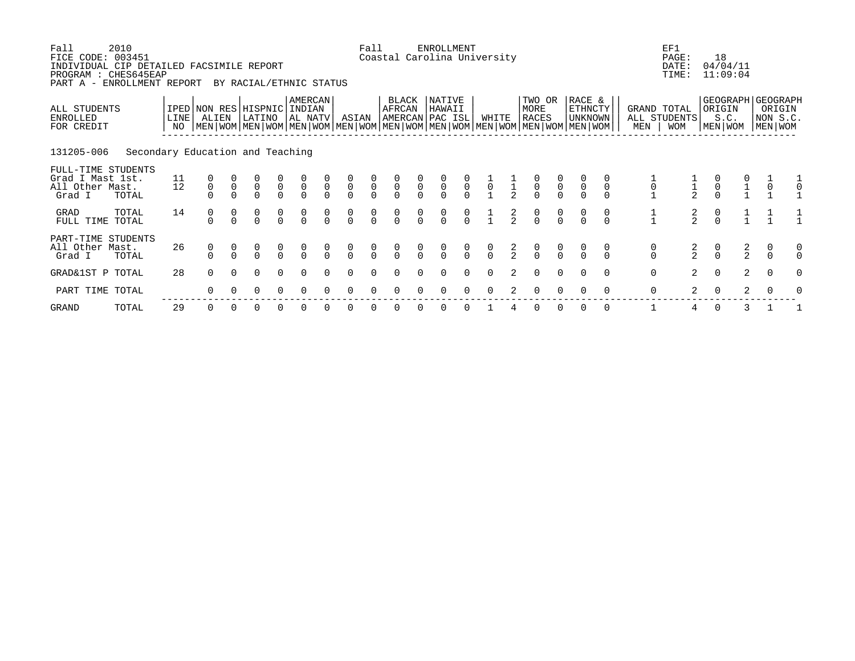| Fall<br>FICE CODE: 003451<br>INDIVIDUAL CIP DETAILED FACSIMILE REPORT<br>PROGRAM : CHES645EAP<br>PART A - ENROLLMENT REPORT | 2010                             |              |                                      |                | BY RACIAL/ETHNIC STATUS                   |                                           |                                           |                                  |                                           | Fall                                      |                                      |                                      | ENROLLMENT<br>Coastal Carolina University |                                      |                |               |                                                                                                                                               |               |                                            |             |               | EF1<br>PAGE:<br>DATE:<br>TIME:            | 18                                        | 04/04/11<br>11:09:04                     |                                   |   |
|-----------------------------------------------------------------------------------------------------------------------------|----------------------------------|--------------|--------------------------------------|----------------|-------------------------------------------|-------------------------------------------|-------------------------------------------|----------------------------------|-------------------------------------------|-------------------------------------------|--------------------------------------|--------------------------------------|-------------------------------------------|--------------------------------------|----------------|---------------|-----------------------------------------------------------------------------------------------------------------------------------------------|---------------|--------------------------------------------|-------------|---------------|-------------------------------------------|-------------------------------------------|------------------------------------------|-----------------------------------|---|
| ALL STUDENTS<br>ENROLLED<br>FOR CREDIT                                                                                      |                                  | LINE  <br>NO | IPED NON RES HISPNIC<br>ALIEN        |                | LATINO                                    |                                           | AMERCAN<br>INDIAN<br>  AL NATV            |                                  | ASIAN                                     |                                           | BLACK<br>AFRCAN                      |                                      | NATIVE<br>HAWAII<br> AMERCAN PAC ISL      |                                      | WHITE          |               | TWO OR<br>MORE<br><b>RACES</b><br>  MEN   WOM   MEN   WOM   MEN   WOM   MEN   WOM   MEN   WOM   MEN   WOM   MEN   WOM   MEN   WOM   MEN   WOM |               | RACE &<br><b>ETHNCTY</b><br><b>UNKNOWN</b> |             | MEN           | GRAND TOTAL<br>ALL STUDENTS<br><b>WOM</b> | ORIGIN                                    | GEOGRAPH GEOGRAPH<br>S.C.<br>  MEN   WOM | ORIGIN<br>NON S.C.<br>  MEN   WOM |   |
| 131205-006                                                                                                                  | Secondary Education and Teaching |              |                                      |                |                                           |                                           |                                           |                                  |                                           |                                           |                                      |                                      |                                           |                                      |                |               |                                                                                                                                               |               |                                            |             |               |                                           |                                           |                                          |                                   |   |
| FULL-TIME STUDENTS<br>Grad I Mast 1st.<br>All Other Mast.<br>Grad I                                                         | TOTAL                            | 11<br>12     | $\begin{matrix} 0 \\ 0 \end{matrix}$ | $\overline{0}$ | $\begin{matrix} 0 \\ 0 \\ 0 \end{matrix}$ | $\begin{matrix} 0 \\ 0 \\ 0 \end{matrix}$ | $\begin{matrix} 0 \\ 0 \\ 0 \end{matrix}$ | $\overline{0}$                   | $\begin{matrix} 0 \\ 0 \\ 0 \end{matrix}$ | $\begin{matrix} 0 \\ 0 \\ 0 \end{matrix}$ | $\frac{0}{0}$                        | $\overline{0}$                       | $\begin{matrix} 0 \\ 0 \\ 0 \end{matrix}$ | $\overline{0}$                       | $\overline{0}$ |               | $\begin{matrix} 0 \\ 0 \\ 0 \end{matrix}$                                                                                                     | $\frac{0}{0}$ | $\overline{0}$                             | $\mathbf 0$ | $\frac{0}{1}$ |                                           | $\begin{matrix} 0 \\ 0 \\ 0 \end{matrix}$ | $\frac{1}{1}$                            | $\int_{1}^{0}$                    |   |
| GRAD<br>FULL TIME TOTAL                                                                                                     | TOTAL                            | 14           | 0<br>$\cap$                          |                | $\overline{O}$                            | $\begin{matrix} 0 \\ 0 \end{matrix}$      |                                           | $\begin{matrix}0\\0\end{matrix}$ | $\begin{matrix} 0 \\ 0 \end{matrix}$      | $\frac{0}{0}$                             | $\begin{matrix} 0 \\ 0 \end{matrix}$ | $\begin{matrix} 0 \\ 0 \end{matrix}$ | $\begin{matrix} 0 \\ 0 \end{matrix}$      | $\begin{matrix} 0 \\ 0 \end{matrix}$ |                | $\frac{2}{2}$ | $\begin{matrix}0\\0\end{matrix}$                                                                                                              | $\frac{0}{0}$ | 0                                          | 0           |               | $\frac{2}{2}$                             | $\begin{matrix}0\\0\end{matrix}$          |                                          |                                   |   |
| PART-TIME STUDENTS<br>All Other Mast.<br>Grad I                                                                             | TOTAL                            | 26           | 0                                    |                | $\begin{matrix} 0 \\ 0 \end{matrix}$      | $\begin{matrix} 0 \\ 0 \end{matrix}$      | $\begin{matrix} 0 \\ 0 \end{matrix}$      | $\frac{0}{0}$                    | $\begin{matrix} 0 \\ 0 \end{matrix}$      | $\frac{0}{0}$                             | $\frac{0}{0}$                        | $\frac{0}{0}$                        | $\frac{0}{0}$                             | $\frac{0}{0}$                        | $\frac{0}{0}$  | $\frac{2}{2}$ | $\frac{0}{0}$                                                                                                                                 | $\frac{0}{0}$ |                                            | 0           | 0<br>$\Omega$ | $\frac{2}{2}$                             | $\frac{0}{0}$                             | $\frac{2}{2}$                            | 0<br>$\Omega$                     |   |
| GRAD&1ST P TOTAL                                                                                                            |                                  | 28           | $\Omega$                             | $\Omega$       | $\Omega$                                  | $\Omega$                                  | $\Omega$                                  | $\Omega$                         | $\Omega$                                  | $\Omega$                                  |                                      |                                      | $\Omega$                                  | $\Omega$                             | $\Omega$       | $2^{\circ}$   | $\Omega$                                                                                                                                      | $\Omega$      | $\Omega$                                   | $\Omega$    | $\mathbf 0$   | 2                                         | $\Omega$                                  | 2                                        | $\Omega$                          | O |
| PART TIME TOTAL                                                                                                             |                                  |              | $\Omega$                             |                | O                                         |                                           |                                           |                                  |                                           |                                           |                                      |                                      |                                           |                                      |                |               |                                                                                                                                               |               |                                            | $\Omega$    | $\mathbf 0$   | $\overline{a}$                            | $\Omega$                                  | 2                                        |                                   |   |
|                                                                                                                             |                                  |              |                                      |                |                                           |                                           |                                           |                                  |                                           |                                           |                                      |                                      |                                           |                                      |                |               |                                                                                                                                               |               |                                            |             |               |                                           |                                           |                                          |                                   |   |

GRAND TOTAL 29 0 0 0 0 0 0 0 0 0 0 0 0 1 4 0 0 0 0 1 4 0 3 1 1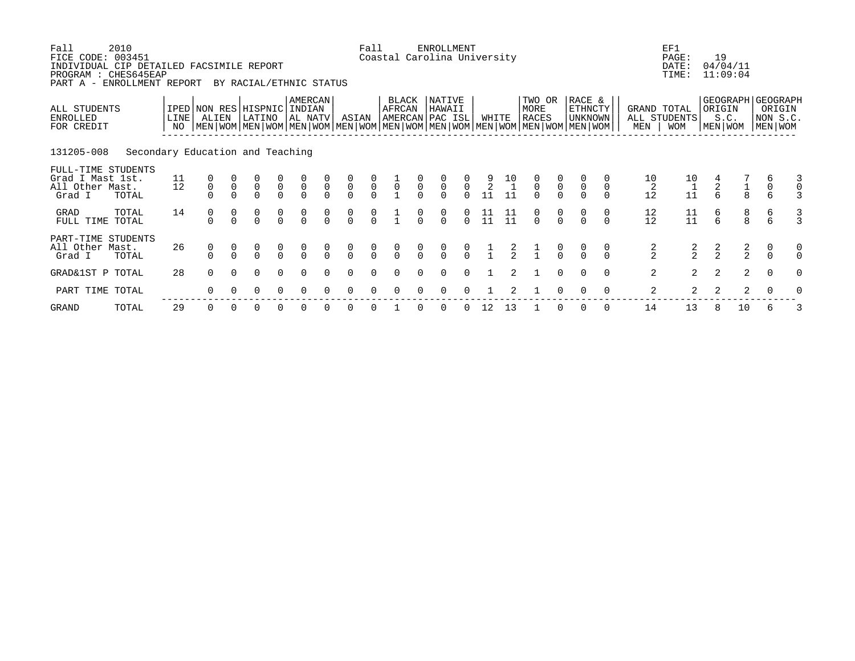| Fall<br>FICE CODE: 003451<br>INDIVIDUAL CIP DETAILED FACSIMILE REPORT<br>PROGRAM : CHES645EAP<br>PART A - ENROLLMENT REPORT | 2010                             |              |                                      |             | BY RACIAL/ETHNIC STATUS                   |                                           |                                           |                                      |                                           | Fall                                      | Coastal Carolina University         |                | ENROLLMENT                                |                                           |                                         |                                              |                                                                                                                                               |                                           |                                            |          |                            | EF1<br>PAGE:<br>DATE:<br>TIME:               | 19              | 04/04/11<br>11:09:04                  |                                                        |   |
|-----------------------------------------------------------------------------------------------------------------------------|----------------------------------|--------------|--------------------------------------|-------------|-------------------------------------------|-------------------------------------------|-------------------------------------------|--------------------------------------|-------------------------------------------|-------------------------------------------|-------------------------------------|----------------|-------------------------------------------|-------------------------------------------|-----------------------------------------|----------------------------------------------|-----------------------------------------------------------------------------------------------------------------------------------------------|-------------------------------------------|--------------------------------------------|----------|----------------------------|----------------------------------------------|-----------------|---------------------------------------|--------------------------------------------------------|---|
| ALL STUDENTS<br>ENROLLED<br>FOR CREDIT                                                                                      |                                  | LINE  <br>NO | IPED NON RES HISPNIC<br>ALIEN        |             | LATINO                                    |                                           | AMERCAN<br>INDIAN<br>  AL NATV            |                                      | ASIAN                                     |                                           | BLACK<br>AFRCAN<br> AMERCAN PAC ISL |                | NATIVE<br>HAWAII                          |                                           | WHITE                                   |                                              | TWO OR<br>MORE<br><b>RACES</b><br>  MEN   WOM   MEN   WOM   MEN   WOM   MEN   WOM   MEN   WOM   MEN   WOM   MEN   WOM   MEN   WOM   MEN   WOM |                                           | RACE &<br><b>ETHNCTY</b><br><b>UNKNOWN</b> |          | MEN                        | GRAND TOTAL<br>ALL STUDENTS<br><b>WOM</b>    | ORIGIN          | S.C.<br>  MEN   WOM                   | GEOGRAPH GEOGRAPH<br>ORIGIN<br>NON S.C.<br>  MEN   WOM |   |
| 131205-008                                                                                                                  | Secondary Education and Teaching |              |                                      |             |                                           |                                           |                                           |                                      |                                           |                                           |                                     |                |                                           |                                           |                                         |                                              |                                                                                                                                               |                                           |                                            |          |                            |                                              |                 |                                       |                                                        |   |
| FULL-TIME STUDENTS<br>Grad I Mast 1st.<br>All Other Mast.<br>Grad I                                                         | TOTAL                            | 11<br>12     | $\begin{matrix} 0 \\ 0 \end{matrix}$ | $\mathsf 0$ | $\begin{matrix} 0 \\ 0 \\ 0 \end{matrix}$ | $\begin{matrix} 0 \\ 0 \\ 0 \end{matrix}$ | $\begin{matrix} 0 \\ 0 \\ 0 \end{matrix}$ | $\begin{matrix} 0 \\ 0 \end{matrix}$ | $\begin{matrix} 0 \\ 0 \\ 0 \end{matrix}$ | $\begin{matrix} 0 \\ 0 \\ 0 \end{matrix}$ | $\overline{0}$                      | $\overline{0}$ | $\begin{matrix} 0 \\ 0 \\ 0 \end{matrix}$ | $\begin{matrix} 0 \\ 0 \\ 0 \end{matrix}$ | $\frac{9}{2}$<br>11                     | $\begin{array}{c} 10 \\ 1 \\ 11 \end{array}$ | $\begin{matrix} 0 \\ 0 \\ 0 \end{matrix}$                                                                                                     | $\begin{matrix} 0 \\ 0 \\ 0 \end{matrix}$ | $\begin{matrix} 0 \\ 0 \end{matrix}$       |          | 10<br>$\overline{c}$<br>12 | $\begin{array}{c} 10 \\ 1 \\ 11 \end{array}$ | $\frac{4}{2}$ 6 | $\frac{1}{8}$                         | 6<br>0<br>6                                            |   |
| GRAD<br>FULL TIME TOTAL                                                                                                     | TOTAL                            | 14           | 0<br>$\cap$                          |             | 0<br>$\Omega$                             | 0<br>$\Omega$                             |                                           | $\begin{matrix}0\\0\end{matrix}$     | $\begin{matrix} 0 \\ 0 \end{matrix}$      | $\begin{matrix} 0 \\ 0 \end{matrix}$      |                                     | $\Omega$       | 0<br>$\Omega$                             | $\Omega$                                  | $\begin{array}{c} 11 \\ 11 \end{array}$ | $\begin{array}{c} 11 \\ 11 \end{array}$      | $\begin{matrix}0\\0\end{matrix}$                                                                                                              | $\frac{0}{0}$                             |                                            | 0        | 12<br>12                   | $\begin{array}{c} 11 \\ 11 \end{array}$      | 6<br>6          | $\begin{array}{c} 8 \\ 8 \end{array}$ | $\begin{array}{c} 6 \\ 6 \end{array}$                  |   |
| PART-TIME STUDENTS<br>All Other Mast.<br>Grad I                                                                             | TOTAL                            | 26           | 0                                    |             | $\begin{matrix} 0 \\ 0 \end{matrix}$      | $\begin{matrix} 0 \\ 0 \end{matrix}$      | $\begin{matrix} 0 \\ 0 \end{matrix}$      | $\frac{0}{0}$                        | $\begin{matrix} 0 \\ 0 \end{matrix}$      | $\frac{0}{0}$                             | $\frac{0}{0}$                       |                | $\frac{0}{0}$                             |                                           |                                         | $\frac{2}{2}$                                | $\frac{1}{1}$                                                                                                                                 |                                           |                                            | 0        | $\frac{2}{2}$              | $\frac{2}{2}$                                | $\frac{2}{2}$   | $\frac{2}{2}$                         | 0<br>$\Omega$                                          |   |
| GRAD&1ST P TOTAL                                                                                                            |                                  | 28           | $\Omega$                             | $\cap$      | $\Omega$                                  | $\Omega$                                  | $\Omega$                                  | $\cap$                               | $\Omega$                                  | $\Omega$                                  |                                     |                | $\Omega$                                  | $\Omega$                                  |                                         | $2^{\circ}$                                  |                                                                                                                                               | $\Omega$                                  | $\Omega$                                   | $\Omega$ | 2                          | $\overline{2}$                               | 2               | 2                                     | $\Omega$                                               | O |
| PART TIME TOTAL                                                                                                             |                                  |              | $\Omega$                             |             | O                                         |                                           |                                           |                                      |                                           |                                           |                                     |                |                                           |                                           |                                         |                                              |                                                                                                                                               |                                           |                                            | $\Omega$ | 2                          | $\overline{2}$                               | 2               | 2                                     |                                                        |   |
|                                                                                                                             |                                  |              |                                      |             |                                           |                                           |                                           |                                      |                                           |                                           |                                     |                |                                           |                                           |                                         |                                              |                                                                                                                                               |                                           |                                            |          |                            |                                              |                 |                                       |                                                        |   |

GRAND TOTAL 29 0 0 0 0 0 0 0 0 1 0 0 0 12 13 1 0 0 0 14 13 8 10 6 3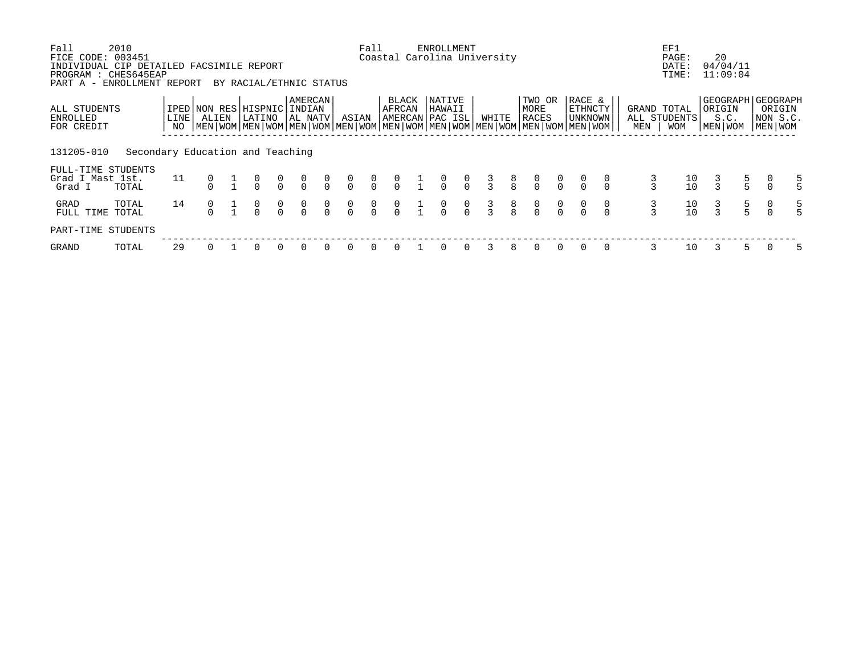| Fall<br>FICE CODE: 003451                                                                      | 2010                             |      |       |                                                                                                                                                         |                |                      |                |                                      | Fall           |                                      |               | <b>ENROLLMENT</b><br>Coastal Carolina University |                                  |               |                                  |                                      |                |                                       |                                  |     | EF1<br>PAGE:                                  | 20     |                      |                                                         |
|------------------------------------------------------------------------------------------------|----------------------------------|------|-------|---------------------------------------------------------------------------------------------------------------------------------------------------------|----------------|----------------------|----------------|--------------------------------------|----------------|--------------------------------------|---------------|--------------------------------------------------|----------------------------------|---------------|----------------------------------|--------------------------------------|----------------|---------------------------------------|----------------------------------|-----|-----------------------------------------------|--------|----------------------|---------------------------------------------------------|
| INDIVIDUAL CIP DETAILED FACSIMILE REPORT<br>PROGRAM : CHES645EAP<br>PART A - ENROLLMENT REPORT |                                  |      |       | BY RACIAL/ETHNIC STATUS                                                                                                                                 |                |                      |                |                                      |                |                                      |               |                                                  |                                  |               |                                  |                                      |                |                                       |                                  |     | DATE:<br>TIME:                                |        | 04/04/11<br>11:09:04 |                                                         |
| ALL STUDENTS<br>ENROLLED<br>FOR CREDIT                                                         |                                  | LINE | ALIEN | IPED NON RES HISPNIC INDIAN<br>LATINO<br>NO   MEN   WOM   MEN   WOM   MEN   WOM   MEN   WOM   MEN   WOM   MEN   WOM   MEN   WOM   MEN   WOM   MEN   WOM |                | AMERCAN<br>  AL NATV |                | ASIAN                                |                | BLACK<br>AFRCAN                      |               | NATIVE<br>HAWAII<br>AMERCAN PAC ISL              |                                  | WHITE         |                                  | TWO OR<br>MORE<br>RACES              |                | RACE &<br><b>ETHNCTY</b><br>  UNKNOWN |                                  | MEN | GRAND TOTAL<br>ALL STUDENTS<br><b>WOM</b>     | ORIGIN | S.C.<br>MEN WOM      | GEOGRAPH GEOGRAPH<br>ORIGIN<br> NON S.C.<br>  MEN   WOM |
| 131205-010                                                                                     | Secondary Education and Teaching |      |       |                                                                                                                                                         |                |                      |                |                                      |                |                                      |               |                                                  |                                  |               |                                  |                                      |                |                                       |                                  |     |                                               |        |                      |                                                         |
| FULL-TIME STUDENTS<br>Grad I Mast 1st.<br>Grad I                                               | TOTAL                            | 11   |       | $\frac{0}{0}$                                                                                                                                           | $\int_{0}^{0}$ | $\frac{0}{0}$        | $\int_{0}^{0}$ | $\int_{0}^{0}$                       | $\int_{0}^{0}$ | $\frac{0}{0}$                        | $\frac{1}{1}$ | $\frac{0}{0}$                                    | $\begin{matrix}0\\0\end{matrix}$ | $\frac{3}{3}$ | $\begin{matrix}8\\8\end{matrix}$ | $\frac{0}{0}$                        | $\int_{0}^{0}$ | $\frac{0}{0}$                         |                                  |     | $\begin{smallmatrix}1&0\1&0\end{smallmatrix}$ |        | $\frac{5}{5}$        |                                                         |
| GRAD<br>FULL TIME                                                                              | TOTAL<br>TOTAL                   | 14   |       | $\alpha$                                                                                                                                                | $\frac{0}{0}$  | $\frac{0}{0}$        | $\int_{0}^{0}$ | $\begin{matrix} 0 \\ 0 \end{matrix}$ | $\int_{0}^{0}$ | $\begin{matrix} 0 \\ 0 \end{matrix}$ | $\frac{1}{1}$ | $\frac{0}{0}$                                    | $\begin{matrix}0\\0\end{matrix}$ | $\frac{3}{3}$ | $\frac{8}{8}$                    | $\begin{matrix} 0 \\ 0 \end{matrix}$ | $\frac{0}{0}$  | $\alpha$                              | $\begin{matrix}0\\0\end{matrix}$ |     | $\begin{smallmatrix}1&0\1&0\end{smallmatrix}$ |        | $\frac{5}{5}$        |                                                         |
| PART-TIME STUDENTS                                                                             |                                  |      |       |                                                                                                                                                         |                |                      |                |                                      |                |                                      |               |                                                  |                                  |               |                                  |                                      |                |                                       |                                  |     |                                               |        |                      |                                                         |
| GRAND                                                                                          | TOTAL                            | 29   |       | 0                                                                                                                                                       | $\Omega$       | $\Omega$             | $\Omega$       | $\Omega$                             | $\Omega$       |                                      |               | 0                                                | $\Omega$                         |               | 8                                | 0                                    | $\Omega$       | $\Omega$                              | $\Omega$                         | 3   | 10                                            |        | 5.                   |                                                         |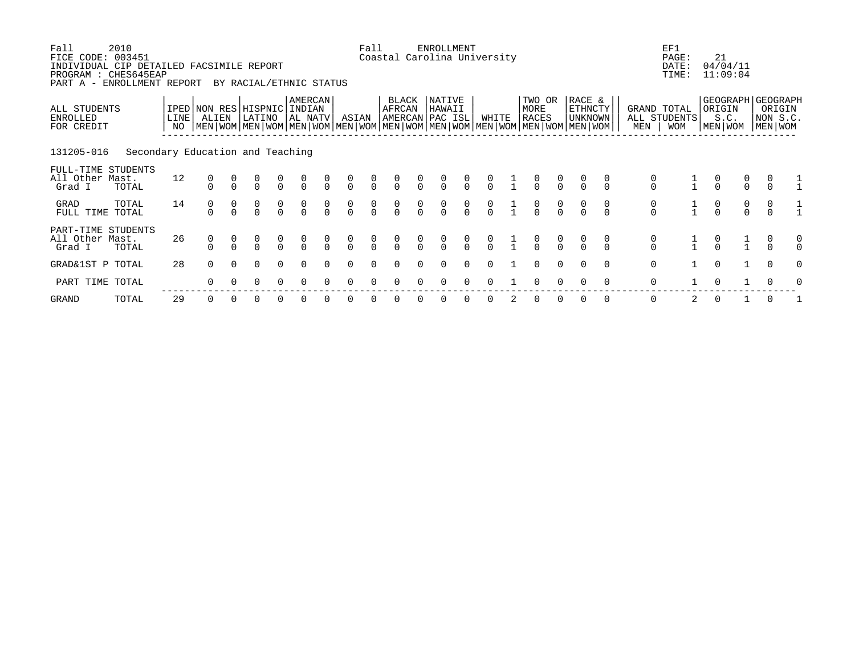| RACE &<br>GEOGRAPH<br>AMERCAN<br>NATIVE<br>BLACK<br>TWO OR<br>ALL STUDENTS<br>IPED NON RES HISPNIC INDIAN<br>AFRCAN<br>HAWAII<br>ETHNCTY<br>MORE<br>GRAND TOTAL<br>ORIGIN<br><b>RACES</b><br><b>UNKNOWN</b><br>ALL STUDENTS<br><b>LINE</b><br>ALIEN<br>LATINO<br>AL NATV<br>AMERCAN PAC ISL<br>WHITE<br>S.C.<br>ENROLLED<br>ASIAN<br>  MEN   WOM   MEN   WOM   MEN   WOM   MEN   WOM   MEN   WOM   MEN   WOM   MEN   WOM   MEN   WOM   MEN   WOM  <br>MEN WOM<br>MEN WOM<br>NO<br>MEN<br><b>WOM</b><br>FOR CREDIT<br>131205-016<br>Secondary Education and Teaching<br>FULL-TIME STUDENTS<br>12<br>All Other Mast.<br>$\begin{matrix} 0 \\ 0 \end{matrix}$<br>$\begin{matrix} 0 \\ 0 \end{matrix}$<br>$\begin{matrix} 0 \\ 0 \end{matrix}$<br>$\begin{matrix} 0 \\ 0 \end{matrix}$<br>$\begin{matrix} 0 \\ 0 \end{matrix}$<br>$\begin{matrix}0\\0\end{matrix}$<br>$\begin{matrix} 0 \\ 0 \end{matrix}$<br>$\begin{matrix} 0 \\ 0 \end{matrix}$<br>$\frac{0}{0}$<br>$\frac{0}{0}$<br>$\frac{0}{0}$<br>$\begin{matrix} 0 \\ 0 \end{matrix}$<br>$\frac{0}{0}$<br>$\frac{0}{0}$<br>$\frac{0}{0}$<br>$\frac{0}{0}$<br>$\frac{0}{0}$<br>Grad I<br>TOTAL<br>14<br>$\begin{matrix} 0 \\ 0 \end{matrix}$<br>TOTAL<br>$\begin{matrix} 0 \\ 0 \end{matrix}$<br>$\begin{matrix} 0 \\ 0 \end{matrix}$<br>GRAD<br>$\begin{matrix} 0 \\ 0 \end{matrix}$<br>$\begin{matrix} 0 \\ 0 \end{matrix}$<br>$\begin{matrix} 0 \\ 0 \end{matrix}$<br>$\begin{matrix} 0 \\ 0 \end{matrix}$<br>$\begin{matrix} 0 \\ 0 \end{matrix}$<br>$\begin{matrix} 0 \\ 0 \end{matrix}$<br>$\begin{matrix} 0 \\ 0 \end{matrix}$<br>$\begin{matrix} 0 \\ 0 \end{matrix}$<br>$\frac{0}{0}$<br>$\begin{matrix} 0 \\ 0 \end{matrix}$<br>$\frac{0}{0}$<br>$\frac{0}{0}$<br>$\frac{0}{0}$<br>$\Omega$<br>FULL TIME<br>TOTAL<br>PART-TIME STUDENTS<br>26<br>All Other Mast.<br>$\begin{matrix} 0 \\ 0 \end{matrix}$<br>$\begin{matrix} 0 \\ 0 \end{matrix}$<br>$\begin{matrix}0\\0\end{matrix}$<br>$\frac{0}{0}$<br>$\frac{0}{0}$<br>$\frac{0}{0}$<br>$\frac{0}{0}$<br>$\frac{0}{0}$<br>$\frac{0}{0}$<br>$\frac{0}{0}$<br>$\frac{0}{0}$<br>$\frac{0}{0}$<br>$\frac{0}{0}$<br>$\frac{0}{0}$<br>$\frac{1}{1}$<br>Grad I<br>TOTAL<br>28<br>0<br>$\Omega$<br>$\overline{0}$<br>GRAD&1ST P TOTAL<br>$\Omega$<br>0<br>$\Omega$<br>$\Omega$<br>$\Omega$<br>$\Omega$<br>$\Omega$<br>$\Omega$<br>$\Omega$<br>$\Omega$<br>$\Omega$<br>0<br>PART TIME TOTAL<br>$\Omega$<br>$\Omega$<br>0<br>$\Omega$<br>0 | Fall<br>FICE CODE: 003451<br>INDIVIDUAL CIP DETAILED FACSIMILE REPORT<br>PROGRAM : CHES645EAP<br>PART A - ENROLLMENT REPORT | 2010 |  | BY RACIAL/ETHNIC STATUS |  |  | Fall | Coastal Carolina University | <b>ENROLLMENT</b> |  |  |  |  | EF1<br>PAGE:<br>DATE:<br>TIME: | 21<br>04/04/11<br>11:09:04 |                                       |   |
|--------------------------------------------------------------------------------------------------------------------------------------------------------------------------------------------------------------------------------------------------------------------------------------------------------------------------------------------------------------------------------------------------------------------------------------------------------------------------------------------------------------------------------------------------------------------------------------------------------------------------------------------------------------------------------------------------------------------------------------------------------------------------------------------------------------------------------------------------------------------------------------------------------------------------------------------------------------------------------------------------------------------------------------------------------------------------------------------------------------------------------------------------------------------------------------------------------------------------------------------------------------------------------------------------------------------------------------------------------------------------------------------------------------------------------------------------------------------------------------------------------------------------------------------------------------------------------------------------------------------------------------------------------------------------------------------------------------------------------------------------------------------------------------------------------------------------------------------------------------------------------------------------------------------------------------------------------------------------------------------------------------------------------------------------------------------------------------------------------------------------------------------------------------------------------------------------------------------------------------------------------------------------------------------------------------------------------------------------------------------------------------------------------------------------------------------------|-----------------------------------------------------------------------------------------------------------------------------|------|--|-------------------------|--|--|------|-----------------------------|-------------------|--|--|--|--|--------------------------------|----------------------------|---------------------------------------|---|
|                                                                                                                                                                                                                                                                                                                                                                                                                                                                                                                                                                                                                                                                                                                                                                                                                                                                                                                                                                                                                                                                                                                                                                                                                                                                                                                                                                                                                                                                                                                                                                                                                                                                                                                                                                                                                                                                                                                                                                                                                                                                                                                                                                                                                                                                                                                                                                                                                                                  |                                                                                                                             |      |  |                         |  |  |      |                             |                   |  |  |  |  |                                |                            | <b>GEOGRAPH</b><br>ORIGIN<br>NON S.C. |   |
|                                                                                                                                                                                                                                                                                                                                                                                                                                                                                                                                                                                                                                                                                                                                                                                                                                                                                                                                                                                                                                                                                                                                                                                                                                                                                                                                                                                                                                                                                                                                                                                                                                                                                                                                                                                                                                                                                                                                                                                                                                                                                                                                                                                                                                                                                                                                                                                                                                                  |                                                                                                                             |      |  |                         |  |  |      |                             |                   |  |  |  |  |                                |                            |                                       |   |
|                                                                                                                                                                                                                                                                                                                                                                                                                                                                                                                                                                                                                                                                                                                                                                                                                                                                                                                                                                                                                                                                                                                                                                                                                                                                                                                                                                                                                                                                                                                                                                                                                                                                                                                                                                                                                                                                                                                                                                                                                                                                                                                                                                                                                                                                                                                                                                                                                                                  |                                                                                                                             |      |  |                         |  |  |      |                             |                   |  |  |  |  |                                |                            |                                       |   |
|                                                                                                                                                                                                                                                                                                                                                                                                                                                                                                                                                                                                                                                                                                                                                                                                                                                                                                                                                                                                                                                                                                                                                                                                                                                                                                                                                                                                                                                                                                                                                                                                                                                                                                                                                                                                                                                                                                                                                                                                                                                                                                                                                                                                                                                                                                                                                                                                                                                  |                                                                                                                             |      |  |                         |  |  |      |                             |                   |  |  |  |  |                                |                            |                                       |   |
|                                                                                                                                                                                                                                                                                                                                                                                                                                                                                                                                                                                                                                                                                                                                                                                                                                                                                                                                                                                                                                                                                                                                                                                                                                                                                                                                                                                                                                                                                                                                                                                                                                                                                                                                                                                                                                                                                                                                                                                                                                                                                                                                                                                                                                                                                                                                                                                                                                                  |                                                                                                                             |      |  |                         |  |  |      |                             |                   |  |  |  |  |                                |                            |                                       | 0 |
|                                                                                                                                                                                                                                                                                                                                                                                                                                                                                                                                                                                                                                                                                                                                                                                                                                                                                                                                                                                                                                                                                                                                                                                                                                                                                                                                                                                                                                                                                                                                                                                                                                                                                                                                                                                                                                                                                                                                                                                                                                                                                                                                                                                                                                                                                                                                                                                                                                                  |                                                                                                                             |      |  |                         |  |  |      |                             |                   |  |  |  |  |                                |                            |                                       | O |
|                                                                                                                                                                                                                                                                                                                                                                                                                                                                                                                                                                                                                                                                                                                                                                                                                                                                                                                                                                                                                                                                                                                                                                                                                                                                                                                                                                                                                                                                                                                                                                                                                                                                                                                                                                                                                                                                                                                                                                                                                                                                                                                                                                                                                                                                                                                                                                                                                                                  |                                                                                                                             |      |  |                         |  |  |      |                             |                   |  |  |  |  |                                |                            |                                       |   |

GRAND TOTAL 29 0 0 0 0 0 0 0 0 0 0 0 0 0 2 0 0 0 0 0 2 0 1 0 1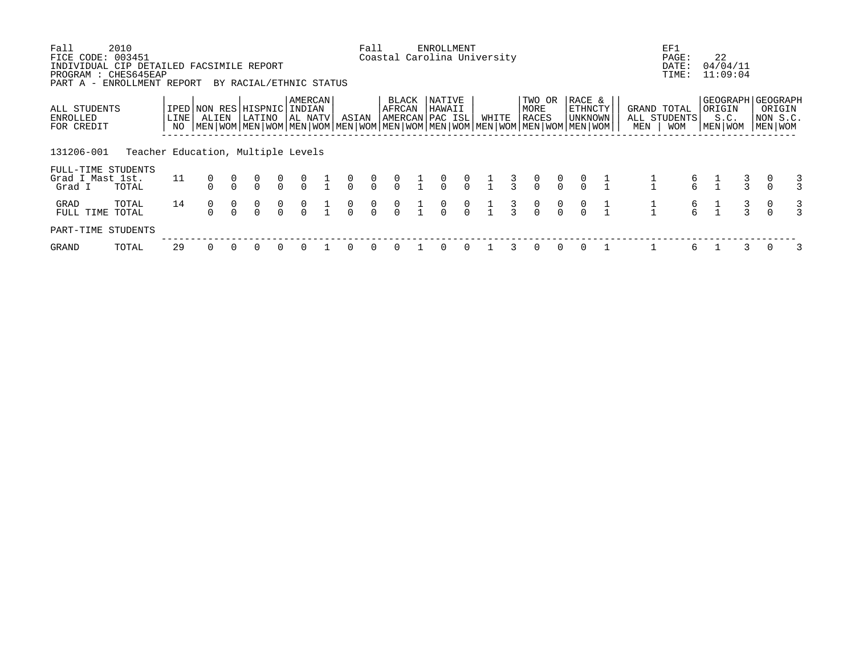| Fall<br>FICE CODE: 003451                                                                      | 2010                               |      |       |                                               |                                                                                                                                                         |                |                      |               |                                      | Fall           |                 |               | <b>ENROLLMENT</b><br>Coastal Carolina University |                                  |                 |               |                                  |                                  |                                     |               |     | EF1<br>PAGE:                              |                                              | 22                                             |               |                                    |   |
|------------------------------------------------------------------------------------------------|------------------------------------|------|-------|-----------------------------------------------|---------------------------------------------------------------------------------------------------------------------------------------------------------|----------------|----------------------|---------------|--------------------------------------|----------------|-----------------|---------------|--------------------------------------------------|----------------------------------|-----------------|---------------|----------------------------------|----------------------------------|-------------------------------------|---------------|-----|-------------------------------------------|----------------------------------------------|------------------------------------------------|---------------|------------------------------------|---|
| INDIVIDUAL CIP DETAILED FACSIMILE REPORT<br>PROGRAM : CHES645EAP<br>PART A - ENROLLMENT REPORT |                                    |      |       |                                               | BY RACIAL/ETHNIC STATUS                                                                                                                                 |                |                      |               |                                      |                |                 |               |                                                  |                                  |                 |               |                                  |                                  |                                     |               |     | DATE:<br>TIME:                            |                                              | 04/04/11<br>11:09:04                           |               |                                    |   |
| ALL STUDENTS<br>ENROLLED<br>FOR CREDIT                                                         |                                    | LINE | ALIEN |                                               | IPED NON RES HISPNIC INDIAN<br>LATINO<br>NO   MEN   WOM   MEN   WOM   MEN   WOM   MEN   WOM   MEN   WOM   MEN   WOM   MEN   WOM   MEN   WOM   MEN   WOM |                | AMERCAN<br>  AL NATV |               | ASIAN                                |                | BLACK<br>AFRCAN |               | NATIVE<br>HAWAII<br>AMERCAN PAC ISL              |                                  | WHITE           |               | TWO OR<br>MORE<br>RACES          |                                  | RACE &<br>ETHNCTY<br>  UNKNOWN      |               | MEN | GRAND TOTAL<br>ALL STUDENTS<br><b>WOM</b> |                                              | GEOGRAPH GEOGRAPH<br>ORIGIN<br>S.C.<br>MEN WOM |               | ORIGIN<br> NON S.C.<br>  MEN   WOM |   |
| 131206-001                                                                                     | Teacher Education, Multiple Levels |      |       |                                               |                                                                                                                                                         |                |                      |               |                                      |                |                 |               |                                                  |                                  |                 |               |                                  |                                  |                                     |               |     |                                           |                                              |                                                |               |                                    |   |
| FULL-TIME STUDENTS<br>Grad I Mast 1st.<br>Grad I                                               | TOTAL                              | 11   |       |                                               | $\alpha$                                                                                                                                                | $\int_{0}^{0}$ | $\int_{0}^{0}$       | $\frac{1}{1}$ | $\int_{0}^{0}$                       | $\int_{0}^{0}$ | $\int_{0}^{0}$  |               | $\begin{matrix} 1 & 0 \\ 1 & 0 \end{matrix}$     | $\int_{0}^{0}$                   | $\frac{1}{1}$ 3 |               | $\begin{matrix}0\\0\end{matrix}$ | $\begin{matrix}0\\0\end{matrix}$ | $\begin{matrix}0\\0\\0\end{matrix}$ | $\frac{1}{1}$ |     | $rac{6}{6}$                               |                                              |                                                |               |                                    |   |
| GRAD<br>FULL TIME                                                                              | TOTAL<br>TOTAL                     | 14   |       | $\begin{smallmatrix}0\\0\\0\end{smallmatrix}$ | $\frac{0}{0}$                                                                                                                                           | $\int_{0}^{0}$ | $\frac{0}{0}$        |               | $\begin{matrix} 0 \\ 0 \end{matrix}$ | $\int_{0}^{0}$ | $\int_{0}^{0}$  | $\frac{1}{1}$ | $\int_{0}^{0}$                                   | $\begin{matrix}0\\0\end{matrix}$ | $\frac{1}{1}$   | $\frac{3}{3}$ | $\frac{0}{0}$                    | $\int_{0}^{0}$                   | $\alpha$                            | $\frac{1}{1}$ |     |                                           | $\begin{matrix} 6 & 1 \\ 6 & 1 \end{matrix}$ |                                                | $\frac{3}{3}$ |                                    |   |
| PART-TIME STUDENTS                                                                             |                                    |      |       |                                               |                                                                                                                                                         |                |                      |               |                                      |                |                 |               |                                                  |                                  |                 |               |                                  |                                  |                                     |               |     |                                           |                                              |                                                |               |                                    |   |
| GRAND                                                                                          | TOTAL                              | 29   |       |                                               | 0                                                                                                                                                       | $\Omega$       |                      |               | $\Omega$                             | $\Omega$       | $\Omega$        |               | 0                                                | $\Omega$                         |                 |               | $\Omega$                         | $\Omega$                         | $\Omega$                            |               |     | 6                                         |                                              |                                                |               |                                    | 3 |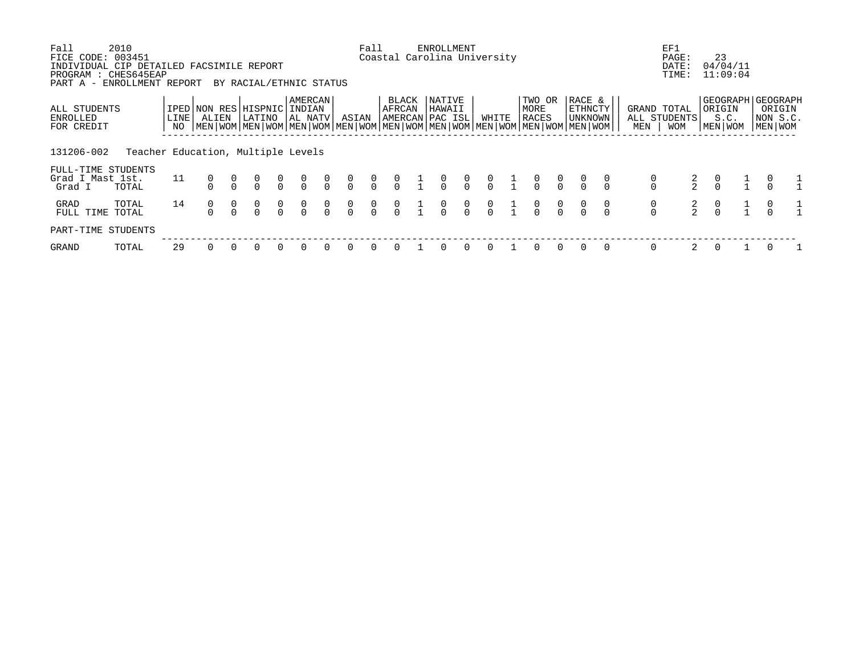| Fall                                                                                                                | 2010                               |              |                                                                                                                                                     |                         |                |                                      |                |                                  | Fall                                 |                 | ENROLLMENT                                   |                |                |                                                      |                                  |                              |                                  |                                      | EF1                                |                                  |                                           |                                                      |
|---------------------------------------------------------------------------------------------------------------------|------------------------------------|--------------|-----------------------------------------------------------------------------------------------------------------------------------------------------|-------------------------|----------------|--------------------------------------|----------------|----------------------------------|--------------------------------------|-----------------|----------------------------------------------|----------------|----------------|------------------------------------------------------|----------------------------------|------------------------------|----------------------------------|--------------------------------------|------------------------------------|----------------------------------|-------------------------------------------|------------------------------------------------------|
| FICE CODE: 003451<br>INDIVIDUAL CIP DETAILED FACSIMILE REPORT<br>PROGRAM : CHES645EAP<br>PART A - ENROLLMENT REPORT |                                    |              |                                                                                                                                                     | BY RACIAL/ETHNIC STATUS |                |                                      |                |                                  |                                      |                 | Coastal Carolina University                  |                |                |                                                      |                                  |                              |                                  |                                      | PAGE:<br>DATE:<br>TIME:            |                                  | 23<br>04/04/11<br>11:09:04                |                                                      |
| ALL STUDENTS<br>ENROLLED<br>FOR CREDIT                                                                              |                                    | LINE  <br>NO | IPED NON RES HISPNIC INDIAN<br>ALIEN<br>  MEN   WOM   MEN   WOM   MEN   WOM   MEN   WOM   MEN   WOM   MEN   WOM   MEN   WOM   MEN   WOM   MEN   WOM | LATINO                  |                | AMERCAN<br> AL NATV                  |                | ASIAN                            |                                      | BLACK<br>AFRCAN | NATIVE<br>HAWAII<br>AMERCAN PAC ISL          |                | WHITE          | TWO OR<br>MORE<br>RACES                              |                                  | RACE &<br>ETHNCTY<br>UNKNOWN |                                  | MEN                                  | GRAND TOTAL<br>ALL STUDENTS<br>WOM |                                  | GEOGRAPH  <br>  ORIGIN<br>S.C.<br>MEN WOM | <b>GEOGRAPH</b><br>ORIGIN<br>NON S.C.<br>  MEN   WOM |
| 131206-002                                                                                                          | Teacher Education, Multiple Levels |              |                                                                                                                                                     |                         |                |                                      |                |                                  |                                      |                 |                                              |                |                |                                                      |                                  |                              |                                  |                                      |                                    |                                  |                                           |                                                      |
| FULL-TIME STUDENTS<br>Grad I Mast 1st.<br>Grad I                                                                    | TOTAL                              | 11           |                                                                                                                                                     | $\frac{0}{0}$           | $\int_{0}^{0}$ | $\frac{0}{0}$                        | $\int_{0}^{0}$ | $\int_{0}^{0}$                   | $\int_{0}^{0}$                       | $\frac{0}{0}$   | $\begin{matrix} 1 & 0 \\ 1 & 0 \end{matrix}$ | $\int_{0}^{0}$ |                | $\begin{matrix} 0 & 1 & 0 \\ 0 & 1 & 0 \end{matrix}$ | $\begin{matrix}0\\0\end{matrix}$ |                              |                                  | $\begin{matrix} 0 \\ 0 \end{matrix}$ | $\frac{2}{2}$                      |                                  | $\int_{0}^{0}$                            |                                                      |
| GRAD<br>FULL TIME                                                                                                   | TOTAL<br>TOTAL                     | 14           |                                                                                                                                                     | $\frac{0}{0}$           | $\frac{0}{0}$  | $\begin{matrix} 0 \\ 0 \end{matrix}$ | $\int_{0}^{0}$ | $\begin{matrix}0\\0\end{matrix}$ | $\begin{matrix} 0 \\ 0 \end{matrix}$ | $\frac{0}{0}$   | $\alpha$                                     | $\int_{0}^{0}$ | $\int_{0}^{0}$ | $\int_{0}^{0}$                                       | $\frac{0}{0}$                    |                              | $\begin{matrix}0\\0\end{matrix}$ | $\begin{matrix}0\\0\end{matrix}$     | $\frac{2}{2}$                      | $\begin{matrix}0\\0\end{matrix}$ |                                           |                                                      |
| PART-TIME STUDENTS                                                                                                  |                                    |              |                                                                                                                                                     |                         |                |                                      |                |                                  |                                      |                 |                                              |                |                |                                                      |                                  |                              |                                  |                                      |                                    |                                  |                                           |                                                      |
| GRAND                                                                                                               | TOTAL                              | 29           |                                                                                                                                                     | 0                       | $\Omega$       | $\Omega$                             | $\Omega$       | $\Omega$                         | $\Omega$                             |                 | $\Omega$                                     | $\Omega$       |                |                                                      |                                  |                              | $\Omega$                         | 0                                    |                                    |                                  | $\Omega$                                  |                                                      |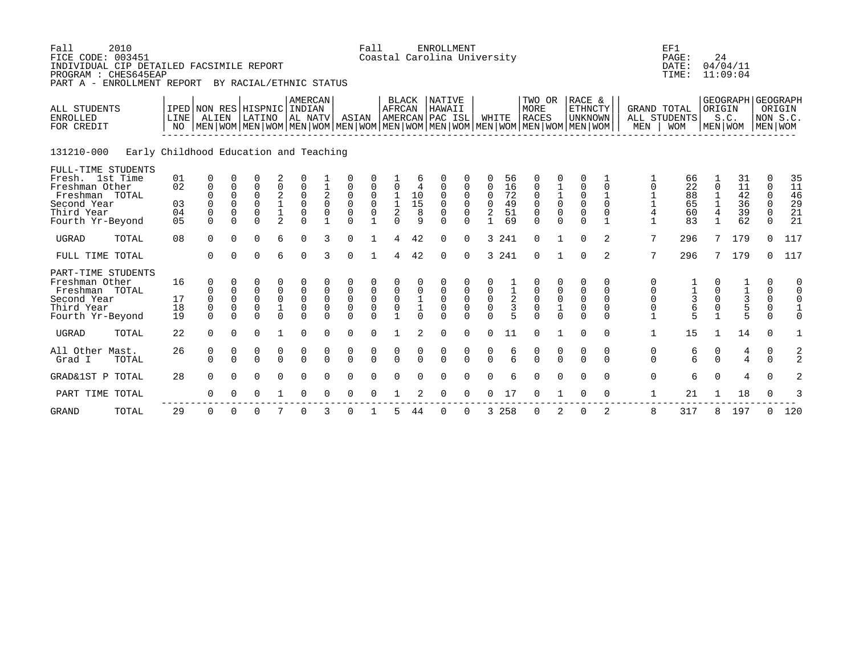| Fall<br>FICE CODE: 003451<br>INDIVIDUAL CIP DETAILED FACSIMILE REPORT<br>PROGRAM : CHES645EAP<br>PART A - ENROLLMENT REPORT | 2010                                   |                                        |                                                              |                                                         | BY RACIAL/ETHNIC STATUS                                 |                                                   |                                                             |                                                    |                                                                         | Fall                                         |                                                        |                                      | <b>ENROLLMENT</b><br>Coastal Carolina University         |                                   |                                                       |                                  |                                                            |                                               |                                                                                                                                                    |                                                              |                                                                   | EF1<br>PAGE:<br>DATE:<br>TIME:                   | 24                                                     | 04/04/11<br>11:09:04                 |                                                       |                                  |
|-----------------------------------------------------------------------------------------------------------------------------|----------------------------------------|----------------------------------------|--------------------------------------------------------------|---------------------------------------------------------|---------------------------------------------------------|---------------------------------------------------|-------------------------------------------------------------|----------------------------------------------------|-------------------------------------------------------------------------|----------------------------------------------|--------------------------------------------------------|--------------------------------------|----------------------------------------------------------|-----------------------------------|-------------------------------------------------------|----------------------------------|------------------------------------------------------------|-----------------------------------------------|----------------------------------------------------------------------------------------------------------------------------------------------------|--------------------------------------------------------------|-------------------------------------------------------------------|--------------------------------------------------|--------------------------------------------------------|--------------------------------------|-------------------------------------------------------|----------------------------------|
| ALL STUDENTS<br><b>ENROLLED</b><br>FOR CREDIT                                                                               |                                        | LINE<br>NO                             | ALIEN                                                        |                                                         | IPED NON RES HISPNIC INDIAN<br>LATINO                   |                                                   | AMERCAN<br>AL NATV                                          |                                                    | ASIAN                                                                   |                                              | <b>BLACK</b><br>AFRCAN                                 |                                      | <b>NATIVE</b><br>HAWAII<br>AMERCAN PAC ISL               |                                   | WHITE                                                 |                                  | TWO OR<br>MORE<br><b>RACES</b>                             |                                               | RACE &<br>ETHNCTY<br><b>UNKNOWN</b><br>  MEN   WOM   MEN   WOM   MEN   WOM   MEN   WOM   MEN   WOM   MEN   WOM   MEN   WOM   MEN   WOM   MEN   WOM |                                                              | MEN                                                               | <b>GRAND TOTAL</b><br>ALL STUDENTS<br><b>WOM</b> | ORIGIN                                                 | GEOGRAPH GEOGRAPH<br>S.C.<br>MEN WOM | NON S.C<br>MEN WOM                                    | ORIGIN                           |
| 131210-000                                                                                                                  | Early Childhood Education and Teaching |                                        |                                                              |                                                         |                                                         |                                                   |                                                             |                                                    |                                                                         |                                              |                                                        |                                      |                                                          |                                   |                                                       |                                  |                                                            |                                               |                                                                                                                                                    |                                                              |                                                                   |                                                  |                                                        |                                      |                                                       |                                  |
| FULL-TIME STUDENTS<br>Fresh. 1st Time<br>Freshman Other<br>Freshman TOTAL<br>Second Year<br>Third Year<br>Fourth Yr-Beyond  |                                        | 01<br>02<br>03<br>04<br>0 <sub>5</sub> | 0<br>$\mathbf 0$<br>$\Omega$<br>$\mathbf 0$<br>0<br>$\Omega$ | $\mathbf 0$<br>$\Omega$<br>$\mathbf 0$<br>0<br>$\Omega$ | 0<br>$\Omega$<br>$\Omega$<br>$\mathbf 0$<br>0<br>$\cap$ | 2<br>0<br>$^2_{\mathbb{1}}$<br>$\overline{2}$     | $\mathbf 0$<br>$\mathbf 0$<br>$\mathsf{O}$<br>0<br>$\Omega$ | $\overline{\mathbf{c}}$<br>$\mathbf 0$<br>0        | $\mathbf 0$<br>$\mathbf 0$<br>$\overline{0}$<br>$\mathsf 0$<br>$\Omega$ | $\mathbf 0$<br>$\overline{0}$<br>$\mathbf 0$ | $\mathbf 0$<br>$\frac{1}{1}$<br>$\sqrt{2}$<br>$\Omega$ | 4<br>10<br>$\overline{15}$<br>8<br>q | 0<br>$\mathbf 0$<br>$\mathbf 0$<br>$\mathbf 0$<br>$\cap$ | 0<br>$\Omega$<br>0                | 0<br>$\mathbf 0$<br>$\mathbf 0$<br>$\overline{2}$     | 56<br>16<br>72<br>49<br>51<br>69 | $\mathbf 0$<br>$\mathbf 0$<br>$\mathsf 0$<br>0<br>$\Omega$ | 1<br>$\frac{1}{0}$<br>$\mathbf 0$<br>$\Omega$ | 0<br>$\mathbf 0$<br>$\overline{0}$<br>$\overline{0}$<br>$\mathbf 0$<br>$\Omega$                                                                    | $\Omega$<br>$\mathbf{1}$<br>$\mathbf 0$<br>0<br>$\mathbf{1}$ | 0<br>$\mathbf 1$<br>$\mathbf 1$<br>$\overline{4}$<br>$\mathbf{1}$ | 66<br>22<br>88<br>65<br>60<br>83                 | $\Omega$<br>1<br>$\mathbf{1}$<br>4<br>$\mathbf 1$      | 31<br>11<br>42<br>36<br>39<br>62     | 0<br>0<br>0<br>$\mathbf 0$<br>$\mathbf 0$<br>$\Omega$ | 35<br>11<br>46<br>29<br>21<br>21 |
| <b>UGRAD</b>                                                                                                                | TOTAL                                  | 08                                     | $\mathbf 0$                                                  | $\Omega$                                                | 0                                                       | 6                                                 | $\Omega$                                                    | κ                                                  | $\Omega$                                                                |                                              | $\overline{4}$                                         | 42                                   | $\mathbf 0$                                              | $\mathbf 0$                       |                                                       | 3 241                            | $\Omega$                                                   | $\mathbf{1}$                                  | $\Omega$                                                                                                                                           | 2                                                            | 7                                                                 | 296                                              | 7                                                      | 179                                  | $\Omega$                                              | 117                              |
| FULL TIME TOTAL                                                                                                             |                                        |                                        | $\Omega$                                                     | $\Omega$                                                | 0                                                       | 6                                                 | $\Omega$                                                    | 3                                                  | $\Omega$                                                                |                                              | 4                                                      | 42                                   | $\Omega$                                                 | $\Omega$                          |                                                       | 3 241                            | $\mathbf 0$                                                | $\mathbf{1}$                                  | $\Omega$                                                                                                                                           | 2                                                            | 7                                                                 | 296                                              | 7                                                      | 179                                  | $\Omega$                                              | 117                              |
| PART-TIME STUDENTS<br>Freshman Other<br>Freshman TOTAL<br>Second Year<br>Third Year<br>Fourth Yr-Beyond                     |                                        | 16<br>17<br>18<br>19                   | $\Omega$<br>$\mathbf 0$<br>0<br>$\mathsf 0$<br>$\Omega$      | $\Omega$<br>0<br>0<br>$\Omega$                          | 0<br>$\overline{0}$<br>$\mathbf 0$<br>0<br>$\Omega$     | 0<br>0<br>$\mathbf 0$<br>$\mathbf{1}$<br>$\Omega$ | 0<br>$\mathbf 0$<br>$\mathbf 0$<br>$\Omega$                 | $\Omega$<br>$\mathbf 0$<br>$\mathbf 0$<br>$\Omega$ | $\mathsf 0$<br>$\mathsf 0$<br>$\mathsf 0$<br>$\Omega$                   | 0<br>0<br>$\mathbf 0$<br>$\cap$              | 0<br>$\mathsf{O}\xspace$<br>$\mathbf 0$                | $\Omega$<br>$\mathbf 1$              | $\mathbf 0$<br>$\mathbf 0$<br>$\mathbf 0$<br>$\cap$      | 0<br>$\mathsf 0$<br>0<br>$\Omega$ | $\mathbf 0$<br>$\mathsf 0$<br>$\mathbf 0$<br>$\Omega$ | $\boldsymbol{2}$<br>3            | 0<br>$\pmb{0}$<br>$\mathsf{O}$<br>$\Omega$                 | 0<br>$\pmb{0}$<br>$\mathbf 1$<br>$\Omega$     | 0<br>$\mathbf 0$<br>$\mathbf 0$<br>$\mathbb O$<br>$\Omega$                                                                                         | 0<br>$\Omega$<br>$\Omega$<br>$\mathbf 0$<br>$\Omega$         | 0<br>0<br>0<br>0<br>$\mathbf{1}$                                  | $\frac{3}{6}$<br>5                               | $\Omega$<br>$\mathbf 0$<br>$\mathbb O$<br>$\mathbf{1}$ | $\frac{1}{3}$<br>555                 | $\Omega$<br>$\Omega$<br>$\mathbf 0$<br>0<br>$\Omega$  | 0<br>$\Omega$                    |
| <b>UGRAD</b>                                                                                                                | TOTAL                                  | 22                                     | $\Omega$                                                     | $\Omega$                                                | $\Omega$                                                |                                                   | $\Omega$                                                    | $\Omega$                                           | $\Omega$                                                                | $\Omega$                                     |                                                        | 2                                    | $\mathbf 0$                                              | $\Omega$                          | $\Omega$                                              | 11                               | $\mathbf 0$                                                |                                               | $\Omega$                                                                                                                                           | 0                                                            | $\mathbf 1$                                                       | 15                                               |                                                        | 14                                   | $\Omega$                                              |                                  |
| All Other Mast.<br>Grad I                                                                                                   | TOTAL                                  | 26                                     | 0<br>$\cap$                                                  | 0<br>$\cap$                                             | 0<br>$\cap$                                             | 0<br>$\Omega$                                     | 0<br>$\Omega$                                               | 0<br>$\cap$                                        | 0<br>$\cap$                                                             | 0<br>$\cap$                                  | 0<br>$\cap$                                            | 0<br>$\cap$                          | $\begin{matrix} 0 \\ 0 \end{matrix}$                     | 0<br>$\cap$                       | $\begin{matrix} 0 \\ 0 \end{matrix}$                  | 6<br>հ                           | $\begin{matrix} 0 \\ 0 \end{matrix}$                       | $\frac{0}{0}$                                 | 0<br>$\cap$                                                                                                                                        | 0<br>$\cap$                                                  | 0<br>$\Omega$                                                     | б<br>б                                           | 0<br>$\Omega$                                          | $\frac{4}{4}$                        | 0<br>$\Omega$                                         | 2<br>$\overline{2}$              |
| GRAD&1ST P TOTAL                                                                                                            |                                        | 28                                     | $\Omega$                                                     | U                                                       | $\Omega$                                                | $\Omega$                                          | ∩                                                           |                                                    | $\Omega$                                                                |                                              |                                                        |                                      | O                                                        | <sup>n</sup>                      |                                                       |                                  | $\Omega$                                                   | $\Omega$                                      | $\cap$                                                                                                                                             | $\Omega$                                                     | $\mathbf 0$                                                       | 6                                                | $\Omega$                                               | 4                                    | $\Omega$                                              |                                  |
| PART TIME TOTAL                                                                                                             |                                        |                                        | ∩                                                            |                                                         | ∩                                                       |                                                   | ∩                                                           |                                                    | ∩                                                                       |                                              |                                                        |                                      | ∩                                                        | $\Omega$                          | ∩                                                     | 17                               | $\Omega$                                                   |                                               | $\Omega$                                                                                                                                           | $\mathbf 0$                                                  | $\mathbf 1$                                                       | 21                                               |                                                        | 18                                   | 0                                                     |                                  |
| <b>GRAND</b>                                                                                                                | TOTAL                                  | 29                                     | 0                                                            | $\Omega$                                                | $\Omega$                                                |                                                   | $\Omega$                                                    |                                                    | $\Omega$                                                                |                                              |                                                        | 44                                   | $\Omega$                                                 | $\Omega$                          |                                                       | 3 2 5 8                          | $\Omega$                                                   | 2                                             | $\Omega$                                                                                                                                           | 2                                                            | 8                                                                 | 317                                              | 8                                                      | 197                                  | $\Omega$                                              | 120                              |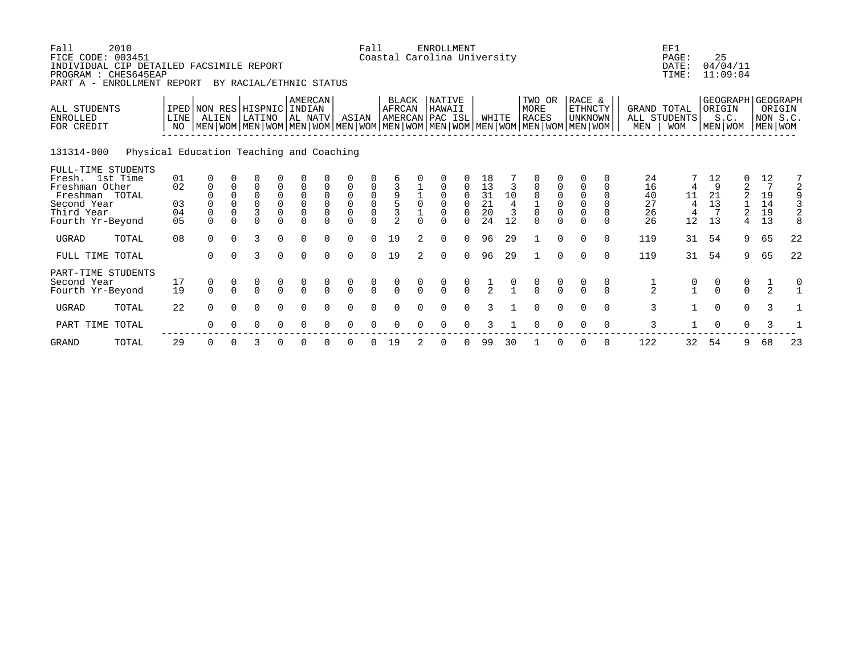| Fall<br>2010<br>FICE CODE: 003451<br>INDIVIDUAL CIP DETAILED FACSIMILE REPORT<br>PROGRAM : CHES645EAP<br>PART A - ENROLLMENT REPORT |                                          | BY RACIAL/ETHNIC STATUS                |                                             |                                              |                                                         |                                                | Fall                                 |                                           |                                                         | <b>ENROLLMENT</b><br>Coastal Carolina University |                                                              |          |                                     |                      |                                         |                                   |                                                                                                                                               |                                                        | EF1<br>PAGE:<br>DATE:<br>TIME:                                          | 25                               | 04/04/11<br>11:09:04             |                                                |                           |                                      |                                                               |                                                        |
|-------------------------------------------------------------------------------------------------------------------------------------|------------------------------------------|----------------------------------------|---------------------------------------------|----------------------------------------------|---------------------------------------------------------|------------------------------------------------|--------------------------------------|-------------------------------------------|---------------------------------------------------------|--------------------------------------------------|--------------------------------------------------------------|----------|-------------------------------------|----------------------|-----------------------------------------|-----------------------------------|-----------------------------------------------------------------------------------------------------------------------------------------------|--------------------------------------------------------|-------------------------------------------------------------------------|----------------------------------|----------------------------------|------------------------------------------------|---------------------------|--------------------------------------|---------------------------------------------------------------|--------------------------------------------------------|
| <b>ALL STUDENTS</b><br><b>ENROLLED</b><br>FOR CREDIT                                                                                |                                          | LINE<br>NO.                            | IPED NON RES HISPNIC INDIAN<br>ALIEN        |                                              | LATINO                                                  |                                                | <b>AMERCAN</b><br>  AL NATV          |                                           | ASIAN                                                   |                                                  | <b>BLACK</b><br>AFRCAN                                       |          | NATIVE<br>HAWAII<br>AMERCAN PAC ISL |                      | WHITE                                   |                                   | TWO OR<br>MORE<br><b>RACES</b><br>  MEN   WOM   MEN   WOM   MEN   WOM   MEN   WOM   MEN   WOM   MEN   WOM   MEN   WOM   MEN   WOM   MEN   WOM |                                                        | RACE &<br>ETHNCTY<br><b>UNKNOWN</b>                                     |                                  | <b>GRAND TOTAL</b><br>MEN        | ALL STUDENTS<br><b>WOM</b>                     | ORIGIN                    | S.C.<br>MEN   WOM                    |                                                               | GEOGRAPH GEOGRAPH<br>ORIGIN<br>NON S.C.<br>  MEN   WOM |
| 131314-000                                                                                                                          | Physical Education Teaching and Coaching |                                        |                                             |                                              |                                                         |                                                |                                      |                                           |                                                         |                                                  |                                                              |          |                                     |                      |                                         |                                   |                                                                                                                                               |                                                        |                                                                         |                                  |                                  |                                                |                           |                                      |                                                               |                                                        |
| FULL-TIME STUDENTS<br>Fresh. 1st Time<br>Freshman Other<br>Freshman TOTAL<br>Second Year<br>Third Year<br>Fourth Yr-Beyond          |                                          | 01<br>02<br>03<br>04<br>0 <sub>5</sub> | 0<br>$\mathbf 0$<br>$\mathbf 0$<br>$\Omega$ | $\Omega$<br>$\Omega$<br>$\Omega$<br>$\Omega$ | $\Omega$<br>$\Omega$<br>$\overline{0}$<br>3<br>$\Omega$ | 0<br>0<br>$\begin{matrix} 0 \\ 0 \end{matrix}$ | $\mathbf 0$<br>$\overline{0}$<br>0   | $\mathbf 0$<br>$\mathbf 0$<br>$\mathbf 0$ | $\overline{0}$<br>$\overline{0}$<br>$\overline{0}$<br>0 | $\begin{matrix} 0 \\ 0 \\ 0 \end{matrix}$        | $\begin{array}{c} 9 \\ 5 \\ 3 \end{array}$<br>$\overline{2}$ | $\Omega$ | $\Omega$<br>$\Omega$<br>$\Omega$    | $\Omega$<br>$\Omega$ | 18<br>13<br>$\frac{31}{21}$<br>20<br>24 | $10$<br>$\overline{4}$<br>3<br>12 | 0<br>$\mathbf 0$<br>$\frac{1}{0}$<br>$\Omega$                                                                                                 | $\begin{smallmatrix}0\\0\end{smallmatrix}$<br>$\Omega$ | $\mathbf 0$<br>$\mathsf 0$<br>$\overline{0}$<br>$\mathbf 0$<br>$\Omega$ | $\Omega$<br>$\Omega$<br>$\Omega$ | 24<br>16<br>40<br>27<br>26<br>26 | 11<br>$\overline{4}$<br>12                     | 12<br>9<br>21<br>13<br>13 | 0<br>2<br>2<br>2<br>4                | 12<br>$\begin{smallmatrix}19\14\end{smallmatrix}$<br>19<br>13 |                                                        |
| UGRAD                                                                                                                               | TOTAL                                    | 08                                     | $\Omega$                                    | $\Omega$                                     | 3                                                       | $\Omega$                                       | $\Omega$                             | $\Omega$                                  | $\Omega$                                                | $\Omega$                                         | 19                                                           | 2        | $\Omega$                            | $\Omega$             | 96                                      | 29                                |                                                                                                                                               | $\Omega$                                               | $\Omega$                                                                | $\Omega$                         | 119                              | 31                                             | 54                        | 9                                    | 65                                                            | 22                                                     |
| FULL TIME TOTAL                                                                                                                     |                                          |                                        | $\Omega$                                    | $\Omega$                                     | 3                                                       | $\Omega$                                       | $\Omega$                             | $\Omega$                                  | $\Omega$                                                | $\Omega$                                         | 19                                                           | 2        | $\Omega$                            | $\Omega$             | 96                                      | 29                                | $\mathbf{1}$                                                                                                                                  | $\Omega$                                               | $\Omega$                                                                | $\Omega$                         | 119                              | 31                                             | 54                        | 9                                    | 65                                                            | 22                                                     |
| PART-TIME STUDENTS<br>Second Year<br>Fourth Yr-Beyond                                                                               |                                          | 17<br>19                               | $\begin{matrix} 0 \\ 0 \end{matrix}$        | $\Omega$                                     | $\frac{0}{0}$                                           | $\frac{0}{0}$                                  | $\begin{matrix} 0 \\ 0 \end{matrix}$ | $\cap$                                    | $\begin{matrix} 0 \\ 0 \end{matrix}$                    | $\frac{0}{0}$                                    | $\frac{0}{0}$                                                |          | $\frac{0}{0}$                       | $\frac{0}{0}$        | $rac{1}{2}$                             |                                   | $\frac{0}{0}$                                                                                                                                 | $\frac{0}{0}$                                          | $\Omega$                                                                | 0<br>$\cap$                      | $\frac{1}{2}$                    | $\begin{smallmatrix} 0 \\ 1 \end{smallmatrix}$ | $\frac{0}{0}$             | $\begin{matrix} 0 \\ 0 \end{matrix}$ | $\frac{1}{2}$                                                 |                                                        |
| <b>UGRAD</b>                                                                                                                        | TOTAL                                    | 22                                     | $\Omega$                                    | $\Omega$                                     | $\Omega$                                                | $\Omega$                                       | $\Omega$                             |                                           | $\Omega$                                                |                                                  |                                                              |          | ∩                                   |                      | २                                       |                                   | $\Omega$                                                                                                                                      | $\Omega$                                               | $\Omega$                                                                | $\Omega$                         | $\overline{3}$                   |                                                | $\Omega$                  | $\Omega$                             | 3                                                             |                                                        |
| PART TIME TOTAL                                                                                                                     |                                          |                                        | 0                                           | 0                                            | 0                                                       | $\Omega$                                       | $\Omega$                             |                                           | $\Omega$                                                |                                                  |                                                              |          |                                     |                      |                                         |                                   | $\Omega$                                                                                                                                      | $\Omega$                                               | $\Omega$                                                                | 0                                | 3                                |                                                | $\mathbf 0$               | 0                                    | 3                                                             |                                                        |
| <b>GRAND</b>                                                                                                                        | TOTAL                                    | 29                                     | 0                                           |                                              | 3                                                       |                                                |                                      |                                           |                                                         |                                                  | 19                                                           |          |                                     |                      | 99                                      | 30                                |                                                                                                                                               |                                                        |                                                                         | 0                                | 122                              | 32                                             | 54                        | 9                                    | 68                                                            | 23                                                     |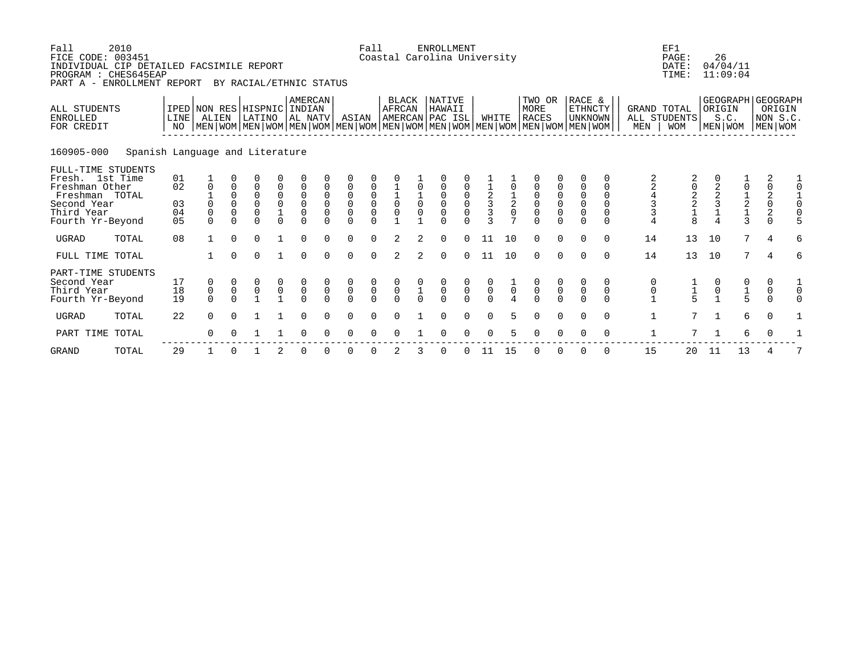| Fall<br>FICE CODE: 003451<br>INDIVIDUAL CIP DETAILED FACSIMILE REPORT<br>PROGRAM : CHES645EAP<br>PART A - ENROLLMENT REPORT | 2010                            |                            |                                             |                                                         | BY RACIAL/ETHNIC STATUS                                    |                                                                    |                                                                              |                                                                      |                                                                       | Fall                                                                 |                                                  |                                           | ENROLLMENT<br>Coastal Carolina University                |                                                       |                                                              |                               |                                                                      |                                                       |                                                                                                                                                           |                                                          |                                    | EF1<br>PAGE:<br>DATE:<br>TIME:             | 26                                           | 04/04/11<br>11:09:04                                   |                                                       |                                                          |
|-----------------------------------------------------------------------------------------------------------------------------|---------------------------------|----------------------------|---------------------------------------------|---------------------------------------------------------|------------------------------------------------------------|--------------------------------------------------------------------|------------------------------------------------------------------------------|----------------------------------------------------------------------|-----------------------------------------------------------------------|----------------------------------------------------------------------|--------------------------------------------------|-------------------------------------------|----------------------------------------------------------|-------------------------------------------------------|--------------------------------------------------------------|-------------------------------|----------------------------------------------------------------------|-------------------------------------------------------|-----------------------------------------------------------------------------------------------------------------------------------------------------------|----------------------------------------------------------|------------------------------------|--------------------------------------------|----------------------------------------------|--------------------------------------------------------|-------------------------------------------------------|----------------------------------------------------------|
| ALL STUDENTS<br><b>ENROLLED</b><br>FOR CREDIT                                                                               |                                 | <b>LINE</b><br>NO          | IPED NON RES HISPNIC INDIAN<br>ALIEN        |                                                         | LATINO                                                     |                                                                    | AMERCAN<br>AL NATV                                                           |                                                                      | ASIAN                                                                 |                                                                      | BLACK<br>AFRCAN                                  |                                           | NATIVE<br>HAWAII<br>AMERCAN PAC ISL                      |                                                       | WHITE                                                        |                               | TWO OR<br>MORE<br><b>RACES</b>                                       |                                                       | RACE &<br><b>ETHNCTY</b><br><b>UNKNOWN</b><br>  MEN   WOM   MEN   WOM   MEN   WOM   MEN   WOM   MEN   WOM   MEN   WOM   MEN   WOM   MEN   WOM   MEN   WOM |                                                          | GRAND TOTAL<br>ALL STUDENTS<br>MEN | <b>WOM</b>                                 | ORIGIN                                       | S.C.<br>MEN WOM                                        |                                                       | GEOGRAPH   GEOGRAPH<br>ORIGIN<br>NON S.C.<br>  MEN   WOM |
| 160905-000                                                                                                                  | Spanish Language and Literature |                            |                                             |                                                         |                                                            |                                                                    |                                                                              |                                                                      |                                                                       |                                                                      |                                                  |                                           |                                                          |                                                       |                                                              |                               |                                                                      |                                                       |                                                                                                                                                           |                                                          |                                    |                                            |                                              |                                                        |                                                       |                                                          |
| FULL-TIME STUDENTS<br>Fresh. 1st Time<br>Freshman Other<br>Freshman TOTAL<br>Second Year<br>Third Year<br>Fourth Yr-Beyond  |                                 | 01<br>02<br>03<br>04<br>05 | $\mathbf 0$<br>0<br>$\mathbf 0$<br>$\Omega$ | 0<br>$\mathbf 0$<br>$\Omega$<br>$\mathbf 0$<br>$\Omega$ | 0<br>$\mathbf 0$<br>$\mathbf 0$<br>$\mathbf 0$<br>$\Omega$ | 0<br>$\mathsf 0$<br>$\ddot{\mathbf{0}}$<br>$\mathbf 1$<br>$\Omega$ | $\mathbf 0$<br>$\mathsf 0$<br>$\mathsf 0$<br>$\mathsf{O}\xspace$<br>$\Omega$ | $\mathbf 0$<br>$\mathbf 0$<br>$\mathbf 0$<br>$\mathbf 0$<br>$\Omega$ | 0<br>$\mathsf 0$<br>$\overline{0}$<br>$\mathsf{O}\xspace$<br>$\Omega$ | $\mathsf 0$<br>$\begin{matrix} 0 \\ 0 \\ 0 \end{matrix}$<br>$\Omega$ | $\begin{bmatrix} 1 \\ 1 \\ 0 \\ 0 \end{bmatrix}$ | $\overline{0}$<br>$\mathbf 0$             | $\mathbf 0$<br>0<br>$\mathbf 0$<br>$\mathsf 0$<br>$\cap$ | $\begin{matrix} 0 \\ 0 \\ 0 \end{matrix}$<br>$\Omega$ | $\begin{array}{c}\n1 \\ 2 \\ 3\n\end{array}$<br>$\mathbf{z}$ | $\frac{1}{2}$<br>$\mathbf{r}$ | $\mathbf 0$<br>$\begin{matrix} 0 \\ 0 \\ 0 \end{matrix}$<br>$\Omega$ | $\begin{matrix} 0 \\ 0 \\ 0 \end{matrix}$<br>$\Omega$ | $\mathbf 0$<br>$\mathsf 0$<br>$\overline{0}$<br>0<br>$\Omega$                                                                                             | $\Omega$<br>$\Omega$<br>$\Omega$<br>$\Omega$<br>$\Omega$ | $\frac{4}{3}$<br>3                 | 02218                                      | $\begin{array}{c}\n2 \\ 2 \\ 3\n\end{array}$ | 0<br>$\begin{array}{c}\n1 \\ 2 \\ 1 \\ 3\n\end{array}$ | 2<br>$\mathsf{O}\xspace$<br>$\frac{2}{0}$<br>$\Omega$ | $\frac{1}{0}$<br>$\Omega$                                |
| <b>UGRAD</b>                                                                                                                | TOTAL                           | 08                         | 1                                           | $\Omega$                                                | $\Omega$                                                   |                                                                    | $\Omega$                                                                     | <sup>n</sup>                                                         | $\Omega$                                                              | $\Omega$                                                             |                                                  | $\mathfrak{D}$                            | $\Omega$                                                 | $\Omega$                                              | 11                                                           | 10                            | $\Omega$                                                             | $\Omega$                                              | $\Omega$                                                                                                                                                  | $\Omega$                                                 | 14                                 | 13                                         | 10                                           | 7                                                      | $\overline{4}$                                        | 6                                                        |
| FULL TIME TOTAL                                                                                                             |                                 |                            |                                             | $\Omega$                                                | $\Omega$                                                   |                                                                    | $\Omega$                                                                     | $\Omega$                                                             | $\Omega$                                                              | $\Omega$                                                             | $\mathfrak{D}$                                   | $\mathfrak{D}$                            | $\Omega$                                                 | $\Omega$                                              | 11                                                           | 10                            | $\Omega$                                                             | $\Omega$                                              | $\Omega$                                                                                                                                                  | $\Omega$                                                 | 14                                 | 13                                         | 10                                           | 7                                                      | $\overline{4}$                                        | б                                                        |
| PART-TIME STUDENTS<br>Second Year<br>Third Year<br>Fourth Yr-Beyond                                                         |                                 | 17<br>18<br>19             | 0<br>$\overline{0}$                         | $\overline{0}$<br>$\cap$                                | 0<br>$\overline{0}$                                        | $\begin{matrix} 0 \\ 0 \\ 1 \end{matrix}$                          | $\begin{matrix} 0 \\ 0 \\ 0 \end{matrix}$                                    | $\overline{0}$                                                       | $\begin{matrix} 0 \\ 0 \\ 0 \end{matrix}$                             | $\begin{matrix} 0 \\ 0 \\ 0 \end{matrix}$                            | $\begin{matrix} 0 \\ 0 \\ 0 \end{matrix}$        | $\begin{matrix} 0 \\ 1 \\ 0 \end{matrix}$ | $\begin{matrix} 0 \\ 0 \\ 0 \end{matrix}$                | $\begin{matrix} 0 \\ 0 \\ 0 \end{matrix}$             | $\begin{matrix} 0 \\ 0 \\ 0 \end{matrix}$                    | $\frac{1}{0}$                 | $\begin{matrix} 0 \\ 0 \\ 0 \end{matrix}$                            | $\begin{matrix} 0 \\ 0 \\ 0 \end{matrix}$             | $\frac{0}{0}$                                                                                                                                             | 0<br>$\mathbf 0$<br>$\cap$                               | 0<br>$\mathsf{0}$                  | $\begin{array}{c} 1 \\ 1 \\ 5 \end{array}$ | 0<br>$\overline{0}$                          | 0<br>$\frac{1}{5}$                                     | 0<br>$\begin{matrix}0\\0\end{matrix}$                 | $\mathsf 0$<br>$\Omega$                                  |
| <b>UGRAD</b>                                                                                                                | TOTAL                           | 22                         | $\Omega$                                    | $\cap$                                                  |                                                            | $\mathbf{1}$                                                       | $\Omega$                                                                     | $\Omega$                                                             | $\Omega$                                                              | $\Omega$                                                             | $\Omega$                                         |                                           | $\Omega$                                                 | $\Omega$                                              | $\Omega$                                                     | 5.                            | $\Omega$                                                             | $\Omega$                                              | $\Omega$                                                                                                                                                  | $\Omega$                                                 | $\mathbf 1$                        | 7                                          | $\mathbf{1}$                                 | 6                                                      | $\Omega$                                              |                                                          |
| PART TIME                                                                                                                   | TOTAL                           |                            | $\Omega$                                    |                                                         |                                                            |                                                                    | <sup>n</sup>                                                                 |                                                                      | $\Omega$                                                              | 0                                                                    | $\Omega$                                         |                                           | $\Omega$                                                 | $\Omega$                                              | $\Omega$                                                     |                               | $\Omega$                                                             |                                                       |                                                                                                                                                           | $\Omega$                                                 |                                    | 7                                          | $\mathbf{1}$                                 | 6                                                      | 0                                                     |                                                          |
| <b>GRAND</b>                                                                                                                | TOTAL                           | 29                         |                                             | $\Omega$                                                |                                                            |                                                                    | $\Omega$                                                                     | ∩                                                                    | $\Omega$                                                              | $\Omega$                                                             |                                                  |                                           | 0                                                        | $\Omega$                                              | -11                                                          | 15                            | $\Omega$                                                             |                                                       | $\Omega$                                                                                                                                                  | $\Omega$                                                 | 15                                 | 20                                         | 11                                           | 13                                                     |                                                       |                                                          |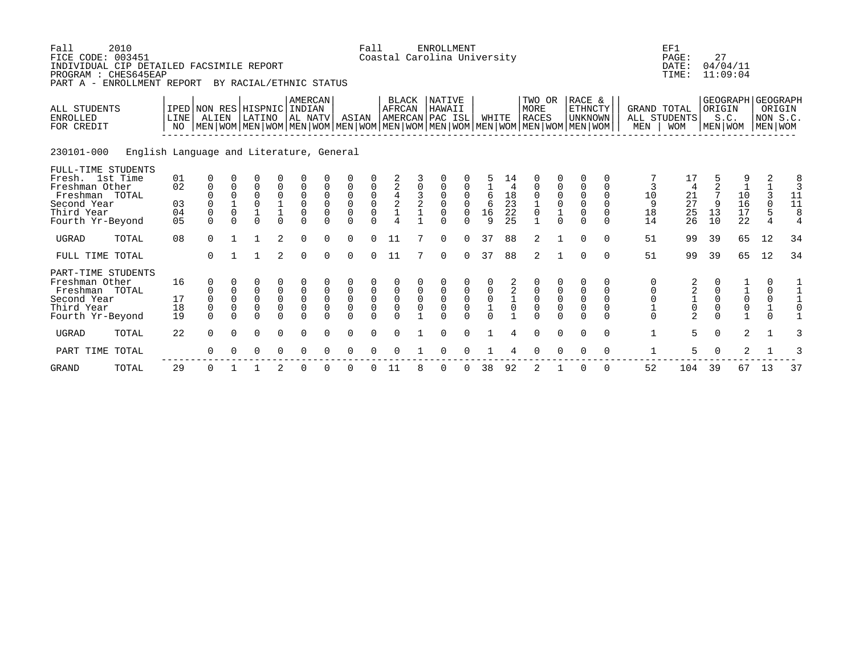| Fall<br>2010<br>FICE CODE: 003451<br>INDIVIDUAL CIP DETAILED FACSIMILE REPORT<br>PROGRAM : CHES645EAP<br>PART A - ENROLLMENT REPORT |                                          |                                                                     |                                                            | BY RACIAL/ETHNIC STATUS                                                                                                                              |                               |                                                         |                                          |                                                                      | Fall                                                                                 |                                                              |                          | <b>ENROLLMENT</b><br>Coastal Carolina University        |                              |                                           |                                                           |                                                                               |                                             |                                                                                |                                                  |                                            | EF1<br>PAGE:<br>DATE:<br>TIME:                           | 27                                     | 04/04/11<br>11:09:04                                                             |                                              |                                                  |
|-------------------------------------------------------------------------------------------------------------------------------------|------------------------------------------|---------------------------------------------------------------------|------------------------------------------------------------|------------------------------------------------------------------------------------------------------------------------------------------------------|-------------------------------|---------------------------------------------------------|------------------------------------------|----------------------------------------------------------------------|--------------------------------------------------------------------------------------|--------------------------------------------------------------|--------------------------|---------------------------------------------------------|------------------------------|-------------------------------------------|-----------------------------------------------------------|-------------------------------------------------------------------------------|---------------------------------------------|--------------------------------------------------------------------------------|--------------------------------------------------|--------------------------------------------|----------------------------------------------------------|----------------------------------------|----------------------------------------------------------------------------------|----------------------------------------------|--------------------------------------------------|
| ALL STUDENTS<br><b>ENROLLED</b><br>FOR CREDIT                                                                                       | LINE<br>NO                               | ALIEN                                                               |                                                            | IPED NON RES HISPNIC INDIAN<br>LATINO<br>  MEN   WOM   MEN   WOM   MEN   WOM   MEN   WOM   MEN   WOM   MEN   WOM   MEN   WOM   MEN   WOM   MEN   WOM |                               | AMERCAN<br>AL NATV                                      |                                          | ASIAN                                                                |                                                                                      | <b>BLACK</b><br><b>AFRCAN</b>                                |                          | <b>NATIVE</b><br>HAWAII<br>AMERCAN PAC ISL              |                              | WHITE                                     |                                                           | TWO OR<br><b>MORE</b><br><b>RACES</b>                                         |                                             | RACE &<br><b>ETHNCTY</b><br><b>UNKNOWN</b>                                     |                                                  | <b>GRAND TOTAL</b><br>ALL STUDENTS<br>MEN  | <b>WOM</b>                                               | ORIGIN                                 | GEOGRAPH GEOGRAPH<br>S.C.<br>MEN WOM                                             | NON S.C.<br>MEN WOM                          | ORIGIN                                           |
| 230101-000                                                                                                                          | English Language and Literature, General |                                                                     |                                                            |                                                                                                                                                      |                               |                                                         |                                          |                                                                      |                                                                                      |                                                              |                          |                                                         |                              |                                           |                                                           |                                                                               |                                             |                                                                                |                                                  |                                            |                                                          |                                        |                                                                                  |                                              |                                                  |
| FULL-TIME STUDENTS<br>Fresh. 1st Time<br>Freshman Other<br>Freshman TOTAL<br>Second Year<br>Third Year<br>Fourth Yr-Beyond          | 01<br>02<br>03<br>04<br>0 <sub>5</sub>   | 0<br>$\mathbf 0$<br>$\Omega$<br>$\Omega$<br>$\mathbf 0$<br>$\Omega$ | $\Omega$<br>$\Omega$<br>$\mathbf{1}$<br>$\Omega$<br>$\cap$ | 0<br>$\overline{0}$<br>$\Omega$<br>$\Omega$<br>$\Omega$                                                                                              | 0<br>0<br>$\Omega$            | $\mathbf 0$<br>0<br>$\Omega$<br>$\mathbf 0$<br>$\Omega$ | $\mathbf 0$<br>$\Omega$<br>0<br>$\Omega$ | $\mathsf 0$<br>$\mathsf 0$<br>$\mathsf 0$<br>$\mathsf 0$<br>$\Omega$ | $\mathbf 0$<br>$\begin{smallmatrix}0\\0\end{smallmatrix}$<br>$\mathsf 0$<br>$\Omega$ | $\overline{c}$<br>$\bf 4$<br>$\frac{2}{1}$<br>$\overline{4}$ | 0<br>3<br>$\overline{a}$ | $\mathbf 0$<br>0<br>$\Omega$<br>$\mathbf 0$<br>$\Omega$ | 0<br>$\Omega$<br>0<br>$\cap$ | 6<br>6<br>16<br>$\mathsf{Q}$              | 14<br>$\begin{array}{c} 18 \\ 23 \end{array}$<br>22<br>25 | $\overline{0}$<br>$\mathsf 0$<br>$1\,$<br>$\mathsf{O}\xspace$<br>$\mathbf{1}$ | 0<br>$_0^0$<br>$\frac{1}{0}$                | $\Omega$<br>0<br>$\mathbf 0$<br>$\mathbf 0$<br>$\mathsf{O}\xspace$<br>$\Omega$ | 0<br>0<br>0<br>$\Omega$<br>0<br>$\Omega$         | 3<br>10<br>9<br>18<br>14                   | 4<br>$\begin{array}{c} 21 \\ 27 \end{array}$<br>25<br>26 | 9<br>13<br>10                          | $\begin{array}{c} 10 \\ 16 \end{array}$<br>$\overline{1}\overline{7}$<br>22      | 2<br>3<br>$\mathbf 0$<br>5<br>$\overline{4}$ | $\frac{8}{3}$<br>11<br>11<br>8<br>$\overline{4}$ |
| <b>UGRAD</b><br>TOTAL                                                                                                               | 08                                       | $\Omega$                                                            | $\mathbf{1}$                                               | $\mathbf{1}$                                                                                                                                         | 2                             | $\Omega$                                                | $\Omega$                                 | $\Omega$                                                             | $\Omega$                                                                             | 11                                                           |                          | $\Omega$                                                | $\Omega$                     | 37                                        | 88                                                        | 2                                                                             |                                             | $\Omega$                                                                       | $\Omega$                                         | 51                                         | 99                                                       | 39                                     | 65                                                                               | 12                                           | 34                                               |
| FULL TIME TOTAL                                                                                                                     |                                          | $\Omega$                                                            | $\mathbf{1}$                                               | $\mathbf{1}$                                                                                                                                         | 2                             | $\Omega$                                                | $\Omega$                                 | $\Omega$                                                             | $\Omega$                                                                             | 11                                                           | 7                        | $\Omega$                                                | $\Omega$                     | 37                                        | 88                                                        | 2                                                                             |                                             | $\Omega$                                                                       | $\Omega$                                         | 51                                         | 99                                                       | 39                                     | 65                                                                               | 12                                           | 34                                               |
| PART-TIME STUDENTS<br>Freshman Other<br>Freshman TOTAL<br>Second Year<br>Third Year<br>Fourth Yr-Beyond                             | 16<br>17<br>18<br>19                     | 0<br>$\mathbf 0$<br>$\mathbf 0$<br>$\Omega$                         | $\mathbf 0$<br>$\mathbf 0$<br>$\mathbf 0$<br>$\Omega$      | 0<br>0<br>$\mathbf 0$<br>$\overline{0}$<br>$\Omega$                                                                                                  | 0<br>$\mathsf{O}\xspace$<br>0 | $\mathbf 0$<br>$\mathbf 0$<br>$\mathbf 0$<br>$\Omega$   | $\mathbf 0$<br>$\mathbf 0$<br>0          | $\mathsf 0$<br>$\mathsf 0$<br>$\mathsf 0$<br>$\Omega$                | $\pmb{0}$<br>$\mathsf{O}\xspace$<br>$\mathbf 0$                                      | $\mathsf 0$<br>$\mathbf 0$<br>$\mathbf 0$                    | $\mathsf 0$<br>$\Omega$  | 0<br>$\mathsf 0$<br>$\mathbf 0$<br>$\cap$               | $\mathsf 0$<br>$\mathbf 0$   | $\mathsf 0$<br>$\mathbf 0$<br>$\mathbf 1$ | 2<br>$\boldsymbol{2}$<br>0                                | $\mathsf{O}\xspace$<br>$\mathsf{O}$<br>$\mathbf 0$<br>$\Omega$                | 0<br>$\mathsf 0$<br>$\mathsf 0$<br>$\Omega$ | 0<br>$\mathbf 0$<br>$\mathsf 0$<br>$\mathbf 0$<br>$\Omega$                     | 0<br>$\mathbf 0$<br>$\mathbf 0$<br>0<br>$\Omega$ | 0<br>0<br>$\mathsf 0$<br>$1\,$<br>$\Omega$ | 2<br>$\overline{a}$<br>$\frac{1}{0}$<br>$\overline{a}$   | $\mathbf 0$<br>$\mathbf 0$<br>$\Omega$ | $\begin{smallmatrix}1\0\end{smallmatrix}$<br>$\mathsf{O}\xspace$<br>$\mathbf{1}$ | 0<br>$\mathbf 0$<br>$\mathbf 0$<br>$\Omega$  | 1<br>$\mathbf{1}$                                |
| <b>UGRAD</b><br>TOTAL                                                                                                               | 22                                       | $\Omega$                                                            | $\Omega$                                                   | 0                                                                                                                                                    | 0                             | $\Omega$                                                | $\Omega$                                 | $\mathbf 0$                                                          | $\Omega$                                                                             | $\Omega$                                                     |                          | $\Omega$                                                | $\Omega$                     |                                           | 4                                                         | $\Omega$                                                                      | $\mathbf 0$                                 | $\Omega$                                                                       | $\mathbf 0$                                      | $\mathbf{1}$                               | 5                                                        | $\mathbf 0$                            | 2                                                                                | $\mathbf{1}$                                 | 3                                                |
| PART TIME TOTAL                                                                                                                     |                                          | $\Omega$                                                            |                                                            | 0                                                                                                                                                    | 0                             | ∩                                                       |                                          | ∩                                                                    |                                                                                      |                                                              |                          | $\Omega$                                                |                              |                                           |                                                           | $\Omega$                                                                      | $\Omega$                                    | $\Omega$                                                                       | $\Omega$                                         | $\mathbf 1$                                | 5                                                        | $\Omega$                               | 2                                                                                |                                              |                                                  |
| <b>GRAND</b><br>TOTAL                                                                                                               | 29                                       | 0                                                                   |                                                            |                                                                                                                                                      | 2                             | $\Omega$                                                |                                          | $\Omega$                                                             |                                                                                      | 11                                                           |                          | 0                                                       |                              | 38                                        | 92                                                        | $\overline{2}$                                                                |                                             | $\Omega$                                                                       | $\Omega$                                         | 52                                         | 104                                                      | 39                                     | 67                                                                               | 13                                           | 37                                               |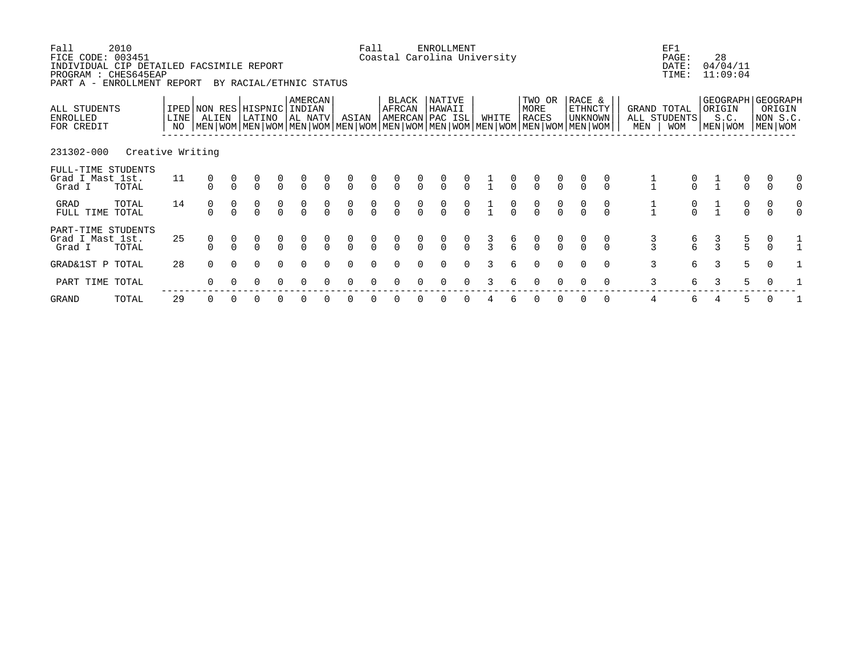| Fall<br>FICE CODE: 003451<br>INDIVIDUAL CIP DETAILED FACSIMILE REPORT<br>PROGRAM : CHES645EAP<br>PART A - ENROLLMENT REPORT | 2010             |                                           |          |          | BY RACIAL/ETHNIC STATUS              |                                      |                      |               |                                  | Fall                                 |                 |                                      | ENROLLMENT<br>Coastal Carolina University |               |               |               |                                  |                                      |                                                                                                                                                    |                |                    | EF1<br>PAGE:<br>DATE:<br>TIME: |               | 28<br>04/04/11<br>11:09:04                       |                                  |  |
|-----------------------------------------------------------------------------------------------------------------------------|------------------|-------------------------------------------|----------|----------|--------------------------------------|--------------------------------------|----------------------|---------------|----------------------------------|--------------------------------------|-----------------|--------------------------------------|-------------------------------------------|---------------|---------------|---------------|----------------------------------|--------------------------------------|----------------------------------------------------------------------------------------------------------------------------------------------------|----------------|--------------------|--------------------------------|---------------|--------------------------------------------------|----------------------------------|--|
| ALL STUDENTS<br>ENROLLED<br>FOR CREDIT                                                                                      |                  | IPED NON RES HISPNIC INDIAN<br>LINE<br>NO | ALIEN    |          | LATINO                               |                                      | AMERCAN<br>  AL NATV |               | ASIAN                            |                                      | BLACK<br>AFRCAN |                                      | NATIVE<br>HAWAII<br> AMERCAN PAC ISL      |               | WHITE         |               | TWO OR<br>MORE<br><b>RACES</b>   |                                      | RACE &<br><b>ETHNCTY</b><br>UNKNOWN<br>  MEN   WOM   MEN   WOM   MEN   WOM   MEN   WOM   MEN   WOM   MEN   WOM   MEN   WOM   MEN   WOM   MEN   WOM |                | GRAND TOTAL<br>MEN | ALL STUDENTS<br>WOM            |               | GEOGRAPH   GEOGRAPH<br>ORIGIN<br>S.C.<br>MEN WOM | ORIGIN<br>NON S.C.<br>MEN WOM    |  |
| 231302-000                                                                                                                  | Creative Writing |                                           |          |          |                                      |                                      |                      |               |                                  |                                      |                 |                                      |                                           |               |               |               |                                  |                                      |                                                                                                                                                    |                |                    |                                |               |                                                  |                                  |  |
| FULL-TIME STUDENTS<br>Grad I Mast 1st.<br>Grad I                                                                            | TOTAL            | 11                                        |          |          | $\frac{0}{0}$                        | $\frac{0}{0}$                        | $\overline{0}$       | $\frac{0}{0}$ | $\frac{0}{0}$                    | $\begin{matrix}0\\0\end{matrix}$     | $\frac{0}{0}$   | $\begin{matrix} 0 \\ 0 \end{matrix}$ | $\begin{matrix}0\\0\end{matrix}$          | $\frac{0}{0}$ | $\frac{1}{1}$ | $\frac{0}{0}$ | $\frac{0}{0}$                    | $\frac{0}{0}$                        |                                                                                                                                                    | $\frac{0}{0}$  | $\frac{1}{1}$      |                                | $\frac{1}{1}$ | $\int_{0}^{0}$                                   |                                  |  |
| GRAD<br>FULL TIME TOTAL                                                                                                     | TOTAL            | 14                                        |          |          | $\begin{matrix} 0 \\ 0 \end{matrix}$ | $\begin{matrix} 0 \\ 0 \end{matrix}$ |                      | $\alpha$      | $\begin{matrix}0\\0\end{matrix}$ | $\begin{matrix} 0 \\ 0 \end{matrix}$ | $\int_{0}^{0}$  | $\frac{0}{0}$                        | $\begin{matrix} 0 \\ 0 \end{matrix}$      | $\frac{0}{0}$ |               | $\frac{0}{0}$ | $\begin{matrix}0\\0\end{matrix}$ | $\begin{matrix} 0 \\ 0 \end{matrix}$ |                                                                                                                                                    | $\int_{0}^{0}$ | $\frac{1}{1}$      | $\frac{0}{0}$                  | $\frac{1}{1}$ | $\begin{matrix} 0 \\ 0 \end{matrix}$             | $\begin{matrix}0\\0\end{matrix}$ |  |
| PART-TIME STUDENTS<br>Grad I Mast 1st.<br>Grad I                                                                            | TOTAL            | 25                                        |          |          |                                      | $\frac{0}{0}$                        |                      | $\frac{0}{0}$ | $\frac{0}{0}$                    | $\frac{0}{0}$                        |                 |                                      | $\frac{0}{0}$                             | $\frac{0}{0}$ | $\frac{3}{3}$ | 6<br>հ        | $\frac{0}{0}$                    |                                      |                                                                                                                                                    |                | 3                  | 6<br>հ                         | $\frac{3}{3}$ | $\frac{5}{5}$                                    | 0                                |  |
| GRAD&1ST P TOTAL                                                                                                            |                  | 28                                        | $\Omega$ | $\Omega$ | $\Omega$                             | $\Omega$                             | $\Omega$             | $\Omega$      | $\Omega$                         | $\Omega$                             |                 |                                      | $\Omega$                                  | $\Omega$      | 3             | б.            | $\Omega$                         | $\Omega$                             | $\Omega$                                                                                                                                           | $\Omega$       | 3                  | 6                              | 3             | 5                                                | $\Omega$                         |  |
| PART TIME TOTAL                                                                                                             |                  |                                           | $\Omega$ |          |                                      |                                      |                      |               |                                  |                                      |                 |                                      |                                           |               |               |               |                                  |                                      |                                                                                                                                                    |                | 3                  | б.                             | 3             | 5                                                |                                  |  |
|                                                                                                                             |                  |                                           |          |          |                                      |                                      |                      |               |                                  |                                      |                 |                                      |                                           |               |               |               |                                  |                                      |                                                                                                                                                    |                |                    |                                |               |                                                  |                                  |  |

GRAND TOTAL 29 0 0 0 0 0 0 0 0 0 0 0 0 4 6 0 0 0 0 4 6 4 5 0 1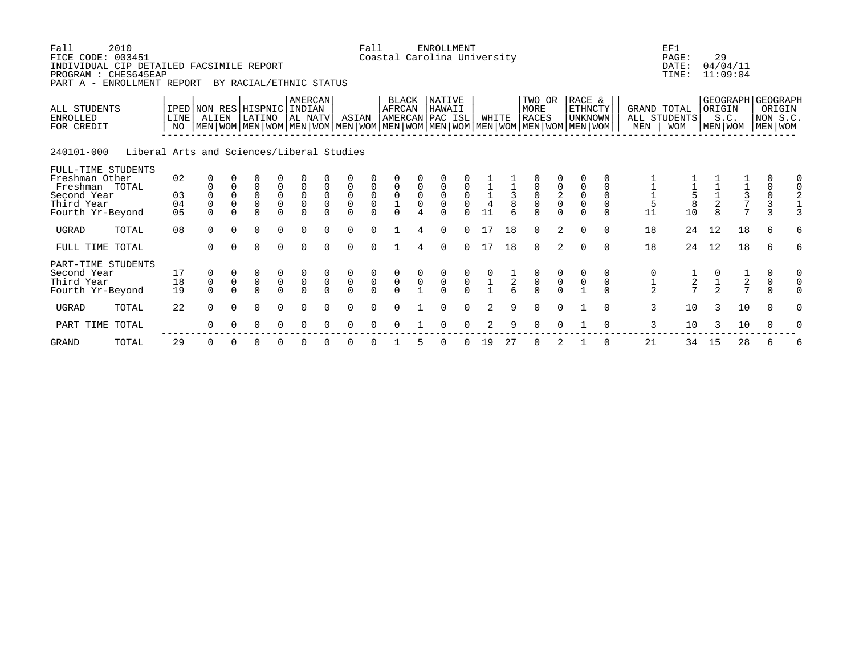| 2010<br>Fall<br>FICE CODE: 003451<br>INDIVIDUAL CIP DETAILED FACSIMILE REPORT<br>PROGRAM : CHES645EAP<br>PART A - ENROLLMENT REPORT<br>BY RACIAL/ETHNIC STATUS |                                           |                                  |                                                        |                                                   |                                                     |                                           |                                                       |                                                     |                                                 | Fall                                      | Coastal Carolina University                      |                                     | <b>ENROLLMENT</b>                                   |                                           |                                                     |               |                                           |                                           |                                                                                                                                               |          |                     | EF1<br>PAGE:<br>DATE:<br>TIME: | 29            | 04/04/11<br>11:09:04                                         |                                                   |                                                        |
|----------------------------------------------------------------------------------------------------------------------------------------------------------------|-------------------------------------------|----------------------------------|--------------------------------------------------------|---------------------------------------------------|-----------------------------------------------------|-------------------------------------------|-------------------------------------------------------|-----------------------------------------------------|-------------------------------------------------|-------------------------------------------|--------------------------------------------------|-------------------------------------|-----------------------------------------------------|-------------------------------------------|-----------------------------------------------------|---------------|-------------------------------------------|-------------------------------------------|-----------------------------------------------------------------------------------------------------------------------------------------------|----------|---------------------|--------------------------------|---------------|--------------------------------------------------------------|---------------------------------------------------|--------------------------------------------------------|
| ALL STUDENTS<br><b>ENROLLED</b><br>FOR CREDIT                                                                                                                  |                                           | LINE                             | IPED NON RES HISPNIC INDIAN<br>ALIEN                   |                                                   | LATINO                                              |                                           | AMERCAN<br>AL NATV                                    |                                                     | ASIAN                                           |                                           | <b>BLACK</b><br><b>AFRCAN</b><br>AMERCAN PAC ISL |                                     | <b>NATIVE</b><br>HAWAII                             |                                           | WHITE                                               |               | TWO OR<br>MORE<br><b>RACES</b>            |                                           | RACE &<br>ETHNCTY<br>unknown  <br>  MEN   WOM   MEN   WOM   MEN   WOM   MEN   WOM   MEN   WOM   MEN   WOM   MEN   WOM   MEN   WOM   MEN   WOM |          | GRAND TOTAL<br>MEN  | ALL STUDENTS<br><b>WOM</b>     | ORIGIN        | S.C.<br>MEN WOM                                              |                                                   | GEOGRAPH GEOGRAPH<br>ORIGIN<br>NON S.C.<br>  MEN   WOM |
| 240101-000                                                                                                                                                     | Liberal Arts and Sciences/Liberal Studies |                                  |                                                        |                                                   |                                                     |                                           |                                                       |                                                     |                                                 |                                           |                                                  |                                     |                                                     |                                           |                                                     |               |                                           |                                           |                                                                                                                                               |          |                     |                                |               |                                                              |                                                   |                                                        |
| FULL-TIME STUDENTS<br>Freshman Other<br>Freshman TOTAL<br>Second Year<br>Third Year<br>Fourth Yr-Beyond                                                        |                                           | 02<br>03<br>04<br>0 <sub>5</sub> | $\begin{smallmatrix}0\\0\end{smallmatrix}$<br>$\Omega$ | $\mathbf 0$<br>$\mathsf{O}\xspace$<br>$\mathsf 0$ | 0<br>$\begin{matrix} 0 \\ 0 \end{matrix}$<br>$\cap$ | $\begin{matrix} 0 \\ 0 \\ 0 \end{matrix}$ | $\begin{matrix} 0 \\ 0 \\ 0 \end{matrix}$<br>$\Omega$ | $\mathsf 0$<br>$\begin{matrix} 0 \\ 0 \end{matrix}$ | $\begin{matrix}0\\0\\0\end{matrix}$<br>$\Omega$ | $\begin{matrix} 0 \\ 0 \\ 0 \end{matrix}$ | $\begin{matrix} 0 \\ 0 \\ 1 \\ 0 \end{matrix}$   | $\begin{matrix}0\\0\\0\end{matrix}$ | $\mathsf 0$<br>$\begin{matrix} 0 \\ 0 \end{matrix}$ | $\begin{matrix} 0 \\ 0 \\ 0 \end{matrix}$ | $\begin{array}{c} 1 \\ 1 \\ 4 \end{array}$<br>11    | $\frac{1}{8}$ | $\overline{0}$<br>0                       | $\begin{matrix} 0 \\ 2 \\ 0 \end{matrix}$ | $0$<br>O<br>O                                                                                                                                 | $\Omega$ | $\frac{1}{5}$<br>11 | $rac{1}{5}$<br>10              | $\frac{1}{2}$ | $\begin{array}{c} 1 \\ 3 \\ 7 \end{array}$<br>$\overline{7}$ | 0<br>$\begin{array}{c}\n0 \\ 0 \\ 3\n\end{array}$ | 0<br>$\mathbf 0$                                       |
| <b>UGRAD</b>                                                                                                                                                   | TOTAL                                     | 08                               | $\Omega$                                               | $\Omega$                                          | $\mathbf 0$                                         | $\mathbf 0$                               | $\Omega$                                              | $\Omega$                                            | $\mathbf 0$                                     | $\Omega$                                  |                                                  |                                     | $\Omega$                                            | $\Omega$                                  | 17                                                  | 18            | $\mathbf 0$                               | 2                                         | $\Omega$                                                                                                                                      | $\Omega$ | 18                  | 24                             | 12            | 18                                                           | 6                                                 | 6                                                      |
| FULL TIME TOTAL                                                                                                                                                |                                           |                                  | $\Omega$                                               | $\Omega$                                          | $\Omega$                                            | $\Omega$                                  | $\Omega$                                              | $\Omega$                                            | $\Omega$                                        | $\Omega$                                  |                                                  | 4                                   | $\Omega$                                            | $\Omega$                                  | 17                                                  | 18            | $\Omega$                                  | 2                                         | $\Omega$                                                                                                                                      | $\Omega$ | 18                  | 24                             | 12            | 18                                                           | 6                                                 | 6                                                      |
| PART-TIME STUDENTS<br>Second Year<br>Third Year<br>Fourth Yr-Beyond                                                                                            |                                           | 17<br>18<br>19                   | $\begin{matrix} 0 \\ 0 \end{matrix}$<br>$\Omega$       | $\mathsf 0$<br>$\Omega$                           | $\begin{matrix}0\\0\\0\end{matrix}$                 | $\begin{matrix} 0 \\ 0 \\ 0 \end{matrix}$ | $\begin{matrix}0\\0\\0\end{matrix}$                   | $\mathbf 0$<br>$\cap$                               | $\begin{matrix} 0 \\ 0 \\ 0 \end{matrix}$       | $\begin{matrix} 0 \\ 0 \\ 0 \end{matrix}$ | $\begin{matrix} 0 \\ 0 \\ 0 \end{matrix}$        | $\int_{1}^{0}$                      | $\begin{matrix} 0 \\ 0 \\ 0 \end{matrix}$           | $\begin{matrix} 0 \\ 0 \\ 0 \end{matrix}$ | $\begin{smallmatrix} 0 \\ 1 \\ 1 \end{smallmatrix}$ | $\frac{1}{2}$ | $\begin{matrix} 0 \\ 0 \\ 0 \end{matrix}$ | $\overline{0}$                            | $\int_{1}^{0}$                                                                                                                                | 0        | $\frac{1}{2}$       | $\frac{1}{2}$                  | $\frac{1}{2}$ | $\frac{1}{2}$                                                | 0<br>$\mathsf{O}$<br>$\Omega$                     | 0                                                      |
| <b>UGRAD</b>                                                                                                                                                   | TOTAL                                     | 22                               | $\Omega$                                               | $\Omega$                                          | $\Omega$                                            | $\Omega$                                  | $\Omega$                                              |                                                     | $\Omega$                                        | $\Omega$                                  | ∩                                                |                                     | $\Omega$                                            | $\Omega$                                  | 2                                                   | 9             | U                                         | $\Omega$                                  |                                                                                                                                               | $\Omega$ | 3                   | 10                             | 3             | 10                                                           | $\Omega$                                          | 0                                                      |
| PART TIME TOTAL                                                                                                                                                |                                           |                                  | $\Omega$                                               |                                                   | $\Omega$                                            | 0                                         | $\Omega$                                              |                                                     | $\Omega$                                        | $\cap$                                    | ∩                                                |                                     | <sup>0</sup>                                        | $\Omega$                                  | 2                                                   | q             | <sup>n</sup>                              |                                           |                                                                                                                                               | $\Omega$ | 3                   | 10                             | 3             | 10                                                           | 0                                                 |                                                        |
| <b>GRAND</b>                                                                                                                                                   | TOTAL                                     | 29                               | $\Omega$                                               |                                                   | 0                                                   |                                           |                                                       |                                                     |                                                 |                                           |                                                  |                                     |                                                     |                                           | 19                                                  | 27            |                                           |                                           |                                                                                                                                               |          | 21                  | 34                             | 15            | 28                                                           | 6                                                 | 6                                                      |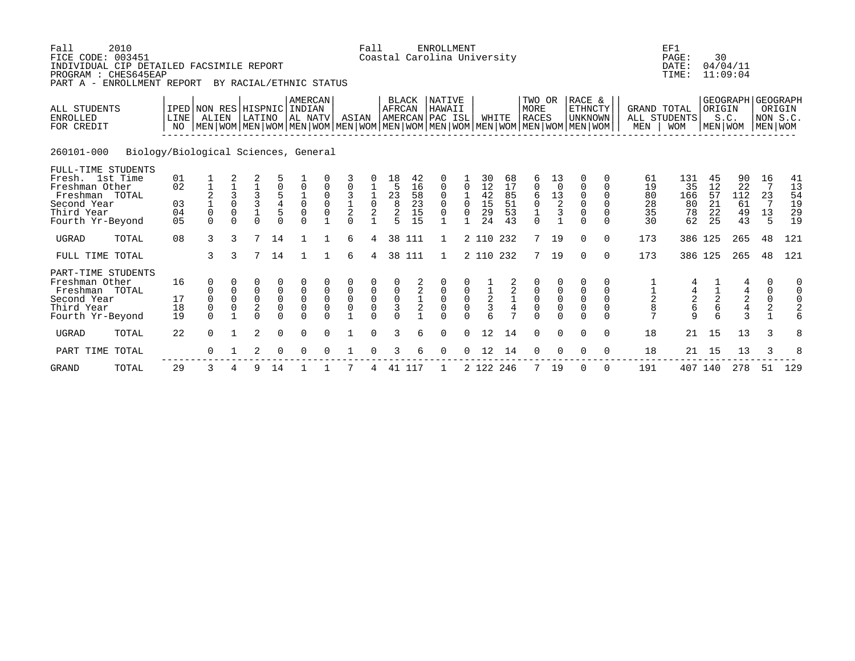| Fall<br>FICE CODE: 003451<br>INDIVIDUAL CIP DETAILED FACSIMILE REPORT<br>PROGRAM : CHES645EAP<br>PART A - ENROLLMENT REPORT | 2010                                 |                                           |                                                                                                                      |                                           |                                                     |                               | BY RACIAL/ETHNIC STATUS                               |                                 |                                           | Fall                                      |                                                               |                                               | <b>ENROLLMENT</b><br>Coastal Carolina University                       |                                                          |                                  |                                         |                                                                |                                                          |                                                            |                                                               |                                                 | EF1<br>PAGE:<br>DATE:<br>TIME:                  | 30                               | 04/04/11<br>11:09:04                            |                                                        |                                  |
|-----------------------------------------------------------------------------------------------------------------------------|--------------------------------------|-------------------------------------------|----------------------------------------------------------------------------------------------------------------------|-------------------------------------------|-----------------------------------------------------|-------------------------------|-------------------------------------------------------|---------------------------------|-------------------------------------------|-------------------------------------------|---------------------------------------------------------------|-----------------------------------------------|------------------------------------------------------------------------|----------------------------------------------------------|----------------------------------|-----------------------------------------|----------------------------------------------------------------|----------------------------------------------------------|------------------------------------------------------------|---------------------------------------------------------------|-------------------------------------------------|-------------------------------------------------|----------------------------------|-------------------------------------------------|--------------------------------------------------------|----------------------------------|
| ALL STUDENTS<br><b>ENROLLED</b><br>FOR CREDIT                                                                               |                                      | IPED NON RES HISPNIC INDIAN<br>LINE<br>NO | ALIEN<br>  MEN   WOM   MEN   WOM   MEN   WOM   MEN   WOM   MEN   WOM   MEN   WOM   MEN   WOM   MEN   WOM   MEN   WOM |                                           | LATINO                                              |                               | <b>AMERCAN</b><br>AL NATV                             |                                 | ASIAN                                     |                                           | <b>AFRCAN</b>                                                 | <b>BLACK</b>                                  | <b>NATIVE</b><br>HAWAII<br>AMERCAN PAC ISL                             |                                                          |                                  | WHITE                                   | TWO OR<br>MORE<br><b>RACES</b>                                 |                                                          | RACE &<br><b>ETHNCTY</b><br><b>UNKNOWN</b>                 |                                                               | <b>GRAND TOTAL</b><br>MEN                       | ALL STUDENTS<br><b>WOM</b>                      | ORIGIN<br>MEN WOM                | GEOGRAPH GEOGRAPH<br>S.C.                       | NON S.C.<br>MEN WOM                                    | ORIGIN                           |
| 260101-000                                                                                                                  | Biology/Biological Sciences, General |                                           |                                                                                                                      |                                           |                                                     |                               |                                                       |                                 |                                           |                                           |                                                               |                                               |                                                                        |                                                          |                                  |                                         |                                                                |                                                          |                                                            |                                                               |                                                 |                                                 |                                  |                                                 |                                                        |                                  |
| FULL-TIME STUDENTS<br>Fresh. 1st Time<br>Freshman Other<br>Freshman TOTAL<br>Second Year<br>Third Year<br>Fourth Yr-Beyond  |                                      | 01<br>02<br>03<br>04<br>0 <sub>5</sub>    | $\mathbf 0$<br>$\Omega$                                                                                              | $\Omega$<br>$\Omega$<br>$\Omega$          | 3<br>3<br>$\mathbf 1$<br>$\Omega$                   | $\frac{5}{4}$<br>$\Omega$     | $\mathbf 0$<br>$\Omega$<br>$\mathbf 0$<br>$\Omega$    | 0<br>$\Omega$<br>$\mathbf 0$    | $\overline{0}$<br>3<br>$\frac{1}{2}$      | $\frac{1}{0}$<br>$\overline{2}$           | 18<br>5<br>23<br>$\begin{array}{c}\n8 \\ 2 \\ 5\n\end{array}$ | 42<br>16<br>58<br>$\overline{23}$<br>15<br>15 | $\mathbf{0}$<br>$\mathbf 0$<br>$\Omega$<br>$\mathbf 0$<br>$\mathbf{1}$ | $\Omega$<br>$\Omega$<br>$\Omega$                         | 30<br>12<br>42<br>15<br>29<br>24 | 68<br>17<br>85<br>51<br>53<br>43        | 6<br>$\mathbf 0$<br>6<br>$\mathsf{O}\xspace$<br>$\frac{1}{0}$  | 13<br>$\mathbf 0$<br>13<br>$\overline{2}$<br>$\mathsf 3$ | $\mathbf 0$<br>0<br>$\mathbf 0$<br>$\mathbf 0$<br>$\Omega$ | 0<br>$\Omega$<br>$\Omega$<br>$\Omega$<br>$\Omega$<br>$\Omega$ | 61<br>19<br>80<br>28<br>35<br>30                | 131<br>35<br>166<br>80<br>78<br>62              | 45<br>12<br>57<br>21<br>22<br>25 | 90<br>22<br>112<br>61<br>49<br>43               | 16<br>7<br>23<br>7<br>13<br>5                          | 41<br>13<br>54<br>19<br>29<br>19 |
| <b>UGRAD</b>                                                                                                                | TOTAL                                | 08                                        | 3                                                                                                                    | 3                                         | 7                                                   | 14                            |                                                       |                                 | 6                                         | 4                                         | 38                                                            | 111                                           | 1                                                                      |                                                          | 2 110 232                        |                                         | $7^{\circ}$                                                    | 19                                                       | $\Omega$                                                   | $\Omega$                                                      | 173                                             |                                                 | 386 125                          | 265                                             | 48                                                     | 121                              |
| FULL TIME TOTAL                                                                                                             |                                      |                                           | 3                                                                                                                    | 3                                         | 7                                                   | 14                            |                                                       |                                 | 6                                         | 4                                         |                                                               | 38 111                                        | $\mathbf{1}$                                                           |                                                          | 2 110 232                        |                                         | $7\overline{ }$                                                | 19                                                       | $\Omega$                                                   | $\Omega$                                                      | 173                                             |                                                 | 386 125                          | 265                                             | 48                                                     | 121                              |
| PART-TIME STUDENTS<br>Freshman Other<br>Freshman TOTAL<br>Second Year<br>Third Year<br>Fourth Yr-Beyond                     |                                      | 16<br>17<br>18<br>19                      | 0<br>$\mathbf 0$<br>$\mathbf 0$<br>$\Omega$                                                                          | $\mathbf 0$<br>$\mathbf 0$<br>$\mathbf 0$ | 0<br>0<br>$\mathbf 0$<br>$\overline{2}$<br>$\Omega$ | 0<br>$\mathsf{O}\xspace$<br>0 | $\mathbf 0$<br>$\mathbf 0$<br>$\mathbf 0$<br>$\Omega$ | $\mathbf 0$<br>$\mathbf 0$<br>0 | $\mathsf 0$<br>$\mathsf 0$<br>$\mathsf 0$ | $\begin{matrix} 0 \\ 0 \\ 0 \end{matrix}$ | $\mathsf 0$<br>$\mathsf 0$<br>3                               | 2<br>$\mathbf 2$<br>$\frac{1}{2}$             | 0<br>$\mathbf 0$<br>$\mathbf 0$                                        | $\boldsymbol{0}$<br>$\begin{matrix} 0 \\ 0 \end{matrix}$ | $\frac{1}{2}$<br>3               | 2<br>$\boldsymbol{2}$<br>$\overline{4}$ | $\mathsf{O}\xspace$<br>$\mathsf{O}$<br>$\mathbf 0$<br>$\Omega$ | 0<br>$\mathsf 0$<br>$\mathsf 0$<br>$\Omega$              | 0<br>$\mathsf 0$<br>$\mathsf 0$<br>$\mathbf 0$<br>$\Omega$ | 0<br>$\mathbf 0$<br>$\mathbf 0$<br>0<br>$\Omega$              | $\begin{array}{c} 1 \\ 2 \\ 8 \end{array}$<br>7 | $\begin{array}{c} 4 \\ 2 \\ 6 \end{array}$<br>9 | $\frac{1}{2}$                    | $\begin{array}{c} 4 \\ 2 \\ 4 \\ 3 \end{array}$ | 0<br>$\mathsf{O}$<br>$\mathsf{O}\xspace$<br>$\sqrt{2}$ | 0<br>6                           |
| <b>UGRAD</b>                                                                                                                | TOTAL                                | 22                                        | $\Omega$                                                                                                             |                                           | 2                                                   | 0                             | $\Omega$                                              | $\Omega$                        |                                           | $\Omega$                                  | 3                                                             | 6                                             | $\mathbf 0$                                                            | $\mathbf 0$                                              | 12                               | 14                                      | $\mathbf 0$                                                    | $\mathbf 0$                                              | $\Omega$                                                   | 0                                                             | 18                                              | 21                                              | 15                               | 13                                              | 3                                                      | 8                                |
| PART TIME TOTAL                                                                                                             |                                      |                                           | $\Omega$                                                                                                             |                                           | 2                                                   | $\Omega$                      | $\Omega$                                              |                                 |                                           |                                           | 3                                                             | б                                             | $\Omega$                                                               | $\Omega$                                                 | 12                               | 14                                      | $\Omega$                                                       | $\Omega$                                                 | $\Omega$                                                   | $\Omega$                                                      | 18                                              | 21                                              | 15                               | 13                                              | 3                                                      | 8                                |
| <b>GRAND</b>                                                                                                                | TOTAL                                | 29                                        | 3                                                                                                                    | 4                                         | 9                                                   | 14                            |                                                       |                                 |                                           |                                           | 41                                                            | 117                                           | 1                                                                      |                                                          | 2 122 246                        |                                         | 7                                                              | 19                                                       | $\Omega$                                                   | $\Omega$                                                      | 191                                             | 407                                             | 140                              | 278                                             | 51                                                     | 129                              |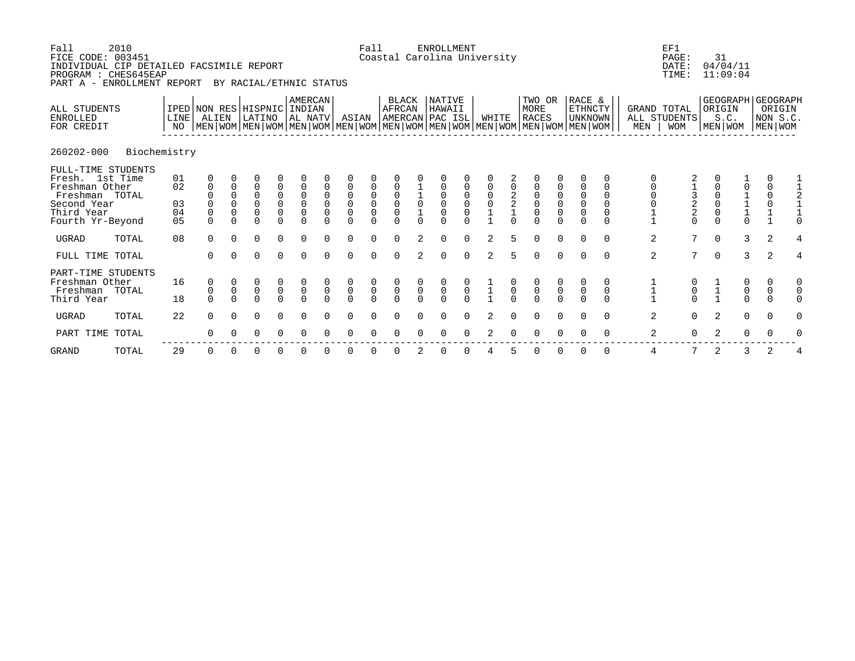| Fall<br>FICE CODE: 003451<br>INDIVIDUAL CIP DETAILED FACSIMILE REPORT<br>PROGRAM : CHES645EAP<br>PART A - ENROLLMENT REPORT | 2010         |                                        |                                                       |                                                            | BY RACIAL/ETHNIC STATUS                                                                                                                              |                                                                                              |                                                                      |                                           |                                                                     | Fall                                                                    |                                           |                                           | <b>ENROLLMENT</b><br>Coastal Carolina University                |                                                           |                    |        |                                                                         |                |                                                       |                         |                  | EF1<br>PAGE:<br>DATE:<br>TIME:            | 31<br>04/04/11<br>11:09:04                            |                                                        |                                   |   |
|-----------------------------------------------------------------------------------------------------------------------------|--------------|----------------------------------------|-------------------------------------------------------|------------------------------------------------------------|------------------------------------------------------------------------------------------------------------------------------------------------------|----------------------------------------------------------------------------------------------|----------------------------------------------------------------------|-------------------------------------------|---------------------------------------------------------------------|-------------------------------------------------------------------------|-------------------------------------------|-------------------------------------------|-----------------------------------------------------------------|-----------------------------------------------------------|--------------------|--------|-------------------------------------------------------------------------|----------------|-------------------------------------------------------|-------------------------|------------------|-------------------------------------------|-------------------------------------------------------|--------------------------------------------------------|-----------------------------------|---|
| ALL STUDENTS<br><b>ENROLLED</b><br>FOR CREDIT                                                                               |              | LINE<br>NO                             | ALIEN                                                 |                                                            | IPED NON RES HISPNIC INDIAN<br>LATINO<br>  MEN   WOM   MEN   WOM   MEN   WOM   MEN   WOM   MEN   WOM   MEN   WOM   MEN   WOM   MEN   WOM   MEN   WOM |                                                                                              | AMERCAN<br>AL NATV                                                   |                                           | ASIAN                                                               |                                                                         | <b>BLACK</b><br><b>AFRCAN</b>             |                                           | <b>NATIVE</b><br>HAWAII<br>AMERCAN PAC ISL                      |                                                           | WHITE              |        | TWO OR<br>MORE<br><b>RACES</b>                                          |                | RACE &<br><b>ETHNCTY</b><br>UNKNOWN                   |                         | MEN              | GRAND TOTAL<br>ALL STUDENTS<br><b>WOM</b> | GEOGRAPH GEOGRAPH<br>ORIGIN<br>S.C.<br>MEN WOM        |                                                        | ORIGIN<br>NON S.C.<br>MEN WOM     |   |
| 260202-000                                                                                                                  | Biochemistry |                                        |                                                       |                                                            |                                                                                                                                                      |                                                                                              |                                                                      |                                           |                                                                     |                                                                         |                                           |                                           |                                                                 |                                                           |                    |        |                                                                         |                |                                                       |                         |                  |                                           |                                                       |                                                        |                                   |   |
| FULL-TIME STUDENTS<br>Fresh. 1st Time<br>Freshman Other<br>Freshman TOTAL<br>Second Year<br>Third Year<br>Fourth Yr-Beyond  |              | 01<br>02<br>03<br>04<br>0 <sub>5</sub> | $\mathbf 0$<br>$\mathbf 0$<br>$\mathbf 0$<br>$\Omega$ | $\mathbf 0$<br>$\mathbf 0$<br>$\mathbf 0$<br>0<br>$\Omega$ | $\overline{0}$<br>$\mathbf 0$<br>$\mathbf 0$<br>$\overline{0}$<br>$\Omega$                                                                           | $\mathsf{O}\xspace$<br>$\begin{smallmatrix}0\\0\end{smallmatrix}$<br>$\mathsf 0$<br>$\Omega$ | $\mathsf 0$<br>$\mathsf 0$<br>$\mathbf 0$<br>$\mathbf 0$<br>$\Omega$ | $\mathbf 0$<br>$\mathbf 0$<br>$\mathbf 0$ | $\overline{0}$<br>$\mathsf{O}\xspace$<br>$\overline{0}$<br>$\Omega$ | $\begin{matrix} 0 \\ 0 \end{matrix}$<br>$\mathsf{O}\xspace$<br>$\Omega$ | $\overline{0}$<br>$\mathbf 0$<br>$\Omega$ | $\begin{smallmatrix}1\0\end{smallmatrix}$ | $\begin{matrix} 0 \\ 0 \end{matrix}$<br>$\mathbf 0$<br>$\Omega$ | $\begin{smallmatrix}0\\0\end{smallmatrix}$<br>$\mathbf 0$ | $_{\rm 0}^{\rm 0}$ | $_2^2$ | $\begin{matrix} 0 \\ 0 \end{matrix}$<br>$\mathsf{O}\xspace$<br>$\Omega$ | $\mathsf 0$    | $\mathsf 0$<br>$\mathsf 0$<br>$\mathbf 0$<br>$\Omega$ | $\mathbf 0$<br>$\Omega$ | 0<br>$\mathbf 1$ | $\frac{1}{2}$<br>2<br>$\Omega$            | $\mathbf 0$<br>$\mathbf 0$<br>$\mathbf 0$<br>$\Omega$ | $\begin{array}{c} 1 \\ 1 \\ 1 \end{array}$<br>$\Omega$ | 0<br>$\mathsf{O}$<br>$\mathsf 0$  |   |
| <b>UGRAD</b>                                                                                                                | TOTAL        | 08                                     | $\Omega$                                              | $\Omega$                                                   | $\Omega$                                                                                                                                             | $\Omega$                                                                                     | $\Omega$                                                             | $\Omega$                                  | $\Omega$                                                            | $\Omega$                                                                | $\Omega$                                  | 2                                         | $\Omega$                                                        | $\Omega$                                                  | 2                  | 5      | $\Omega$                                                                | $\Omega$       | $\Omega$                                              | $\Omega$                | 2                | $7\overline{ }$                           | $\Omega$                                              | 3                                                      | 2                                 | 4 |
| FULL TIME TOTAL                                                                                                             |              |                                        | $\Omega$                                              | $\Omega$                                                   | $\Omega$                                                                                                                                             | $\Omega$                                                                                     | $\Omega$                                                             | $\Omega$                                  | $\Omega$                                                            | $\Omega$                                                                | $\Omega$                                  | $\mathcal{L}$                             | $\Omega$                                                        | $\Omega$                                                  | $\mathfrak{D}$     | 5      | $\Omega$                                                                | $\Omega$       | $\Omega$                                              | $\Omega$                | 2                | 7                                         | $\Omega$                                              | 3                                                      | 2                                 | 4 |
| PART-TIME STUDENTS<br>Freshman Other<br>Freshman<br>Third Year                                                              | TOTAL        | 16<br>18                               | 0<br>$\mathbf 0$<br>$\Omega$                          | $\mathsf{O}$<br>$\Omega$                                   | 0<br>$\overline{0}$<br>$\Omega$                                                                                                                      | $\begin{matrix} 0 \\ 0 \\ 0 \end{matrix}$                                                    | $\overline{0}$                                                       | $\mathsf 0$<br>$\Omega$                   | $\begin{matrix} 0 \\ 0 \\ 0 \end{matrix}$                           | $\overline{0}$                                                          | $\overline{0}$                            | $\mathsf 0$<br>$\Omega$                   | $\begin{matrix} 0 \\ 0 \\ 0 \end{matrix}$                       | $\overline{0}$                                            | $\frac{1}{1}$      |        | $\overline{0}$                                                          | $\overline{0}$ | $\mathsf 0$                                           | 0                       | $\mathbf 1$      | $\overline{0}$                            | $\frac{1}{1}$                                         | 0<br>$\overline{0}$                                    | 0<br>$\boldsymbol{0}$<br>$\Omega$ |   |
| <b>UGRAD</b>                                                                                                                | TOTAL        | 22                                     | $\Omega$                                              | $\Omega$                                                   | $\Omega$                                                                                                                                             | $\Omega$                                                                                     | $\Omega$                                                             | $\Omega$                                  | $\Omega$                                                            | $\Omega$                                                                | $\Omega$                                  | $\cap$                                    | $\Omega$                                                        | $\Omega$                                                  | $\mathcal{L}$      |        | $\Omega$                                                                | $\Omega$       | $\cap$                                                | $\Omega$                | 2                | $\Omega$                                  | 2                                                     | $\Omega$                                               | $\Omega$                          | 0 |
| PART TIME                                                                                                                   | TOTAL        |                                        | ∩                                                     |                                                            |                                                                                                                                                      |                                                                                              | ∩                                                                    |                                           |                                                                     |                                                                         |                                           |                                           |                                                                 |                                                           |                    |        |                                                                         |                |                                                       |                         | 2                | $\Omega$                                  |                                                       |                                                        |                                   |   |

GRAND TOTAL 29 0 0 0 0 0 0 0 0 0 2 0 0 4 5 0 0 0 0 4 7 2 3 2 4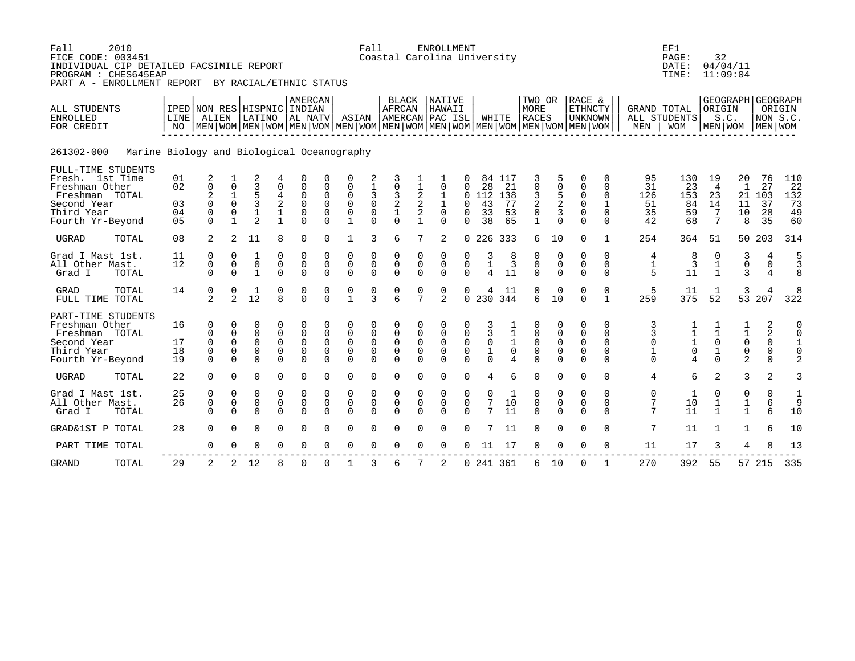| Fall<br>2010<br>FICE CODE: 003451<br>INDIVIDUAL CIP DETAILED FACSIMILE REPORT<br>PROGRAM : CHES645EAP<br>PART A - ENROLLMENT REPORT BY RACIAL/ETHNIC STATUS |                                            |                                                                                                                                                        |                                                                         |                                                                |                                        |                                                                           |                                                      |                                                                        | Fall                                                                  | Coastal Carolina University                             |                                      | <b>ENROLLMENT</b>                                         |                                       |                                                     |                                       |                                                           |                                                |                                                      |                                                                 |                                   | EF1<br>PAGE:<br>DATE:<br>TIME:                  | 32                                              | 04/04/11<br>11:09:04                                  |                                                                  |                                              |
|-------------------------------------------------------------------------------------------------------------------------------------------------------------|--------------------------------------------|--------------------------------------------------------------------------------------------------------------------------------------------------------|-------------------------------------------------------------------------|----------------------------------------------------------------|----------------------------------------|---------------------------------------------------------------------------|------------------------------------------------------|------------------------------------------------------------------------|-----------------------------------------------------------------------|---------------------------------------------------------|--------------------------------------|-----------------------------------------------------------|---------------------------------------|-----------------------------------------------------|---------------------------------------|-----------------------------------------------------------|------------------------------------------------|------------------------------------------------------|-----------------------------------------------------------------|-----------------------------------|-------------------------------------------------|-------------------------------------------------|-------------------------------------------------------|------------------------------------------------------------------|----------------------------------------------|
| ALL STUDENTS<br><b>ENROLLED</b><br>FOR CREDIT                                                                                                               | LINE                                       | IPED NON RES HISPNIC INDIAN<br>ALIEN<br>NO   MEN   WOM   MEN   WOM   MEN   WOM   MEN   WOM   MEN   WOM   MEN   WOM   MEN   WOM   MEN   WOM   MEN   WOM |                                                                         |                                                                |                                        | AMERCAN<br>LATINO AL NATV                                                 |                                                      | ASIAN                                                                  |                                                                       | <b>BLACK</b><br>AFRCAN<br>AMERCAN PAC ISL               |                                      | <b>NATIVE</b><br>HAWAII                                   |                                       |                                                     | WHITE                                 | MORE<br>RACES                                             | TWO OR                                         | RACE &                                               | <b>ETHNCTY</b><br><b>UNKNOWN</b>                                |                                   | <b>GRAND TOTAL</b><br>ALL STUDENTS<br>MEN   WOM | ORIGIN                                          | GEOGRAPH GEOGRAPH<br>S.C.<br>  MEN   WOM   MEN   WOM  |                                                                  | ORIGIN<br>NON S.C.                           |
| 261302-000                                                                                                                                                  | Marine Biology and Biological Oceanography |                                                                                                                                                        |                                                                         |                                                                |                                        |                                                                           |                                                      |                                                                        |                                                                       |                                                         |                                      |                                                           |                                       |                                                     |                                       |                                                           |                                                |                                                      |                                                                 |                                   |                                                 |                                                 |                                                       |                                                                  |                                              |
| FULL-TIME STUDENTS<br>Fresh. 1st Time<br>Freshman Other<br>Freshman TOTAL<br>Second Year<br>Third Year<br>Fourth Yr-Beyond                                  | 01<br>02<br>03<br>04<br>05                 | $\frac{2}{0}$<br>$\overline{\mathbf{c}}$<br>$\mathbf 0$<br>$\mathsf 0$<br>$\Omega$                                                                     | $\frac{1}{0}$<br>$\mathbf 1$<br>$\Omega$<br>$\mathbf 0$<br>$\mathbf{1}$ | 2<br>3<br>5<br>$\overline{3}$<br>$\mathbf 1$<br>$\overline{a}$ | 0<br>4<br>2<br>$\mathbf{1}$            | 0<br>$\mathbf 0$<br>$\mathbf 0$<br>$\mathbf 0$<br>$\mathsf 0$<br>$\Omega$ | $\Omega$<br>$\mathbf 0$<br>$\Omega$<br>0<br>$\Omega$ | $\mathbf 0$<br>$\mathbf 0$<br>$\mathbf 0$<br>$\pmb{0}$<br>$\mathbf{1}$ | $\begin{array}{c} 1 \\ 3 \\ 0 \end{array}$<br>$\mathsf 0$<br>$\Omega$ | $\mathbf 0$<br>$\frac{3}{2}$<br>$\mathbf 1$<br>$\Omega$ | 2<br>2<br>2                          | $\Omega$<br>$\mathbf{1}$<br>$\mathbf{1}$<br>0<br>$\Omega$ | $\Omega$<br>$\Omega$<br>0<br>$\Omega$ | 28<br>0112<br>43<br>33<br>38                        | 84 117<br>21<br>138<br>77<br>53<br>65 | $\mathbf 0$<br>3<br>2<br>$\boldsymbol{0}$<br>$\mathbf{1}$ | 0<br>$\frac{5}{2}$<br>3                        | $\Omega$<br>$\mathbf 0$<br>$\Omega$<br>0<br>$\Omega$ | $\Omega$<br>$\Omega$<br>$\mathbf{1}$<br>$\mathbf 0$<br>$\Omega$ | 95<br>31<br>126<br>51<br>35<br>42 | 130<br>23<br>153<br>84<br>59<br>68              | 19<br>$\overline{4}$<br>23<br>14<br>-7<br>7     | 20<br>$\mathbf{1}$<br>11<br>10<br>8                   | 76<br>27<br>21 103<br>37<br>28<br>35                             | 110<br>22<br>132<br>73<br>49<br>60           |
| <b>UGRAD</b><br>TOTAL                                                                                                                                       | 08                                         | 2                                                                                                                                                      | 2                                                                       | 11                                                             | 8                                      | $\Omega$                                                                  | $\Omega$                                             | $\mathbf{1}$                                                           | 3                                                                     | 6                                                       | 7                                    | 2                                                         |                                       |                                                     | 0 226 333                             | 6                                                         | 10                                             | $\Omega$                                             | 1                                                               | 254                               | 364                                             | 51                                              |                                                       | 50 203                                                           | 314                                          |
| Grad I Mast 1st.<br>All Other Mast.<br>Grad I<br>TOTAL                                                                                                      | 11<br>12                                   | $\mathbf 0$<br>$\mathbf 0$<br>$\Omega$                                                                                                                 | $\Omega$<br>0<br>$\Omega$                                               | $\mathbf 0$<br>$\mathbf{1}$                                    | 0<br>0<br>$\Omega$                     | 0<br>$\mathsf 0$<br>$\Omega$                                              | 0<br>$\mathbf 0$<br>$\Omega$                         | 0<br>$\mathbf 0$<br>$\Omega$                                           | 0<br>$\mathsf 0$<br>$\Omega$                                          | $\Omega$<br>$\mathsf{O}\xspace$<br>$\Omega$             | 0<br>$\mathbf 0$<br>$\Omega$         | 0<br>$\mathbf 0$<br>$\Omega$                              | 0<br>0<br>$\Omega$                    | 3<br>$\mathbf 1$<br>$\overline{4}$                  | 8<br>3<br>11                          | 0<br>$\mathsf 0$<br>$\Omega$                              | 0<br>$\mathbf 0$<br>$\Omega$                   | 0<br>0<br>$\Omega$                                   | $\Omega$<br>$\mathbf 0$<br>$\Omega$                             | 4<br>1<br>5                       | 8<br>3<br>11                                    | 0<br>$\mathbf 1$<br>$\mathbf{1}$                | 3<br>$\mathsf 0$<br>3                                 | 4<br>0<br>4                                                      | 5<br>3<br>8                                  |
| <b>GRAD</b><br>TOTAL<br>FULL TIME TOTAL                                                                                                                     | 14                                         | 0<br>2                                                                                                                                                 | 0<br>$\mathfrak{D}$                                                     | 1<br>12                                                        | 0<br>8                                 | 0<br>$\Omega$                                                             | 0<br>$\cap$                                          | 0<br>$\mathbf{1}$                                                      | 0<br>$\mathbf{3}$                                                     | 0<br>б                                                  | 0<br>7                               | 0<br>2                                                    | 0<br>$\Omega$                         | 4                                                   | 11<br>230 344                         | 0<br>6                                                    | 0<br>10                                        | 0<br>$\Omega$                                        | 0<br>$\mathbf{1}$                                               | 5<br>259                          | 11<br>375                                       | 52                                              | 3<br>53                                               | $\overline{4}$<br>207                                            | 8<br>322                                     |
| PART-TIME STUDENTS<br>Freshman Other<br>Freshman TOTAL<br>Second Year<br>Third Year<br>Fourth Yr-Beyond                                                     | 16<br>17<br>18<br>19                       | $\mathbf 0$<br>$\mathbf 0$<br>$\mathbf 0$<br>0<br>$\Omega$                                                                                             | $\Omega$<br>0<br>$\mathbf 0$<br>0<br>$\Omega$                           | 0<br>$\mathbf 0$<br>$\mathbf 0$<br>0<br>$\cap$                 | 0<br>$\mathbf 0$<br>0<br>0<br>$\Omega$ | $\Omega$<br>$\mathbf 0$<br>$\mathbf 0$<br>0<br>$\Omega$                   | 0<br>$\mathbf 0$<br>$\mathbf 0$<br>0<br>$\Omega$     | 0<br>0<br>0<br>$\mathbf 0$<br>$\Omega$                                 | $\Omega$<br>0<br>$\mathsf{O}\xspace$<br>0<br>$\Omega$                 | 0<br>$\mathbf 0$<br>$\mathbf 0$<br>0<br>$\Omega$        | $\Omega$<br>0<br>$\overline{0}$<br>0 | 0<br>$\mathbf 0$<br>$\mathbf 0$<br>$\mathbf 0$<br>$\cap$  | 0<br>0<br>$\mathsf 0$<br>0            | 3<br>$\overline{3}$<br>$\mathbf 0$<br>1<br>$\Omega$ | $\frac{1}{1}$<br>$\mathsf{O}$         | 0<br>$\mathsf 0$<br>$\mathsf{O}\xspace$<br>$\mathsf 0$    | 0<br>$\mathbf 0$<br>$\mathsf 0$<br>$\mathbf 0$ | $\Omega$<br>0<br>$\mathsf 0$<br>0<br>$\Omega$        | 0<br>$\Omega$<br>$\Omega$<br>$\mathbf 0$<br>$\Omega$            | 3<br>3<br>0<br>1<br>$\Omega$      | $\mathbf 0$                                     | $\mathsf{O}\xspace$<br>$\mathbf{1}$<br>$\Omega$ | $\begin{bmatrix} 1 \\ 1 \\ 0 \\ 0 \end{bmatrix}$<br>2 | 2<br>$\overline{2}$<br>$\overline{0}$<br>$\mathbf 0$<br>$\Omega$ | 0<br>$\mathbf 0$<br>1<br>0<br>$\overline{a}$ |
| <b>UGRAD</b><br>TOTAL                                                                                                                                       | 22                                         | $\Omega$                                                                                                                                               | $\Omega$                                                                | $\Omega$                                                       | $\Omega$                               | $\Omega$                                                                  | $\Omega$                                             | $\Omega$                                                               | $\Omega$                                                              | $\Omega$                                                | $\Omega$                             | $\Omega$                                                  | $\Omega$                              | $\overline{4}$                                      | 6                                     | $\Omega$                                                  | $\Omega$                                       | $\Omega$                                             | $\Omega$                                                        | 4                                 | 6                                               | 2                                               | 3                                                     | 2                                                                | 3                                            |
| Grad I Mast 1st.<br>All Other Mast.<br>Grad I<br>TOTAL                                                                                                      | 25<br>26                                   | $\mathbf 0$<br>$\mathbf 0$<br>$\Omega$                                                                                                                 | 0<br>0<br>$\Omega$                                                      | 0<br>$\mathbf 0$<br>$\Omega$                                   | 0<br>0<br>$\Omega$                     | 0<br>$\mathbf 0$<br>$\Omega$                                              | 0<br>$\mathbf 0$<br>$\Omega$                         | 0<br>0<br>$\Omega$                                                     | 0<br>$\mathbf 0$<br>$\Omega$                                          | $\Omega$<br>$\mathbf 0$<br>$\Omega$                     | $\overline{0}$<br>$\Omega$           | 0<br>$\mathbf 0$<br>$\Omega$                              | 0<br>$\mathbf 0$<br>$\Omega$          | 0<br>7<br>$7\phantom{.0}$                           | 10<br>11                              | $\mathbf 0$<br>$\mathbf 0$<br>$\Omega$                    | $\mathbf 0$<br>$\mathbf 0$<br>$\Omega$         | $\Omega$<br>$\mathbf 0$<br>$\Omega$                  | $\Omega$<br>$\mathbf 0$<br>$\Omega$                             | $\mathbf 0$<br>7<br>7             | 1<br>10<br>11                                   | 0<br>$\mathbf{1}$<br>$\mathbf{1}$               | $\mathbf 0$<br>$\frac{1}{1}$                          | 0<br>6<br>6                                                      | 1<br>9<br>10                                 |
| GRAD&1ST P TOTAL                                                                                                                                            | 28                                         | $\Omega$                                                                                                                                               |                                                                         | $\Omega$                                                       | $\Omega$                               | $\Omega$                                                                  | $\Omega$                                             | $\Omega$                                                               | $\Omega$                                                              | ∩                                                       |                                      | $\Omega$                                                  | $\Omega$                              |                                                     | 11                                    | $\mathbf 0$                                               | $\Omega$                                       | $\Omega$                                             | $\Omega$                                                        | 7                                 | 11                                              | 1                                               | $\mathbf{1}$                                          | 6                                                                | 10                                           |
| PART TIME TOTAL                                                                                                                                             |                                            | $\Omega$                                                                                                                                               |                                                                         | $\Omega$                                                       | $\Omega$                               | $\Omega$                                                                  |                                                      | $\Omega$                                                               | $\Omega$                                                              | $\Omega$                                                |                                      | $\Omega$                                                  |                                       | 11                                                  | 17                                    | $\Omega$                                                  | $\Omega$                                       | $\Omega$                                             | $\Omega$                                                        | 11                                | 17                                              | 3                                               | 4                                                     | $\mathsf{R}$                                                     | 13                                           |
| <b>GRAND</b><br>TOTAL                                                                                                                                       | 29                                         | $\overline{2}$                                                                                                                                         | $\overline{2}$                                                          | 12                                                             | 8                                      | $\Omega$                                                                  | 0                                                    | 1                                                                      | 3                                                                     | 6                                                       | 7                                    | 2                                                         | $\mathbf{0}$                          |                                                     | 241 361                               | 6                                                         | 10                                             | $\Omega$                                             | 1                                                               | 270                               | 392                                             | 55                                              |                                                       | 57 215                                                           | 335                                          |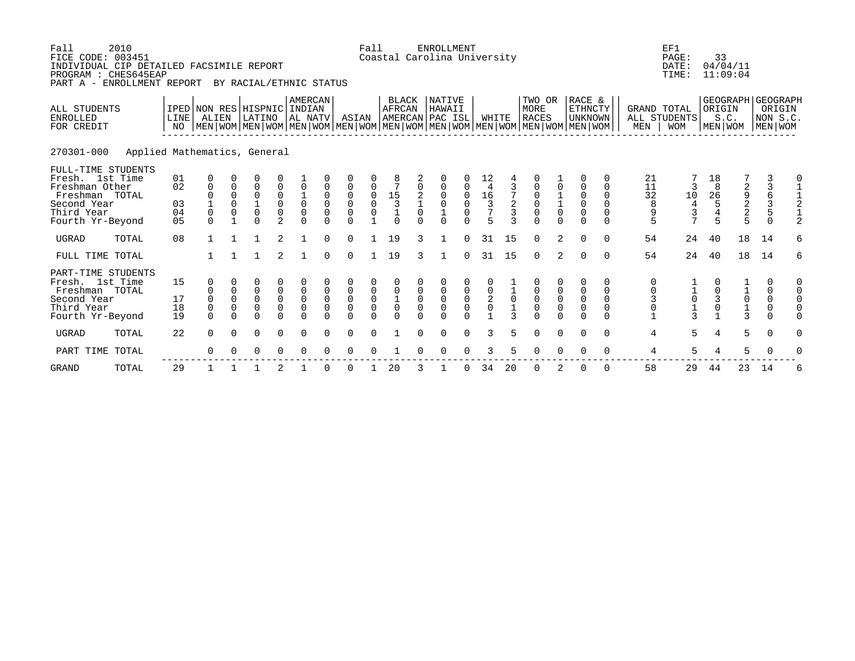| Fall<br>2010<br>FICE CODE: 003451<br>INDIVIDUAL CIP DETAILED FACSIMILE REPORT<br>PROGRAM : CHES645EAP<br>PART A - ENROLLMENT REPORT |                              |                                                                                                                                                     |                                         | BY RACIAL/ETHNIC STATUS                         |                               |                                                            |                            |                                                  | Fall                                             |                                                              |                                              | <b>ENROLLMENT</b><br>Coastal Carolina University      |                                             |                                                                          |                             |                                             |                                                                |                                                                 |                                                               |                                            | EF1<br>PAGE:<br>DATE:<br>TIME:                                                     | 33                                                     | 04/04/11<br>11:09:04                              |                                                    |                                                               |
|-------------------------------------------------------------------------------------------------------------------------------------|------------------------------|-----------------------------------------------------------------------------------------------------------------------------------------------------|-----------------------------------------|-------------------------------------------------|-------------------------------|------------------------------------------------------------|----------------------------|--------------------------------------------------|--------------------------------------------------|--------------------------------------------------------------|----------------------------------------------|-------------------------------------------------------|---------------------------------------------|--------------------------------------------------------------------------|-----------------------------|---------------------------------------------|----------------------------------------------------------------|-----------------------------------------------------------------|---------------------------------------------------------------|--------------------------------------------|------------------------------------------------------------------------------------|--------------------------------------------------------|---------------------------------------------------|----------------------------------------------------|---------------------------------------------------------------|
| <b>ALL STUDENTS</b><br><b>ENROLLED</b><br>FOR CREDIT                                                                                | <b>LINE</b><br>NO.           | IPED NON RES HISPNIC INDIAN<br>ALIEN<br>  MEN   WOM   MEN   WOM   MEN   WOM   MEN   WOM   MEN   WOM   MEN   WOM   MEN   WOM   MEN   WOM   MEN   WOM |                                         | LATINO                                          |                               | AMERCAN<br>AL NATV                                         |                            | ASIAN                                            |                                                  | <b>BLACK</b><br><b>AFRCAN</b>                                |                                              | <b>NATIVE</b><br>HAWAII<br>AMERCAN PAC ISL            |                                             | WHITE                                                                    |                             | TWO OR<br><b>MORE</b><br><b>RACES</b>       |                                                                | RACE &<br><b>ETHNCTY</b><br><b>UNKNOWN</b>                      |                                                               | GRAND TOTAL<br>MEN                         | ALL STUDENTS<br><b>WOM</b>                                                         | ORIGIN<br>MEN WOM                                      | S.C.                                              | GEOGRAPH GEOGRAPH<br>ORIGIN<br>NON S.C.<br>MEN WOM |                                                               |
| 270301-000                                                                                                                          | Applied Mathematics, General |                                                                                                                                                     |                                         |                                                 |                               |                                                            |                            |                                                  |                                                  |                                                              |                                              |                                                       |                                             |                                                                          |                             |                                             |                                                                |                                                                 |                                                               |                                            |                                                                                    |                                                        |                                                   |                                                    |                                                               |
| FULL-TIME STUDENTS<br>Fresh. 1st Time<br>Freshman Other<br>Freshman TOTAL<br>Second Year<br>Third Year<br>Fourth Yr-Beyond          | 01<br>02<br>03<br>04<br>05   | 0<br>$\mathbf 0$<br>0<br>$\Omega$                                                                                                                   | 0<br>0<br>$\Omega$<br>0<br>$\mathbf{1}$ | 0<br>0<br>$\mathbf 0$<br>$\mathbf{1}$<br>0<br>U | 0<br>0<br>0<br>$\mathfrak{D}$ | $\mathbf 0$<br>$\mathbf 0$<br>$\mathbf 0$<br>$\Omega$      | 0<br>0<br>0<br>$\Omega$    | 0<br>0<br>$\overline{0}$<br>0<br>$\Omega$        | 0<br>$\mathsf{O}\xspace$<br>0<br>$\overline{1}$  | 8<br>$\begin{array}{c} 15 \\ 3 \\ 1 \end{array}$<br>$\Omega$ | 0<br>2<br>$\mathbf{1}$<br>$\Omega$<br>$\cap$ | 0<br>$\mathbf 0$<br>0<br>$\mathbf 0$<br>1<br>$\Omega$ | 0<br>$\mathbf 0$<br>$\mathbf 0$<br>$\Omega$ | 12<br>4<br>$\begin{array}{c} 16 \\ 3 \end{array}$<br>$\overline{7}$<br>5 | 2<br>3<br>ર                 | 0<br>0<br>0<br>$\mathsf 0$<br>$\Omega$      | 0<br>$\begin{smallmatrix}1\\1\\0\end{smallmatrix}$<br>$\Omega$ | 0<br>$\mathbf 0$<br>$\mathbf 0$<br>$\mathsf 0$<br>0<br>$\Omega$ | 0<br>$\Omega$<br>$\Omega$<br>$\Omega$<br>$\Omega$<br>$\Omega$ | 21<br>11<br>32<br>8<br>9<br>5              | 3<br>$\begin{smallmatrix}1&0\\4\end{smallmatrix}$<br>$\mathsf 3$<br>$\overline{7}$ | 18<br>8<br>$\begin{array}{c} 26 \\ 5 \end{array}$<br>5 | 29225                                             | 3<br>3<br>6<br>3<br>$\overline{5}$<br>$\Omega$     | 0<br>2                                                        |
| UGRAD<br>TOTAL                                                                                                                      | 08                           | $\mathbf{1}$                                                                                                                                        | $\mathbf{1}$                            | <sup>1</sup>                                    | $\overline{2}$                | $\mathbf{1}$                                               | $\Omega$                   | $\Omega$                                         | $\mathbf{1}$                                     | 19                                                           | 3                                            | $\mathbf{1}$                                          | $\Omega$                                    | 31                                                                       | 15                          | $\Omega$                                    | 2                                                              | $\Omega$                                                        | $\Omega$                                                      | 54                                         | 24                                                                                 | 40                                                     | 18                                                | 14                                                 | 6                                                             |
| FULL TIME TOTAL                                                                                                                     |                              |                                                                                                                                                     | $\mathbf{1}$                            | $\mathbf{1}$                                    | $\overline{2}$                | $\mathbf{1}$                                               | $\Omega$                   | $\Omega$                                         | $\mathbf{1}$                                     | 19                                                           | 3                                            | $\mathbf{1}$                                          | $\Omega$                                    | 31                                                                       | 15                          | $\Omega$                                    | 2                                                              | $\Omega$                                                        | $\Omega$                                                      | 54                                         | 24                                                                                 | 40                                                     | 18                                                | 14                                                 | 6                                                             |
| PART-TIME STUDENTS<br>Fresh. 1st Time<br>Freshman TOTAL<br>Second Year<br>Third Year<br>Fourth Yr-Beyond                            | 15<br>17<br>18<br>19         | 0<br>0<br>0<br>$\Omega$                                                                                                                             | $\mathbf 0$<br>0<br>0<br>$\Omega$       | 0<br>$\mathbf 0$<br>0<br>0<br>0                 | 0<br>0<br>0<br>0<br>$\Omega$  | 0<br>$\mathbf 0$<br>$\mathbf 0$<br>$\mathsf 0$<br>$\Omega$ | 0<br>$\mathbf 0$<br>0<br>0 | 0<br>$\mathbf 0$<br>0<br>$\mathsf 0$<br>$\Omega$ | 0<br>0<br>$\mathbf 0$<br>$\mathsf 0$<br>$\Omega$ | 0<br>$\mathbf 0$<br>$\mathbf 1$<br>$\mathbf 0$<br>$\Omega$   | $\mathbf 0$<br>$\mathbf 0$<br>$\overline{0}$ | 0<br>$\mathbf 0$<br>0<br>0<br>$\Omega$                | 0<br>$\mathsf{O}$<br>0<br>$\Omega$          | 0<br>$\mathbf 0$<br>$\sqrt{2}$<br>$\mathbf 0$                            | $\mathbf 0$<br>$\mathbf{1}$ | 0<br>$\mathsf 0$<br>$\mathsf 0$<br>$\Omega$ | 0<br>$\mathsf 0$<br>$\mathsf 0$<br>$\Omega$                    | 0<br>$\mathsf 0$<br>$\mathsf 0$<br>$\mathbf 0$<br>$\Omega$      | 0<br>$\mathbf 0$<br>$\Omega$<br>$\mathbf 0$<br>$\Omega$       | 0<br>$\mathbf 0$<br>3<br>0<br>$\mathbf{1}$ | $\mathsf{O}\xspace$<br>$\frac{1}{3}$                                               | 0<br>0<br>$\mathsf 3$<br>0                             | $\begin{array}{c}\n1 \\ 0 \\ 1 \\ 3\n\end{array}$ | 0<br>0<br>$\mathsf 0$<br>$\mathsf 0$<br>$\Omega$   | $\mathbf 0$<br>$\mathbf 0$<br>$\mathsf 0$<br>0<br>$\mathbf 0$ |
| UGRAD<br>TOTAL                                                                                                                      | 22                           | $\mathbf 0$                                                                                                                                         | $\Omega$                                | 0                                               | 0                             | $\mathbf 0$                                                | $\Omega$                   | $\mathbf 0$                                      | 0                                                |                                                              | $\Omega$                                     | 0                                                     | $\mathbf 0$                                 | ζ                                                                        | 5                           | 0                                           | $\mathbf 0$                                                    | $\mathbf 0$                                                     | $\Omega$                                                      | 4                                          | 5                                                                                  | 4                                                      | 5                                                 | $\mathbf 0$                                        | $\mathbf 0$                                                   |
| PART TIME<br>TOTAL                                                                                                                  |                              | $\Omega$                                                                                                                                            |                                         | O                                               | $\Omega$                      | $\Omega$                                                   | $\Omega$                   | O                                                |                                                  |                                                              |                                              | $\Omega$                                              | $\Omega$                                    | ζ                                                                        |                             | O                                           | $\Omega$                                                       | $\Omega$                                                        | $\Omega$                                                      | 4                                          | 5                                                                                  | 4                                                      | 5                                                 | $\mathbf 0$                                        | $\Omega$                                                      |
| <b>GRAND</b><br>TOTAL                                                                                                               | 29                           |                                                                                                                                                     |                                         |                                                 | 2                             |                                                            | $\Omega$                   | 0                                                | -1                                               | 20                                                           |                                              |                                                       | 0                                           | 34                                                                       | 20                          | 0                                           |                                                                | O                                                               | $\Omega$                                                      | 58                                         | 29                                                                                 | 44                                                     | 23                                                | 14                                                 | 6                                                             |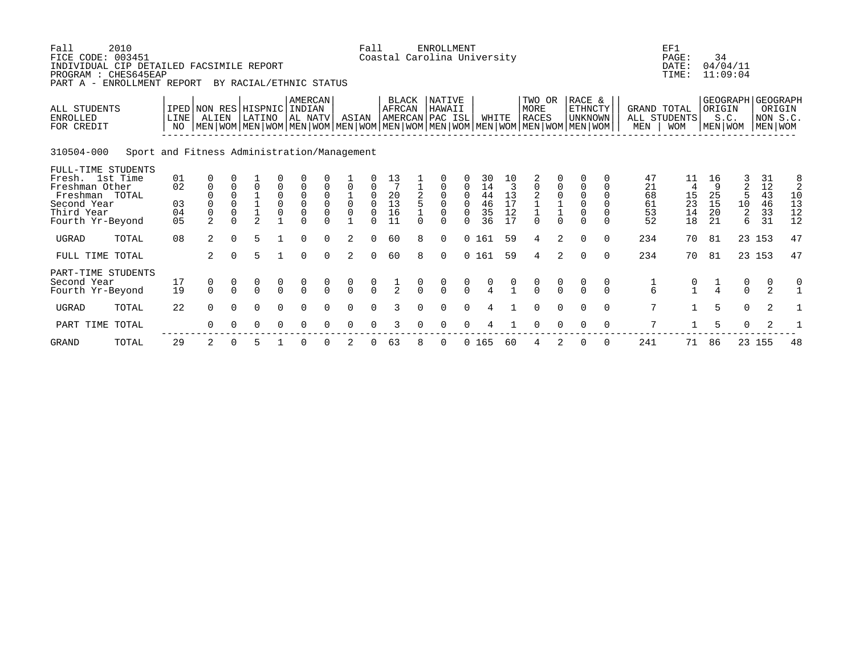| Fall<br>FICE CODE: 003451<br>INDIVIDUAL CIP DETAILED FACSIMILE REPORT<br>PROGRAM : CHES645EAP<br>PART A - ENROLLMENT REPORT | 2010                                        |                                        |                                                    |                                              | BY RACIAL/ETHNIC STATUS              |                                                  |                                                           |                                          |                                                    | Fall                                               |                                     |               | <b>ENROLLMENT</b><br>Coastal Carolina University |                                        |                                                                 |                                                                      |                                                                       |                                                            |                                                                                                                                                    |                                              |                                  | EF1<br>PAGE:<br>DATE:<br>TIME:                 | 34                              | 04/04/11<br>11:09:04                   |                                  |                                       |
|-----------------------------------------------------------------------------------------------------------------------------|---------------------------------------------|----------------------------------------|----------------------------------------------------|----------------------------------------------|--------------------------------------|--------------------------------------------------|-----------------------------------------------------------|------------------------------------------|----------------------------------------------------|----------------------------------------------------|-------------------------------------|---------------|--------------------------------------------------|----------------------------------------|-----------------------------------------------------------------|----------------------------------------------------------------------|-----------------------------------------------------------------------|------------------------------------------------------------|----------------------------------------------------------------------------------------------------------------------------------------------------|----------------------------------------------|----------------------------------|------------------------------------------------|---------------------------------|----------------------------------------|----------------------------------|---------------------------------------|
| ALL STUDENTS<br><b>ENROLLED</b><br>FOR CREDIT                                                                               |                                             | LINE                                   | IPED NON RES HISPNIC INDIAN<br>ALIEN               |                                              | LATINO                               |                                                  | <b>AMERCAN</b><br>AL NATV                                 |                                          | ASIAN                                              |                                                    | BLACK<br>AFRCAN                     |               | NATIVE<br>HAWAII<br>AMERCAN PAC ISL              |                                        | WHITE                                                           |                                                                      | TWO OR<br>MORE<br><b>RACES</b>                                        |                                                            | RACE &<br>ETHNCTY<br><b>UNKNOWN</b><br>  MEN   WOM   MEN   WOM   MEN   WOM   MEN   WOM   MEN   WOM   MEN   WOM   MEN   WOM   MEN   WOM   MEN   WOM |                                              | GRAND TOTAL<br>MEN               | ALL STUDENTS<br><b>WOM</b>                     | ORIGIN                          | GEOGRAPH GEOGRAPH<br>S.C.<br>MEN   WOM |                                  | ORIGIN<br>NON S.C.<br>  MEN   WOM     |
| 310504-000                                                                                                                  | Sport and Fitness Administration/Management |                                        |                                                    |                                              |                                      |                                                  |                                                           |                                          |                                                    |                                                    |                                     |               |                                                  |                                        |                                                                 |                                                                      |                                                                       |                                                            |                                                                                                                                                    |                                              |                                  |                                                |                                 |                                        |                                  |                                       |
| FULL-TIME STUDENTS<br>Fresh. 1st Time<br>Freshman Other<br>Freshman TOTAL<br>Second Year<br>Third Year<br>Fourth Yr-Beyond  |                                             | 01<br>02<br>03<br>04<br>0 <sub>5</sub> | 0<br>$\mathbf{0}$<br>$\mathbf 0$<br>$\overline{2}$ | $\Omega$<br>$\Omega$<br>$\Omega$<br>$\Omega$ | $\Omega$<br>$\mathcal{L}$            | 0<br>$\begin{smallmatrix}0\0\0\end{smallmatrix}$ | $\begin{smallmatrix}0\\0\end{smallmatrix}$<br>$\mathsf 0$ | $\Omega$<br>$_{0}^{0}$<br>$\overline{0}$ | $\overline{0}$<br>$\overline{0}$<br>$\overline{0}$ | $\mathbf 0$<br>0<br>$\Omega$<br>$\Omega$<br>$\cap$ | 13<br>7<br>$^{20}_{13}$<br>16<br>11 | $\cap$        | $\Omega$<br>$\mathbf 0$<br>$\Omega$<br>$\cap$    | $\mathbf 0$<br>0<br>$\Omega$<br>$\cap$ | 30<br>14<br>$\begin{array}{c} 44 \\ 46 \end{array}$<br>35<br>36 | 10<br>3<br>$\begin{smallmatrix}1&3\1&7\end{smallmatrix}$<br>12<br>17 | $\mathsf 0$<br>$\begin{array}{c} 2 \\ 1 \\ 1 \end{array}$<br>$\Omega$ | 0<br>$\begin{matrix} 0 \\ 1 \\ 1 \end{matrix}$<br>$\Omega$ | $\mathbf 0$<br>$\begin{smallmatrix}0\\0\end{smallmatrix}$<br>$\mathbf 0$<br>$\Omega$                                                               | $\Omega$<br>$\Omega$<br>$\Omega$<br>$\Omega$ | 47<br>21<br>68<br>61<br>53<br>52 | 11<br>4<br>$\frac{15}{23}$<br>14<br>18         | 16<br>9<br>25<br>15<br>20<br>21 | 2<br>5<br>10<br>$\sqrt{2}$<br>6        | 31<br>12<br>43<br>46<br>33<br>31 | $\frac{8}{2}$<br>10<br>13<br>12<br>12 |
| <b>UGRAD</b>                                                                                                                | TOTAL                                       | 08                                     | 2                                                  | $\Omega$                                     | 5                                    |                                                  | $\Omega$                                                  | $\Omega$                                 | 2                                                  | $\Omega$                                           | 60                                  | 8             | $\Omega$                                         |                                        | 0 161                                                           | 59                                                                   | $\overline{4}$                                                        | 2                                                          | $\mathbf 0$                                                                                                                                        | $\Omega$                                     | 234                              | 70                                             | 81                              |                                        | 23 153                           | 47                                    |
| FULL TIME TOTAL                                                                                                             |                                             |                                        | $\overline{2}$                                     | $\Omega$                                     | 5                                    |                                                  | $\Omega$                                                  | $\Omega$                                 | 2                                                  | $\Omega$                                           | 60                                  | 8             | $\Omega$                                         |                                        | 0 161                                                           | 59                                                                   | 4                                                                     | $\overline{2}$                                             | $\Omega$                                                                                                                                           | $\Omega$                                     | 234                              | 70                                             | 81                              |                                        | 23 153                           | 47                                    |
| PART-TIME STUDENTS<br>Second Year<br>Fourth Yr-Beyond                                                                       |                                             | 17<br>19                               | $\begin{matrix} 0 \\ 0 \end{matrix}$               | $\Omega$                                     | $\begin{matrix} 0 \\ 0 \end{matrix}$ | $\frac{0}{0}$                                    | $\begin{matrix} 0 \\ 0 \end{matrix}$                      | $\begin{matrix} 0 \\ 0 \end{matrix}$     | $\begin{matrix} 0 \\ 0 \end{matrix}$               | $\frac{0}{0}$                                      | $rac{1}{2}$                         | $\frac{0}{0}$ | $\begin{matrix} 0 \\ 0 \end{matrix}$             | $\begin{matrix} 0 \\ 0 \end{matrix}$   |                                                                 |                                                                      | $\begin{matrix} 0 \\ 0 \end{matrix}$                                  | $\frac{0}{0}$                                              | $\mathbf 0$<br>$\Omega$                                                                                                                            | 0<br>$\cap$                                  | $\frac{1}{6}$                    | $\begin{smallmatrix} 0 \\ 1 \end{smallmatrix}$ | $\frac{1}{4}$                   | $\begin{matrix} 0 \\ 0 \end{matrix}$   | 0<br>2                           | 0                                     |
| <b>UGRAD</b>                                                                                                                | TOTAL                                       | 22                                     | $\Omega$                                           | $\Omega$                                     | $\Omega$                             | $\Omega$                                         | $\Omega$                                                  | $\cap$                                   | $\Omega$                                           | $\cap$                                             | 3                                   |               | $\cap$                                           | $\Omega$                               | 4                                                               |                                                                      | $\Omega$                                                              | $\Omega$                                                   | $\Omega$                                                                                                                                           | $\Omega$                                     | 7                                | $\mathbf{1}$                                   | 5                               | $\Omega$                               | 2                                |                                       |
| PART TIME TOTAL                                                                                                             |                                             |                                        | $\Omega$                                           | $\Omega$                                     | 0                                    | $\Omega$                                         | $\Omega$                                                  | $\Omega$                                 | $\Omega$                                           | $\Omega$                                           | 3                                   | $\Omega$      | $\Omega$                                         |                                        |                                                                 |                                                                      | $\Omega$                                                              | $\Omega$                                                   | $\Omega$                                                                                                                                           | $\mathbf 0$                                  | 7                                |                                                | 5                               | $\mathbf 0$                            | 2                                |                                       |
| <b>GRAND</b>                                                                                                                | TOTAL                                       | 29                                     | 2                                                  |                                              | 5                                    |                                                  |                                                           |                                          |                                                    |                                                    | 63                                  |               | 0                                                |                                        | 0 165                                                           | 60                                                                   |                                                                       |                                                            |                                                                                                                                                    | 0                                            | 241                              | 71                                             | 86                              |                                        | 23 155                           | 48                                    |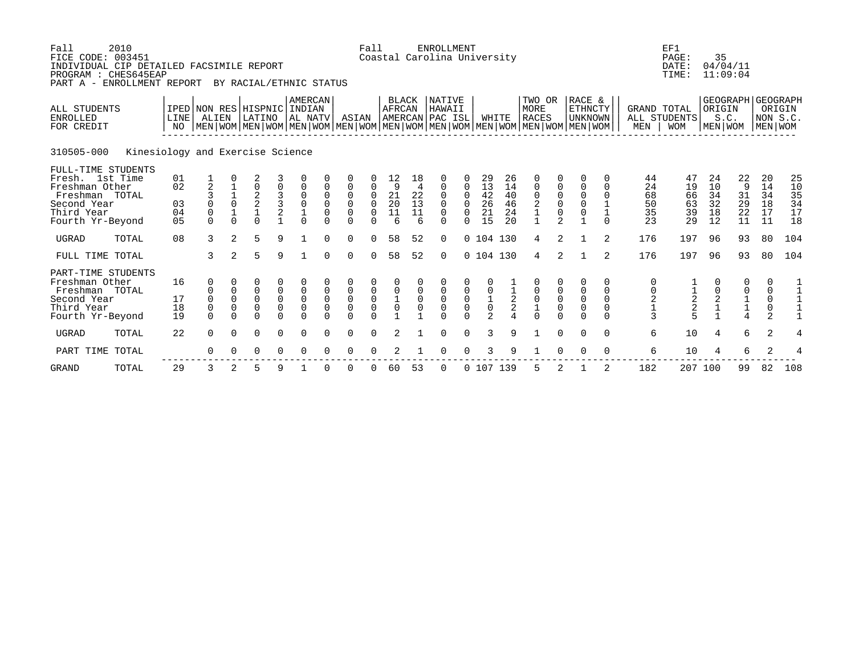| Fall<br>2010<br>FICE CODE: 003451<br>INDIVIDUAL CIP DETAILED FACSIMILE REPORT<br>PROGRAM : CHES645EAP<br>PART A - ENROLLMENT REPORT |                            |                                                                                                                                                     |                                        | BY RACIAL/ETHNIC STATUS                             |                              |                                                            |                                        |                                                  | Fall                                        |                                                 |                                 | <b>ENROLLMENT</b><br>Coastal Carolina University |                                                                  |                                                     |                                  |                                                      |                                                     |                                                                          |                                                                      |                                  | EF1<br>PAGE:<br>DATE:<br>TIME:   | 35<br>04/04/11                                       | 11:09:04                        |                                           |                                      |
|-------------------------------------------------------------------------------------------------------------------------------------|----------------------------|-----------------------------------------------------------------------------------------------------------------------------------------------------|----------------------------------------|-----------------------------------------------------|------------------------------|------------------------------------------------------------|----------------------------------------|--------------------------------------------------|---------------------------------------------|-------------------------------------------------|---------------------------------|--------------------------------------------------|------------------------------------------------------------------|-----------------------------------------------------|----------------------------------|------------------------------------------------------|-----------------------------------------------------|--------------------------------------------------------------------------|----------------------------------------------------------------------|----------------------------------|----------------------------------|------------------------------------------------------|---------------------------------|-------------------------------------------|--------------------------------------|
| <b>ALL STUDENTS</b><br><b>ENROLLED</b><br>FOR CREDIT                                                                                | <b>LINE</b><br>NO.         | IPED NON RES HISPNIC INDIAN<br>ALIEN<br>  MEN   WOM   MEN   WOM   MEN   WOM   MEN   WOM   MEN   WOM   MEN   WOM   MEN   WOM   MEN   WOM   MEN   WOM |                                        | LATINO                                              |                              | AMERCAN<br>AL NATV                                         |                                        | ASIAN                                            |                                             | <b>BLACK</b><br><b>AFRCAN</b>                   |                                 | <b>NATIVE</b><br>HAWAII<br>AMERCAN PAC ISL       |                                                                  |                                                     | WHITE                            | TWO OR<br>MORE<br><b>RACES</b>                       |                                                     | RACE &<br><b>ETHNCTY</b><br><b>UNKNOWN</b>                               |                                                                      | GRAND TOTAL<br>MEN               | ALL STUDENTS<br><b>WOM</b>       | ORIGIN<br>S.C.<br>MEN WOM                            | GEOGRAPH GEOGRAPH               | NON S.C.<br>MEN WOM                       | ORIGIN                               |
| 310505-000<br>Kinesiology and Exercise Science                                                                                      |                            |                                                                                                                                                     |                                        |                                                     |                              |                                                            |                                        |                                                  |                                             |                                                 |                                 |                                                  |                                                                  |                                                     |                                  |                                                      |                                                     |                                                                          |                                                                      |                                  |                                  |                                                      |                                 |                                           |                                      |
| FULL-TIME STUDENTS<br>Fresh. 1st Time<br>Freshman Other<br>Freshman TOTAL<br>Second Year<br>Third Year<br>Fourth Yr-Beyond          | 01<br>02<br>03<br>04<br>05 | $\overline{2}$<br>$\Omega$<br>$\mathbf 0$<br>$\Omega$                                                                                               | $\Omega$<br>$\overline{1}$<br>$\Omega$ | 2<br>0<br>$\frac{2}{2}$<br>$\mathbf{1}$<br>$\Omega$ | 0<br>2<br>$\mathbf{1}$       | 0<br>0<br>$\mathbf 0$<br>$\mathbf{1}$<br>$\Omega$          | 0<br>$\mathbf 0$<br>0<br>$\Omega$      | 0<br>0<br>$\mathbf 0$<br>0<br>$\Omega$           | 0<br>$\mathbf 0$<br>$\mathbf 0$<br>$\Omega$ | 12<br>9<br>$^{21}_{20}$<br>$\overline{11}$<br>6 | 18<br>4<br>22<br>13<br>11<br>6  | 0<br>$\mathbf 0$<br>0<br>0<br>0<br>$\Omega$      | 0<br>$\mathbf 0$<br>$\Omega$<br>$\Omega$<br>$\Omega$<br>$\Omega$ | 29<br>13<br>42<br>26<br>21<br>15                    | 26<br>14<br>40<br>46<br>24<br>20 | $\mathbf 0$<br>0<br>2<br>$\mathbf 1$<br>$\mathbf{1}$ | 0<br>$_{0}^{0}$<br>0<br>$\mathfrak{D}$              | 0<br>$\mathbf 0$<br>0<br>$\overline{0}$<br>$\mathsf 0$<br>$\overline{1}$ | 0<br>$\Omega$<br>$\Omega$<br>$\mathbf{1}$<br>$\mathbf 1$<br>$\Omega$ | 44<br>24<br>68<br>50<br>35<br>23 | 47<br>19<br>66<br>63<br>39<br>29 | 24<br>10<br>34<br>32<br>18<br>12                     | 22<br>9<br>31<br>29<br>22<br>11 | 20<br>14<br>34<br>18<br>17<br>11          | 25<br>10<br>$35$<br>$34$<br>17<br>18 |
| <b>UGRAD</b><br>TOTAL                                                                                                               | 08                         | 3                                                                                                                                                   | 2                                      | 5                                                   | 9                            |                                                            | $\Omega$                               | 0                                                | $\Omega$                                    | 58                                              | 52                              | $\Omega$                                         |                                                                  | $0$ 104 130                                         |                                  | 4                                                    | 2                                                   | $\mathbf{1}$                                                             | 2                                                                    | 176                              | 197                              | 96                                                   | 93                              | 80                                        | 104                                  |
| FULL TIME TOTAL                                                                                                                     |                            | 3                                                                                                                                                   | $\overline{2}$                         | 5                                                   | 9                            | $\mathbf{1}$                                               | $\Omega$                               | $\Omega$                                         | $\Omega$                                    | 58                                              | 52                              | $\Omega$                                         |                                                                  | 0 104 130                                           |                                  | 4                                                    | 2                                                   | $\mathbf{1}$                                                             | 2                                                                    | 176                              | 197                              | 96                                                   | 93                              | 80                                        | 104                                  |
| PART-TIME STUDENTS<br>Freshman Other<br>Freshman TOTAL<br>Second Year<br>Third Year<br>Fourth Yr-Beyond                             | 16<br>17<br>18<br>19       | 0<br>0<br>0<br>$\Omega$                                                                                                                             | $\mathbf 0$<br>0<br>0<br>$\Omega$      | 0<br>$\mathbf 0$<br>0<br>0<br>0                     | 0<br>0<br>0<br>0<br>$\Omega$ | 0<br>$\mathbf 0$<br>$\mathbf 0$<br>$\mathsf 0$<br>$\Omega$ | 0<br>$\mathbf 0$<br>0<br>0<br>$\Omega$ | 0<br>$\mathbf 0$<br>0<br>$\mathsf 0$<br>$\Omega$ | 0<br>0<br>$\mathbf 0$<br>0<br>$\Omega$      | 0<br>$\mathbf 0$<br>$\mathbf{1}$<br>$\mathbf 0$ | $\mathbf 0$<br>$\mathbf 0$<br>0 | 0<br>$\mathbf 0$<br>0<br>$\mathbf 0$<br>$\Omega$ | 0<br>$\mathbf 0$<br>0<br>$\Omega$                                | 0<br>$\mathbf 0$<br>$\mathbf 1$<br>$\mathsf 0$<br>2 | $\sqrt{2}$<br>$\mathbf{2}$       | 0<br>$\mathsf 0$<br>$\mathbf{1}$<br>$\Omega$         | $\mathbf 0$<br>$\mathsf 0$<br>$\mathsf 0$<br>$\cap$ | 0<br>$\mathsf 0$<br>$\mathsf 0$<br>$\mathbf 0$<br>$\Omega$               | 0<br>$\mathbf 0$<br>$\Omega$<br>$\mathbf 0$<br>$\Omega$              | 0<br>0<br>$\mathbf 2$<br>3       | $\frac{1}{2}$<br>$\frac{2}{5}$   | 0<br>0<br>$\begin{smallmatrix}2\\1\end{smallmatrix}$ | 0<br>$\frac{1}{4}$              | 0<br>0<br>$\mathsf 0$<br>$\mathsf 0$<br>2 | $\mathbf{1}$<br>$\mathbf 1$          |
| UGRAD<br>TOTAL                                                                                                                      | 22                         | $\mathbf 0$                                                                                                                                         | $\Omega$                               | 0                                                   | 0                            | $\mathbf 0$                                                | $\Omega$                               | $\mathbf 0$                                      | 0                                           | 2                                               |                                 | 0                                                | $\mathbf 0$                                                      | 3                                                   | 9                                |                                                      | $\mathbf 0$                                         | $\mathbf 0$                                                              | $\Omega$                                                             | 6                                | 10                               | 4                                                    | 6                               | $\overline{2}$                            | 4                                    |
| PART TIME<br>TOTAL                                                                                                                  |                            | $\Omega$                                                                                                                                            |                                        | O                                                   | $\Omega$                     | $\Omega$                                                   | $\Omega$                               | O                                                | O                                           |                                                 |                                 | $\Omega$                                         | $\Omega$                                                         | 3                                                   | 9                                |                                                      | $\Omega$                                            | $\Omega$                                                                 | $\Omega$                                                             | 6                                | 10                               | 4                                                    | 6                               | 2                                         |                                      |
| <b>GRAND</b><br>TOTAL                                                                                                               | 29                         | 3                                                                                                                                                   | 2                                      | 5                                                   | 9                            |                                                            | O                                      | O                                                | 0                                           | 60                                              | 53                              | 0                                                |                                                                  | 0 107 139                                           |                                  |                                                      |                                                     |                                                                          | 2                                                                    | 182                              |                                  | 207 100                                              | 99                              | 82                                        | 108                                  |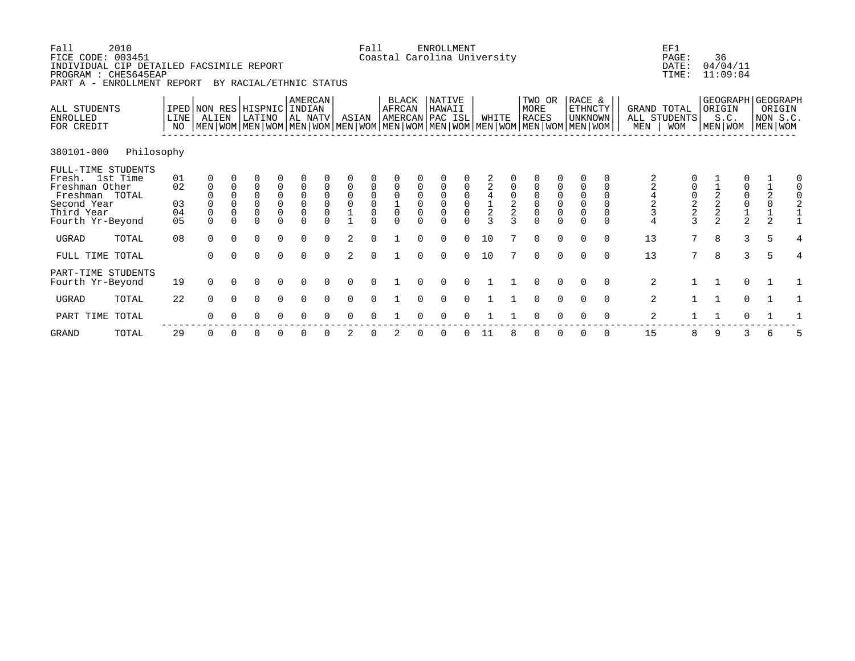| Fall<br>FICE CODE: 003451<br>INDIVIDUAL CIP DETAILED FACSIMILE REPORT<br>PROGRAM : CHES645EAP<br>PART A -                  | 2010<br>ENROLLMENT REPORT |                            |                                        |                                                    | BY RACIAL/ETHNIC STATUS                                                                                                                              |                                                                                      |                                                                       |                                                                 |                                                     | Fall                                                     |                                                                   |                  | <b>ENROLLMENT</b><br>Coastal Carolina University |                                                          |                                         |                                 |                                                                      |          |                                                                          |                                   |                    | EF1<br>PAGE:<br>DATE:<br>TIME:    |                                                                | 36<br>04/04/11<br>11:09:04                     |                 |                               |               |
|----------------------------------------------------------------------------------------------------------------------------|---------------------------|----------------------------|----------------------------------------|----------------------------------------------------|------------------------------------------------------------------------------------------------------------------------------------------------------|--------------------------------------------------------------------------------------|-----------------------------------------------------------------------|-----------------------------------------------------------------|-----------------------------------------------------|----------------------------------------------------------|-------------------------------------------------------------------|------------------|--------------------------------------------------|----------------------------------------------------------|-----------------------------------------|---------------------------------|----------------------------------------------------------------------|----------|--------------------------------------------------------------------------|-----------------------------------|--------------------|-----------------------------------|----------------------------------------------------------------|------------------------------------------------|-----------------|-------------------------------|---------------|
| ALL STUDENTS<br><b>ENROLLED</b><br>FOR CREDIT                                                                              |                           | LINE<br>NO                 | ALIEN                                  |                                                    | IPED NON RES HISPNIC INDIAN<br>LATINO<br>  MEN   WOM   MEN   WOM   MEN   WOM   MEN   WOM   MEN   WOM   MEN   WOM   MEN   WOM   MEN   WOM   MEN   WOM |                                                                                      | AMERCAN<br>AL NATV ASIAN                                              |                                                                 |                                                     |                                                          | BLACK<br>AFRCAN                                                   |                  | NATIVE<br>HAWAII<br>AMERCAN PAC ISL              |                                                          | WHITE                                   |                                 | TWO OR<br>MORE<br>RACES                                              |          | RACE &<br><b>ETHNCTY</b><br>UNKNOWN                                      |                                   | GRAND TOTAL<br>MEN | ALL STUDENTS<br><b>WOM</b>        | ORIGIN                                                         | GEOGRAPH   GEOGRAPH<br>S.C.<br>MEN WOM         |                 | ORIGIN<br>NON S.C.<br>MEN WOM |               |
| 380101-000                                                                                                                 | Philosophy                |                            |                                        |                                                    |                                                                                                                                                      |                                                                                      |                                                                       |                                                                 |                                                     |                                                          |                                                                   |                  |                                                  |                                                          |                                         |                                 |                                                                      |          |                                                                          |                                   |                    |                                   |                                                                |                                                |                 |                               |               |
| FULL-TIME STUDENTS<br>Fresh. 1st Time<br>Freshman Other<br>Freshman TOTAL<br>Second Year<br>Third Year<br>Fourth Yr-Beyond |                           | 01<br>02<br>03<br>04<br>05 | $\mathbf 0$<br>$\mathbf 0$<br>$\Omega$ | $\mathbf 0$<br>$\mathbf 0$<br>$\Omega$<br>$\Omega$ | $\mathbf 0$<br>$\mathsf 0$<br>$\mathbf 0$<br>$\Omega$<br>$\Omega$                                                                                    | $\mathsf 0$<br>$\begin{smallmatrix}0\\0\end{smallmatrix}$<br>$\mathbf 0$<br>$\Omega$ | $\mathsf 0$<br>$\mathsf{0}$<br>$\mathsf 0$<br>$\mathbf 0$<br>$\Omega$ | $\mathbf 0$<br>$\mathbf 0$<br>$\mathbf 0$<br>$\Omega$<br>$\cap$ | $\mathbf 0$<br>$\begin{matrix} 0 \\ 0 \end{matrix}$ | $\begin{matrix} 0 \\ 0 \\ 0 \\ 0 \end{matrix}$<br>$\cap$ | $\begin{matrix} 0 \\ 0 \\ 1 \end{matrix}$<br>$\Omega$<br>$\Omega$ | 0<br>0<br>$\cap$ | $\mathsf 0$<br>$\mathbf 0$<br>$\Omega$           | $\begin{matrix} 0 \\ 0 \\ 0 \end{matrix}$<br>0<br>$\cap$ | $241$<br>$2$<br>$\overline{\mathbf{z}}$ | $\overline{0}$<br>$\frac{2}{2}$ | $\mathsf 0$<br>$\begin{matrix} 0 \\ 0 \\ 0 \end{matrix}$<br>$\Omega$ | $\cap$   | $\mathbf 0$<br>$\overline{0}$<br>$\mathbf 0$<br>$\overline{0}$<br>$\cap$ | $\Omega$<br>$\mathbf 0$<br>$\cap$ | 3                  | $\mathsf 0$<br>$0$<br>2<br>2<br>3 | $\begin{array}{c}\n2 \\ 2 \\ 2\n\end{array}$<br>$\mathfrak{D}$ | $\begin{matrix} 0 \\ 0 \\ 1 \\ 2 \end{matrix}$ |                 | 2                             | 0<br>$\Omega$ |
| <b>UGRAD</b>                                                                                                               | TOTAL                     | 08                         | $\Omega$                               |                                                    | $\Omega$                                                                                                                                             | $\Omega$                                                                             | $\Omega$                                                              | $\Omega$                                                        | $\mathfrak{D}$                                      | $\Omega$                                                 |                                                                   |                  | $\Omega$                                         | $\Omega$                                                 | 10                                      |                                 | $\Omega$                                                             | $\Omega$ | $\Omega$                                                                 | $\Omega$                          | 13                 | 7                                 | 8                                                              | 3                                              | 5               |                               |               |
| FULL TIME TOTAL                                                                                                            |                           |                            | $\Omega$                               | $\cap$                                             | $\Omega$                                                                                                                                             | $\Omega$                                                                             | $\Omega$                                                              | $\Omega$                                                        | 2                                                   | $\Omega$                                                 |                                                                   | <sup>n</sup>     | $\Omega$                                         | $\Omega$                                                 | 10                                      |                                 | $\Omega$                                                             | $\Omega$ | $\Omega$                                                                 | $\cap$                            | 13                 | $7^{\circ}$                       | 8                                                              | 3                                              | $5\overline{2}$ |                               | 4             |
| PART-TIME STUDENTS<br>Fourth Yr-Beyond                                                                                     |                           | 19                         | $\Omega$                               | $\Omega$                                           | $\Omega$                                                                                                                                             | $\Omega$                                                                             | $\Omega$                                                              | $\Omega$                                                        | $\Omega$                                            | $\Omega$                                                 |                                                                   | $\cap$           | $\Omega$                                         | $\Omega$                                                 |                                         |                                 | $\Omega$                                                             | $\Omega$ | $\cap$                                                                   | $\Omega$                          | 2                  | $\mathbf{1}$                      | $\mathbf{1}$                                                   | $\Omega$                                       |                 |                               |               |
| <b>UGRAD</b>                                                                                                               | TOTAL                     | 22                         | $\Omega$                               | $\Omega$                                           | $\Omega$                                                                                                                                             | $\Omega$                                                                             | $\Omega$                                                              | $\Omega$                                                        | $\Omega$                                            | $\Omega$                                                 |                                                                   |                  | $\Omega$                                         | $\Omega$                                                 |                                         |                                 | $\Omega$                                                             | $\Omega$ | $\Omega$                                                                 | $\Omega$                          | 2                  | $\mathbf{1}$                      | $\mathbf{1}$                                                   | $\Omega$                                       |                 |                               |               |
| PART TIME                                                                                                                  | TOTAL                     |                            |                                        |                                                    |                                                                                                                                                      |                                                                                      | $\Omega$                                                              |                                                                 | <sup>0</sup>                                        | ∩                                                        |                                                                   |                  | $\Omega$                                         | 0                                                        |                                         |                                 | ∩                                                                    |          |                                                                          |                                   | 2                  |                                   |                                                                |                                                |                 |                               |               |
|                                                                                                                            |                           |                            |                                        |                                                    |                                                                                                                                                      |                                                                                      |                                                                       |                                                                 |                                                     |                                                          |                                                                   |                  |                                                  |                                                          |                                         |                                 |                                                                      |          |                                                                          |                                   |                    |                                   |                                                                |                                                |                 |                               |               |

GRAND TOTAL 29 0 0 0 0 0 0 2 0 2 0 0 0 11 8 0 0 0 0 15 8 9 3 6 5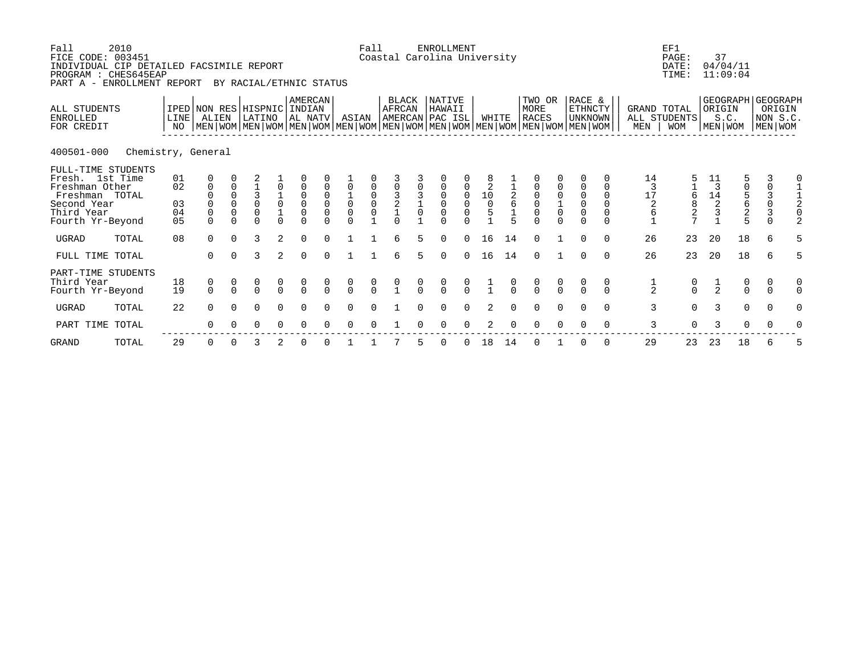| Fall<br>FICE CODE: 003451<br>INDIVIDUAL CIP DETAILED FACSIMILE REPORT<br>PROGRAM : CHES645EAP<br>PART A - ENROLLMENT REPORT | 2010               |                                        |                                                  |                                          | BY RACIAL/ETHNIC STATUS                     |                    |                                                          |                                   |                                      | Fall                                      | Coastal Carolina University               |    | <b>ENROLLMENT</b>         |               |                                               |                                       |                                                                                                                                               |                                           |                                                                            |                                              |                                | EF1<br>PAGE:<br>DATE:<br>TIME: | 37                                                     | 04/04/11<br>11:09:04                   |                                                                            |                                   |
|-----------------------------------------------------------------------------------------------------------------------------|--------------------|----------------------------------------|--------------------------------------------------|------------------------------------------|---------------------------------------------|--------------------|----------------------------------------------------------|-----------------------------------|--------------------------------------|-------------------------------------------|-------------------------------------------|----|---------------------------|---------------|-----------------------------------------------|---------------------------------------|-----------------------------------------------------------------------------------------------------------------------------------------------|-------------------------------------------|----------------------------------------------------------------------------|----------------------------------------------|--------------------------------|--------------------------------|--------------------------------------------------------|----------------------------------------|----------------------------------------------------------------------------|-----------------------------------|
| <b>ALL STUDENTS</b><br><b>ENROLLED</b><br>FOR CREDIT                                                                        |                    | LINE<br>NO.                            | IPED NON RES HISPNIC INDIAN<br>ALIEN             |                                          | LATINO                                      |                    | <b>AMERCAN</b><br>AL NATV                                |                                   | ASIAN                                |                                           | <b>BLACK</b><br>AFRCAN<br>AMERCAN PAC ISL |    | NATIVE<br>HAWAII          |               | WHITE                                         |                                       | TWO OR<br>MORE<br><b>RACES</b><br>  MEN   WOM   MEN   WOM   MEN   WOM   MEN   WOM   MEN   WOM   MEN   WOM   MEN   WOM   MEN   WOM   MEN   WOM |                                           | RACE &<br>ETHNCTY<br><b>UNKNOWN</b>                                        |                                              | GRAND TOTAL<br>MEN             | ALL STUDENTS<br><b>WOM</b>     | ORIGIN                                                 | GEOGRAPH GEOGRAPH<br>S.C.<br>MEN   WOM |                                                                            | ORIGIN<br>NON S.C.<br>  MEN   WOM |
| 400501-000                                                                                                                  | Chemistry, General |                                        |                                                  |                                          |                                             |                    |                                                          |                                   |                                      |                                           |                                           |    |                           |               |                                               |                                       |                                                                                                                                               |                                           |                                                                            |                                              |                                |                                |                                                        |                                        |                                                                            |                                   |
| FULL-TIME STUDENTS<br>Fresh. 1st Time<br>Freshman Other<br>Freshman TOTAL<br>Second Year<br>Third Year<br>Fourth Yr-Beyond  |                    | 01<br>02<br>03<br>04<br>0 <sub>5</sub> | 0<br>$\mathbf 0$<br>0<br>$\mathbf 0$<br>$\Omega$ | $\Omega$<br>$\Omega$<br>0<br>$\mathbf 0$ | 3<br>$\overline{0}$<br>$\Omega$<br>$\Omega$ | 0<br>$\frac{1}{0}$ | $\mathbf 0$<br>$\begin{matrix} 0 \\ 0 \\ 0 \end{matrix}$ | $_{\rm 0}^{\rm 0}$<br>$\mathbf 0$ | $\overline{0}$<br>0<br>$\cap$        | $\begin{matrix} 0 \\ 0 \\ 0 \end{matrix}$ | $\frac{3}{2}$                             |    | 0<br>$\Omega$<br>$\Omega$ | 0             | $\begin{array}{c}\n10 \\ 0 \\ 5\n\end{array}$ | $\begin{array}{c} 2 \\ 6 \end{array}$ | $\begin{matrix} 0 \\ 0 \\ 0 \end{matrix}$<br>$\cap$                                                                                           | $\begin{matrix} 0 \\ 1 \\ 0 \end{matrix}$ | 0<br>$\begin{smallmatrix}0\\0\end{smallmatrix}$<br>$\mathsf 0$<br>$\Omega$ | $\Omega$<br>$\Omega$<br>$\Omega$<br>$\Omega$ | 14<br>3<br>17<br>$\frac{2}{6}$ | 6<br>$\overline{a}$            | 11<br>3<br>$\begin{array}{c} 14 \\ 2 \\ 3 \end{array}$ | 5<br>05625                             | 3<br>$\mathbf 0$<br>$\begin{array}{c} 3 \\ 0 \\ 3 \end{array}$<br>$\Omega$ |                                   |
| UGRAD                                                                                                                       | TOTAL              | 08                                     | $\Omega$                                         | $\Omega$                                 | 3                                           | 2                  | $\Omega$                                                 |                                   |                                      |                                           | $\epsilon$                                | 5. | $\Omega$                  | $\Omega$      | 16                                            | 14                                    | $\Omega$                                                                                                                                      |                                           | $\Omega$                                                                   | $\Omega$                                     | 26                             | 23                             | 20                                                     | 18                                     | 6                                                                          |                                   |
| FULL TIME TOTAL                                                                                                             |                    |                                        | $\Omega$                                         | $\Omega$                                 | 3                                           | $\overline{2}$     | $\Omega$                                                 | $\Omega$                          |                                      |                                           | 6                                         | 5. | $\Omega$                  | $\Omega$      | 16                                            | 14                                    | $\Omega$                                                                                                                                      |                                           | $\Omega$                                                                   | $\Omega$                                     | 26                             | 23                             | 20                                                     | 18                                     | 6                                                                          | 5                                 |
| PART-TIME STUDENTS<br>Third Year<br>Fourth Yr-Beyond                                                                        |                    | 18<br>19                               | $\begin{matrix} 0 \\ 0 \end{matrix}$             | $\Omega$                                 | $\frac{0}{0}$                               | $\frac{0}{0}$      | $\begin{matrix} 0 \\ 0 \end{matrix}$                     | $\cap$                            | $\begin{matrix} 0 \\ 0 \end{matrix}$ | $\frac{0}{0}$                             |                                           |    | $\frac{0}{0}$             | $\frac{0}{0}$ |                                               |                                       | $\begin{matrix} 0 \\ 0 \end{matrix}$                                                                                                          | $\begin{matrix} 0 \\ 0 \end{matrix}$      | $\Omega$                                                                   | 0<br>$\cap$                                  | $\frac{1}{2}$                  | $\frac{0}{0}$                  | $\frac{1}{2}$                                          | $\begin{matrix} 0 \\ 0 \end{matrix}$   | 0<br>$\Omega$                                                              |                                   |
| <b>UGRAD</b>                                                                                                                | TOTAL              | 22                                     | $\Omega$                                         | $\cap$                                   | $\Omega$                                    | $\Omega$           | ∩                                                        |                                   |                                      |                                           |                                           |    |                           |               |                                               |                                       | $\Omega$                                                                                                                                      | $\Omega$                                  | $\Omega$                                                                   | $\Omega$                                     | 3                              | $\Omega$                       | 3                                                      | $\Omega$                               | $\Omega$                                                                   |                                   |
| PART TIME TOTAL                                                                                                             |                    |                                        | 0                                                | 0                                        | $\Omega$                                    | $\Omega$           | $\Omega$                                                 |                                   | ∩                                    |                                           |                                           |    |                           |               | 2                                             |                                       | $\Omega$                                                                                                                                      | $\Omega$                                  |                                                                            | 0                                            | 3                              | $\Omega$                       | 3                                                      | 0                                      | 0                                                                          |                                   |
| <b>GRAND</b>                                                                                                                | TOTAL              | 29                                     | 0                                                |                                          | 3                                           |                    |                                                          |                                   |                                      |                                           |                                           |    |                           |               | 18                                            | 14                                    |                                                                                                                                               |                                           |                                                                            | 0                                            | 29                             | 23                             | 23                                                     | 18                                     | 6                                                                          |                                   |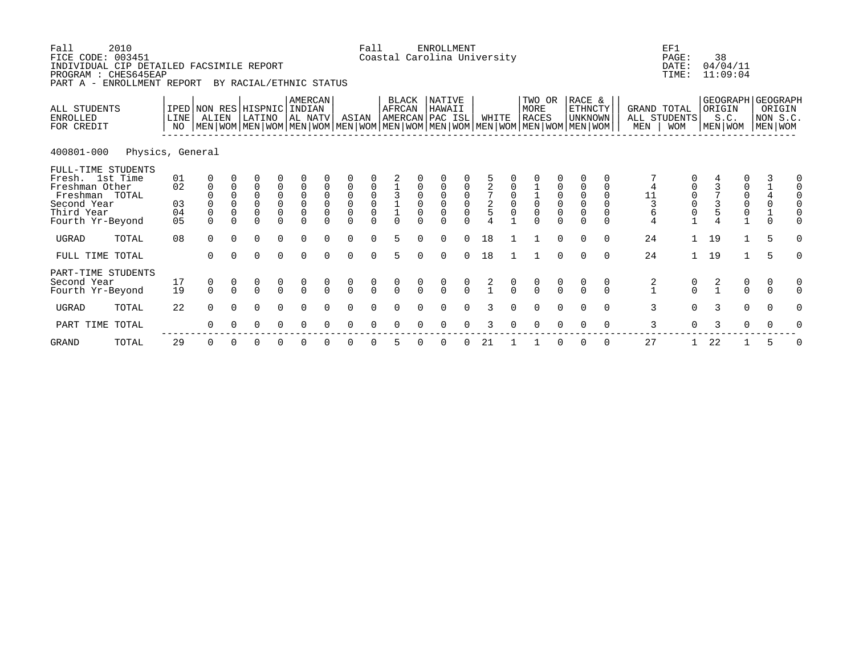| Fall<br>FICE CODE: 003451<br>INDIVIDUAL CIP DETAILED FACSIMILE REPORT<br>PROGRAM : CHES645EAP<br>PART A - ENROLLMENT REPORT | 2010             |                            |                                             |                                                                | BY RACIAL/ETHNIC STATUS                                     |                                                          |                                                                                      |                                                        |                                                                                       | Fall                                                |                                                             |                     | ENROLLMENT                                     |                                                | Coastal Carolina University |                            |                                      |               |                                                                                                                                             |                                  |                                    | EF1<br>PAGE:<br>DATE:<br>TIME:                   | 38                | 04/04/11<br>11:09:04                      |               |                                           |
|-----------------------------------------------------------------------------------------------------------------------------|------------------|----------------------------|---------------------------------------------|----------------------------------------------------------------|-------------------------------------------------------------|----------------------------------------------------------|--------------------------------------------------------------------------------------|--------------------------------------------------------|---------------------------------------------------------------------------------------|-----------------------------------------------------|-------------------------------------------------------------|---------------------|------------------------------------------------|------------------------------------------------|-----------------------------|----------------------------|--------------------------------------|---------------|---------------------------------------------------------------------------------------------------------------------------------------------|----------------------------------|------------------------------------|--------------------------------------------------|-------------------|-------------------------------------------|---------------|-------------------------------------------|
| ALL STUDENTS<br><b>ENROLLED</b><br>FOR CREDIT                                                                               |                  | LINE<br>NO.                | IPED NON RES HISPNIC<br>ALIEN               |                                                                | LATINO                                                      |                                                          | AMERCAN<br>INDIAN<br>AL NATV                                                         |                                                        | ASIAN                                                                                 |                                                     | BLACK<br>AFRCAN<br>AMERCAN PAC ISL                          |                     | NATIVE<br>HAWAII                               |                                                | WHITE                       |                            | TWO OR<br>MORE<br><b>RACES</b>       |               | RACE &<br>ETHNCTY<br>UNKNOWN<br>  MEN   WOM   MEN   WOM   MEN   WOM   MEN   WOM   MEN   WOM   MEN   WOM   MEN   WOM   MEN   WOM   MEN   WOM |                                  | GRAND TOTAL<br>ALL STUDENTS<br>MEN | <b>WOM</b>                                       | ORIGIN<br>MEN WOM | S.C.                                      | MEN   WOM     | GEOGRAPH   GEOGRAPH<br>ORIGIN<br>NON S.C. |
| 400801-000                                                                                                                  | Physics, General |                            |                                             |                                                                |                                                             |                                                          |                                                                                      |                                                        |                                                                                       |                                                     |                                                             |                     |                                                |                                                |                             |                            |                                      |               |                                                                                                                                             |                                  |                                    |                                                  |                   |                                           |               |                                           |
| FULL-TIME STUDENTS<br>Fresh. 1st Time<br>Freshman Other<br>Freshman TOTAL<br>Second Year<br>Third Year<br>Fourth Yr-Beyond  |                  | 01<br>02<br>03<br>04<br>05 | 0<br>$\mathbf 0$<br>$\mathbf 0$<br>$\Omega$ | $\Omega$<br>$\Omega$<br>$\Omega$<br>$\overline{0}$<br>$\Omega$ | $\Omega$<br>$\Omega$<br>$\mathbf 0$<br>$\Omega$<br>$\Omega$ | 0<br>0<br>$\begin{matrix} 0 \\ 0 \end{matrix}$<br>$\cap$ | $\mathbf 0$<br>$\begin{smallmatrix}0\\0\end{smallmatrix}$<br>$\mathsf 0$<br>$\Omega$ | $\Omega$<br>$\mathbf 0$<br>$\mathbf 0$<br>$\mathbf{0}$ | $\overline{0}$<br>$\overline{0}$<br>$\mathsf{O}\xspace$<br>$\overline{0}$<br>$\Omega$ | $\begin{matrix} 0 \\ 0 \\ 0 \end{matrix}$<br>$\cap$ | $\begin{array}{c} 1 \\ 3 \\ 1 \\ 1 \end{array}$<br>$\Omega$ | $\overline{0}$<br>0 | 0<br>$\Omega$<br>$\mathsf 0$<br>$\overline{0}$ | 0<br>$\begin{matrix} 0 \\ 0 \\ 0 \end{matrix}$ | $\frac{2}{5}$               | $\mathbf 0$<br>$\mathbf 0$ | $\overline{0}$<br>0                  |               | $\overline{0}$<br>$\overline{0}$<br>$\mathbf 0$<br>$\Omega$                                                                                 | $\Omega$<br>$\Omega$<br>$\Omega$ | 4<br>11<br>6                       | $\mathbf 0$<br>$_{\rm 0}^{\rm 0}$<br>$\mathsf 0$ |                   | $\begin{matrix} 0 \\ 0 \\ 0 \end{matrix}$ |               | 0<br>$\Omega$<br>$\Omega$<br>0            |
| <b>UGRAD</b>                                                                                                                | TOTAL            | 08                         | $\Omega$                                    | $\Omega$                                                       | $\Omega$                                                    | $\Omega$                                                 | $\Omega$                                                                             | $\Omega$                                               | $\Omega$                                                                              | $\Omega$                                            | 5                                                           | $\Omega$            | $\Omega$                                       | $\Omega$                                       | 18                          |                            |                                      | $\Omega$      | $\Omega$                                                                                                                                    | $\Omega$                         | 24                                 | $\mathbf{1}$                                     | 19                | $\mathbf{1}$                              | 5             | $\Omega$                                  |
| FULL TIME TOTAL                                                                                                             |                  |                            | $\Omega$                                    | $\Omega$                                                       | $\Omega$                                                    | $\Omega$                                                 | $\Omega$                                                                             | $\Omega$                                               | $\Omega$                                                                              | $\Omega$                                            | 5                                                           | $\Omega$            | $\Omega$                                       | $\Omega$                                       | 18                          |                            |                                      | $\Omega$      | $\Omega$                                                                                                                                    | $\Omega$                         | 24                                 | $\mathbf{1}$                                     | 19                | $\mathbf{1}$                              | 5             | $\Omega$                                  |
| PART-TIME STUDENTS<br>Second Year<br>Fourth Yr-Beyond                                                                       |                  | 17<br>19                   | 0<br>$\Omega$                               | $\Omega$                                                       | $\begin{matrix} 0 \\ 0 \end{matrix}$                        | $\frac{0}{0}$                                            | $\begin{matrix} 0 \\ 0 \end{matrix}$                                                 | $\Omega$                                               | $\begin{matrix} 0 \\ 0 \end{matrix}$                                                  | $\begin{matrix} 0 \\ 0 \end{matrix}$                | $\begin{matrix} 0 \\ 0 \end{matrix}$                        | $\frac{0}{0}$       | $\begin{matrix} 0 \\ 0 \end{matrix}$           | $\frac{0}{0}$                                  | $\frac{2}{1}$               | $\frac{0}{0}$              | $\begin{matrix} 0 \\ 0 \end{matrix}$ | $\frac{0}{0}$ | $\cap$                                                                                                                                      | 0<br>$\cap$                      | $\frac{2}{1}$                      | $\begin{matrix}0\\0\end{matrix}$                 | $\frac{2}{1}$     | $\begin{matrix} 0 \\ 0 \end{matrix}$      | 0<br>$\Omega$ | 0<br>$\Omega$                             |
| <b>UGRAD</b>                                                                                                                | TOTAL            | 22                         | $\cap$                                      |                                                                | $\Omega$                                                    | $\Omega$                                                 | $\Omega$                                                                             | <sup>n</sup>                                           | $\Omega$                                                                              | $\Omega$                                            | $\Omega$                                                    |                     | $\Omega$                                       | $\Omega$                                       | २                           |                            | $\Omega$                             |               |                                                                                                                                             | $\Omega$                         | 3                                  | $\Omega$                                         | 3                 | $\Omega$                                  | $\Omega$      | 0                                         |
| PART TIME TOTAL                                                                                                             |                  |                            |                                             |                                                                | O                                                           | $\Omega$                                                 | $\Omega$                                                                             | 0                                                      | $\Omega$                                                                              | $\Omega$                                            | $\Omega$                                                    |                     | $\Omega$                                       | $\Omega$                                       | 3                           |                            | $\Omega$                             |               | ∩                                                                                                                                           | $\Omega$                         | 3                                  | $\Omega$                                         | 3                 | $\Omega$                                  | 0             | 0                                         |
| <b>GRAND</b>                                                                                                                | TOTAL            | 29                         | O                                           |                                                                |                                                             |                                                          |                                                                                      |                                                        |                                                                                       |                                                     | 5                                                           |                     |                                                |                                                | 21                          |                            |                                      |               |                                                                                                                                             |                                  | 27                                 | 1                                                | 22                |                                           | 5             | 0                                         |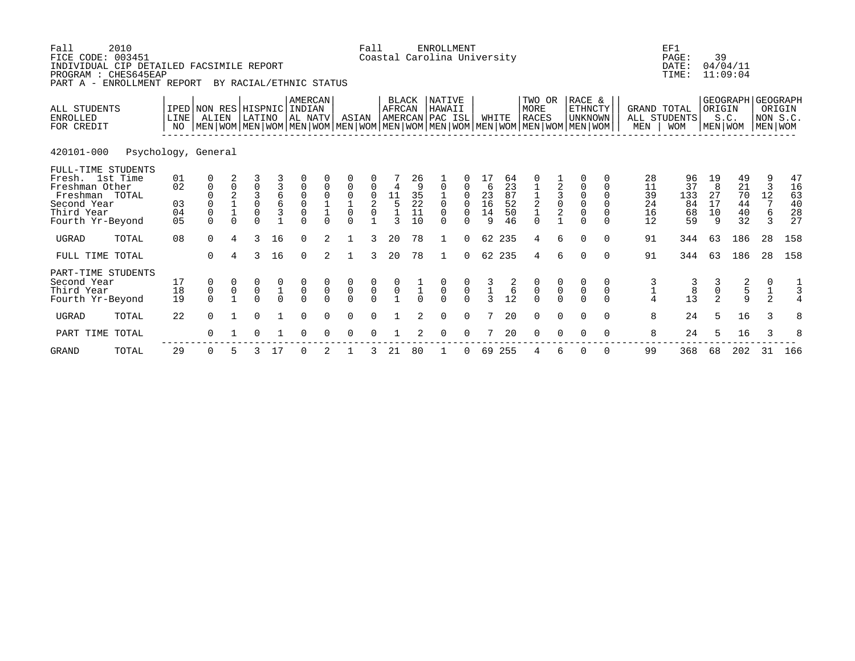| Fall<br>FICE CODE: 003451<br>INDIVIDUAL CIP DETAILED FACSIMILE REPORT<br>PROGRAM : CHES645EAP<br>PART A - ENROLLMENT REPORT | 2010                |                            |                                                            |                                                 | BY RACIAL/ETHNIC STATUS                     |                                           |                                                                      |                                      |                                                                   | Fall                                 |                                                                          |                                       | <b>ENROLLMENT</b><br>Coastal Carolina University       |                                           |                                                                    |                                  |                                                           |                                            |                                                                                                                                                    |                                            |                                  | EF1<br>PAGE:<br>DATE:<br>TIME:    | 39                                   | 04/04/11<br>11:09:04             |                                               |                                  |
|-----------------------------------------------------------------------------------------------------------------------------|---------------------|----------------------------|------------------------------------------------------------|-------------------------------------------------|---------------------------------------------|-------------------------------------------|----------------------------------------------------------------------|--------------------------------------|-------------------------------------------------------------------|--------------------------------------|--------------------------------------------------------------------------|---------------------------------------|--------------------------------------------------------|-------------------------------------------|--------------------------------------------------------------------|----------------------------------|-----------------------------------------------------------|--------------------------------------------|----------------------------------------------------------------------------------------------------------------------------------------------------|--------------------------------------------|----------------------------------|-----------------------------------|--------------------------------------|----------------------------------|-----------------------------------------------|----------------------------------|
| ALL STUDENTS<br><b>ENROLLED</b><br>FOR CREDIT                                                                               |                     | LINE<br>NO                 | IPED NON RES HISPNIC INDIAN<br>ALIEN                       |                                                 | LATINO                                      |                                           | AMERCAN<br>AL NATV                                                   |                                      |                                                                   | ASIAN                                | AFRCAN                                                                   | <b>BLACK</b>                          | NATIVE<br>HAWAII<br>AMERCAN PAC ISL                    |                                           |                                                                    | WHITE                            | TWO OR<br>MORE<br>RACES                                   |                                            | RACE &<br><b>ETHNCTY</b><br>UNKNOWN<br>  MEN   WOM   MEN   WOM   MEN   WOM   MEN   WOM   MEN   WOM   MEN   WOM   MEN   WOM   MEN   WOM   MEN   WOM |                                            | GRAND TOTAL<br>MEN               | ALL STUDENTS<br><b>WOM</b>        | ORIGIN<br>MEN   WOM                  | S.C.                             | GEOGRAPH   GEOGRAPH<br>NON S.C<br>  MEN   WOM | ORIGIN                           |
| 420101-000                                                                                                                  | Psychology, General |                            |                                                            |                                                 |                                             |                                           |                                                                      |                                      |                                                                   |                                      |                                                                          |                                       |                                                        |                                           |                                                                    |                                  |                                                           |                                            |                                                                                                                                                    |                                            |                                  |                                   |                                      |                                  |                                               |                                  |
| FULL-TIME STUDENTS<br>Fresh. 1st Time<br>Freshman Other<br>Freshman TOTAL<br>Second Year<br>Third Year<br>Fourth Yr-Beyond  |                     | 01<br>02<br>03<br>04<br>05 | 0<br>$\mathbf 0$<br>$\mathbf 0$<br>$\mathsf 0$<br>$\Omega$ | $\mathbf 0$<br>$_1^2$<br>$\mathbf{1}$<br>$\cap$ | 3<br>0<br>3<br>$\mathbf 0$<br>0<br>$\Omega$ | 3<br>б<br>б<br>3                          | $\mathbf 0$<br>$\begin{matrix} 0 \\ 0 \\ 0 \end{matrix}$<br>$\Omega$ | $\mathbf 0$<br>$\mathbf 0$<br>$\cap$ | $\mathbf 0$<br>0<br>$\mathbf{1}$<br>$\mathsf{O}\xspace$<br>$\cap$ | 0<br>$\mathbf 0$<br>2<br>$\mathsf 0$ | $\begin{array}{c}\n11 \\ 5 \\ 1\n\end{array}$<br>$\overline{\mathbf{z}}$ | 26<br>9<br>$35$<br>$22$<br>$11$<br>10 | $\mathbf 0$<br>$\overline{0}$<br>$\mathbf 0$<br>$\cap$ | 0<br>0<br>0<br>$\Omega$                   | 6<br>$\begin{array}{c} 23 \\ 16 \\ 14 \end{array}$<br>$\mathsf{Q}$ | 64<br>23<br>87<br>52<br>50<br>46 | 0<br>$\begin{array}{c} 1 \\ 2 \\ 1 \end{array}$<br>$\cap$ | $\begin{array}{c} 3 \\ 0 \\ 2 \end{array}$ | $\Omega$<br>$\overline{0}$<br>$\Omega$<br>$\overline{0}$<br>$\cap$                                                                                 | $\Omega$<br>$\Omega$<br>$\Omega$<br>$\cap$ | 28<br>11<br>39<br>24<br>16<br>12 | 96<br>37<br>133<br>84<br>68<br>59 | 19<br>8<br>27<br>17<br>10<br>9       | 49<br>21<br>70<br>44<br>40<br>32 | 3<br>12<br>7<br>$\epsilon$<br>$\mathcal{R}$   | 47<br>16<br>63<br>40<br>28<br>27 |
| <b>UGRAD</b>                                                                                                                | TOTAL               | 08                         | $\Omega$                                                   | 4                                               | 3                                           | 16                                        | $\Omega$                                                             | $\overline{a}$                       | 1                                                                 | 3                                    | 20                                                                       | 78                                    | $\mathbf{1}$                                           | $\Omega$                                  |                                                                    | 62 235                           | 4                                                         | 6                                          | $\Omega$                                                                                                                                           | $\cap$                                     | 91                               | 344                               | 63                                   | 186                              | 28                                            | 158                              |
| FULL TIME TOTAL                                                                                                             |                     |                            | $\Omega$                                                   | 4                                               | 3                                           | 16                                        | $\Omega$                                                             | $\overline{2}$                       | $\mathbf{1}$                                                      | 3                                    | 20                                                                       | 78                                    | $\mathbf{1}$                                           | $\Omega$                                  |                                                                    | 62 235                           | 4                                                         | 6                                          | $\Omega$                                                                                                                                           | $\Omega$                                   | 91                               | 344                               | 63                                   | 186                              | 28                                            | 158                              |
| PART-TIME STUDENTS<br>Second Year<br>Third Year<br>Fourth Yr-Beyond                                                         |                     | 17<br>18<br>19             | 0<br>$\begin{matrix}0\\0\end{matrix}$                      | $\mathsf{O}$                                    | $\mathsf{O}\xspace$<br>$\cap$               | $\begin{matrix} 0 \\ 1 \\ 0 \end{matrix}$ | $\begin{matrix} 0 \\ 0 \end{matrix}$<br>$\Omega$                     | $\pmb{0}$                            | $\begin{matrix} 0 \\ 0 \\ 0 \end{matrix}$                         | $\begin{matrix}0\\0\\0\end{matrix}$  | $\begin{matrix} 0 \\ 0 \\ 1 \end{matrix}$                                |                                       | $\begin{matrix}0\\0\\0\end{matrix}$                    | $\begin{matrix} 0 \\ 0 \\ 0 \end{matrix}$ | $\frac{3}{3}$                                                      | $\frac{2}{6}$<br>12              | $\begin{matrix} 0 \\ 0 \\ 0 \end{matrix}$                 | $\begin{matrix} 0 \\ 0 \end{matrix}$       | $\mathsf{O}$                                                                                                                                       | 0<br>$\mathbf 0$                           | 3                                | $\frac{3}{8}$<br>13               | $\mathsf{O}\xspace$<br>$\mathcal{D}$ | 2<br>5<br>$\mathsf{Q}$           | $\frac{1}{2}$                                 | $\frac{1}{3}$<br>4               |
| <b>UGRAD</b>                                                                                                                | TOTAL               | 22                         | $\Omega$                                                   |                                                 | $\Omega$                                    |                                           | $\Omega$                                                             | 0                                    | $\Omega$                                                          | $\Omega$                             |                                                                          | 2                                     | 0                                                      | $\mathbf 0$                               |                                                                    | 20                               | $\Omega$                                                  | $\Omega$                                   |                                                                                                                                                    | $\Omega$                                   | 8                                | 24                                | 5                                    | 16                               | 3                                             | 8                                |
| PART TIME                                                                                                                   | TOTAL               |                            | $\Omega$                                                   |                                                 |                                             |                                           | <sup>n</sup>                                                         |                                      | $\Omega$                                                          |                                      |                                                                          |                                       | $\Omega$                                               | $\Omega$                                  |                                                                    | 20                               | ∩                                                         |                                            |                                                                                                                                                    | $\Omega$                                   | 8                                | 24                                | 5                                    | 16                               | 3                                             | 8                                |
| <b>GRAND</b>                                                                                                                | TOTAL               | 29                         | 0                                                          |                                                 | 3                                           | 17                                        | $\Omega$                                                             |                                      |                                                                   | 3                                    | 21                                                                       | 80                                    |                                                        | 0                                         | 69                                                                 | 255                              |                                                           | 6                                          | $\Omega$                                                                                                                                           | $\Omega$                                   | 99                               | 368                               | 68                                   | 202                              | 31                                            | 166                              |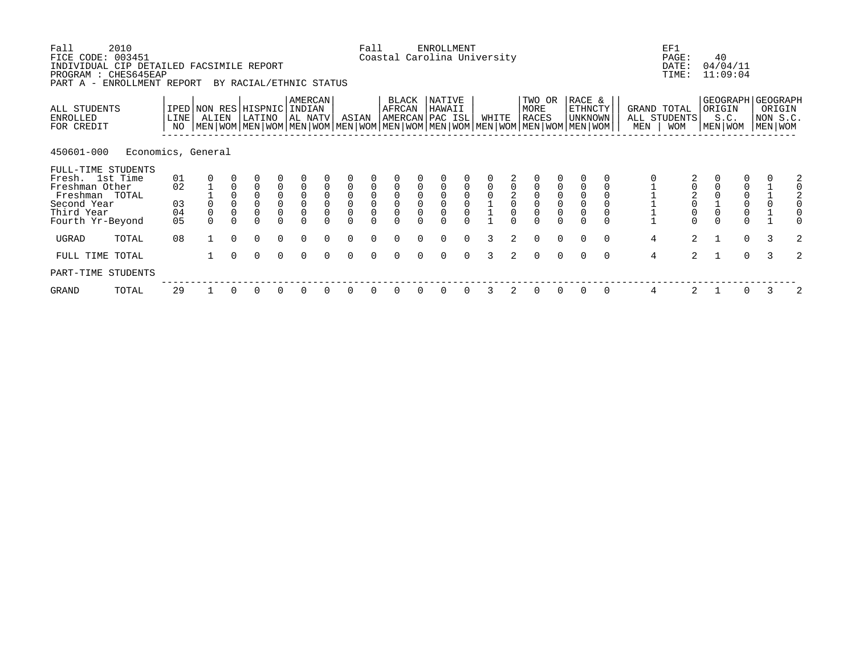| Fall<br>FICE CODE: 003451<br>INDIVIDUAL CIP DETAILED FACSIMILE REPORT<br>PROGRAM : CHES645EAP<br>PART A - ENROLLMENT REPORT | 2010               |                   |                |             | BY RACIAL/ETHNIC STATUS        |                     |                                |                |                                            | Fall                                       |                                      |          | <b>ENROLLMENT</b><br>Coastal Carolina University |                                            |       |               |                                                                                                                                               |                                            |                              |          |                | EF1<br>PAGE:<br>DATE:<br>TIME:                 |              | 40<br>04/04/11<br>11:09:04 |          |                                                      |   |
|-----------------------------------------------------------------------------------------------------------------------------|--------------------|-------------------|----------------|-------------|--------------------------------|---------------------|--------------------------------|----------------|--------------------------------------------|--------------------------------------------|--------------------------------------|----------|--------------------------------------------------|--------------------------------------------|-------|---------------|-----------------------------------------------------------------------------------------------------------------------------------------------|--------------------------------------------|------------------------------|----------|----------------|------------------------------------------------|--------------|----------------------------|----------|------------------------------------------------------|---|
| ALL STUDENTS<br>ENROLLED<br>FOR CREDIT                                                                                      |                    | <b>LINE</b><br>NO | ALIEN          |             | IPED NON RES HISPNIC<br>LATINO |                     | AMERCAN<br>  INDIAN<br>AL NATV |                | ASIAN                                      |                                            | BLACK<br>AFRCAN                      |          | NATIVE<br>HAWAII<br>AMERCAN PAC ISL              |                                            | WHITE |               | TWO OR<br>MORE<br><b>RACES</b><br>  MEN   WOM   MEN   WOM   MEN   WOM   MEN   WOM   MEN   WOM   MEN   WOM   MEN   WOM   MEN   WOM   MEN   WOM |                                            | RACE &<br>ETHNCTY<br>UNKNOWN |          | MEN            | GRAND TOTAL<br>ALL STUDENTS<br><b>WOM</b>      |              | ORIGIN<br>S.C.<br>MEN WOM  |          | GEOGRAPH   GEOGRAPH<br>ORIGIN<br>NON S.C.<br>MEN WOM |   |
| 450601-000                                                                                                                  | Economics, General |                   |                |             |                                |                     |                                |                |                                            |                                            |                                      |          |                                                  |                                            |       |               |                                                                                                                                               |                                            |                              |          |                |                                                |              |                            |          |                                                      |   |
| FULL-TIME STUDENTS                                                                                                          |                    |                   |                |             |                                |                     |                                |                |                                            |                                            |                                      |          |                                                  |                                            |       |               |                                                                                                                                               |                                            |                              |          |                |                                                |              |                            |          |                                                      |   |
| Fresh. 1st Time<br>Freshman Other                                                                                           |                    | 01<br>02          |                | $\mathbf 0$ | $\mathbf 0$                    | $\mathsf 0$         |                                | $\Omega$       | $\overline{0}$                             | $\mathsf 0$                                | $\mathbf 0$                          |          | $\Omega$                                         | 0                                          |       |               | $\overline{0}$                                                                                                                                |                                            |                              |          |                | 0                                              |              |                            |          |                                                      | 2 |
| Freshman TOTAL                                                                                                              |                    |                   |                |             |                                |                     |                                | $\mathbf 0$    |                                            |                                            |                                      |          |                                                  |                                            |       |               |                                                                                                                                               |                                            |                              |          |                |                                                |              |                            |          |                                                      |   |
| Second Year                                                                                                                 |                    | 03                |                | $\mathbf 0$ | $\mathsf{O}\xspace$            | $_{\rm 0}^{\rm 0}$  | $_{\rm 0}^{\rm 0}$             | $\overline{0}$ | $\begin{smallmatrix}0\\0\end{smallmatrix}$ | $\begin{smallmatrix}0\\0\end{smallmatrix}$ | $\begin{matrix} 0 \\ 0 \end{matrix}$ | $\Omega$ | $\overline{0}$                                   | $\begin{smallmatrix}0\\0\end{smallmatrix}$ |       | $\frac{2}{0}$ | $\begin{smallmatrix}0\\0\end{smallmatrix}$                                                                                                    | $\begin{smallmatrix}0\\0\end{smallmatrix}$ | $\overline{0}$               |          |                | $\begin{matrix} 2 \\ 0 \\ 0 \\ 0 \end{matrix}$ |              |                            |          |                                                      |   |
| Third Year                                                                                                                  |                    | 04                | $\overline{0}$ | $\mathbf 0$ | 0                              | $\mathsf{O}\xspace$ | $\mathsf 0$                    | $\mathbf 0$    | $\overline{0}$                             |                                            | $\overline{0}$                       |          |                                                  | $\mathsf{O}\xspace$                        |       |               |                                                                                                                                               |                                            | $\overline{0}$               |          |                |                                                |              |                            |          |                                                      |   |
| Fourth Yr-Beyond                                                                                                            |                    | 05                |                |             | $\Omega$                       |                     |                                |                | $\Omega$                                   |                                            |                                      |          |                                                  |                                            |       |               |                                                                                                                                               |                                            |                              |          |                |                                                |              |                            |          |                                                      |   |
| UGRAD                                                                                                                       | TOTAL              | 08                |                | $\Omega$    | $\Omega$                       | $\Omega$            | $\Omega$                       | $\Omega$       | $\Omega$                                   | $\Omega$                                   | $\Omega$                             |          | $\Omega$                                         | $\Omega$                                   | 3     | 2             | $\Omega$                                                                                                                                      | $\Omega$                                   | $\Omega$                     | $\Omega$ | $\overline{4}$ | $\overline{2}$                                 | $\mathbf{1}$ |                            | $\Omega$ | 3                                                    | 2 |
| FULL TIME TOTAL                                                                                                             |                    |                   |                |             | $\Omega$                       | $\Omega$            | $\Omega$                       | $\cap$         | $\Omega$                                   | $\Omega$                                   | $\Omega$                             | $\Omega$ | $\Omega$                                         | $\Omega$                                   | 3     | $2^{1}$       | $\Omega$                                                                                                                                      |                                            |                              | $\Omega$ | $\overline{4}$ | $2^{\circ}$                                    | $\mathbf{1}$ |                            | $\Omega$ | 3                                                    | 2 |
| PART-TIME STUDENTS                                                                                                          |                    |                   |                |             |                                |                     |                                |                |                                            |                                            |                                      |          |                                                  |                                            |       |               |                                                                                                                                               |                                            |                              |          |                |                                                |              |                            |          |                                                      |   |
| GRAND                                                                                                                       | TOTAL              | 29                |                |             |                                |                     | 0                              |                | 0                                          |                                            | 0                                    |          | 0                                                | 0                                          | 3     | 2             | $\Omega$                                                                                                                                      |                                            |                              |          | 4              | 2                                              |              |                            |          | 3                                                    | 2 |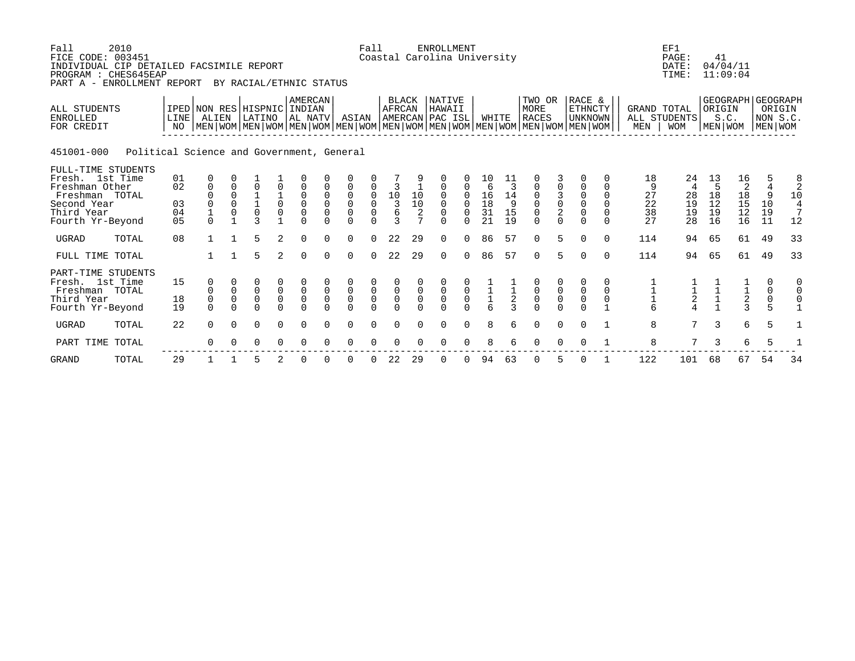| Fall<br>FICE CODE: 003451<br>INDIVIDUAL CIP DETAILED FACSIMILE REPORT<br>PROGRAM : CHES645EAP<br>PART A - ENROLLMENT REPORT | 2010                                      |                            |                                                            |                                       | BY RACIAL/ETHNIC STATUS                |                                                  |                                           |                                                          |                                                                    | Fall                                           |                                                           |                                                                       | <b>ENROLLMENT</b><br>Coastal Carolina University      |                                            |                                              |                                |                                                                                                                                                    |                                                      |                                                                      |                                                   |                                 | EF1<br>PAGE:<br>DATE:<br>TIME:             | 41                              | 04/04/11<br>11:09:04                   |                                                    |                                            |
|-----------------------------------------------------------------------------------------------------------------------------|-------------------------------------------|----------------------------|------------------------------------------------------------|---------------------------------------|----------------------------------------|--------------------------------------------------|-------------------------------------------|----------------------------------------------------------|--------------------------------------------------------------------|------------------------------------------------|-----------------------------------------------------------|-----------------------------------------------------------------------|-------------------------------------------------------|--------------------------------------------|----------------------------------------------|--------------------------------|----------------------------------------------------------------------------------------------------------------------------------------------------|------------------------------------------------------|----------------------------------------------------------------------|---------------------------------------------------|---------------------------------|--------------------------------------------|---------------------------------|----------------------------------------|----------------------------------------------------|--------------------------------------------|
| ALL STUDENTS<br><b>ENROLLED</b><br>FOR CREDIT                                                                               |                                           | LINE<br>NO                 | ALIEN                                                      |                                       | IPED NON RES HISPNIC INDIAN<br>LATINO  |                                                  | AMERCAN<br>  AL NATV                      |                                                          | ASIAN                                                              |                                                | <b>BLACK</b><br>AFRCAN                                    |                                                                       | NATIVE<br>HAWAII<br>AMERCAN PAC ISL                   |                                            | WHITE                                        |                                | TWO OR<br><b>MORE</b><br><b>RACES</b><br>NEN   WOM   MEN   WOM   MEN   WOM   MEN   WOM   MEN   WOM   MEN   WOM   MEN   WOM   MEN   WOM   MEN   WOM |                                                      | RACE &<br>ETHNCTY<br><b>UNKNOWN</b>                                  |                                                   | <b>GRAND TOTAL</b><br>MEN       | ALL STUDENTS<br><b>WOM</b>                 | ORIGIN                          | GEOGRAPH GEOGRAPH<br>S.C.<br>MEN   WOM | MEN WOM                                            | ORIGIN<br>NON S.C.                         |
| 451001-000                                                                                                                  | Political Science and Government, General |                            |                                                            |                                       |                                        |                                                  |                                           |                                                          |                                                                    |                                                |                                                           |                                                                       |                                                       |                                            |                                              |                                |                                                                                                                                                    |                                                      |                                                                      |                                                   |                                 |                                            |                                 |                                        |                                                    |                                            |
| FULL-TIME STUDENTS<br>Fresh. 1st Time<br>Freshman Other<br>Freshman TOTAL<br>Second Year<br>Third Year<br>Fourth Yr-Beyond  |                                           | 01<br>02<br>03<br>04<br>05 | 0<br>$\mathbf 0$<br>$\mathbf 0$<br>$\mathbf 1$<br>$\Omega$ | $\Omega$<br>$\Omega$<br>$\Omega$<br>0 | 0<br>$\mathbf{1}$<br>0<br>$\mathbf{z}$ | $\mathbf 0$<br>$\mathsf 0$                       | $\mathbf 0$<br>$\overline{0}$<br>$\Omega$ | 0<br>$\mathbf 0$<br>$\mathbf 0$<br>$\mathsf 0$<br>$\cap$ | 0<br>$\mathbf 0$<br>$\mathsf 0$<br>$\mathsf{O}\xspace$<br>$\Omega$ | 0<br>$\mathbf 0$<br>0<br>$\mathsf 0$<br>$\cap$ | 3<br>$10$<br>$\overline{3}$<br>$\epsilon$<br>$\mathbf{3}$ | $\begin{array}{c} 10 \\ 10 \end{array}$<br>$\sqrt{2}$<br>$\mathbf{r}$ | 0<br>$\mathbf 0$<br>$\Omega$<br>$\mathbf 0$<br>$\cap$ | 0<br>$\Omega$<br>$\mathbf 0$<br>$\cap$     | 10<br>6<br>$\frac{16}{18}$<br>31<br>21       | 11<br>3<br>14<br>9<br>15<br>19 | 0<br>$\mathbf 0$<br>$\mathbf 0$<br>$\mathsf 0$<br>$\Omega$                                                                                         | $\begin{array}{c} 3 \\ 0 \\ 2 \end{array}$<br>$\cap$ | $\mathbf 0$<br>$\mathbf 0$<br>$\mathbf 0$<br>$\mathbf 0$<br>$\Omega$ | $\Omega$<br>$\Omega$<br>$\Omega$<br>0<br>$\Omega$ | 18<br>9<br>27<br>22<br>38<br>27 | 24<br>4<br>28<br>19<br>19<br>28            | 13<br>5<br>18<br>12<br>19<br>16 | 16<br>18<br>$\frac{15}{12}$<br>16      | 4<br>9<br>10<br>19<br>11                           | $\frac{8}{2}$<br>10<br>$\frac{4}{7}$<br>12 |
| <b>UGRAD</b>                                                                                                                | TOTAL                                     | 08                         | $\mathbf{1}$                                               |                                       | 5                                      | 2                                                | $\Omega$                                  | $\cap$                                                   | $\Omega$                                                           | $\Omega$                                       | 22                                                        | 29                                                                    | $\Omega$                                              | $\Omega$                                   | 86                                           | 57                             | $\Omega$                                                                                                                                           | 5                                                    | $\Omega$                                                             | $\Omega$                                          | 114                             | 94                                         | 65                              | 61                                     | 49                                                 | 33                                         |
| FULL TIME TOTAL                                                                                                             |                                           |                            |                                                            |                                       | 5                                      | $\overline{2}$                                   | $\Omega$                                  | $\Omega$                                                 | $\Omega$                                                           | $\Omega$                                       | 22                                                        | 29                                                                    | $\Omega$                                              | $\Omega$                                   | 86                                           | 57                             | $\Omega$                                                                                                                                           | 5                                                    | $\Omega$                                                             | $\Omega$                                          | 114                             | 94                                         | 65                              | 61                                     | 49                                                 | 33                                         |
| PART-TIME STUDENTS<br>Fresh. 1st Time<br>Freshman TOTAL<br>Third Year<br>Fourth Yr-Beyond                                   |                                           | 15<br>18<br>19             | 0<br>0<br>$\mathbf 0$<br>$\Omega$                          | $\mathsf 0$<br>$\mathsf 0$            | $\mathsf 0$<br>$\mathsf 0$<br>$\cap$   | $\begin{matrix} 0 \\ 0 \end{matrix}$<br>$\Omega$ | $\overline{0}$<br>$\Omega$                | $\mathsf{O}\xspace$<br>$\mathsf 0$                       | $\begin{matrix} 0 \\ 0 \\ 0 \end{matrix}$                          | $\begin{matrix} 0 \\ 0 \\ 0 \end{matrix}$      | $\begin{smallmatrix}0\\0\\0\end{smallmatrix}$             | $\mathsf 0$                                                           | $\begin{smallmatrix}0\\0\end{smallmatrix}$            | $\begin{smallmatrix}0\\0\end{smallmatrix}$ | $\begin{array}{c}\n1 \\ 1 \\ 6\n\end{array}$ | $\frac{1}{2}$                  | $\begin{matrix} 0 \\ 0 \\ 0 \\ 0 \end{matrix}$                                                                                                     | $_{\rm 0}^{\rm 0}$                                   | $\begin{smallmatrix}0\\0\end{smallmatrix}$                           | 0<br>0                                            | $\frac{1}{1}$<br>$\frac{1}{6}$  | $\begin{array}{c} 1 \\ 2 \\ 4 \end{array}$ |                                 | $\frac{1}{2}$<br>3                     | 0<br>$\mathsf 0$<br>$\mathsf 0$<br>$5\overline{5}$ | 0                                          |
| <b>UGRAD</b>                                                                                                                | TOTAL                                     | 22                         | $\Omega$                                                   | $\Omega$                              | $\Omega$                               | $\Omega$                                         | $\Omega$                                  |                                                          | $\Omega$                                                           |                                                |                                                           |                                                                       | $\Omega$                                              | $\Omega$                                   | 8                                            | б.                             | $\Omega$                                                                                                                                           | $\Omega$                                             | $\Omega$                                                             |                                                   | 8                               | 7                                          | 3                               | 6                                      | 5                                                  |                                            |
| PART TIME                                                                                                                   | TOTAL                                     |                            | $\Omega$                                                   |                                       | $\Omega$                               | 0                                                |                                           |                                                          |                                                                    |                                                |                                                           |                                                                       |                                                       |                                            | $\mathsf{R}$                                 |                                | $\Omega$                                                                                                                                           | $\Omega$                                             |                                                                      |                                                   | 8                               | 7                                          | 3                               | 6                                      | 5                                                  |                                            |
| <b>GRAND</b>                                                                                                                | TOTAL                                     | 29                         |                                                            |                                       | 5                                      | 2                                                |                                           |                                                          | <sup>0</sup>                                                       |                                                | 22                                                        | 29                                                                    | 0                                                     | 0                                          | 94                                           | 63                             | $\Omega$                                                                                                                                           | 5                                                    | $\Omega$                                                             |                                                   | 122                             | 101                                        | 68                              | 67                                     | 54                                                 | 34                                         |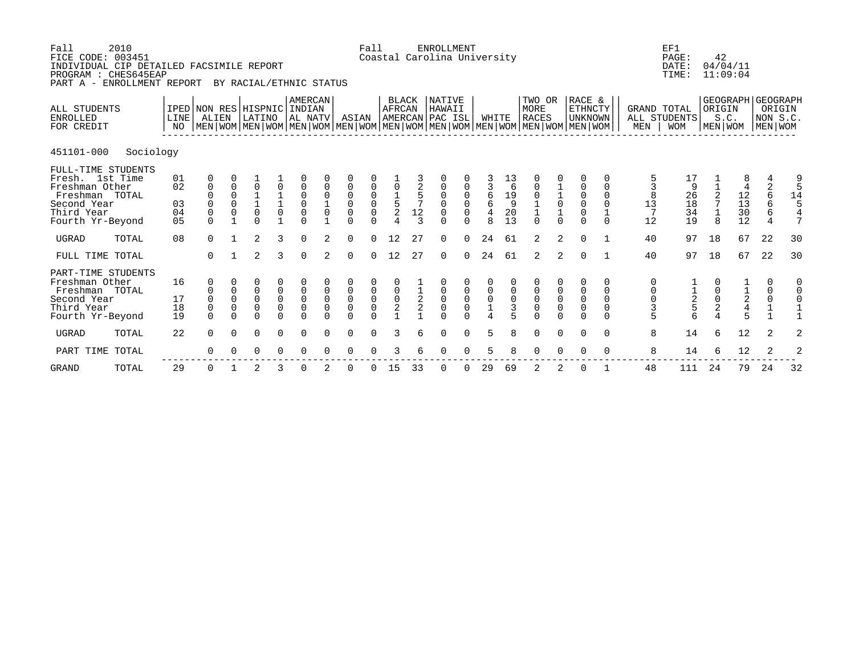| Fall<br>FICE CODE: 003451<br>INDIVIDUAL CIP DETAILED FACSIMILE REPORT<br>PROGRAM : CHES645EAP<br>PART A - ENROLLMENT REPORT | 2010      |                            |                                                                 |                                                             | BY RACIAL/ETHNIC STATUS                                                |                                                            |                                                                          |                                                       |                                                                              | Fall                                                  |                                               |                                         | <b>ENROLLMENT</b><br>Coastal Carolina University                         |                                                                  |                                                             |                                                                                              |                                                                                                                                               |                                                             |                                                            |                                                       |                                                                          | EF1<br>PAGE:<br>DATE:<br>TIME:         | 42                                             | 04/04/11<br>11:09:04                 |                                                |                                    |
|-----------------------------------------------------------------------------------------------------------------------------|-----------|----------------------------|-----------------------------------------------------------------|-------------------------------------------------------------|------------------------------------------------------------------------|------------------------------------------------------------|--------------------------------------------------------------------------|-------------------------------------------------------|------------------------------------------------------------------------------|-------------------------------------------------------|-----------------------------------------------|-----------------------------------------|--------------------------------------------------------------------------|------------------------------------------------------------------|-------------------------------------------------------------|----------------------------------------------------------------------------------------------|-----------------------------------------------------------------------------------------------------------------------------------------------|-------------------------------------------------------------|------------------------------------------------------------|-------------------------------------------------------|--------------------------------------------------------------------------|----------------------------------------|------------------------------------------------|--------------------------------------|------------------------------------------------|------------------------------------|
| ALL STUDENTS<br><b>ENROLLED</b><br>FOR CREDIT                                                                               |           | LINE<br>NO                 | IPED NON RES HISPNIC INDIAN<br>ALIEN                            |                                                             | LATINO                                                                 |                                                            | AMERCAN<br>  AL NATV                                                     |                                                       | ASIAN                                                                        |                                                       | BLACK<br><b>AFRCAN</b>                        |                                         | NATIVE<br>HAWAII<br>AMERCAN PAC ISL                                      |                                                                  | WHITE                                                       |                                                                                              | TWO OR<br>MORE<br><b>RACES</b><br>  MEN   WOM   MEN   WOM   MEN   WOM   MEN   WOM   MEN   WOM   MEN   WOM   MEN   WOM   MEN   WOM   MEN   WOM |                                                             | RACE &<br><b>ETHNCTY</b><br><b>UNKNOWN</b>                 |                                                       | <b>GRAND TOTAL</b><br>$\operatorname{\mathsf{MEN}}$                      | ALL STUDENTS<br><b>WOM</b>             | ORIGIN                                         | GEOGRAPH GEOGRAPH<br>S.C.<br>MEN WOM | MEN WOM                                        | ORIGIN<br>NON S.C.                 |
| 451101-000                                                                                                                  | Sociology |                            |                                                                 |                                                             |                                                                        |                                                            |                                                                          |                                                       |                                                                              |                                                       |                                               |                                         |                                                                          |                                                                  |                                                             |                                                                                              |                                                                                                                                               |                                                             |                                                            |                                                       |                                                                          |                                        |                                                |                                      |                                                |                                    |
| FULL-TIME STUDENTS<br>Fresh. 1st Time<br>Freshman Other<br>Freshman TOTAL<br>Second Year<br>Third Year<br>Fourth Yr-Beyond  |           | 01<br>02<br>03<br>04<br>05 | 0<br>$\mathsf 0$<br>0<br>$\mathsf 0$<br>$\mathsf 0$<br>$\Omega$ | $\begin{smallmatrix} 0\\0 \end{smallmatrix}$<br>$\mathsf 0$ | $\mathbf 0$<br>$\begin{bmatrix} 1 \\ 1 \\ 0 \end{bmatrix}$<br>$\Omega$ | $\begin{matrix} 0 \\ 1 \\ 1 \\ 0 \end{matrix}$             | $\mathbf 0$<br>$_{\rm 0}^{\rm 0}$<br>$\mathsf{O}$<br>$\Omega$            | $\begin{matrix} 0 \\ 1 \\ 0 \end{matrix}$             | $\mathsf{O}\xspace$<br>$\begin{matrix} 0 \\ 0 \\ 0 \end{matrix}$<br>$\Omega$ | 0000                                                  | $0 \\ 1 \\ 5 \\ 2$<br>$\overline{\mathbf{A}}$ | $\frac{5}{7}$<br>$12\,$<br>$\mathbf{3}$ | 0<br>$\begin{smallmatrix}0\\0\end{smallmatrix}$<br>$\mathbf 0$<br>$\cap$ | $\begin{matrix} 0 \\ 0 \\ 0 \end{matrix}$<br>$\mathsf{O}\xspace$ | $\frac{3}{6}$<br>$\overline{4}$<br>$\mathsf{R}$             | $\begin{array}{c} 13 \\ 6 \end{array}$<br>$\begin{array}{c} 19 \\ 9 \end{array}$<br>20<br>13 | $\mathsf 0$<br>$\begin{bmatrix} 0 \\ 1 \\ 1 \\ 0 \end{bmatrix}$                                                                               | $\begin{array}{c} 1 \\ 1 \\ 0 \\ 1 \end{array}$<br>$\Omega$ | $\begin{matrix} 0 \\ 0 \\ 0 \\ 0 \end{matrix}$<br>$\Omega$ | 0<br>0<br>$\mathbf 0$<br>$\mathbf 0$<br>1<br>$\Omega$ | $\begin{array}{c} 5 \\ 3 \\ 8 \\ 13 \end{array}$<br>$\overline{7}$<br>12 | 17<br>9<br>$\frac{26}{18}$<br>34<br>19 | $\frac{2}{7}$<br>$\mathbf{1}$<br>8             | $\frac{12}{13}$<br>$\frac{30}{12}$   | $\sqrt{2}$<br>$\frac{6}{6}$<br>$\epsilon$<br>4 | 9<br>5<br>14<br>5<br>$\frac{4}{7}$ |
| <b>UGRAD</b>                                                                                                                | TOTAL     | 08                         | $\Omega$                                                        |                                                             | $\overline{2}$                                                         | 3                                                          | $\Omega$                                                                 | 2                                                     | $\Omega$                                                                     | $\Omega$                                              | 12                                            | 27                                      | $\Omega$                                                                 | $\Omega$                                                         | 24                                                          | 61                                                                                           | 2                                                                                                                                             | 2                                                           | $\Omega$                                                   |                                                       | 40                                                                       | 97                                     | 18                                             | 67                                   | 22                                             | 30                                 |
| FULL TIME TOTAL                                                                                                             |           |                            | $\Omega$                                                        |                                                             | $\overline{2}$                                                         | 3                                                          | $\Omega$                                                                 | $\overline{2}$                                        | $\Omega$                                                                     | $\Omega$                                              | 12                                            | 27                                      | $\Omega$                                                                 | $\Omega$                                                         | 24                                                          | 61                                                                                           | 2                                                                                                                                             | 2                                                           | $\Omega$                                                   |                                                       | 40                                                                       | 97                                     | 18                                             | 67                                   | 22                                             | 30                                 |
| PART-TIME STUDENTS<br>Freshman Other<br>Freshman TOTAL<br>Second Year<br>Third Year<br>Fourth Yr-Beyond                     |           | 16<br>17<br>18<br>19       | 0<br>$\Omega$<br>$\mathbf 0$<br>$\mathsf 0$<br>$\Omega$         | $\Omega$<br>0<br>$\mathbf 0$<br>$\mathbf 0$<br>$\Omega$     | 0<br>0<br>$\mathsf 0$<br>0<br>$\Omega$                                 | 0<br>$\begin{matrix} 0 \\ 0 \\ 0 \end{matrix}$<br>$\Omega$ | $\begin{smallmatrix}0\\0\end{smallmatrix}$<br>$\overline{0}$<br>$\Omega$ | $\mathbf 0$<br>$\mathbf 0$<br>$\mathbf 0$<br>$\Omega$ | $\begin{matrix} 0 \\ 0 \\ 0 \end{matrix}$<br>$\Omega$                        | $\begin{matrix} 0 \\ 0 \\ 0 \end{matrix}$<br>$\Omega$ | $\begin{matrix} 0 \\ 0 \\ 2 \end{matrix}$     | $\frac{1}{2}$                           | $\begin{matrix}0\\0\\0\end{matrix}$<br>$\cap$                            | $\begin{matrix} 0 \\ 0 \\ 0 \end{matrix}$                        | $\begin{matrix} 0 \\ 0 \\ 1 \end{matrix}$<br>$\overline{4}$ | $\mathbf 0$<br>$\mathsf{O}$<br>$\overline{3}$                                                | 0<br>$\begin{matrix} 0 \\ 0 \\ 0 \end{matrix}$<br>$\Omega$                                                                                    | $\begin{matrix} 0 \\ 0 \\ 0 \end{matrix}$<br>$\Omega$       | 0<br>$\begin{matrix}0\\0\\0\end{matrix}$<br>$\Omega$       | 0<br>$\Omega$<br>$\Omega$<br>0<br>$\Omega$            | 0<br>0<br>$\frac{0}{3}$<br>5                                             | $\frac{1}{2}$ 5 6                      | $\begin{matrix} 0 \\ 0 \\ 2 \\ 4 \end{matrix}$ | $\frac{1}{2}$<br>$\frac{2}{4}$<br>5  | 0<br>$\begin{matrix} 0 \\ 0 \\ 1 \end{matrix}$ | 0<br>$\mathbf 0$<br>$\overline{1}$ |
| <b>UGRAD</b>                                                                                                                | TOTAL     | 22                         | $\Omega$                                                        | $\Omega$                                                    | $\mathbf 0$                                                            | $\Omega$                                                   | $\Omega$                                                                 | $\Omega$                                              | $\mathbf 0$                                                                  | $\Omega$                                              | 3                                             | 6                                       | $\Omega$                                                                 | $\Omega$                                                         | 5                                                           | 8                                                                                            | $\mathbf 0$                                                                                                                                   | $\mathbf 0$                                                 | $\Omega$                                                   | $\Omega$                                              | 8                                                                        | 14                                     | 6                                              | 12                                   | 2                                              | 2                                  |
| PART TIME TOTAL                                                                                                             |           |                            | $\Omega$                                                        |                                                             | $\Omega$                                                               | $\Omega$                                                   | $\Omega$                                                                 |                                                       | $\Omega$                                                                     |                                                       |                                               |                                         | $\Omega$                                                                 | $\Omega$                                                         | 5                                                           |                                                                                              | $\Omega$                                                                                                                                      | $\Omega$                                                    | $\Omega$                                                   | $\Omega$                                              | 8                                                                        | 14                                     | 6                                              | 12                                   | 2                                              | 2                                  |
| <b>GRAND</b>                                                                                                                | TOTAL     | 29                         | 0                                                               |                                                             | 2                                                                      | 3                                                          | $\Omega$                                                                 |                                                       | $\Omega$                                                                     | 0                                                     | 15                                            | 33                                      | 0                                                                        | $\Omega$                                                         | 29                                                          | 69                                                                                           | 2                                                                                                                                             | 2                                                           | $\mathbf 0$                                                |                                                       | 48                                                                       | 111                                    | 24                                             | 79                                   | 24                                             | 32                                 |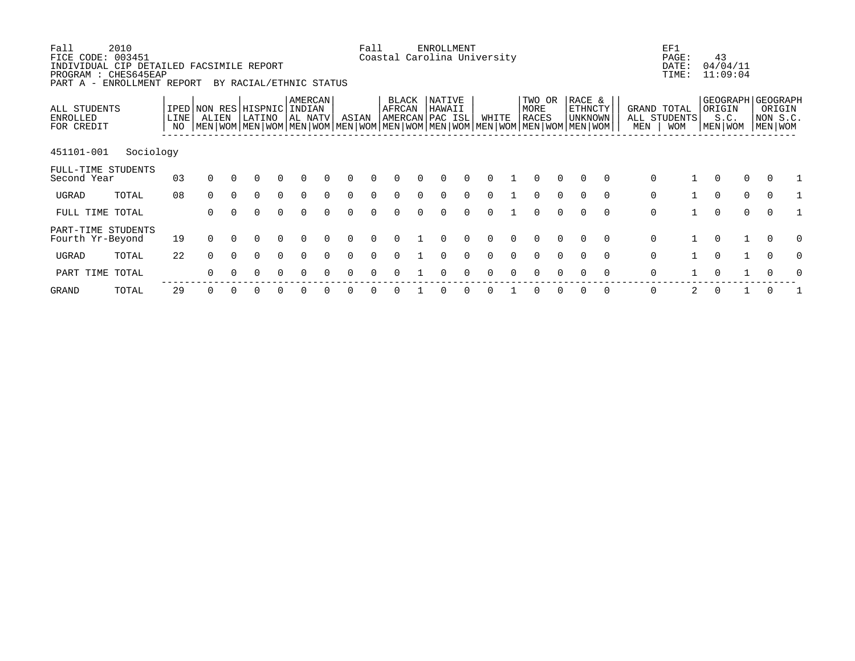| Fall<br>FICE CODE: 003451<br>INDIVIDUAL CIP DETAILED FACSIMILE REPORT<br>PROGRAM : CHES645EAP<br>PART A - | 2010<br>ENROLLMENT REPORT |            |          |          | BY RACIAL/ETHNIC STATUS                                                                                                                       |          |                              |        |          | Fall     | Coastal Carolina University        | ENROLLMENT       |       |                         |          |                                     |          |                    | EF1<br>PAGE:<br>DATE:<br>TIME: | 43                          | 04/04/11<br>11:09:04 |                                                    |  |
|-----------------------------------------------------------------------------------------------------------|---------------------------|------------|----------|----------|-----------------------------------------------------------------------------------------------------------------------------------------------|----------|------------------------------|--------|----------|----------|------------------------------------|------------------|-------|-------------------------|----------|-------------------------------------|----------|--------------------|--------------------------------|-----------------------------|----------------------|----------------------------------------------------|--|
| ALL STUDENTS<br><b>ENROLLED</b><br>FOR CREDIT                                                             |                           | LINE<br>ΝO | ALIEN    |          | IPED NON RES HISPNIC<br>LATINO<br>  MEN   WOM   MEN   WOM   MEN   WOM   MEN   WOM   MEN   WOM   MEN   WOM   MEN   WOM   MEN   WOM   MEN   WOM |          | AMERCAN<br>INDIAN<br>AL NATV |        | ASIAN    |          | BLACK<br>AFRCAN<br>AMERCAN PAC ISL | NATIVE<br>HAWAII | WHITE | TWO OR<br>MORE<br>RACES |          | RACE &<br>ETHNCTY<br><b>UNKNOWN</b> |          | GRAND TOTAL<br>MEN | ALL STUDENTS<br><b>WOM</b>     | ORIGIN<br>S.C.<br>MEN   WOM |                      | GEOGRAPH GEOGRAPH<br>ORIGIN<br>NON S.C.<br>MEN WOM |  |
| 451101-001                                                                                                | Sociology                 |            |          |          |                                                                                                                                               |          |                              |        |          |          |                                    |                  |       |                         |          |                                     |          |                    |                                |                             |                      |                                                    |  |
| FULL-TIME STUDENTS<br>Second Year                                                                         |                           | 03         | $\Omega$ |          |                                                                                                                                               |          |                              |        |          |          |                                    |                  |       |                         |          |                                     | $\Omega$ | 0                  |                                | $\Omega$                    | 0                    | $\Omega$                                           |  |
| UGRAD                                                                                                     | TOTAL                     | 08         | $\Omega$ | $\Omega$ | 0                                                                                                                                             | $\Omega$ | $\Omega$                     |        | $\Omega$ |          |                                    |                  |       | $\Omega$                | 0        | $\Omega$                            | $\Omega$ | $\mathsf{O}$       |                                | $\mathbf 0$                 | 0                    | $\overline{0}$                                     |  |
| FULL TIME TOTAL                                                                                           |                           |            | $\Omega$ | $\Omega$ | $\Omega$                                                                                                                                      | $\Omega$ | ∩                            |        |          |          |                                    |                  |       | $\cap$                  |          | $\Omega$                            | $\Omega$ | $\mathsf{O}$       |                                | $\Omega$                    | $\Omega$             | $\Omega$                                           |  |
| PART-TIME STUDENTS<br>Fourth Yr-Beyond                                                                    |                           | 19         | $\Omega$ | $\Omega$ | $\Omega$                                                                                                                                      | $\Omega$ | $\Omega$                     |        | $\Omega$ | $\Omega$ |                                    |                  |       | $\Omega$                | $\Omega$ | $\Omega$                            | $\Omega$ | $\mathbf 0$        |                                | $\Omega$                    | $\mathbf{1}$         | $\Omega$<br>O                                      |  |
| UGRAD                                                                                                     | TOTAL                     | 22         | $\Omega$ | $\Omega$ | $\Omega$                                                                                                                                      | $\Omega$ | $\Omega$                     | $\cap$ | $\Omega$ | $\cap$   |                                    |                  |       | $\Omega$                | $\Omega$ | $\Omega$                            | $\Omega$ | $\mathbf 0$        |                                | $\Omega$                    |                      | $\Omega$<br>0                                      |  |
| PART TIME                                                                                                 | TOTAL                     |            | $\Omega$ |          | ∩                                                                                                                                             | 0        | ∩                            |        | $\cap$   |          |                                    |                  |       | $\Omega$                | $\Omega$ | $\Omega$                            | $\Omega$ | $\mathbf 0$        |                                | $\Omega$                    |                      | $\Omega$                                           |  |
| GRAND                                                                                                     | TOTAL                     | 29         | 0        |          | O                                                                                                                                             |          |                              |        |          |          |                                    |                  |       | 0                       |          | 0                                   | 0        | 0                  | 2                              |                             |                      | 0                                                  |  |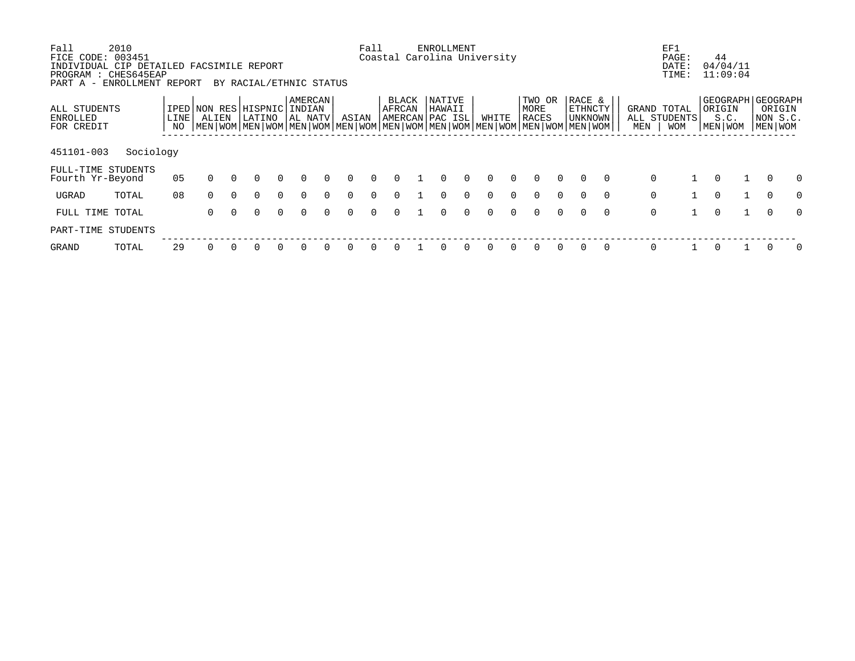| Fall                                   | 2010                                     |      |              |          |                                                                                                           |          |          |          |          | Fall     |                             | ENROLLMENT |          |          |          |              |          |          |          |     | EF1          |                     |              |          |          |
|----------------------------------------|------------------------------------------|------|--------------|----------|-----------------------------------------------------------------------------------------------------------|----------|----------|----------|----------|----------|-----------------------------|------------|----------|----------|----------|--------------|----------|----------|----------|-----|--------------|---------------------|--------------|----------|----------|
| FICE CODE:                             | 003451                                   |      |              |          |                                                                                                           |          |          |          |          |          | Coastal Carolina University |            |          |          |          |              |          |          |          |     | PAGE:        | 44                  |              |          |          |
|                                        | INDIVIDUAL CIP DETAILED FACSIMILE REPORT |      |              |          |                                                                                                           |          |          |          |          |          |                             |            |          |          |          |              |          |          |          |     | DATE:        | 04/04/11            |              |          |          |
|                                        | PROGRAM : CHES645EAP                     |      |              |          |                                                                                                           |          |          |          |          |          |                             |            |          |          |          |              |          |          |          |     | TIME:        | 11:09:04            |              |          |          |
|                                        | PART A - ENROLLMENT REPORT               |      |              |          | BY RACIAL/ETHNIC STATUS                                                                                   |          |          |          |          |          |                             |            |          |          |          |              |          |          |          |     |              |                     |              |          |          |
|                                        |                                          |      |              |          |                                                                                                           |          | AMERCAN  |          |          |          | <b>BLACK</b>                | NATIVE     |          |          |          | TWO OR       |          | RACE &   |          |     |              | GEOGRAPH   GEOGRAPH |              |          |          |
| ALL STUDENTS                           |                                          |      | IPED NON RES |          | HISPNIC                                                                                                   |          | INDIAN   |          |          |          | AFRCAN                      | HAWAII     |          |          |          | MORE         |          | ETHNCTY  |          |     | GRAND TOTAL  | ORIGIN              |              | ORIGIN   |          |
| <b>ENROLLED</b>                        |                                          | LINE | ALIEN        |          | LATINO                                                                                                    |          | AL NATV  |          | ASIAN    |          | AMERCAN PAC ISL             |            |          | WHITE    |          | <b>RACES</b> |          | UNKNOWN  |          |     | ALL STUDENTS | S.C.                |              | NON S.C. |          |
| FOR CREDIT                             |                                          | NO.  |              |          | MEN   WOM   MEN   WOM   MEN   WOM   MEN   WOM   MEN   WOM   MEN   WOM   MEN   WOM   MEN   WOM   MEN   WOM |          |          |          |          |          |                             |            |          |          |          |              |          |          |          | MEN | <b>WOM</b>   | MEN   WOM           |              | MEN WOM  |          |
|                                        |                                          |      |              |          |                                                                                                           |          |          |          |          |          |                             |            |          |          |          |              |          |          |          |     |              |                     |              |          |          |
| 451101-003                             | Sociology                                |      |              |          |                                                                                                           |          |          |          |          |          |                             |            |          |          |          |              |          |          |          |     |              |                     |              |          |          |
|                                        |                                          |      |              |          |                                                                                                           |          |          |          |          |          |                             |            |          |          |          |              |          |          |          |     |              |                     |              |          |          |
| FULL-TIME STUDENTS<br>Fourth Yr-Beyond |                                          | 05   | $\Omega$     | $\Omega$ | $\Omega$                                                                                                  | $\Omega$ | $\Omega$ | $\Omega$ | $\Omega$ | $\Omega$ | <sup>0</sup>                | 0          | $\Omega$ | $\Omega$ | $\Omega$ | $\Omega$     | $\Omega$ | $\Omega$ | $\Omega$ |     | 0            | $\Omega$            |              | $\Omega$ |          |
|                                        |                                          |      |              |          |                                                                                                           |          |          |          |          |          |                             |            |          |          |          |              |          |          |          |     |              |                     |              |          |          |
| UGRAD                                  | TOTAL                                    | 08   | $\Omega$     | $\Omega$ | $\Omega$                                                                                                  | $\Omega$ | $\Omega$ | $\Omega$ | $\Omega$ | $\Omega$ | 0                           | 0          | $\Omega$ | $\Omega$ |          | $\Omega$     | $\Omega$ |          | $\Omega$ |     | 0            | $\mathbf 0$         | $\mathbf{1}$ | $\Omega$ | $\Omega$ |
|                                        |                                          |      |              |          |                                                                                                           |          |          |          |          |          |                             |            |          |          |          |              |          |          |          |     |              |                     |              |          |          |
| FULL TIME TOTAL                        |                                          |      | 0            | $\Omega$ | $\Omega$                                                                                                  | $\Omega$ | $\Omega$ | $\cap$   | $\Omega$ | $\cap$   | 0                           | $\Omega$   | $\Omega$ | $\Omega$ | $\cap$   | $\Omega$     | $\cap$   | $\Omega$ | $\Omega$ |     | $\mathbf 0$  | $\Omega$            |              | $\Omega$ | $\Omega$ |
| PART-TIME STUDENTS                     |                                          |      |              |          |                                                                                                           |          |          |          |          |          |                             |            |          |          |          |              |          |          |          |     |              |                     |              |          |          |
|                                        |                                          |      |              |          |                                                                                                           |          |          |          |          |          |                             |            |          |          |          |              |          |          |          |     |              |                     |              |          |          |
| GRAND                                  | TOTAL                                    | 29   |              |          |                                                                                                           |          |          |          |          |          |                             |            | $\Omega$ |          |          | 0            |          |          | $\Omega$ |     | 0            | 0                   |              |          |          |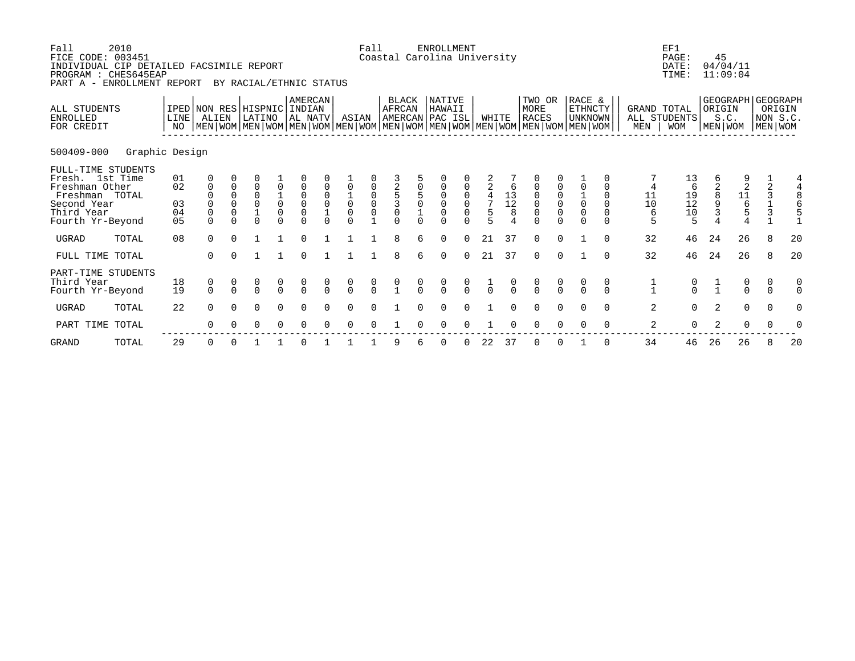| Fall<br>2010<br>FICE CODE: 003451<br>INDIVIDUAL CIP DETAILED FACSIMILE REPORT<br>PROGRAM : CHES645EAP<br>PART A - ENROLLMENT REPORT |                            |                                                                                                                                                     |                                             | BY RACIAL/ETHNIC STATUS                           |                                                |                                                                                                      |                            |                                                                         | Fall             |                                               |               | <b>ENROLLMENT</b><br>Coastal Carolina University |                                                             |                    |                                                           |                                           |               |                               |               |                    | EF1<br>PAGE:<br>DATE:<br>TIME:       |               | 45<br>04/04/11<br>11:09:04                                               |               |                                                                   |
|-------------------------------------------------------------------------------------------------------------------------------------|----------------------------|-----------------------------------------------------------------------------------------------------------------------------------------------------|---------------------------------------------|---------------------------------------------------|------------------------------------------------|------------------------------------------------------------------------------------------------------|----------------------------|-------------------------------------------------------------------------|------------------|-----------------------------------------------|---------------|--------------------------------------------------|-------------------------------------------------------------|--------------------|-----------------------------------------------------------|-------------------------------------------|---------------|-------------------------------|---------------|--------------------|--------------------------------------|---------------|--------------------------------------------------------------------------|---------------|-------------------------------------------------------------------|
| ALL STUDENTS<br><b>ENROLLED</b><br>FOR CREDIT                                                                                       | <b>LINE</b><br>NO          | IPED NON RES HISPNIC INDIAN<br>ALIEN<br>  MEN   WOM   MEN   WOM   MEN   WOM   MEN   WOM   MEN   WOM   MEN   WOM   MEN   WOM   MEN   WOM   MEN   WOM |                                             | LATINO                                            |                                                | AMERCAN<br>AL NATV                                                                                   |                            | ASIAN                                                                   |                  | <b>BLACK</b><br>AFRCAN                        |               | NATIVE<br>HAWAII<br>AMERCAN PAC ISL              |                                                             | WHITE              |                                                           | TWO OR<br>MORE<br><b>RACES</b>            |               | RACE &<br>ETHNCTY<br>UNKNOWN  |               | GRAND TOTAL<br>MEN | ALL STUDENTS<br><b>WOM</b>           | ORIGIN        | <b>GEOGRAPH</b><br>S.C.<br>MEN WOM                                       |               | <b>GEOGRAPH</b><br>ORIGIN<br>NON S.C.<br>MEN WOM                  |
| 500409-000                                                                                                                          | Graphic Design             |                                                                                                                                                     |                                             |                                                   |                                                |                                                                                                      |                            |                                                                         |                  |                                               |               |                                                  |                                                             |                    |                                                           |                                           |               |                               |               |                    |                                      |               |                                                                          |               |                                                                   |
| FULL-TIME STUDENTS<br>Fresh. 1st Time<br>Freshman Other<br>Freshman TOTAL<br>Second Year<br>Third Year<br>Fourth Yr-Beyond          | 01<br>02<br>03<br>04<br>05 | $\mathbf{0}$<br>$\mathbf 0$<br>$\Omega$                                                                                                             | $\mathbf 0$<br>$\mathbf 0$<br>$\Omega$<br>0 | $\overline{0}$<br>0<br>$\overline{0}$<br>$\Omega$ | 0<br>$\begin{matrix} 1 \\ 0 \\ 0 \end{matrix}$ | $\begin{smallmatrix}0\\0\end{smallmatrix}$<br>$\begin{smallmatrix}0\\0\end{smallmatrix}$<br>$\Omega$ | $\mathbf 0$<br>$\mathbf 0$ | $\overline{0}$<br>$\begin{matrix} 1 \\ 0 \\ 0 \end{matrix}$<br>$\Omega$ | 0<br>0<br>0<br>0 | $\begin{array}{c}\n2 \\ 53 \\ 0\n\end{array}$ |               | $\mathbf 0$                                      | 0<br>$\begin{matrix} 0 \\ 0 \end{matrix}$<br>$\overline{0}$ | $\frac{4}{7}$<br>5 | $\begin{smallmatrix}1&3\\1&2\end{smallmatrix}$<br>$\,8\,$ | $\begin{matrix} 0 \\ 0 \\ 0 \end{matrix}$ |               | $\overline{0}$<br>$\mathbf 0$ | $\Omega$      | 11<br>10<br>6<br>5 | 13<br>6<br>$19$<br>$12$<br>$10$<br>5 | 8<br>3        | 2<br>$\begin{array}{c}\n11 \\ \phantom{0}6 \\ \phantom{0}5\n\end{array}$ |               | 4<br>$\overline{2}$<br>$\begin{array}{c} 3 \\ 1 \\ 3 \end{array}$ |
| <b>UGRAD</b><br>TOTAL                                                                                                               | 08                         | $\Omega$                                                                                                                                            | $\cap$                                      |                                                   |                                                | $\Omega$                                                                                             |                            |                                                                         |                  | R                                             |               | $\Omega$                                         | $\cap$                                                      | 21                 | 37                                                        | $\cap$                                    | $\cap$        |                               |               | 32                 | 46                                   | 24            | 26                                                                       | 8             | 20                                                                |
| FULL TIME TOTAL                                                                                                                     |                            | $\Omega$                                                                                                                                            |                                             |                                                   |                                                | $\Omega$                                                                                             |                            |                                                                         |                  | $\mathsf{R}$                                  |               | $\Omega$                                         | $\Omega$                                                    | 21                 | 37                                                        | $\Omega$                                  | $\Omega$      |                               | $\Omega$      | 32                 | 46                                   | 24            | 26                                                                       | 8             | 20                                                                |
| PART-TIME STUDENTS<br>Third Year<br>Fourth Yr-Beyond                                                                                | 18<br>19                   | $\begin{matrix} 0 \\ 0 \end{matrix}$                                                                                                                | $\begin{matrix} 0 \\ 0 \end{matrix}$        | $\begin{matrix} 0 \\ 0 \end{matrix}$              | $\begin{matrix} 0 \\ 0 \end{matrix}$           | $\frac{0}{0}$                                                                                        | $\frac{0}{0}$              | $\begin{matrix} 0 \\ 0 \end{matrix}$                                    | $\frac{0}{0}$    | $\frac{0}{1}$                                 | $\frac{0}{0}$ | $\frac{0}{0}$                                    | $\frac{0}{0}$                                               | $\overline{0}$     | $\frac{0}{0}$                                             | $\frac{0}{0}$                             | $\frac{0}{0}$ |                               |               | $\frac{1}{1}$      | $_{0}^{0}$                           | $\frac{1}{1}$ | $\begin{matrix} 0 \\ 0 \end{matrix}$                                     | 0<br>$\Omega$ | 0<br>$\Omega$                                                     |
| <b>UGRAD</b><br>TOTAL                                                                                                               | 22                         | $\Omega$<br>∩                                                                                                                                       | $\Omega$                                    | $\Omega$                                          | $\Omega$<br>0                                  | $\Omega$<br>$\Omega$                                                                                 |                            | $\Omega$<br>∩                                                           |                  |                                               |               |                                                  |                                                             |                    |                                                           |                                           |               |                               | $\Omega$<br>∩ | 2<br>2             | $\overline{0}$                       | 2             | $\mathbf 0$<br>0                                                         |               | $\mathbf 0$                                                       |
| PART TIME TOTAL                                                                                                                     |                            |                                                                                                                                                     |                                             | O                                                 |                                                |                                                                                                      |                            |                                                                         |                  |                                               |               |                                                  |                                                             |                    |                                                           |                                           |               |                               |               |                    | $\Omega$                             |               |                                                                          |               |                                                                   |

GRAND TOTAL 29 0 0 1 1 0 1 1 1 9 6 0 0 22 37 0 0 1 0 34 46 26 26 8 20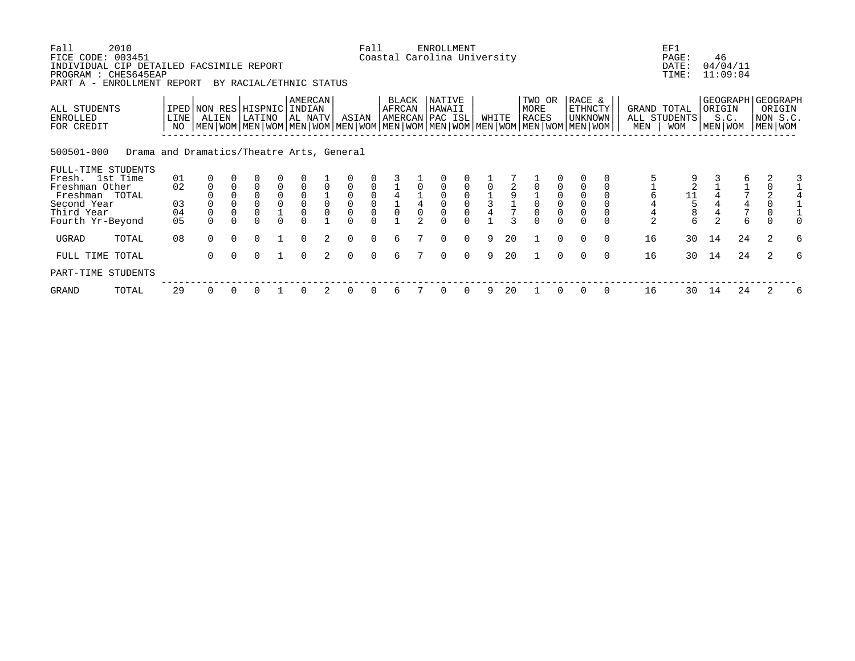| Fall<br>FICE CODE:<br>INDIVIDUAL CIP DETAILED FACSIMILE REPORT<br>PROGRAM : CHES645EAP | 2010<br>003451                            |                      |                            |          |                                                                                                                                                                                 |                         |                                              |                |                                                                               | Fall                                                | Coastal Carolina University               |               | <b>ENROLLMENT</b> |          |               |    |                         |          |                              |          |                    | EF1<br>PAGE:<br>DATE:<br>TIME:                      | 46                | 04/04/11<br>11:09:04 |   |                                                          |
|----------------------------------------------------------------------------------------|-------------------------------------------|----------------------|----------------------------|----------|---------------------------------------------------------------------------------------------------------------------------------------------------------------------------------|-------------------------|----------------------------------------------|----------------|-------------------------------------------------------------------------------|-----------------------------------------------------|-------------------------------------------|---------------|-------------------|----------|---------------|----|-------------------------|----------|------------------------------|----------|--------------------|-----------------------------------------------------|-------------------|----------------------|---|----------------------------------------------------------|
| PART A - ENROLLMENT REPORT<br>ALL STUDENTS<br>ENROLLED<br>FOR CREDIT                   |                                           | LINE<br>NO.          | ALIEN                      |          | BY RACIAL/ETHNIC STATUS<br>IPED NON RES HISPNIC INDIAN<br>LATINO<br>  MEN   WOM   MEN   WOM   MEN   WOM   MEN   WOM   MEN   WOM   MEN   WOM   MEN   WOM   MEN   WOM   MEN   WOM |                         | AMERCAN<br>AL NATV                           |                | ASIAN                                                                         |                                                     | <b>BLACK</b><br>AFRCAN<br>AMERCAN PAC ISL |               | NATIVE<br>HAWAII  |          | WHITE         |    | TWO OR<br>MORE<br>RACES |          | RACE &<br>ETHNCTY<br>UNKNOWN |          | GRAND TOTAL<br>MEN | ALL STUDENTS<br><b>WOM</b>                          | ORIGIN<br>MEN WOM | S.C.                 |   | GEOGRAPH   GEOGRAPH<br>ORIGIN<br>NON S.C.<br>  MEN   WOM |
| 500501-000<br>FULL-TIME STUDENTS<br>Fresh. 1st Time                                    | Drama and Dramatics/Theatre Arts, General | 01                   |                            |          |                                                                                                                                                                                 |                         |                                              |                |                                                                               |                                                     |                                           |               |                   |          |               |    |                         |          |                              |          |                    |                                                     |                   |                      |   |                                                          |
| Freshman Other<br>Freshman TOTAL<br>Second Year<br>Third Year<br>Fourth Yr-Beyond      |                                           | 02<br>03<br>04<br>05 | $\mathbf 0$<br>$\mathbf 0$ |          | $\Omega$<br>$\mathbf 0$<br>$\overline{0}$                                                                                                                                       | 0<br>$_{\rm 0}^{\rm 0}$ | $\mathsf 0$<br>$\overline{0}$<br>$\mathsf 0$ | $\overline{0}$ | $\overline{0}$<br>$\begin{smallmatrix} 0\\0 \end{smallmatrix}$<br>$\mathbf 0$ | $\begin{matrix} 0 \\ 0 \end{matrix}$<br>$\mathsf 0$ | $\overline{0}$                            | $\frac{1}{4}$ |                   |          | $\frac{1}{3}$ |    | $\overline{0}$          |          | $\overline{0}$               |          | $\overline{2}$     | $\begin{array}{c}\n11 \\ 15 \\ 8\n\end{array}$<br>6 | $\overline{a}$    | 6                    |   |                                                          |
| UGRAD                                                                                  | TOTAL                                     | 08                   | $\cap$                     | $\Omega$ | $\Omega$                                                                                                                                                                        |                         | $\Omega$                                     |                | $\Omega$                                                                      | $\Omega$                                            | 6                                         |               | $\Omega$          | $\Omega$ | 9             | 20 |                         | $\Omega$ | $\Omega$                     | $\Omega$ | 16                 | 30                                                  | 14                | 24                   | 2 | 6                                                        |
| FULL TIME TOTAL<br>PART-TIME STUDENTS                                                  |                                           |                      | 0                          | $\Omega$ | $\Omega$                                                                                                                                                                        |                         | $\Omega$                                     | $2^{\circ}$    | $\Omega$                                                                      | $\Omega$                                            | 6                                         |               | $\Omega$          | $\Omega$ | 9             | 20 |                         |          |                              | $\Omega$ | 16                 | 30                                                  | 14                | 24                   | 2 | 6                                                        |
| GRAND                                                                                  | TOTAL                                     | 29                   |                            |          |                                                                                                                                                                                 |                         | 0                                            | 2              | 0                                                                             | 0                                                   | 6                                         |               | $\Omega$          | 0        |               | 20 |                         |          |                              |          | 16                 | 30                                                  | 14                | 24                   | 2 | 6                                                        |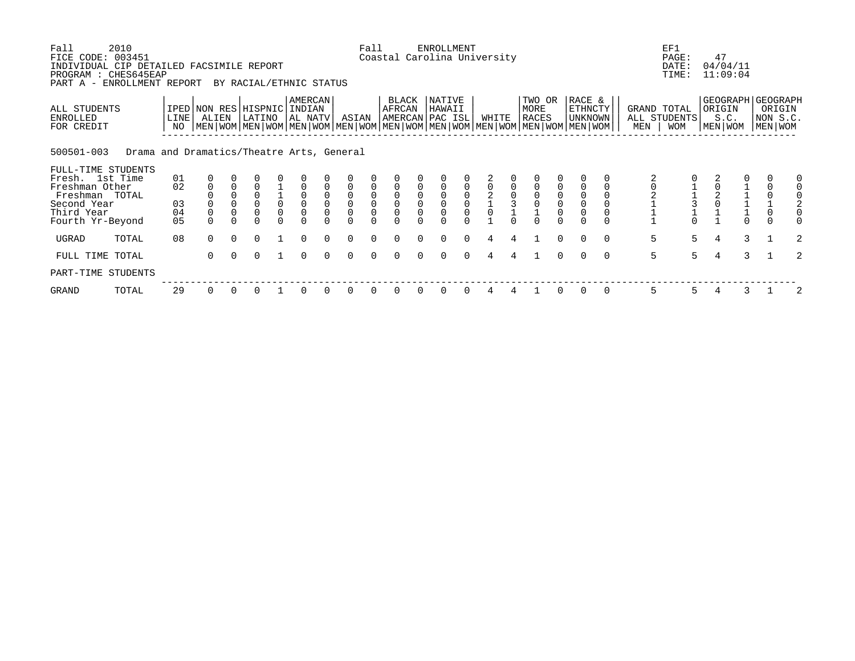| Fall<br>FICE CODE: 003451<br>INDIVIDUAL CIP DETAILED FACSIMILE REPORT<br>PROGRAM : CHES645EAP<br>PART A - ENROLLMENT REPORT | 2010                                      |             |              |          | BY RACIAL/ETHNIC STATUS               |                |                    |                            |                                                      | Fall                                                | Coastal Carolina University                          |              | <b>ENROLLMENT</b> |                                      |             |                |                                                                                                                                        |          |                              |          |     | EF1<br>PAGE:<br>DATE:<br>TIME:            |   | 47<br>04/04/11<br>11:09:04                       |               |                                   |   |
|-----------------------------------------------------------------------------------------------------------------------------|-------------------------------------------|-------------|--------------|----------|---------------------------------------|----------------|--------------------|----------------------------|------------------------------------------------------|-----------------------------------------------------|------------------------------------------------------|--------------|-------------------|--------------------------------------|-------------|----------------|----------------------------------------------------------------------------------------------------------------------------------------|----------|------------------------------|----------|-----|-------------------------------------------|---|--------------------------------------------------|---------------|-----------------------------------|---|
| ALL STUDENTS<br>ENROLLED<br>FOR CREDIT                                                                                      |                                           | LINE<br>NO. | ALIEN        |          | IPED NON RES HISPNIC INDIAN<br>LATINO |                | AMERCAN<br>AL NATV |                            | ASIAN                                                |                                                     | BLACK<br>AFRCAN<br>AMERCAN PAC ISL                   |              | NATIVE<br>HAWAII  |                                      | WHITE       |                | TWO OR<br>MORE<br>RACES<br>  MEN   WOM   MEN   WOM   MEN   WOM   MEN   WOM   MEN   WOM   MEN   WOM   MEN   WOM   MEN   WOM   MEN   WOM |          | RACE &<br>ETHNCTY<br>UNKNOWN |          | MEN | GRAND TOTAL<br>ALL STUDENTS<br><b>WOM</b> |   | GEOGRAPH   GEOGRAPH<br>ORIGIN<br>S.C.<br>MEN WOM |               | ORIGIN<br>NON S.C.<br>  MEN   WOM |   |
| 500501-003                                                                                                                  | Drama and Dramatics/Theatre Arts, General |             |              |          |                                       |                |                    |                            |                                                      |                                                     |                                                      |              |                   |                                      |             |                |                                                                                                                                        |          |                              |          |     |                                           |   |                                                  |               |                                   |   |
| FULL-TIME STUDENTS<br>Fresh. 1st Time                                                                                       |                                           | 01          |              |          |                                       |                |                    |                            |                                                      |                                                     |                                                      |              |                   |                                      |             |                |                                                                                                                                        |          |                              |          |     |                                           |   |                                                  |               |                                   | 0 |
| Freshman Other<br>Freshman TOTAL<br>Second Year                                                                             |                                           | 02<br>03    | $\mathbf 0$  |          | $\mathbf 0$<br>$\overline{0}$         | $\frac{1}{0}$  | $_{\rm 0}^{\rm 0}$ | $\mathbf 0$<br>$\mathbf 0$ | $\mathbf 0$<br>$\mathsf{O}\xspace$<br>$\overline{0}$ | $\mathbf 0$<br>$\begin{matrix} 0 \\ 0 \end{matrix}$ | $\mathbf 0$<br>$\mathsf{O}\xspace$<br>$\overline{0}$ |              |                   | $\begin{matrix} 0 \\ 0 \end{matrix}$ |             | $\overline{3}$ | $\begin{smallmatrix}0\\0\end{smallmatrix}$                                                                                             |          |                              |          |     | 11310                                     |   |                                                  |               |                                   |   |
| Third Year                                                                                                                  |                                           | 04          | $\mathbf 0$  |          | 0                                     | $\overline{0}$ | $\mathsf 0$        | $\mathbf 0$                | $\mathbf 0$                                          | $\mathsf 0$                                         | $\overline{0}$                                       |              |                   |                                      | $\mathsf 0$ |                |                                                                                                                                        |          | $\overline{0}$               |          |     |                                           |   |                                                  |               |                                   |   |
| Fourth Yr-Beyond                                                                                                            |                                           | 05          |              |          |                                       |                |                    |                            |                                                      |                                                     |                                                      |              |                   |                                      |             |                |                                                                                                                                        |          |                              |          |     |                                           |   |                                                  |               |                                   |   |
| UGRAD                                                                                                                       | TOTAL                                     | 08          | $\cap$       | $\Omega$ | $\Omega$                              |                | $\Omega$           | $\Omega$                   | $\Omega$                                             | $\Omega$                                            | $\Omega$                                             |              | $\Omega$          | $\Omega$                             | 4           | 4              |                                                                                                                                        | $\Omega$ | $\Omega$                     | $\Omega$ | 5   | 5                                         | 4 |                                                  | 3             |                                   | 2 |
| FULL TIME TOTAL                                                                                                             |                                           |             | <sup>n</sup> |          | $\Omega$                              |                | $\Omega$           | $\cap$                     | $\Omega$                                             | $\Omega$                                            | $\Omega$                                             | <sup>n</sup> | $\Omega$          | $\Omega$                             | 4           |                |                                                                                                                                        |          |                              | $\Omega$ | 5   | 5                                         | 4 |                                                  | $\mathcal{E}$ |                                   | 2 |
| PART-TIME STUDENTS                                                                                                          |                                           |             |              |          |                                       |                |                    |                            |                                                      |                                                     |                                                      |              |                   |                                      |             |                |                                                                                                                                        |          |                              |          |     |                                           |   |                                                  |               |                                   |   |
| GRAND                                                                                                                       | TOTAL                                     | 29          |              |          |                                       |                | 0                  |                            | 0                                                    | 0                                                   | 0                                                    |              |                   |                                      | 4           |                |                                                                                                                                        |          |                              |          | 5   | 5.                                        |   |                                                  | 3             |                                   | 2 |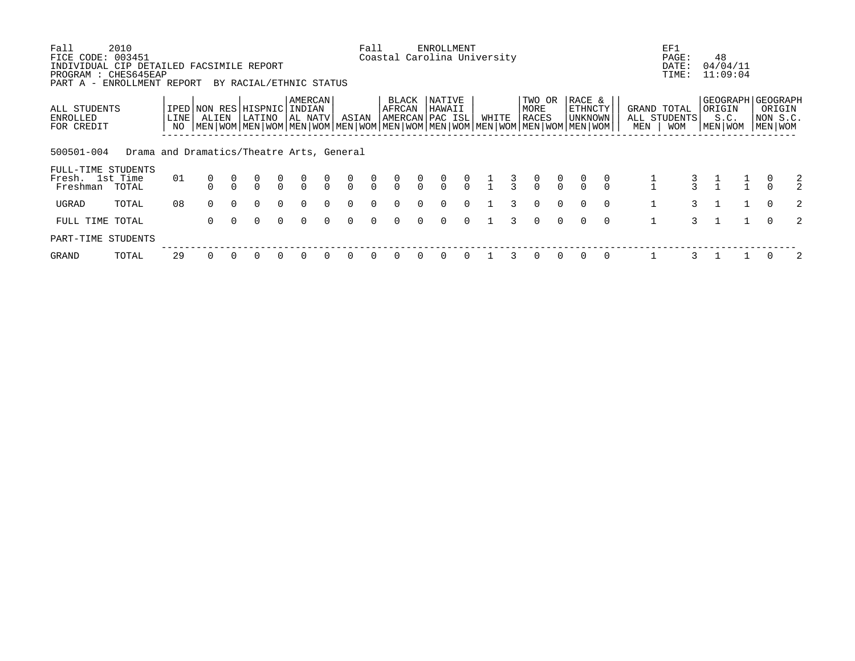| Fall<br>FICE CODE: 003451                                                                      | 2010                                      |             |                                                                                                                                                     |          |          |               |                         |                |               | Fall           |                 |               | ENROLLMENT<br>Coastal Carolina University |               |               |               |                                      |                |                              |          |     | EF1<br>PAGE:                       | 48                                                 |                                |                |
|------------------------------------------------------------------------------------------------|-------------------------------------------|-------------|-----------------------------------------------------------------------------------------------------------------------------------------------------|----------|----------|---------------|-------------------------|----------------|---------------|----------------|-----------------|---------------|-------------------------------------------|---------------|---------------|---------------|--------------------------------------|----------------|------------------------------|----------|-----|------------------------------------|----------------------------------------------------|--------------------------------|----------------|
| INDIVIDUAL CIP DETAILED FACSIMILE REPORT<br>PROGRAM : CHES645EAP<br>PART A - ENROLLMENT REPORT |                                           |             |                                                                                                                                                     |          |          |               | BY RACIAL/ETHNIC STATUS |                |               |                |                 |               |                                           |               |               |               |                                      |                |                              |          |     | DATE:<br>TIME:                     | 04/04/11<br>11:09:04                               |                                |                |
| ALL STUDENTS<br>ENROLLED<br>FOR CREDIT                                                         |                                           | LINE<br>NO. | IPED NON RES HISPNIC INDIAN<br>ALIEN<br>  MEN   WOM   MEN   WOM   MEN   WOM   MEN   WOM   MEN   WOM   MEN   WOM   MEN   WOM   MEN   WOM   MEN   WOM |          | LATINO   |               | AMERCAN<br>AL NATV      |                | ASIAN         |                | BLACK<br>AFRCAN |               | NATIVE<br>HAWAII<br>AMERCAN PAC ISL       |               | WHITE         |               | TWO OR<br>MORE<br>RACES              |                | RACE &<br>ETHNCTY<br>UNKNOWN |          | MEN | GRAND TOTAL<br>ALL STUDENTS<br>WOM | GEOGRAPH   GEOGRAPH<br>  ORIGIN<br>S.C.<br>MEN WOM | ORIGIN<br> NON S.C.<br>MEN WOM |                |
| 500501-004                                                                                     | Drama and Dramatics/Theatre Arts, General |             |                                                                                                                                                     |          |          |               |                         |                |               |                |                 |               |                                           |               |               |               |                                      |                |                              |          |     |                                    |                                                    |                                |                |
| FULL-TIME STUDENTS<br>Fresh. 1st Time<br>Freshman                                              | TOTAL                                     | 01          |                                                                                                                                                     |          |          | $\frac{0}{0}$ | $\frac{0}{0}$           | $\int_{0}^{0}$ | $\frac{0}{0}$ | $\int_{0}^{0}$ | $\frac{0}{0}$   | $\frac{0}{0}$ | $\frac{0}{0}$                             | $\frac{0}{0}$ | $\frac{1}{1}$ | $\frac{3}{3}$ | $\begin{matrix} 0 \\ 0 \end{matrix}$ | $\int_{0}^{0}$ |                              |          |     |                                    |                                                    |                                | 2              |
| UGRAD                                                                                          | TOTAL                                     | 08          | $\Omega$                                                                                                                                            | $\Omega$ | $\Omega$ | $\Omega$      | $\Omega$                | $\Omega$       | $\Omega$      | $\Omega$       | 0               | $\Omega$      | $\Omega$                                  | $\Omega$      |               | 3             | $\Omega$                             | $\Omega$       | $\Omega$                     | $\Omega$ |     | $\mathcal{F}$                      |                                                    | $\Omega$                       | 2              |
| FULL TIME TOTAL                                                                                |                                           |             | $\Omega$                                                                                                                                            | $\Omega$ | $\Omega$ | $\Omega$      | $\Omega$                | $\Omega$       | $\Omega$      | $\Omega$       | <sup>0</sup>    | $\Omega$      | $\Omega$                                  | $\Omega$      |               | २             | $\Omega$                             | $\Omega$       | $\Omega$                     | $\Omega$ |     | $\mathcal{L}$                      |                                                    | $\Omega$                       | $\mathfrak{D}$ |
| PART-TIME STUDENTS                                                                             |                                           |             |                                                                                                                                                     |          |          |               |                         |                |               |                |                 |               |                                           |               |               |               |                                      |                |                              |          |     |                                    |                                                    |                                |                |
| GRAND                                                                                          | TOTAL                                     | 29          |                                                                                                                                                     |          |          |               |                         |                |               | 0              |                 |               | 0                                         | $\Omega$      |               |               | 0                                    | $\Omega$       |                              |          |     |                                    |                                                    |                                | 2              |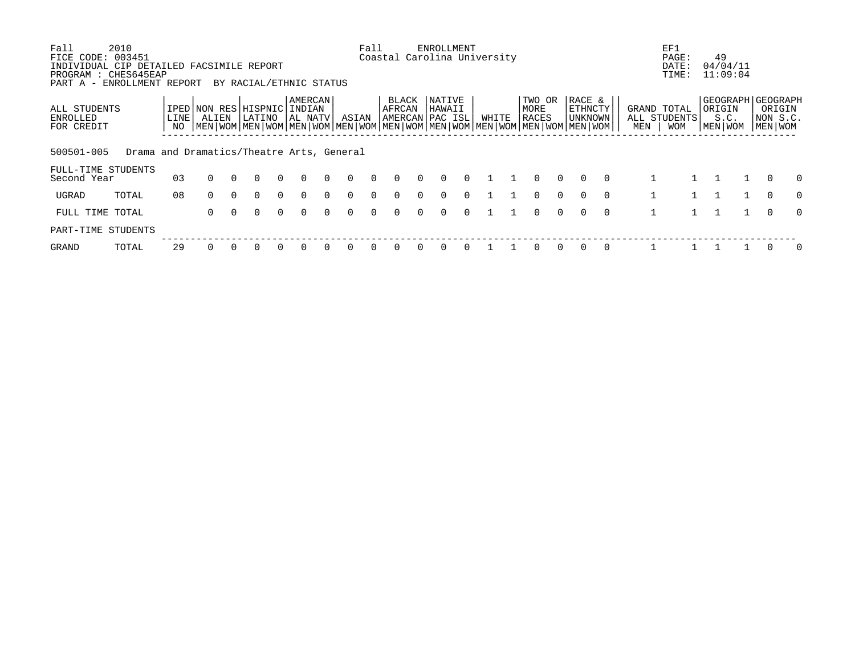| Fall<br>FICE CODE: 003451<br>INDIVIDUAL CIP DETAILED FACSIMILE REPORT | 2010                                      |               |                                                                                                                                      |          |                         |          |                               |          |          | Fall     |                        |          | ENROLLMENT<br>Coastal Carolina University   |          |       |                         |          |                              |          |              | EF1<br>PAGE:<br>DATE:                     | 49<br>04/04/11                                         |                               |          |
|-----------------------------------------------------------------------|-------------------------------------------|---------------|--------------------------------------------------------------------------------------------------------------------------------------|----------|-------------------------|----------|-------------------------------|----------|----------|----------|------------------------|----------|---------------------------------------------|----------|-------|-------------------------|----------|------------------------------|----------|--------------|-------------------------------------------|--------------------------------------------------------|-------------------------------|----------|
| PROGRAM : CHES645EAP<br>PART A -                                      | ENROLLMENT REPORT                         |               |                                                                                                                                      |          | BY RACIAL/ETHNIC STATUS |          |                               |          |          |          |                        |          |                                             |          |       |                         |          |                              |          |              | TIME:                                     | 11:09:04                                               |                               |          |
| ALL STUDENTS<br>ENROLLED<br>FOR CREDIT                                |                                           | LINE  <br>NO. | IPED NON RES<br>ALIEN<br>  MEN   WOM   MEN   WOM   MEN   WOM   MEN   WOM   MEN   WOM   MEN   WOM   MEN   WOM   MEN   WOM   MEN   WOM |          | HISPNIC <br>LATINO      |          | AMERCAN<br>INDIAN<br> AL NATV |          | ASIAN    |          | <b>BLACK</b><br>AFRCAN |          | <b>NATIVE</b><br>HAWAII<br> AMERCAN PAC ISL |          | WHITE | TWO OR<br>MORE<br>RACES |          | RACE &<br>ETHNCTY<br>UNKNOWN |          | MEN          | GRAND TOTAL<br>ALL STUDENTS<br><b>WOM</b> | GEOGRAPH   GEOGRAPH<br>  ORIGIN<br>S.C.<br>  MEN   WOM | ORIGIN<br>NON S.C.<br>MEN WOM |          |
| 500501-005                                                            | Drama and Dramatics/Theatre Arts, General |               |                                                                                                                                      |          |                         |          |                               |          |          |          |                        |          |                                             |          |       |                         |          |                              |          |              |                                           |                                                        |                               |          |
| FULL-TIME STUDENTS<br>Second Year                                     |                                           | 03            | $\Omega$                                                                                                                             | $\Omega$ |                         | $\Omega$ |                               | $\Omega$ | $\Omega$ | $\Omega$ | <sup>0</sup>           |          | $\Omega$                                    | $\Omega$ |       | $\Omega$                | $\Omega$ | $\Omega$                     | $\Omega$ |              |                                           |                                                        | $\Omega$                      | $\Omega$ |
| UGRAD                                                                 | TOTAL                                     | 08            | $\Omega$                                                                                                                             | $\Omega$ | $\Omega$                | $\Omega$ | $\Omega$                      | $\Omega$ | $\Omega$ | $\Omega$ | 0                      | $\Omega$ | $\Omega$                                    | $\Omega$ |       | $\Omega$                | $\Omega$ | $\Omega$                     | $\Omega$ |              |                                           |                                                        | $\Omega$                      | $\Omega$ |
| FULL TIME TOTAL                                                       |                                           |               | $\Omega$                                                                                                                             |          |                         | $\Omega$ | $\Omega$                      | $\cap$   |          | $\cap$   |                        |          | $\Omega$                                    | $\Omega$ |       | $\Omega$                | $\Omega$ | $\Omega$                     | $\Omega$ | $\mathbf{1}$ |                                           |                                                        | $\Omega$                      | $\Omega$ |
| PART-TIME STUDENTS                                                    |                                           |               |                                                                                                                                      |          |                         |          |                               |          |          |          |                        |          |                                             |          |       |                         |          |                              |          |              |                                           |                                                        |                               |          |
| GRAND                                                                 | TOTAL                                     | 29            |                                                                                                                                      |          |                         | 0        |                               |          |          |          |                        |          | 0                                           |          |       |                         | $\Omega$ | $\Omega$                     | $\Omega$ |              |                                           |                                                        |                               | $\Omega$ |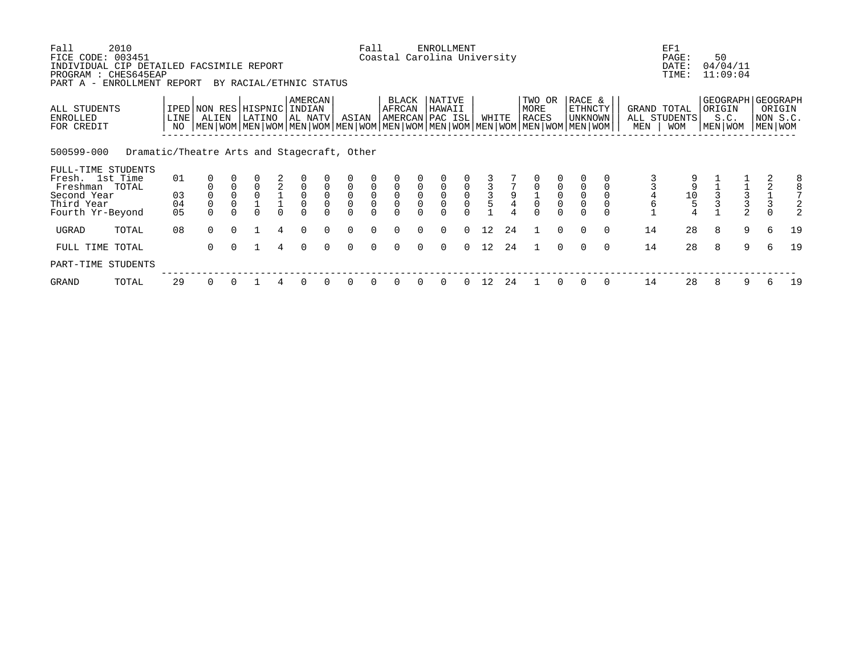| Fall<br>FICE CODE: 003451<br>INDIVIDUAL CIP DETAILED FACSIMILE REPORT<br>PROGRAM : CHES645EAP | 2010<br>ENROLLMENT REPORT                   |                |                         |              |                                                                                                                                                                          |          |                                |                          |              | Fall                                                     |                                            |                            | ENROLLMENT<br>Coastal Carolina University |                        |       |    |                                           |                                                |                                           |               |     | EF1<br>PAGE:<br>DATE:<br>TIME:               | 50                | 04/04/11<br>11:09:04 |                                                        |                    |
|-----------------------------------------------------------------------------------------------|---------------------------------------------|----------------|-------------------------|--------------|--------------------------------------------------------------------------------------------------------------------------------------------------------------------------|----------|--------------------------------|--------------------------|--------------|----------------------------------------------------------|--------------------------------------------|----------------------------|-------------------------------------------|------------------------|-------|----|-------------------------------------------|------------------------------------------------|-------------------------------------------|---------------|-----|----------------------------------------------|-------------------|----------------------|--------------------------------------------------------|--------------------|
| PART A -<br>ALL STUDENTS<br>ENROLLED<br>FOR CREDIT                                            |                                             | LINE  <br>NO   | ALIEN                   |              | BY RACIAL/ETHNIC STATUS<br>IPED NON RES HISPNIC<br>LATINO<br>  MEN   WOM   MEN   WOM   MEN   WOM   MEN   WOM   MEN   WOM   MEN   WOM   MEN   WOM   MEN   WOM   MEN   WOM |          | AMERCAN<br>INDIAN<br>  AL NATV |                          | ASIAN        |                                                          | BLACK<br>AFRCAN                            |                            | NATIVE<br>HAWAII<br> AMERCAN PAC ISL      |                        | WHITE |    | TWO OR<br>MORE<br>RACES                   |                                                | RACE &<br><b>ETHNCTY</b><br>UNKNOWN       |               | MEN | GRAND TOTAL<br>ALL STUDENTS<br><b>WOM</b>    | ORIGIN<br>MEN WOM | S.C.                 | GEOGRAPH   GEOGRAPH<br>MEN WOM                         | ORIGIN<br>NON S.C. |
| 500599-000                                                                                    | Dramatic/Theatre Arts and Stagecraft, Other |                |                         |              |                                                                                                                                                                          |          |                                |                          |              |                                                          |                                            |                            |                                           |                        |       |    |                                           |                                                |                                           |               |     |                                              |                   |                      |                                                        |                    |
| FULL-TIME STUDENTS<br>Fresh. 1st Time<br>Freshman TOTAL                                       |                                             | 01             |                         | $\mathsf{O}$ | $\mathsf 0$                                                                                                                                                              | 2        | $\mathsf{O}$                   | $\mathbf 0$              | $\mathbf 0$  | $\mathsf{O}\xspace$                                      | $\mathbf 0$                                | 0                          | 0                                         | $\mathsf{O}\xspace$    |       |    | 0                                         | $\mathsf 0$                                    | $\mathsf 0$                               |               |     | 9                                            |                   |                      |                                                        | 8                  |
| Second Year<br>Third Year<br>Fourth Yr-Beyond                                                 |                                             | 03<br>04<br>05 | $\mathsf 0$<br>$\Omega$ | $\mathbf 0$  | U                                                                                                                                                                        | $\Omega$ | $_{0}^{0}$<br>$\Omega$         | 0<br>$\mathsf{O}\xspace$ | $\mathsf{O}$ | $\begin{smallmatrix} 0\\0 \end{smallmatrix}$<br>$\Omega$ | $\mathsf{O}\xspace$<br>$\ddot{\mathbf{0}}$ | $\mathbf 0$<br>$\mathsf 0$ | $\mathsf 0$<br>$\Omega$                   | $_{0}^{0}$<br>$\Omega$ |       |    | $\begin{smallmatrix}1\0\end{smallmatrix}$ | $\begin{matrix} 0 \\ 0 \end{matrix}$<br>$\cap$ | $\mathsf 0$<br>$\overline{0}$<br>$\Omega$ | 0<br>$\Omega$ | 6   | $\begin{smallmatrix}1&0\\5\end{smallmatrix}$ |                   | $\frac{1}{3}$        | $\begin{array}{c} 2 \\ 1 \\ 3 \end{array}$<br>$\Omega$ |                    |
| UGRAD                                                                                         | TOTAL                                       | 08             | $\Omega$                | $\Omega$     |                                                                                                                                                                          | 4        | $\Omega$                       | $\Omega$                 | $\Omega$     | $\Omega$                                                 | $\Omega$                                   | $\Omega$                   | $\Omega$                                  | $\Omega$               | 12    | 24 |                                           | $\Omega$                                       | $\Omega$                                  | $\Omega$      | 14  | 28                                           | 8                 | 9                    | 6                                                      | 19                 |
| FULL TIME TOTAL                                                                               |                                             |                | 0                       |              |                                                                                                                                                                          | 4        | $\Omega$                       | $\Omega$                 |              | $\Omega$                                                 |                                            |                            | $\Omega$                                  | $\Omega$               | 12    | 24 |                                           | $\Omega$                                       |                                           | $\Omega$      | 14  | 28                                           | 8                 | 9                    | 6                                                      | 19                 |
| PART-TIME STUDENTS                                                                            |                                             |                |                         |              |                                                                                                                                                                          |          |                                |                          |              |                                                          |                                            |                            |                                           |                        |       |    |                                           |                                                |                                           |               |     |                                              |                   |                      |                                                        |                    |
| GRAND                                                                                         | TOTAL                                       | 29             | 0                       | 0            |                                                                                                                                                                          | 4        | 0                              | 0                        | 0            | 0                                                        | 0                                          | 0                          | 0                                         | $\overline{0}$         | 12    | 24 |                                           | $\Omega$                                       | $\Omega$                                  | $\Omega$      | 14  | 28                                           | 8                 | 9                    | 6                                                      | 19                 |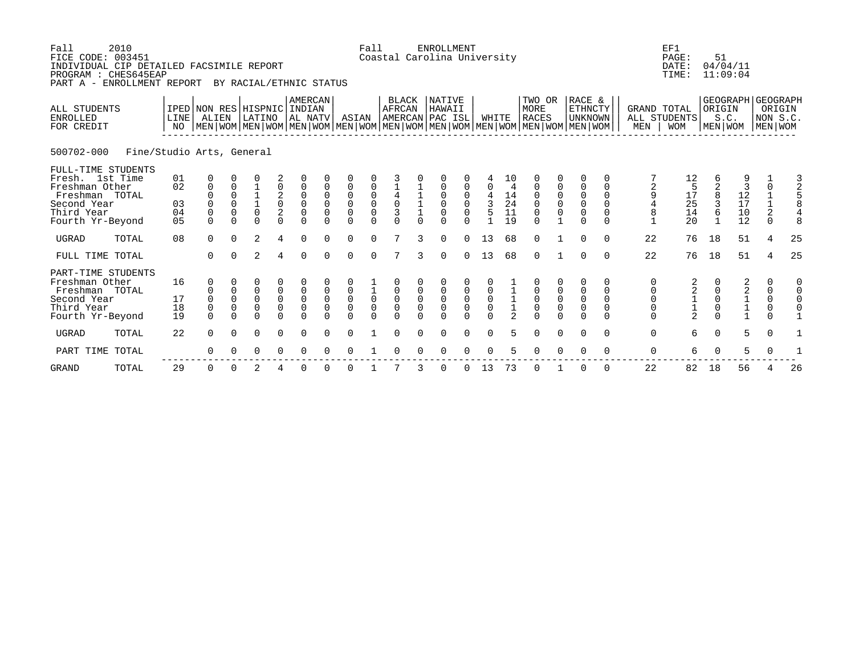| Fall<br>FICE CODE: 003451<br>INDIVIDUAL CIP DETAILED FACSIMILE REPORT<br>PROGRAM : CHES645EAP<br>PART A - ENROLLMENT REPORT | 2010                      |                            |                                                                                                                                              |                                               | BY RACIAL/ETHNIC STATUS                |                                                                  |                                                                 |                                                     |                                                                | Fall                                                               |                                                        |                                        | <b>ENROLLMENT</b><br>Coastal Carolina University                      |                                                       |                                                 |                                            |                                                            |                                                |                                                                   |                                            |                                                  | EF1<br>PAGE:<br>DATE:<br>TIME:                    | 51                                                          | 04/04/11<br>11:09:04                            |                                                          |                                                    |
|-----------------------------------------------------------------------------------------------------------------------------|---------------------------|----------------------------|----------------------------------------------------------------------------------------------------------------------------------------------|-----------------------------------------------|----------------------------------------|------------------------------------------------------------------|-----------------------------------------------------------------|-----------------------------------------------------|----------------------------------------------------------------|--------------------------------------------------------------------|--------------------------------------------------------|----------------------------------------|-----------------------------------------------------------------------|-------------------------------------------------------|-------------------------------------------------|--------------------------------------------|------------------------------------------------------------|------------------------------------------------|-------------------------------------------------------------------|--------------------------------------------|--------------------------------------------------|---------------------------------------------------|-------------------------------------------------------------|-------------------------------------------------|----------------------------------------------------------|----------------------------------------------------|
| ALL STUDENTS<br><b>ENROLLED</b><br>FOR CREDIT                                                                               |                           | LINE<br>NO                 | IPED NON RES HISPNIC<br>ALIEN<br>  MEN   WOM   MEN   WOM   MEN   WOM   MEN   WOM   MEN   WOM   MEN   WOM   MEN   WOM   MEN   WOM   MEN   WOM |                                               | LATINO                                 |                                                                  | <b>AMERCAN</b><br>  INDIAN<br>AL NATV                           |                                                     | ASIAN                                                          |                                                                    | BLACK<br><b>AFRCAN</b>                                 |                                        | <b>NATIVE</b><br>HAWAII<br>AMERCAN PAC ISL                            |                                                       | WHITE                                           |                                            | TWO OR<br><b>MORE</b><br><b>RACES</b>                      |                                                | RACE &<br><b>ETHNCTY</b><br><b>UNKNOWN</b>                        |                                            | <b>GRAND TOTAL</b><br>MEN                        | ALL STUDENTS<br><b>WOM</b>                        | ORIGIN                                                      | S.C.<br>MEN   WOM                               |                                                          | GEOGRAPH GEOGRAPH<br>ORIGIN<br>NON S.C.<br>MEN WOM |
| 500702-000                                                                                                                  | Fine/Studio Arts, General |                            |                                                                                                                                              |                                               |                                        |                                                                  |                                                                 |                                                     |                                                                |                                                                    |                                                        |                                        |                                                                       |                                                       |                                                 |                                            |                                                            |                                                |                                                                   |                                            |                                                  |                                                   |                                                             |                                                 |                                                          |                                                    |
| FULL-TIME STUDENTS<br>Fresh. 1st Time<br>Freshman Other<br>Freshman TOTAL<br>Second Year<br>Third Year<br>Fourth Yr-Beyond  |                           | 01<br>02<br>03<br>04<br>05 | 0<br>$\mathbf 0$<br>$\mathbf 0$<br>$\Omega$<br>$\mathbf 0$<br>$\Omega$                                                                       | 0<br>0<br>$\Omega$<br>$\mathbf 0$<br>$\Omega$ | $\overline{1}_{0}$<br>$\Omega$         | 0<br>$\begin{smallmatrix} 2\\0\\2 \end{smallmatrix}$<br>$\Omega$ | 0<br>$\begin{matrix} 0 \\ 0 \\ 0 \end{matrix}$<br>$\Omega$      | $\pmb{0}$<br>$\mathbf 0$<br>$\mathbf 0$<br>$\Omega$ | $\mathsf 0$<br>$\begin{matrix}0\\0\\0\end{matrix}$<br>$\Omega$ | $\begin{matrix} 0 \\ 0 \\ 0 \end{matrix}$<br>$\Omega$              | $\begin{array}{c} 4 \\ 0 \\ 3 \end{array}$<br>$\Omega$ |                                        | $\Omega$<br>$\boldsymbol{0}$<br>$\mathbf 0$<br>$\mathbf 0$<br>$\cap$  | $\begin{matrix} 0 \\ 0 \\ 0 \end{matrix}$             | 0<br>$\begin{array}{c} 4 \\ 3 \\ 5 \end{array}$ | 10<br>4<br>$\frac{14}{24}$<br>19           | 0<br>$\begin{matrix} 0 \\ 0 \\ 0 \end{matrix}$<br>$\Omega$ | $\begin{matrix} 0 \\ 0 \\ 0 \end{matrix}$      | 0<br>$\begin{matrix} 0 \\ 0 \\ 0 \end{matrix}$<br>$\Omega$        | 0<br>0<br>$\Omega$<br>$\Omega$<br>$\Omega$ | 2<br>9<br>4<br>8<br>$\mathbf{1}$                 | 12<br>$\frac{17}{25}$<br>20                       | 8<br>6<br>6                                                 | $\overline{3}$<br>$12$<br>$17$<br>$10$<br>$12$  | $\mathbf 0$<br>$\frac{1}{2}$<br>$\Omega$                 | $\frac{3}{2}$                                      |
| <b>UGRAD</b>                                                                                                                | TOTAL                     | 08                         | $\Omega$                                                                                                                                     | $\Omega$                                      | $\overline{2}$                         | 4                                                                | $\Omega$                                                        | $\Omega$                                            | $\Omega$                                                       | $\Omega$                                                           | $\mathcal{L}$                                          | $\mathbf{R}$                           | $\Omega$                                                              | $\cap$                                                | 13                                              | 68                                         | $\Omega$                                                   |                                                | $\Omega$                                                          | $\Omega$                                   | 22                                               | 76                                                | 18                                                          | 51                                              | 4                                                        | 25                                                 |
| FULL TIME TOTAL                                                                                                             |                           |                            | $\Omega$                                                                                                                                     | $\cap$                                        | $\mathfrak{D}$                         | 4                                                                | $\Omega$                                                        | $\Omega$                                            | $\Omega$                                                       | $\Omega$                                                           | 7                                                      | 3                                      | $\Omega$                                                              | $\Omega$                                              | 13                                              | 68                                         | $\Omega$                                                   |                                                | $\Omega$                                                          | $\Omega$                                   | 22                                               | 76                                                | 18                                                          | 51                                              | 4                                                        | 25                                                 |
| PART-TIME STUDENTS<br>Freshman Other<br>Freshman TOTAL<br>Second Year<br>Third Year<br>Fourth Yr-Beyond                     |                           | 16<br>17<br>18<br>19       | 0<br>0<br>$\mathbf 0$<br>$\mathsf 0$<br>$\Omega$                                                                                             | 0<br>$\mathbf 0$<br>0<br>$\cap$               | 0<br>0<br>$\mathsf 0$<br>0<br>$\Omega$ | $\begin{smallmatrix}0\\0\end{smallmatrix}$<br>0<br>$\Omega$      | $\begin{matrix} 0 \\ 0 \end{matrix}$<br>$\mathbf 0$<br>$\Omega$ | $\mathsf 0$<br>$\mathbf 0$<br>$\cap$                | $\begin{matrix} 0 \\ 0 \\ 0 \\ 0 \end{matrix}$                 | $\begin{matrix}\n\overline{1} \\ 0 \\ 0\n\end{matrix}$<br>$\Omega$ | $\begin{matrix}0\\0\\0\end{matrix}$<br>$\Omega$        | $\mathsf 0$<br>$\mathbf 0$<br>$\Omega$ | $\begin{smallmatrix}0\\0\end{smallmatrix}$<br>$\mathsf 0$<br>$\Omega$ | $\begin{matrix} 0 \\ 0 \\ 0 \end{matrix}$<br>$\Omega$ | $_{0}^{0}$<br>$\overline{0}$<br>$\Omega$        | $\begin{array}{c} 1 \\ 1 \\ 2 \end{array}$ | $\begin{matrix} 0 \\ 0 \\ 0 \\ 0 \end{matrix}$             | $\begin{matrix} 0 \\ 0 \\ 0 \\ 0 \end{matrix}$ | $\Omega$<br>$\begin{matrix} 0 \\ 0 \\ 0 \end{matrix}$<br>$\Omega$ | 0<br>0<br>$\mathbf 0$<br>0<br>$\cap$       | 0<br>0<br>$\mathsf 0$<br>$\mathsf 0$<br>$\Omega$ | 2<br>$\begin{array}{c}\n2 \\ 1 \\ 2\n\end{array}$ | 0<br>$\mathsf{O}\xspace$<br>$\mathsf{O}\xspace$<br>$\Omega$ | $\begin{array}{c} 2 \\ 2 \\ 1 \\ 1 \end{array}$ | 0<br>0<br>$\ddot{\mathbf{0}}$<br>$\mathsf 0$<br>$\Omega$ |                                                    |
| <b>UGRAD</b>                                                                                                                | TOTAL                     | 22                         | $\Omega$                                                                                                                                     | $\Omega$                                      | $\mathbf 0$                            | $\mathbf 0$                                                      | $\Omega$                                                        | $\Omega$                                            | $\mathbf 0$                                                    |                                                                    | $\Omega$                                               | $\Omega$                               | $\Omega$                                                              | $\Omega$                                              | $\Omega$                                        | 5.                                         | $\mathbf 0$                                                | $\mathbf 0$                                    | $\mathbf 0$                                                       | $\mathbf 0$                                | $\mathbf 0$                                      | 6                                                 | 0                                                           | 5                                               | $\mathbf 0$                                              |                                                    |
| PART TIME                                                                                                                   | TOTAL                     |                            | $\Omega$                                                                                                                                     |                                               | $\Omega$                               | $\Omega$                                                         | $\Omega$                                                        |                                                     | $\Omega$                                                       |                                                                    |                                                        |                                        | $\Omega$                                                              | $\Omega$                                              | $\Omega$                                        | 5                                          | $\Omega$                                                   | $\Omega$                                       | $\Omega$                                                          | $\Omega$                                   | $\mathbf 0$                                      | 6                                                 | $\Omega$                                                    | 5                                               | $\Omega$                                                 |                                                    |
| <b>GRAND</b>                                                                                                                | TOTAL                     | 29                         | 0                                                                                                                                            | $\Omega$                                      | 2                                      | 4                                                                | $\Omega$                                                        |                                                     | $\Omega$                                                       |                                                                    |                                                        | 3                                      | 0                                                                     | 0                                                     | 13                                              | 73                                         | 0                                                          |                                                | 0                                                                 | $\Omega$                                   | 22                                               | 82                                                | 18                                                          | 56                                              | 4                                                        | 26                                                 |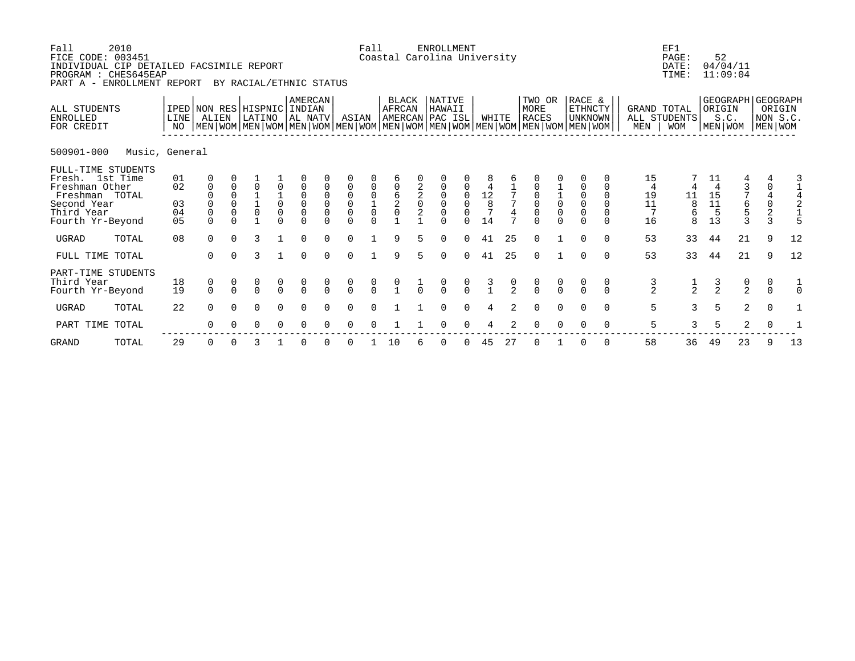| Fall<br>FICE CODE: 003451<br>INDIVIDUAL CIP DETAILED FACSIMILE REPORT<br>PROGRAM : CHES645EAP<br>PART A - ENROLLMENT REPORT | 2010           |                            |                                                                                                                                                     | BY RACIAL/ETHNIC STATUS               |                                      |                                                  |                                                                         |                                           | Fall                                                                                 |                                                |                        | <b>ENROLLMENT</b><br>Coastal Carolina University |                                     |               |                           |               |                                           |               |                                                 |          | EF1<br>PAGE:<br>DATE:<br>TIME: | 52                         | 04/04/11<br>11:09:04      |                             |                                                           |               |
|-----------------------------------------------------------------------------------------------------------------------------|----------------|----------------------------|-----------------------------------------------------------------------------------------------------------------------------------------------------|---------------------------------------|--------------------------------------|--------------------------------------------------|-------------------------------------------------------------------------|-------------------------------------------|--------------------------------------------------------------------------------------|------------------------------------------------|------------------------|--------------------------------------------------|-------------------------------------|---------------|---------------------------|---------------|-------------------------------------------|---------------|-------------------------------------------------|----------|--------------------------------|----------------------------|---------------------------|-----------------------------|-----------------------------------------------------------|---------------|
| ALL STUDENTS<br><b>ENROLLED</b><br>FOR CREDIT                                                                               |                | <b>LINE</b><br>NO          | IPED NON RES HISPNIC INDIAN<br>ALIEN<br>  MEN   WOM   MEN   WOM   MEN   WOM   MEN   WOM   MEN   WOM   MEN   WOM   MEN   WOM   MEN   WOM   MEN   WOM |                                       | LATINO                               |                                                  | AMERCAN<br>AL NATV                                                      |                                           | ASIAN                                                                                |                                                | <b>BLACK</b><br>AFRCAN |                                                  | NATIVE<br>HAWAII<br>AMERCAN PAC ISL |               | WHITE                     |               | TWO OR<br>MORE<br><b>RACES</b>            |               | RACE &<br>ETHNCTY<br>  UNKNOWN                  |          | GRAND TOTAL<br>MEN             | ALL STUDENTS<br><b>WOM</b> | ORIGIN                    | GEOGRAPH<br>S.C.<br>MEN WOM | <b>GEOGRAPH</b><br>ORIGIN<br>NON S.C.<br>MEN WOM          |               |
| 500901-000                                                                                                                  | Music, General |                            |                                                                                                                                                     |                                       |                                      |                                                  |                                                                         |                                           |                                                                                      |                                                |                        |                                                  |                                     |               |                           |               |                                           |               |                                                 |          |                                |                            |                           |                             |                                                           |               |
| FULL-TIME STUDENTS<br>Fresh. 1st Time<br>Freshman Other<br>Freshman TOTAL<br>Second Year<br>Third Year<br>Fourth Yr-Beyond  |                | 01<br>02<br>03<br>04<br>05 | $\mathbf{0}$<br>$\mathbf 0$<br>$\Omega$                                                                                                             | $\Omega$<br>$\Omega$<br>$\Omega$<br>0 | $\Omega$<br>$\frac{1}{0}$            | 0<br>$\frac{1}{0}$<br>$\overline{0}$<br>$\Omega$ | $\mathbf 0$<br>$\overline{0}$<br>$\mathsf 0$<br>$\mathsf 0$<br>$\Omega$ | $\mathbf 0$<br>$\mathbf 0$<br>$\mathbf 0$ | $\overline{0}$<br>$\begin{matrix} 0 \\ 0 \end{matrix}$<br>$\overline{0}$<br>$\Omega$ | $\begin{matrix} 0 \\ 0 \\ 1 \\ 0 \end{matrix}$ |                        | $\begin{array}{c} 2 \\ 2 \\ 0 \end{array}$       | 0<br>$\mathsf 0$                    | $_{0}^{0}$    | $^{\rm 12}_{\rm 8}$<br>14 |               | $\begin{matrix} 0 \\ 0 \\ 0 \end{matrix}$ |               | $\overline{0}$<br>$\overline{0}$<br>$\mathbf 0$ |          | 15<br>4<br>19<br>11<br>16      | 11<br>8<br>6<br>8          | 11<br>15<br>11<br>5<br>13 |                             | $\mathsf 0$<br>$\begin{array}{c} 4 \\ 0 \\ 2 \end{array}$ | 3             |
| <b>UGRAD</b>                                                                                                                | TOTAL          | 08                         | $\Omega$                                                                                                                                            | $\Omega$                              | 3                                    |                                                  | $\Omega$                                                                | $\Omega$                                  | $\Omega$                                                                             |                                                | 9                      |                                                  | $\Omega$                            | $\cap$        | 41                        | 25            | $\Omega$                                  |               | $\cap$                                          | $\Omega$ | 53                             | 33                         | 44                        | 21                          | 9                                                         | 12            |
| FULL TIME TOTAL                                                                                                             |                |                            | $\Omega$                                                                                                                                            |                                       | 3                                    |                                                  | $\Omega$                                                                | $\Omega$                                  | $\Omega$                                                                             |                                                | 9                      |                                                  | $\Omega$                            | $\Omega$      | 41                        | 25            | $\Omega$                                  |               | $\Omega$                                        | $\Omega$ | 53                             | 33                         | 44                        | 21                          | 9                                                         | 12            |
| PART-TIME STUDENTS<br>Third Year<br>Fourth Yr-Beyond                                                                        |                | 18<br>19                   | $\begin{matrix} 0 \\ 0 \end{matrix}$                                                                                                                | $\begin{matrix} 0 \\ 0 \end{matrix}$  | $\begin{matrix} 0 \\ 0 \end{matrix}$ | $\begin{matrix} 0 \\ 0 \end{matrix}$             | $\frac{0}{0}$                                                           | $\frac{0}{0}$                             | $\begin{matrix} 0 \\ 0 \end{matrix}$                                                 | $\frac{0}{0}$                                  |                        | $\overline{0}$                                   | $\frac{0}{0}$                       | $\frac{0}{0}$ |                           | $\frac{0}{2}$ | $\frac{0}{0}$                             | $\frac{0}{0}$ |                                                 |          | $\frac{3}{2}$                  | $\frac{1}{2}$              | $\frac{3}{2}$             | $\frac{0}{2}$               | 0<br>$\Omega$                                             | $\frac{1}{0}$ |
| <b>UGRAD</b>                                                                                                                | TOTAL          | 22                         | $\Omega$                                                                                                                                            | $\Omega$                              | $\Omega$                             | $\Omega$                                         | $\Omega$                                                                |                                           | $\Omega$                                                                             |                                                |                        |                                                  |                                     |               |                           |               |                                           |               |                                                 | $\Omega$ | 5                              | 3                          | 5                         | 2                           | $\mathbf 0$                                               |               |
| PART TIME TOTAL                                                                                                             |                |                            | ∩                                                                                                                                                   |                                       | O                                    | 0                                                | $\Omega$                                                                |                                           | ∩                                                                                    |                                                |                        |                                                  |                                     |               |                           |               |                                           |               |                                                 | ∩        | 5                              | 3                          | 5                         | $\overline{2}$              |                                                           |               |

GRAND TOTAL 29 0 0 3 1 0 0 0 1 10 6 0 0 45 27 0 1 0 0 58 36 49 23 9 13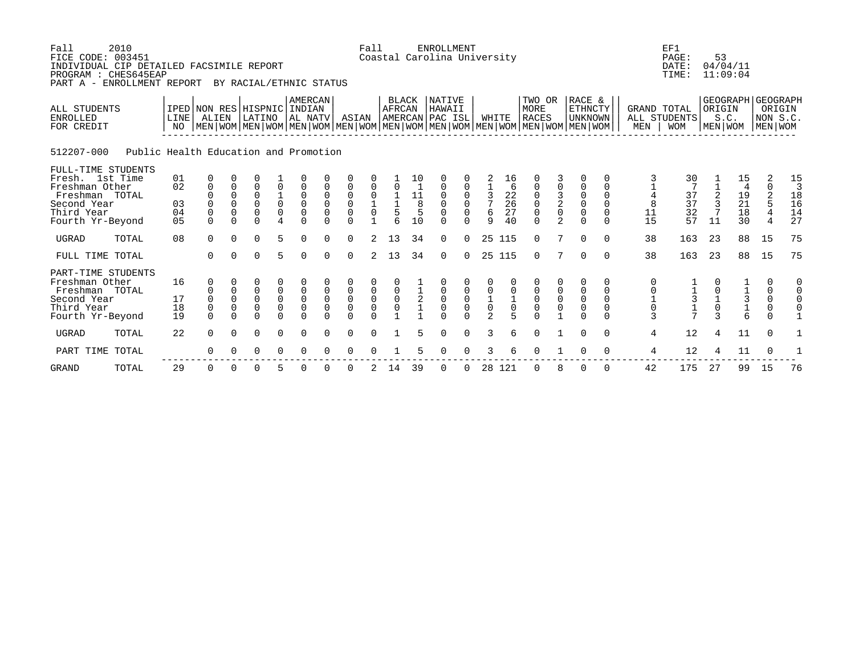| Fall<br>2010<br>FICE CODE: 003451<br>INDIVIDUAL CIP DETAILED FACSIMILE REPORT<br>PROGRAM : CHES645EAP<br>PART A - ENROLLMENT REPORT |                                        |                                                                                                                                                     |                                               | BY RACIAL/ETHNIC STATUS      |                                           |                                             |                                                       |                         | Fall                                                     |                                                               |                                            | ENROLLMENT<br>Coastal Carolina University |                                                                   |                                              |                                 |                         |                                                                   |                                                                            |                                                                        |                  | EF1<br>PAGE:<br>DATE:<br>TIME:            | 53                  | 04/04/11<br>11:09:04                                           |                                                    |                                                                |
|-------------------------------------------------------------------------------------------------------------------------------------|----------------------------------------|-----------------------------------------------------------------------------------------------------------------------------------------------------|-----------------------------------------------|------------------------------|-------------------------------------------|---------------------------------------------|-------------------------------------------------------|-------------------------|----------------------------------------------------------|---------------------------------------------------------------|--------------------------------------------|-------------------------------------------|-------------------------------------------------------------------|----------------------------------------------|---------------------------------|-------------------------|-------------------------------------------------------------------|----------------------------------------------------------------------------|------------------------------------------------------------------------|------------------|-------------------------------------------|---------------------|----------------------------------------------------------------|----------------------------------------------------|----------------------------------------------------------------|
| <b>ALL STUDENTS</b><br><b>ENROLLED</b><br>FOR CREDIT                                                                                | LINE<br>NO                             | IPED NON RES HISPNIC INDIAN<br>ALIEN<br>  MEN   WOM   MEN   WOM   MEN   WOM   MEN   WOM   MEN   WOM   MEN   WOM   MEN   WOM   MEN   WOM   MEN   WOM |                                               | LATINO                       |                                           | AMERCAN<br>AL NATV                          |                                                       | ASIAN                   |                                                          | <b>BLACK</b><br>AFRCAN                                        |                                            | NATIVE<br>HAWAII<br>AMERCAN PAC ISL       |                                                                   | WHITE                                        |                                 | TWO OR<br>MORE<br>RACES |                                                                   | RACE &<br><b>ETHNCTY</b><br>  UNKNOWN                                      |                                                                        | MEN              | GRAND TOTAL<br>ALL STUDENTS<br><b>WOM</b> | ORIGIN<br>MEN   WOM | S.C.                                                           | GEOGRAPH GEOGRAPH<br>ORIGIN<br>NON S.C.<br>MEN WOM |                                                                |
| 512207-000                                                                                                                          | Public Health Education and Promotion  |                                                                                                                                                     |                                               |                              |                                           |                                             |                                                       |                         |                                                          |                                                               |                                            |                                           |                                                                   |                                              |                                 |                         |                                                                   |                                                                            |                                                                        |                  |                                           |                     |                                                                |                                                    |                                                                |
| FULL-TIME STUDENTS<br>Fresh. 1st Time<br>Freshman Other<br>Freshman TOTAL<br>Second Year<br>Third Year<br>Fourth Yr-Beyond          | 01<br>02<br>03<br>04<br>0 <sub>5</sub> | 0<br>0<br>$\Omega$                                                                                                                                  | 0<br>$\mathbf 0$<br>$\Omega$<br>0<br>$\Omega$ | 0<br>0<br>0<br>0<br>$\Omega$ | 0<br>$\frac{1}{0}$<br>0<br>$\overline{4}$ | 0<br>$\mathbf 0$<br>$\Omega$                | $\mathbf 0$<br>$\mathbf 0$<br>$\mathbf 0$<br>$\Omega$ | 0<br>0<br>0<br>$\Omega$ | $\mathbf 0$<br>$\frac{1}{0}$<br>$\mathbf{1}$             | $\Omega$<br>$\begin{array}{c}\n1 \\ 1 \\ 5 \\ 6\n\end{array}$ | 11<br>$\,8\,$<br>5<br>10                   | 0<br>0<br>0<br>$\Omega$                   | $\Omega$<br>$\mathbf 0$<br>$\mathbf 0$<br>$\mathbf 0$<br>$\Omega$ | 3<br>$7\phantom{.0}$<br>6<br>9               | 16<br>6<br>22<br>26<br>27<br>40 | 0<br>0<br>0<br>$\Omega$ | 0<br>$\begin{array}{c} 3 \\ 2 \\ 0 \end{array}$<br>$\overline{a}$ | 0<br>$\begin{smallmatrix}0\\0\end{smallmatrix}$<br>$\mathsf 0$<br>$\Omega$ | O<br>$\Omega$<br>$\mathbf 0$<br>$\mathbf 0$<br>$\mathbf 0$<br>$\Omega$ | 8<br>11<br>15    | 30<br>37<br>37<br>32<br>57                | 11                  | 15<br>4<br>$\begin{array}{c} 19 \\ 21 \\ 18 \end{array}$<br>30 | 2<br>0<br>2<br>5<br>4                              | 15<br>$\overline{3}$<br>18<br>16<br>14<br>27                   |
| <b>UGRAD</b>                                                                                                                        | 08<br>TOTAL                            | $\Omega$                                                                                                                                            | $\Omega$                                      | 0                            | 5                                         | $\Omega$                                    | 0                                                     | 0                       | $\overline{2}$                                           | 13                                                            | 34                                         | 0                                         | $\Omega$                                                          |                                              | 25 115                          | $\Omega$                | 7                                                                 | 0                                                                          | $\Omega$                                                               | 38               | 163                                       | 23                  | 88                                                             | 15                                                 | 75                                                             |
| FULL TIME TOTAL                                                                                                                     |                                        | $\Omega$                                                                                                                                            | $\Omega$                                      | $\Omega$                     | 5                                         | $\Omega$                                    | $\Omega$                                              | $\Omega$                | $\overline{2}$                                           | 13                                                            | 34                                         | $\Omega$                                  | $\Omega$                                                          |                                              | 25 115                          | $\Omega$                | 7                                                                 | 0                                                                          | $\Omega$                                                               | 38               | 163                                       | 23                  | 88                                                             | 15                                                 | 75                                                             |
| PART-TIME STUDENTS<br>Freshman Other<br>Freshman TOTAL<br>Second Year<br>Third Year<br>Fourth Yr-Beyond                             | 16<br>17<br>18<br>19                   | 0<br>0<br>$\Omega$                                                                                                                                  | 0<br>$\Omega$<br>$\mathbf 0$<br>$\Omega$      | 0<br>0<br>0<br>0             | 0<br>$\mathsf{O}\xspace$<br>0<br>$\Omega$ | 0<br>$\mathbf 0$<br>$\mathbf 0$<br>$\Omega$ | $\mathbf 0$<br>$\mathbf 0$<br>$\mathbf 0$<br>$\Omega$ | 0<br>0<br>0<br>$\Omega$ | $\mathsf 0$<br>$\overline{0}$<br>$\mathsf 0$<br>$\Omega$ | 0<br>$\ddot{\mathbf{0}}$<br>$\mathsf 0$                       | $\begin{array}{c} 1 \\ 2 \\ 1 \end{array}$ | 0<br>0<br>0<br>$\Omega$                   | 0<br>$\overline{0}$<br>$\mathsf 0$<br>$\Omega$                    | $\mathbf 1$<br>$\mathsf 0$<br>$\mathfrak{D}$ | $\overline{1}$<br>$\mathsf 0$   | 0<br>0<br>0<br>U        | 0<br>$\ddot{\mathbf{0}}$<br>$\mathbf 0$                           | 0<br>$\mathbf 0$<br>$\overline{0}$<br>$\mathsf 0$<br>$\Omega$              | 0<br>$\Omega$<br>$\Omega$<br>$\mathbf 0$<br>$\Omega$                   | 0<br>$\mathbf 0$ | $\frac{1}{1}$ 3 $\frac{1}{7}$             | $\frac{1}{0}$       | $\frac{1}{3}$<br>$\frac{1}{6}$                                 | 0<br>0<br>$\mathsf 0$<br>$\mathsf 0$<br>0          | $\mathbf 0$<br>$\mathbf 0$<br>$\mathbf 0$<br>0<br>$\mathbf{1}$ |
| <b>UGRAD</b>                                                                                                                        | 22<br>TOTAL                            | $\Omega$                                                                                                                                            | $\Omega$                                      | $\Omega$                     | $\mathbf 0$                               | $\Omega$                                    | $\Omega$                                              | $\Omega$                | $\Omega$                                                 |                                                               | 5                                          | $\Omega$                                  | $\Omega$                                                          | 3                                            | 6                               | $\Omega$                |                                                                   | $\Omega$                                                                   | $\Omega$                                                               | 4                | 12                                        | 4                   | 11                                                             | $\Omega$                                           | $\mathbf{1}$                                                   |
| PART TIME<br>TOTAL                                                                                                                  |                                        | 0                                                                                                                                                   |                                               | 0                            | $\Omega$                                  | $\Omega$                                    |                                                       | O                       |                                                          |                                                               |                                            | 0                                         | $\Omega$                                                          | 3                                            | 6                               | $\Omega$                |                                                                   | 0                                                                          | $\Omega$                                                               | 4                | 12                                        | 4                   | 11                                                             | $\mathbf 0$                                        |                                                                |
| <b>GRAND</b>                                                                                                                        | 29<br>TOTAL                            | 0                                                                                                                                                   | 0                                             | 0                            | 5                                         | U                                           | 0                                                     | 0                       | 2                                                        | 14                                                            | 39                                         | 0                                         | 0                                                                 |                                              | 28 121                          | U                       | 8                                                                 | 0                                                                          | $\Omega$                                                               | 42               | 175                                       | 27                  | 99                                                             | 15                                                 | 76                                                             |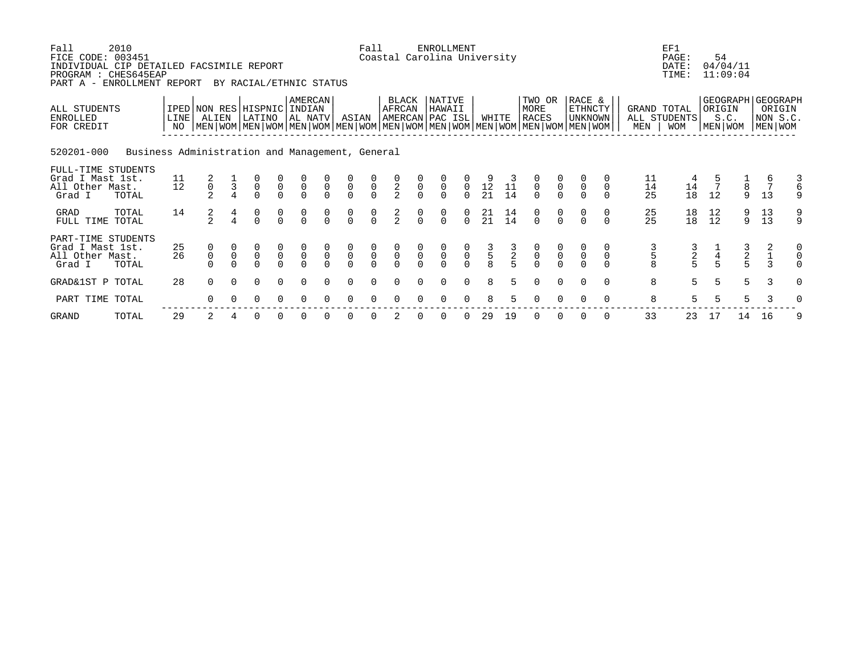| Fall<br>FICE CODE: 003451<br>INDIVIDUAL CIP DETAILED FACSIMILE REPORT<br>PROGRAM : CHES645EAP<br>PART A - ENROLLMENT REPORT | 2010                                            |                   |                     |              | BY RACIAL/ETHNIC STATUS                                                                                                                          |                                           |                                           |                                      |                                           | Fall                                      |                                     |                                  | <b>ENROLLMENT</b><br>Coastal Carolina University |                                           |                                              |                 |                                           |                                           |                                            |             |                                         | EF1<br>PAGE:<br>DATE:<br>TIME:            | 54                   | 04/04/11<br>11:09:04          |                                         |                                                          |
|-----------------------------------------------------------------------------------------------------------------------------|-------------------------------------------------|-------------------|---------------------|--------------|--------------------------------------------------------------------------------------------------------------------------------------------------|-------------------------------------------|-------------------------------------------|--------------------------------------|-------------------------------------------|-------------------------------------------|-------------------------------------|----------------------------------|--------------------------------------------------|-------------------------------------------|----------------------------------------------|-----------------|-------------------------------------------|-------------------------------------------|--------------------------------------------|-------------|-----------------------------------------|-------------------------------------------|----------------------|-------------------------------|-----------------------------------------|----------------------------------------------------------|
| ALL STUDENTS<br><b>ENROLLED</b><br>FOR CREDIT                                                                               |                                                 | LINE <sup>1</sup> | ALIEN               |              | IPED NON RES HISPNIC<br>LATINO<br>NO   MEN   WOM   MEN   WOM   MEN   WOM   MEN   WOM   MEN   WOM   MEN   WOM   MEN   WOM   MEN   WOM   MEN   WOM |                                           | AMERCAN<br>INDIAN<br>AL NATV              |                                      | ASIAN                                     |                                           | BLACK<br>AFRCAN                     |                                  | NATIVE<br>HAWAII<br>AMERCAN PAC ISL              |                                           | WHITE                                        |                 | TWO OR<br>MORE<br>RACES                   |                                           | RACE &<br><b>ETHNCTY</b><br><b>UNKNOWN</b> |             | MEN                                     | GRAND TOTAL<br>ALL STUDENTS<br><b>WOM</b> | ORIGIN<br>MEN WOM    | S.C.                          |                                         | GEOGRAPH   GEOGRAPH<br>ORIGIN<br>NON S.C.<br>  MEN   WOM |
| 520201-000                                                                                                                  | Business Administration and Management, General |                   |                     |              |                                                                                                                                                  |                                           |                                           |                                      |                                           |                                           |                                     |                                  |                                                  |                                           |                                              |                 |                                           |                                           |                                            |             |                                         |                                           |                      |                               |                                         |                                                          |
| FULL-TIME STUDENTS<br>Grad I Mast 1st.<br>All Other Mast.<br>Grad I                                                         | TOTAL                                           | 11<br>12          | $\frac{2}{0}$       |              | $\begin{matrix} 0 \\ 0 \\ 0 \end{matrix}$                                                                                                        | $\begin{matrix} 0 \\ 0 \\ 0 \end{matrix}$ | $\begin{matrix} 0 \\ 0 \\ 0 \end{matrix}$ | $\overline{0}$                       | $\begin{matrix} 0 \\ 0 \\ 0 \end{matrix}$ | $\begin{matrix} 0 \\ 0 \\ 0 \end{matrix}$ | $\frac{0}{2}$                       | $\begin{matrix}0\\0\end{matrix}$ | $\overline{0}$                                   | $\begin{matrix}0\\0\end{matrix}$          | $\begin{array}{c} 9 \\ 12 \\ 21 \end{array}$ | 11<br>14        | $\begin{matrix} 0 \\ 0 \\ 0 \end{matrix}$ | $\begin{matrix} 0 \\ 0 \\ 0 \end{matrix}$ | $\mathsf 0$                                | $\mathbf 0$ | 11<br>14<br>25                          | $\frac{4}{14}$<br>18                      | $\overline{7}$<br>12 | $\frac{1}{8}$<br>$\mathsf{Q}$ | 13                                      | 9                                                        |
| <b>GRAD</b><br>FULL TIME TOTAL                                                                                              | TOTAL                                           | 14                | $\frac{2}{2}$       |              | $\begin{matrix} 0 \\ 0 \end{matrix}$                                                                                                             | $\begin{matrix} 0 \\ 0 \end{matrix}$      | $\frac{0}{0}$                             | $\begin{matrix} 0 \\ 0 \end{matrix}$ | $\begin{matrix}0\\0\end{matrix}$          | $\begin{matrix} 0 \\ 0 \end{matrix}$      | $\frac{2}{2}$                       | $\frac{0}{0}$                    | $\begin{matrix}0\\0\end{matrix}$                 | $\begin{matrix}0\\0\end{matrix}$          | $\begin{array}{c} 21 \\ 21 \end{array}$      | $\frac{14}{14}$ | $\begin{matrix}0\\0\end{matrix}$          | $\begin{matrix}0\\0\end{matrix}$          |                                            |             | $\begin{array}{c} 25 \\ 25 \end{array}$ | 18<br>18                                  | 12<br>12             | 9<br>9                        | $\begin{array}{c} 13 \\ 13 \end{array}$ | $\frac{9}{9}$                                            |
| PART-TIME STUDENTS<br>Grad I Mast 1st.<br>All Other Mast.<br>Grad I                                                         | TOTAL                                           | 25<br>26          | 0<br>$\overline{0}$ | $\mathsf{O}$ | $\overline{0}$                                                                                                                                   | $\begin{matrix} 0 \\ 0 \\ 0 \end{matrix}$ | $\begin{matrix}0\\0\\0\end{matrix}$       | $\begin{matrix}0\\0\end{matrix}$     | $\begin{matrix} 0 \\ 0 \\ 0 \end{matrix}$ | $\begin{matrix} 0 \\ 0 \\ 0 \end{matrix}$ | $\begin{matrix}0\\0\\0\end{matrix}$ | $\overline{0}$                   | $\overline{0}$                                   | $\begin{matrix} 0 \\ 0 \\ 0 \end{matrix}$ | $\frac{3}{5}$                                | $\frac{3}{5}$   | $\begin{matrix} 0 \\ 0 \\ 0 \end{matrix}$ | $\begin{matrix} 0 \\ 0 \\ 0 \end{matrix}$ | $\frac{0}{0}$                              |             | 5                                       | $\frac{2}{5}$                             | $rac{4}{5}$          | $\frac{2}{5}$                 | 2                                       | 0<br>0<br>$\Omega$                                       |
| GRAD&1ST P TOTAL                                                                                                            |                                                 | 28                | $\Omega$            | $\Omega$     | $\Omega$                                                                                                                                         | $\Omega$                                  | $\Omega$                                  | $\Omega$                             | $\Omega$                                  | $\Omega$                                  | $\Omega$                            | $\Omega$                         | $\Omega$                                         | $\Omega$                                  | 8                                            | 5               | $\Omega$                                  | $\Omega$                                  | $\cap$                                     | $\Omega$    | 8                                       | 5                                         | 5                    | 5                             | $\mathcal{E}$                           | $\Omega$                                                 |
| PART TIME TOTAL                                                                                                             |                                                 |                   |                     |              | 0                                                                                                                                                | $\Omega$                                  | $\Omega$                                  |                                      | $\Omega$                                  | 0                                         | $\Omega$                            |                                  | $\Omega$                                         | $\Omega$                                  | 8                                            |                 |                                           |                                           |                                            |             | 8                                       | 5                                         | 5                    | 5                             |                                         |                                                          |

GRAND TOTAL 29 2 4 0 0 0 0 0 0 2 0 0 0 29 19 0 0 0 0 33 23 17 14 16 9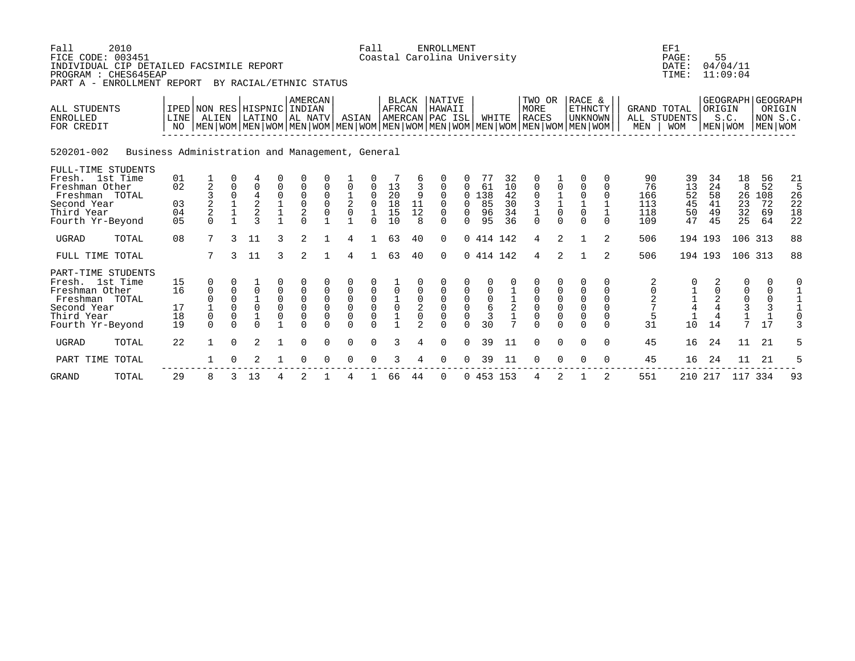| Fall<br>FICE CODE: 003451                                          | 2010<br>INDIVIDUAL CIP DETAILED FACSIMILE REPORT<br>PROGRAM : CHES645EAP<br>PART A - ENROLLMENT REPORT |                                           |                         |                             | BY RACIAL/ETHNIC STATUS                                  |             |                                            |                              |                                       | Fall                                       |                               |                               | <b>ENROLLMENT</b><br>Coastal Carolina University |                                       |                                      |                      |                                                                                                                                               |                                                      |                                                        |                    |                                                       | EF1<br>PAGE:<br>DATE:<br>TIME: | 55                   | 04/04/11<br>11:09:04                                |                            |                      |
|--------------------------------------------------------------------|--------------------------------------------------------------------------------------------------------|-------------------------------------------|-------------------------|-----------------------------|----------------------------------------------------------|-------------|--------------------------------------------|------------------------------|---------------------------------------|--------------------------------------------|-------------------------------|-------------------------------|--------------------------------------------------|---------------------------------------|--------------------------------------|----------------------|-----------------------------------------------------------------------------------------------------------------------------------------------|------------------------------------------------------|--------------------------------------------------------|--------------------|-------------------------------------------------------|--------------------------------|----------------------|-----------------------------------------------------|----------------------------|----------------------|
| ALL STUDENTS<br><b>ENROLLED</b><br>FOR CREDIT                      |                                                                                                        | IPED NON RES HISPNIC INDIAN<br>LINE<br>NO | ALIEN                   |                             | LATINO                                                   |             | <b>AMERCAN</b><br>AL NATV                  |                              | ASIAN                                 |                                            | <b>BLACK</b><br><b>AFRCAN</b> |                               | <b>NATIVE</b><br>HAWAII<br>AMERCAN PAC ISL       |                                       |                                      | WHITE                | TWO OR<br>MORE<br><b>RACES</b><br>  MEN   WOM   MEN   WOM   MEN   WOM   MEN   WOM   MEN   WOM   MEN   WOM   MEN   WOM   MEN   WOM   MEN   WOM |                                                      | RACE &<br><b>ETHNCTY</b><br><b>UNKNOWN</b>             |                    | <b>GRAND TOTAL</b><br>MEN                             | ALL STUDENTS<br><b>WOM</b>     | ORIGIN<br>MEN   WOM  | GEOGRAPH GEOGRAPH<br>S.C.                           | NON S.C.<br>MEN WOM        | ORIGIN               |
| 520201-002                                                         | Business Administration and Management, General                                                        |                                           |                         |                             |                                                          |             |                                            |                              |                                       |                                            |                               |                               |                                                  |                                       |                                      |                      |                                                                                                                                               |                                                      |                                                        |                    |                                                       |                                |                      |                                                     |                            |                      |
| Fresh. 1st Time<br>Freshman Other                                  | FULL-TIME STUDENTS                                                                                     | 01<br>02                                  | $\overline{2}$          |                             | $\overline{0}$                                           |             |                                            |                              |                                       |                                            | 13                            |                               |                                                  |                                       | 77<br>61                             | 32<br>10             | $\mathbf 0$                                                                                                                                   | 0                                                    | $\mathbf 0$                                            | 0<br>0             | 90<br>76                                              | 39<br>13                       | 34<br>24             | 18<br>8                                             | 56<br>52                   | 21<br>5              |
| Freshman TOTAL<br>Second Year<br>Third Year<br>Fourth Yr-Beyond    |                                                                                                        | 03<br>04<br>0 <sub>5</sub>                | $\frac{2}{2}$<br>$\cap$ | $\mathbf 0$<br>$\mathbf{1}$ | $\frac{4}{2}$<br>$\overline{\mathbf{c}}$<br>$\mathbf{z}$ | 0           | 0<br>$\mathbf 0$<br>$\sqrt{2}$<br>$\Omega$ | $\mathbf 0$<br>$\Omega$<br>0 | $\frac{1}{2}$<br>$\mathsf{O}\xspace$  | $\mathbf 0$<br>$\mathbf 0$<br>$\Omega$     | 20<br>18<br>15<br>10          | 9<br>11<br>12<br>$\mathsf{R}$ | $\Omega$<br>$\Omega$<br>$\mathbf 0$<br>$\cap$    | $\Omega$<br>$\Omega$<br>0<br>$\Omega$ | .38<br>85<br>96<br>95                | 42<br>30<br>34<br>36 | $\mathbf 0$<br>$\begin{array}{c} 3 \\ 1 \end{array}$<br>$\Omega$                                                                              | $\begin{array}{c} 1 \\ 1 \\ 0 \end{array}$<br>$\cap$ | $\mathbf 0$<br>$\mathbf{1}$<br>$\mathbf 0$<br>$\Omega$ | $\Omega$<br>$\cap$ | 166<br>113<br>118<br>109                              | 52<br>45<br>50<br>47           | 58<br>41<br>49<br>45 | 26<br>23<br>32<br>25                                | 108<br>72<br>69<br>64      | 26<br>22<br>18<br>22 |
| <b>UGRAD</b>                                                       | TOTAL                                                                                                  | 08                                        | 7                       | 3                           | 11                                                       | 3           | 2                                          |                              | 4                                     |                                            | 63                            | 40                            | $\Omega$                                         |                                       | 0 414 142                            |                      | 4                                                                                                                                             | 2                                                    |                                                        | 2                  | 506                                                   |                                | 194 193              |                                                     | 106 313                    | 88                   |
| FULL TIME TOTAL                                                    |                                                                                                        |                                           | 7                       | 3                           | 11                                                       | 3           | $\overline{2}$                             |                              | 4                                     |                                            | 63                            | 40                            | $\Omega$                                         |                                       | 0 414 142                            |                      | 4                                                                                                                                             | 2                                                    |                                                        | 2                  | 506                                                   |                                | 194 193              |                                                     | 106 313                    | 88                   |
| Fresh. 1st Time<br>Freshman Other<br>Freshman TOTAL<br>Second Year | PART-TIME STUDENTS                                                                                     | 15<br>16<br>17                            | 0<br>$\mathbf 0$        | $\Omega$<br>0<br>$\Omega$   | $\overline{0}$<br>0                                      | 0<br>0<br>0 | 0<br>0<br>$\mathbf 0$                      | 0<br>$\mathbf 0$             | $\mathsf{O}\xspace$<br>$\overline{0}$ | $\begin{smallmatrix}0\\0\end{smallmatrix}$ | $\frac{1}{0}$                 | 0<br>2                        | 0<br>0<br>$\mathbf 0$                            | $_0^0$                                | $\begin{matrix} 0 \\ 6 \end{matrix}$ | $\frac{1}{2}$        | 0<br>$\begin{matrix} 0 \\ 0 \\ 0 \end{matrix}$                                                                                                | 0<br>$\begin{matrix} 0 \\ 0 \\ 0 \end{matrix}$       | 0<br>$\mathbf 0$<br>$\pmb{0}$<br>$\mathsf 0$           | 0<br>0<br>0<br>0   | $\begin{matrix} 2 \\ 0 \end{matrix}$<br>$\frac{2}{7}$ | $\frac{1}{4}$                  | $_4^2$               | 0<br>0<br>$\begin{matrix} 0 \\ 3 \\ 1 \end{matrix}$ | 0<br>0<br>$\mathbf 0$<br>3 | 0                    |
| Third Year<br>Fourth Yr-Beyond                                     |                                                                                                        | 18<br>19                                  | 0<br>$\Omega$           | $\Omega$<br>$\cap$          | 1<br>$\cap$                                              | 0           | $\mathbf 0$<br>$\Omega$                    | $\Omega$<br>$\Omega$         | $\overline{0}$<br>$\Omega$            | $\overline{0}$<br>$\Omega$                 | $\overline{1}$                | $\Omega$<br>$\overline{2}$    | $\mathbf{0}$<br>$\Omega$                         | $\mathbf 0$<br>$\cap$                 | 3<br>30                              | $\overline{7}$       | $\Omega$                                                                                                                                      | $\Omega$                                             | $\overline{0}$<br>$\Omega$                             | 0<br>$\Omega$      | 5<br>31                                               | 10                             | 14                   | 7                                                   | $\mathbf{1}$<br>17         | 3                    |
| <b>UGRAD</b>                                                       | TOTAL                                                                                                  | 22                                        | $\mathbf{1}$            | $\Omega$                    | $\overline{2}$                                           |             | $\Omega$                                   | $\Omega$                     | $\Omega$                              | $\Omega$                                   | 3                             | 4                             | $\Omega$                                         | $\Omega$                              | 39                                   | 11                   | $\Omega$                                                                                                                                      | $\Omega$                                             | $\Omega$                                               | $\Omega$           | 45                                                    | 16                             | 24                   | 11                                                  | 21                         | 5                    |
| PART TIME TOTAL                                                    |                                                                                                        |                                           |                         |                             |                                                          |             | $\Omega$                                   |                              | <sup>0</sup>                          | $\Omega$                                   | 3                             |                               | $\Omega$                                         | $\Omega$                              | 39                                   | 11                   | $\Omega$                                                                                                                                      | $\Omega$                                             | $\Omega$                                               | $\Omega$           | 45                                                    | 16                             | 24                   | 11                                                  | 21                         | 5                    |
| <b>GRAND</b>                                                       | TOTAL                                                                                                  | 29                                        | 8                       | 3                           | 13                                                       | 4           | 2                                          |                              | 4                                     |                                            | 66                            | 44                            | $\mathbf 0$                                      |                                       | 0453153                              |                      | 4                                                                                                                                             | 2                                                    |                                                        | 2                  | 551                                                   | 210                            | 217                  | 117                                                 | 334                        | 93                   |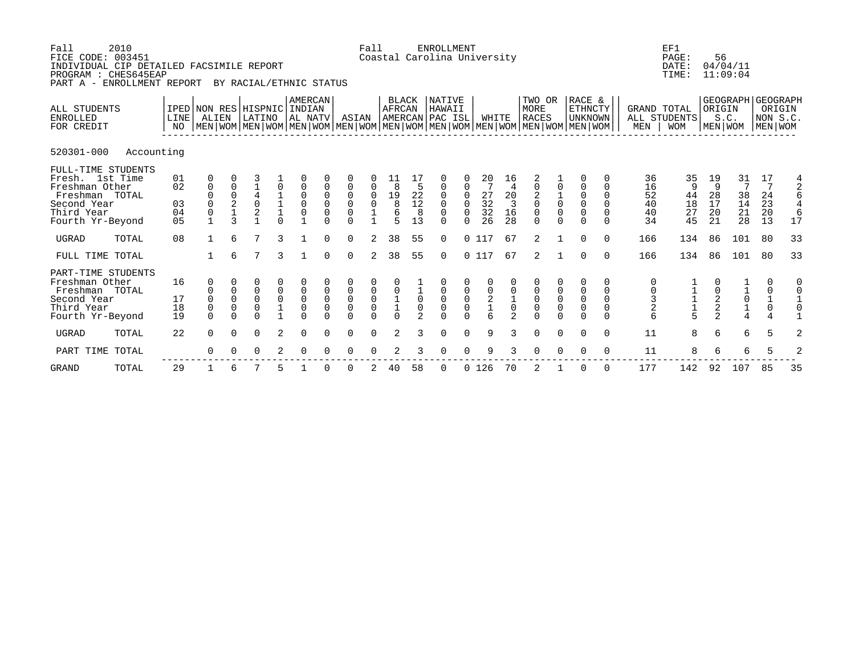| Fall<br>FICE CODE: 003451<br>INDIVIDUAL CIP DETAILED FACSIMILE REPORT<br>PROGRAM : CHES645EAP<br>PART A - ENROLLMENT REPORT | 2010       |                            |                                                                            |                                            |                                        |                                                           | BY RACIAL/ETHNIC STATUS                                        |                                             |                                                                                      | Fall                                                  |                                                                  |                                                                  | <b>ENROLLMENT</b><br>Coastal Carolina University    |                                                       |                                                                             |                                        |                                                                                                                                                      |                                                 |                                                                         |                                                          |                                                      | EF1<br>PAGE:<br>DATE:<br>TIME:      | 56                              | 04/04/11<br>11:09:04                                                                                       |                                                                  |                                    |
|-----------------------------------------------------------------------------------------------------------------------------|------------|----------------------------|----------------------------------------------------------------------------|--------------------------------------------|----------------------------------------|-----------------------------------------------------------|----------------------------------------------------------------|---------------------------------------------|--------------------------------------------------------------------------------------|-------------------------------------------------------|------------------------------------------------------------------|------------------------------------------------------------------|-----------------------------------------------------|-------------------------------------------------------|-----------------------------------------------------------------------------|----------------------------------------|------------------------------------------------------------------------------------------------------------------------------------------------------|-------------------------------------------------|-------------------------------------------------------------------------|----------------------------------------------------------|------------------------------------------------------|-------------------------------------|---------------------------------|------------------------------------------------------------------------------------------------------------|------------------------------------------------------------------|------------------------------------|
| ALL STUDENTS<br><b>ENROLLED</b><br>FOR CREDIT                                                                               |            | LINE<br>NO                 | IPED NON RES HISPNIC<br>ALIEN                                              |                                            | LATINO                                 |                                                           | <b>AMERCAN</b><br>  INDIAN<br>AL NATV                          |                                             | ASIAN                                                                                |                                                       | <b>BLACK</b><br><b>AFRCAN</b>                                    |                                                                  | <b>NATIVE</b><br>HAWAII<br>AMERCAN PAC ISL          |                                                       | WHITE                                                                       |                                        | TWO OR<br><b>MORE</b><br><b>RACES</b><br>  MEN   WOM   MEN   WOM   MEN   WOM   MEN   WOM   MEN   WOM   MEN   WOM   MEN   WOM   MEN   WOM   MEN   WOM |                                                 | RACE &<br><b>ETHNCTY</b><br><b>UNKNOWN</b>                              |                                                          | <b>GRAND TOTAL</b><br>MEN                            | ALL STUDENTS<br><b>WOM</b>          | ORIGIN                          | GEOGRAPH GEOGRAPH<br>S.C.<br>MEN   WOM                                                                     | MEN WOM                                                          | ORIGIN<br>NON S.C.                 |
| 520301-000                                                                                                                  | Accounting |                            |                                                                            |                                            |                                        |                                                           |                                                                |                                             |                                                                                      |                                                       |                                                                  |                                                                  |                                                     |                                                       |                                                                             |                                        |                                                                                                                                                      |                                                 |                                                                         |                                                          |                                                      |                                     |                                 |                                                                                                            |                                                                  |                                    |
| FULL-TIME STUDENTS<br>Fresh. 1st Time<br>Freshman Other<br>Freshman TOTAL<br>Second Year<br>Third Year<br>Fourth Yr-Beyond  |            | 01<br>02<br>03<br>04<br>05 | 0<br>$\mathbf 0$<br>$\mathbf 0$<br>$\Omega$<br>$\mathbf 0$<br>$\mathbf{1}$ | 0<br>0<br>2<br>$\mathbf 1$<br>$\mathbf{3}$ | $\overline{0}$<br>2                    | $\begin{smallmatrix}1\\1\\1\end{smallmatrix}$<br>$\Omega$ | $\mathbf 0$<br>0<br>$\begin{smallmatrix}0\\0\end{smallmatrix}$ | 0<br>$\mathbf 0$<br>$\mathbf 0$<br>$\Omega$ | $\mathbf 0$<br>$\mathsf 0$<br>$\begin{smallmatrix}0\\0\end{smallmatrix}$<br>$\Omega$ | 0001                                                  | 8<br>$\begin{array}{c}\n19 \\ 8 \\ 6\n\end{array}$<br>$\sqrt{2}$ | $^{22}_{12}$<br>8<br>13                                          | 0<br>0<br>$\mathbf 0$<br>$\mathbf 0$<br>$\Omega$    | 0<br>$\mathbf 0$<br>$\mathbf 0$<br>$\Omega$           | 20<br>$\overline{7}$<br>$\begin{array}{c} 27 \\ 32 \\ 32 \end{array}$<br>26 | 16<br>20<br>$\overline{3}$<br>16<br>28 | 2<br>0<br>$\begin{smallmatrix} 2\\0\\0 \end{smallmatrix}$<br>$\Omega$                                                                                | $\frac{1}{0}$<br>$\overline{0}$<br>$\Omega$     | $\mathbf 0$<br>$\mathsf 0$<br>$\mathbf 0$<br>$\overline{0}$<br>$\Omega$ | $\Omega$<br>$\Omega$<br>$\Omega$<br>$\Omega$<br>$\Omega$ | 36<br>16<br>52<br>40<br>40<br>34                     | 35<br>9<br>44<br>$18\,$<br>27<br>45 | 19<br>9<br>28<br>17<br>20<br>21 | $\begin{array}{c} 31 \\ 7 \end{array}$<br>$\begin{array}{c} 38 \\ 14 \end{array}$<br>$\overline{21}$<br>28 | 17<br>7<br>24<br>23<br>20<br>13                                  | $\frac{4}{2}$<br>6<br>4<br>6<br>17 |
| <b>UGRAD</b>                                                                                                                | TOTAL      | 08                         | 1                                                                          | 6                                          | $\overline{7}$                         | 3                                                         |                                                                | $\Omega$                                    | $\Omega$                                                                             | $\overline{a}$                                        | 38                                                               | 55                                                               | $\Omega$                                            |                                                       | 0117                                                                        | 67                                     | 2                                                                                                                                                    |                                                 | $\Omega$                                                                | $\Omega$                                                 | 166                                                  | 134                                 | 86                              | 101                                                                                                        | 80                                                               | 33                                 |
| FULL TIME TOTAL                                                                                                             |            |                            | 1                                                                          | 6                                          | 7                                      | 3                                                         |                                                                | $\Omega$                                    | $\Omega$                                                                             | $\overline{2}$                                        | 38                                                               | 55                                                               | $\Omega$                                            |                                                       | 0117                                                                        | 67                                     | 2                                                                                                                                                    |                                                 | $\Omega$                                                                | $\Omega$                                                 | 166                                                  | 134                                 | 86                              | 101                                                                                                        | 80                                                               | 33                                 |
| PART-TIME STUDENTS<br>Freshman Other<br>Freshman TOTAL<br>Second Year<br>Third Year<br>Fourth Yr-Beyond                     |            | 16<br>17<br>18<br>19       | 0<br>0<br>$\mathbf 0$<br>$\mathsf 0$<br>$\Omega$                           | 0<br>$\mathbf 0$<br>0<br>$\Omega$          | 0<br>0<br>$\mathsf 0$<br>0<br>$\Omega$ | $\begin{smallmatrix}0\\0\end{smallmatrix}$<br>$1\,$       | $\mathbf 0$<br>$\overline{0}$<br>$\mathbf 0$<br>$\Omega$       | $\mathbf 0$<br>$\mathbf 0$<br>$\Omega$      | $\begin{matrix} 0 \\ 0 \end{matrix}$<br>$\mathsf{O}\xspace$<br>$\Omega$              | $\begin{matrix} 0 \\ 0 \\ 0 \end{matrix}$<br>$\Omega$ | $\begin{array}{c} 0 \\ 1 \\ 1 \\ 0 \end{array}$                  | $\begin{matrix}1\0\end{matrix}$<br>$\mathbf 0$<br>$\mathfrak{D}$ | 0<br>$\ddot{\mathbf{0}}$<br>$\mathbf 0$<br>$\Omega$ | $\begin{matrix} 0 \\ 0 \\ 0 \end{matrix}$<br>$\Omega$ | $0$<br>$2$<br>$1$<br>$6$                                                    | $\mathsf 0$<br>$\mathfrak{D}$          | $\begin{matrix} 0 \\ 0 \\ 0 \\ 0 \end{matrix}$                                                                                                       | $\begin{matrix}0\\0\\0\end{matrix}$<br>$\Omega$ | 0<br>$\begin{matrix} 0 \\ 0 \\ 0 \end{matrix}$<br>$\Omega$              | 0<br>0<br>$\mathbf 0$<br>0<br>$\Omega$                   | 0<br>$\begin{array}{c} 0 \\ 3 \\ 2 \end{array}$<br>6 | $\frac{1}{1}$<br>$\frac{1}{5}$      | $\frac{0}{2}$<br>2              | $\begin{array}{c} 1 \\ 0 \\ 1 \\ 4 \end{array}$                                                            | 0<br>$\begin{matrix} 0 \\ 1 \\ 0 \end{matrix}$<br>$\overline{4}$ | 0                                  |
| <b>UGRAD</b>                                                                                                                | TOTAL      | 22                         | $\Omega$                                                                   | $\Omega$                                   | $\mathbf 0$                            | 2                                                         | $\Omega$                                                       | $\Omega$                                    | $\mathbf 0$                                                                          | $\Omega$                                              | 2                                                                | 3                                                                | $\mathbf 0$                                         | 0                                                     | 9                                                                           | 3                                      | $\mathbf 0$                                                                                                                                          | $\mathbf 0$                                     | $\mathbf 0$                                                             | $\mathbf 0$                                              | 11                                                   | 8                                   | 6                               | 6                                                                                                          | 5                                                                | 2                                  |
| PART TIME                                                                                                                   | TOTAL      |                            | $\Omega$                                                                   |                                            | 0                                      | 2                                                         | $\Omega$                                                       |                                             | $\Omega$                                                                             |                                                       |                                                                  |                                                                  | $\Omega$                                            | $\Omega$                                              | 9                                                                           | 3                                      | $\Omega$                                                                                                                                             | $\Omega$                                        | $\Omega$                                                                | $\Omega$                                                 | 11                                                   | 8                                   | 6                               | 6                                                                                                          | 5                                                                | 2                                  |
| <b>GRAND</b>                                                                                                                | TOTAL      | 29                         |                                                                            | 6                                          |                                        |                                                           |                                                                |                                             | $\Omega$                                                                             |                                                       | 40                                                               | 58                                                               | 0                                                   | $\mathbf{0}$                                          | 126                                                                         | 70                                     | 2                                                                                                                                                    |                                                 | 0                                                                       | $\Omega$                                                 | 177                                                  | 142                                 | 92                              | 107                                                                                                        | 85                                                               | 35                                 |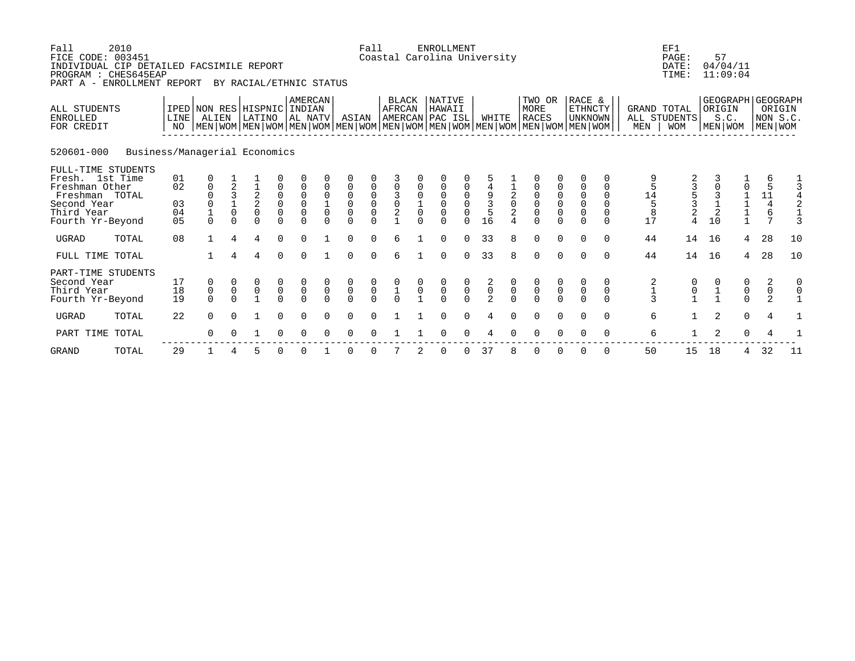| Fall<br>FICE CODE: 003451<br>INDIVIDUAL CIP DETAILED FACSIMILE REPORT<br>PROGRAM : CHES645EAP<br>PART A - ENROLLMENT REPORT | 2010                          |                            |                                                                   |                                   | BY RACIAL/ETHNIC STATUS                                |                                                            |                                                                      |                                             |                                                                       | Fall                                      |                                           |                                         | ENROLLMENT                                                         |                                                       | Coastal Carolina University               |                                |                                                            |                                                       |                                                                                                                                             |                                                             |                                    | EF1<br>PAGE:<br>DATE:<br>TIME:                                    | 57<br>04/04/11<br>11:09:04        |                     |                                                              |                                |
|-----------------------------------------------------------------------------------------------------------------------------|-------------------------------|----------------------------|-------------------------------------------------------------------|-----------------------------------|--------------------------------------------------------|------------------------------------------------------------|----------------------------------------------------------------------|---------------------------------------------|-----------------------------------------------------------------------|-------------------------------------------|-------------------------------------------|-----------------------------------------|--------------------------------------------------------------------|-------------------------------------------------------|-------------------------------------------|--------------------------------|------------------------------------------------------------|-------------------------------------------------------|---------------------------------------------------------------------------------------------------------------------------------------------|-------------------------------------------------------------|------------------------------------|-------------------------------------------------------------------|-----------------------------------|---------------------|--------------------------------------------------------------|--------------------------------|
| ALL STUDENTS<br><b>ENROLLED</b><br>FOR CREDIT                                                                               |                               | <b>LINE</b><br>NO          | IPED NON RES HISPNIC INDIAN<br>ALIEN                              |                                   | LATINO                                                 |                                                            | AMERCAN<br>  AL NATV                                                 |                                             | ASIAN                                                                 |                                           | <b>BLACK</b><br><b>AFRCAN</b>             |                                         | <b>NATIVE</b><br>HAWAII<br>AMERCAN PAC ISL                         |                                                       | WHITE                                     |                                | TWO OR<br>MORE<br><b>RACES</b>                             |                                                       | RACE &<br>ETHNCTY<br>UNKNOWN<br>  MEN   WOM   MEN   WOM   MEN   WOM   MEN   WOM   MEN   WOM   MEN   WOM   MEN   WOM   MEN   WOM   MEN   WOM |                                                             | GRAND TOTAL<br>ALL STUDENTS<br>MEN | <b>WOM</b>                                                        | ORIGIN<br>S.C.<br>MEN WOM         |                     | GEOGRAPH GEOGRAPH<br>NON S.C.<br>MEN WOM                     | ORIGIN                         |
| 520601-000                                                                                                                  | Business/Managerial Economics |                            |                                                                   |                                   |                                                        |                                                            |                                                                      |                                             |                                                                       |                                           |                                           |                                         |                                                                    |                                                       |                                           |                                |                                                            |                                                       |                                                                                                                                             |                                                             |                                    |                                                                   |                                   |                     |                                                              |                                |
| FULL-TIME STUDENTS<br>Fresh. 1st Time<br>Freshman Other<br>Freshman TOTAL<br>Second Year<br>Third Year<br>Fourth Yr-Beyond  |                               | 01<br>02<br>03<br>04<br>05 | $\mathbf 0$<br>$\Omega$<br>$\mathbf 0$<br>$\mathbf 1$<br>$\Omega$ | 2<br>3<br>$\frac{1}{0}$<br>$\cap$ | $\begin{array}{c} 2 \\ 2 \\ 0 \end{array}$<br>$\Omega$ | 0<br>$\begin{matrix} 0 \\ 0 \\ 0 \end{matrix}$<br>$\Omega$ | $\mathbf 0$<br>$\begin{matrix} 0 \\ 0 \\ 0 \end{matrix}$<br>$\Omega$ | $\mathbf 0$<br>$\mathbf 0$<br>$\frac{1}{0}$ | $\mathbf 0$<br>$\mathsf{O}\xspace$<br>$\overline{0}$<br>0<br>$\Omega$ | 0000<br>$\Omega$                          | $0$<br>$30$<br>$2$                        | $\mathsf 0$<br>$\overline{0}$<br>$\cap$ | 0<br>$\mathbf 0$<br>$\mathbf 0$<br>$\mathsf{O}\xspace$<br>$\Omega$ | $\begin{matrix} 0 \\ 0 \\ 0 \end{matrix}$<br>$\Omega$ | $\frac{4}{9}$<br>3<br>5<br>16             | $^2_{\rm 0}$<br>$\overline{a}$ | 0<br>$\begin{matrix} 0 \\ 0 \\ 0 \end{matrix}$<br>$\Omega$ | $\begin{matrix} 0 \\ 0 \\ 0 \end{matrix}$<br>$\Omega$ | $\mathbf 0$<br>$\mathsf{O}\xspace$<br>$\overline{0}$<br>$\Omega$                                                                            | $\Omega$<br>$\Omega$<br>$\Omega$<br>$\mathbf 0$<br>$\Omega$ | 14<br>5<br>8<br>17                 | $\begin{array}{c} 3 \\ 5 \\ 3 \\ 2 \end{array}$<br>$\overline{4}$ | $\frac{3}{1}$<br>$\sqrt{2}$<br>10 | 0                   | 6<br>5<br>$\begin{array}{c}\n11 \\ 4 \\ 6\n\end{array}$<br>7 | $\frac{1}{3}$<br>$\frac{4}{2}$ |
| <b>UGRAD</b>                                                                                                                | TOTAL                         | 08                         | $\mathbf{1}$                                                      | 4                                 | 4                                                      | $\Omega$                                                   | $\Omega$                                                             |                                             | $\Omega$                                                              | $\Omega$                                  | 6                                         |                                         | $\Omega$                                                           |                                                       | 33                                        | R                              | $\Omega$                                                   | $\Omega$                                              | $\Omega$                                                                                                                                    | $\Omega$                                                    | 44                                 | 14                                                                | 16                                | 4                   | 28                                                           | 10                             |
| FULL TIME TOTAL                                                                                                             |                               |                            |                                                                   |                                   | 4                                                      | $\Omega$                                                   | $\Omega$                                                             |                                             | $\Omega$                                                              | $\Omega$                                  | 6                                         |                                         | $\Omega$                                                           | $\Omega$                                              | 33                                        | 8                              | $\Omega$                                                   | $\Omega$                                              | $\Omega$                                                                                                                                    | $\Omega$                                                    | 44                                 | 14                                                                | 16                                | 4                   | 28                                                           | 10                             |
| PART-TIME STUDENTS<br>Second Year<br>Third Year<br>Fourth Yr-Beyond                                                         |                               | 17<br>18<br>19             | $\begin{matrix} 0 \\ 0 \\ 0 \end{matrix}$                         | $\overline{0}$                    | $\begin{matrix} 0 \\ 0 \\ 1 \end{matrix}$              | $\begin{matrix} 0 \\ 0 \\ 0 \end{matrix}$                  | $\begin{matrix} 0 \\ 0 \\ 0 \end{matrix}$                            | $\overline{0}$                              | $\begin{matrix} 0 \\ 0 \\ 0 \end{matrix}$                             | $\begin{matrix} 0 \\ 0 \\ 0 \end{matrix}$ | $\begin{matrix} 0 \\ 1 \\ 0 \end{matrix}$ | $\overline{0}$                          | $\begin{matrix} 0 \\ 0 \\ 0 \end{matrix}$                          | $\begin{matrix} 0 \\ 0 \\ 0 \end{matrix}$             | $\begin{matrix} 2 \\ 0 \\ 2 \end{matrix}$ | $\overline{0}$                 | $\begin{matrix} 0 \\ 0 \\ 0 \end{matrix}$                  | $\begin{matrix} 0 \\ 0 \\ 0 \end{matrix}$             | $\frac{0}{0}$                                                                                                                               | $\mathsf 0$<br>$\cap$                                       | $\frac{2}{3}$                      | 0<br>$\overline{0}$                                               |                                   | 0<br>$\overline{0}$ | $\begin{array}{c} 2 \\ 0 \\ 2 \end{array}$                   | 0<br>$\mathbf 0$               |
| <b>UGRAD</b>                                                                                                                | TOTAL                         | 22                         | $\Omega$                                                          | $\cap$                            | $\mathbf{1}$                                           | $\Omega$                                                   | $\Omega$                                                             | $\Omega$                                    | $\Omega$                                                              | $\Omega$                                  |                                           |                                         | $\Omega$                                                           | $\Omega$                                              | 4                                         | <sup>n</sup>                   | $\cap$                                                     | $\cap$                                                | $\cap$                                                                                                                                      | $\Omega$                                                    | 6                                  |                                                                   | 2                                 | $\Omega$            | $\overline{4}$                                               |                                |
| PART TIME                                                                                                                   | TOTAL                         |                            | $\Omega$                                                          |                                   |                                                        | 0                                                          | ∩                                                                    |                                             | ∩                                                                     |                                           |                                           |                                         |                                                                    |                                                       |                                           |                                |                                                            |                                                       |                                                                                                                                             | $\Omega$                                                    | 6                                  |                                                                   | 2                                 | $\Omega$            | $\overline{4}$                                               |                                |
| <b>GRAND</b>                                                                                                                | TOTAL                         | 29                         |                                                                   | 4                                 | 5                                                      | $\Omega$                                                   | $\Omega$                                                             |                                             | $\Omega$                                                              | $\Omega$                                  |                                           | 2                                       | $\Omega$                                                           |                                                       | 37                                        |                                | $\Omega$                                                   | $\Omega$                                              | $\Omega$                                                                                                                                    | $\Omega$                                                    | 50                                 | 15                                                                | 18                                | 4                   | 32                                                           | 11                             |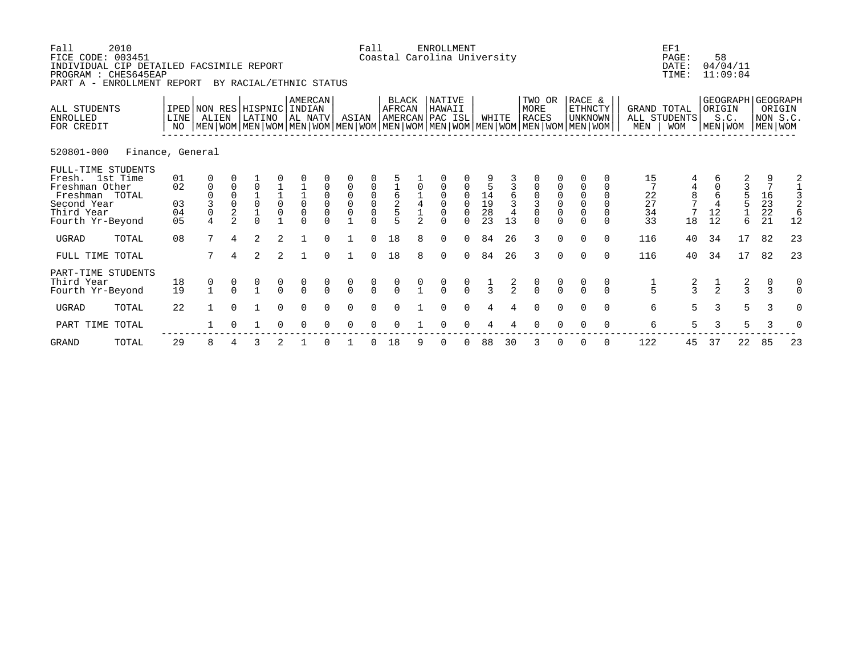| Fall<br>FICE CODE: 003451<br>INDIVIDUAL CIP DETAILED FACSIMILE REPORT<br>PROGRAM : CHES645EAP<br>PART A - ENROLLMENT REPORT | 2010             |                            |                                                      |                                                         | BY RACIAL/ETHNIC STATUS                                                                                                                       |                                      |                              |                                                          |                                                                          | Fall                                                     |                                      |                                                | <b>ENROLLMENT</b><br>Coastal Carolina University |                  |                       |               |                                |                                      |                                                          |          |                            | EF1<br>PAGE:<br>DATE:<br>TIME:                        |                            | 58<br>04/04/11<br>11:09:04                       |               |                               |          |
|-----------------------------------------------------------------------------------------------------------------------------|------------------|----------------------------|------------------------------------------------------|---------------------------------------------------------|-----------------------------------------------------------------------------------------------------------------------------------------------|--------------------------------------|------------------------------|----------------------------------------------------------|--------------------------------------------------------------------------|----------------------------------------------------------|--------------------------------------|------------------------------------------------|--------------------------------------------------|------------------|-----------------------|---------------|--------------------------------|--------------------------------------|----------------------------------------------------------|----------|----------------------------|-------------------------------------------------------|----------------------------|--------------------------------------------------|---------------|-------------------------------|----------|
| ALL STUDENTS<br><b>ENROLLED</b><br>FOR CREDIT                                                                               |                  | <b>LINE</b><br>NO          | ALIEN                                                |                                                         | IPED NON RES HISPNIC<br>LATINO<br>  MEN   WOM   MEN   WOM   MEN   WOM   MEN   WOM   MEN   WOM   MEN   WOM   MEN   WOM   MEN   WOM   MEN   WOM |                                      | AMERCAN<br>INDIAN<br>AL NATV |                                                          | ASIAN                                                                    |                                                          | <b>BLACK</b><br>AFRCAN               |                                                | NATIVE<br>HAWAII<br>AMERCAN PAC ISL              |                  | WHITE                 |               | TWO OR<br><b>MORE</b><br>RACES |                                      | RACE &<br><b>ETHNCTY</b><br><b>UNKNOWN</b>               |          | GRAND TOTAL<br>MEN         | ALL STUDENTS<br><b>WOM</b>                            |                            | GEOGRAPH   GEOGRAPH<br>ORIGIN<br>S.C.<br>MEN WOM |               | ORIGIN<br>NON S.C.<br>MEN WOM |          |
| 520801-000                                                                                                                  | Finance, General |                            |                                                      |                                                         |                                                                                                                                               |                                      |                              |                                                          |                                                                          |                                                          |                                      |                                                |                                                  |                  |                       |               |                                |                                      |                                                          |          |                            |                                                       |                            |                                                  |               |                               |          |
| FULL-TIME STUDENTS<br>Fresh. 1st Time<br>Freshman Other<br>Freshman TOTAL<br>Second Year<br>Third Year<br>Fourth Yr-Beyond  |                  | 01<br>02<br>03<br>04<br>05 | 0<br>$\mathbf 0$<br>$\overline{0}$<br>$\overline{4}$ | $\Omega$<br>$\Omega$<br>$\Omega$<br>2<br>$\overline{a}$ | $\Omega$<br>$\overline{0}$<br>$\Omega$                                                                                                        | $\begin{matrix} 1 \\ 0 \end{matrix}$ | $\frac{1}{0}$<br>$\mathsf 0$ | $\mathbf 0$<br>$\mathbf 0$<br>$\mathbf 0$<br>$\mathbf 0$ | $\overline{0}$<br>$\begin{matrix} 0 \\ 0 \end{matrix}$<br>$\overline{0}$ | $\mathbf 0$<br>$\begin{matrix} 0 \\ 0 \\ 0 \end{matrix}$ | $\frac{1}{6}$ $\frac{2}{5}$          |                                                | $\Omega$<br>$\Omega$<br>$\Omega$                 | $\mathbf 0$<br>0 | $\frac{14}{19}$<br>23 | 13            | $\mathsf{O}\xspace$            | $\begin{matrix} 0 \\ 0 \end{matrix}$ | $\Omega$<br>$\mathbf 0$<br>$\overline{0}$<br>$\mathbf 0$ | $\Omega$ | 15<br>22<br>27<br>34<br>33 | $\begin{array}{c} 4 \\ 8 \\ 7 \end{array}$<br>7<br>18 | $\overline{4}$<br>12<br>12 | 2<br>6                                           |               | $\frac{16}{23}$<br>21         | 2<br>12  |
| <b>UGRAD</b>                                                                                                                | TOTAL            | 08                         |                                                      | 4                                                       | $\mathfrak{D}$                                                                                                                                | $\mathfrak{D}$                       |                              |                                                          |                                                                          | $\Omega$                                                 | 18                                   | 8                                              | $\Omega$                                         | $\Omega$         | 84                    | 26            | 3                              | $\cap$                               | $\Omega$                                                 | $\cap$   | 116                        | 40                                                    | 34                         | 17                                               |               | 82                            | 23       |
| FULL TIME TOTAL                                                                                                             |                  |                            | 7                                                    |                                                         | 2                                                                                                                                             | 2                                    |                              | $\Omega$                                                 |                                                                          | $\Omega$                                                 | 18                                   | 8                                              | $\Omega$                                         | $\Omega$         | 84                    | 26            | 3                              | $\Omega$                             | $\Omega$                                                 | $\Omega$ | 116                        | 40                                                    | 34                         | 17                                               |               | 82                            | 23       |
| PART-TIME STUDENTS<br>Third Year<br>Fourth Yr-Beyond                                                                        |                  | 18<br>19                   | $\begin{smallmatrix}0\\1\end{smallmatrix}$           | $\frac{0}{0}$                                           | $\frac{0}{1}$                                                                                                                                 | $\begin{matrix} 0 \\ 0 \end{matrix}$ | $\frac{0}{0}$                | $\frac{0}{0}$                                            | $\begin{matrix} 0 \\ 0 \end{matrix}$                                     | $\begin{matrix} 0 \\ 0 \end{matrix}$                     | $\begin{matrix} 0 \\ 0 \end{matrix}$ | $\begin{smallmatrix} 0 \\ 1 \end{smallmatrix}$ | $\begin{matrix} 0 \\ 0 \end{matrix}$             | $\frac{0}{0}$    | $\frac{1}{3}$         | $\frac{2}{2}$ | $\frac{0}{0}$                  | $\frac{0}{0}$                        | $\frac{0}{0}$                                            | $\Omega$ | $\frac{1}{5}$              | $\frac{2}{3}$                                         | $\frac{1}{2}$              |                                                  | $\frac{2}{3}$ | $\mathcal{R}$                 | $\Omega$ |
| <b>UGRAD</b>                                                                                                                | TOTAL            | 22                         |                                                      |                                                         |                                                                                                                                               | $\Omega$                             | $\Omega$                     |                                                          | $\Omega$                                                                 | $\Omega$                                                 | $\Omega$                             |                                                | $\Omega$                                         | $\Omega$         |                       |               | $\Omega$                       |                                      |                                                          | $\Omega$ | 6                          | 5                                                     | 3                          |                                                  | 5             | 3                             | $\Omega$ |
| PART TIME TOTAL                                                                                                             |                  |                            |                                                      |                                                         |                                                                                                                                               |                                      | $\Omega$                     |                                                          | $\Omega$                                                                 |                                                          | $\Omega$                             |                                                | ∩                                                |                  |                       |               |                                |                                      |                                                          |          | 6                          | 5                                                     | 3                          |                                                  | 5             | 3                             | $\Omega$ |

GRAND TOTAL 29 8 4 3 2 1 0 1 0 18 9 0 0 88 30 3 0 0 0 122 45 37 22 85 23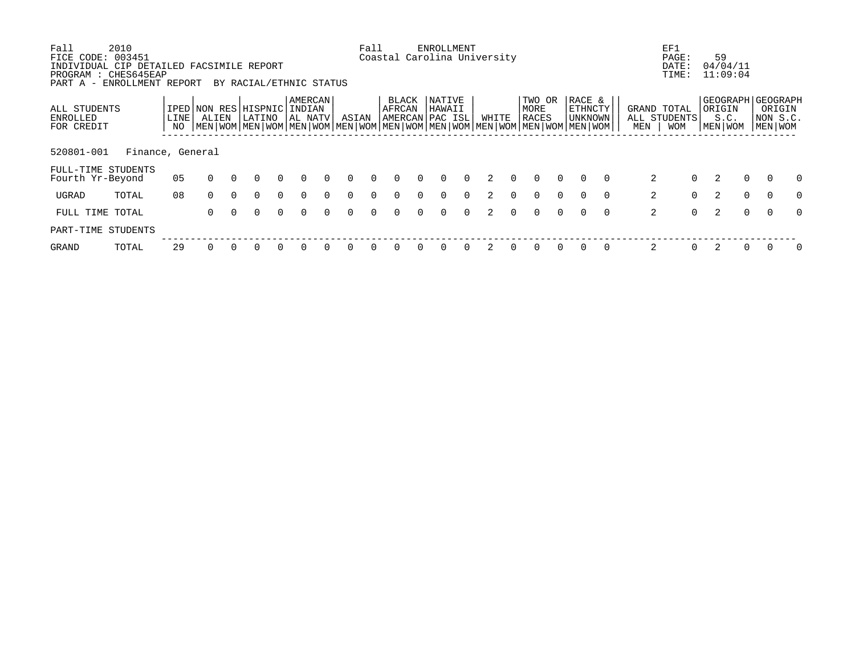| Fall                                          | 2010                                                                                  |                   |                                                                                                                                      |          |                         |          |                              |          |          | Fall     |                                    |          | <b>ENROLLMENT</b>       |          |               |          |                         |          |                              |          |     | EF1                                       |          |                                                      |          |                               |          |
|-----------------------------------------------|---------------------------------------------------------------------------------------|-------------------|--------------------------------------------------------------------------------------------------------------------------------------|----------|-------------------------|----------|------------------------------|----------|----------|----------|------------------------------------|----------|-------------------------|----------|---------------|----------|-------------------------|----------|------------------------------|----------|-----|-------------------------------------------|----------|------------------------------------------------------|----------|-------------------------------|----------|
| FICE CODE: 003451<br>PART A -                 | INDIVIDUAL CIP DETAILED FACSIMILE REPORT<br>PROGRAM : CHES645EAP<br>ENROLLMENT REPORT |                   |                                                                                                                                      |          | BY RACIAL/ETHNIC STATUS |          |                              |          |          |          | Coastal Carolina University        |          |                         |          |               |          |                         |          |                              |          |     | PAGE:<br>DATE:<br>TIME:                   |          | 59<br>04/04/11<br>11:09:04                           |          |                               |          |
| ALL STUDENTS<br><b>ENROLLED</b><br>FOR CREDIT |                                                                                       | <b>LINE</b><br>NO | IPED NON RES<br>ALIEN<br>  MEN   WOM   MEN   WOM   MEN   WOM   MEN   WOM   MEN   WOM   MEN   WOM   MEN   WOM   MEN   WOM   MEN   WOM |          | HISPNIC<br>LATINO       |          | AMERCAN<br>INDIAN<br>AL NATV |          | ASIAN    |          | BLACK<br>AFRCAN<br>AMERCAN PAC ISL |          | <b>NATIVE</b><br>HAWAII |          | WHITE         |          | TWO OR<br>MORE<br>RACES |          | RACE &<br>ETHNCTY<br>UNKNOWN |          | MEN | GRAND TOTAL<br>ALL STUDENTS<br><b>WOM</b> |          | GEOGRAPH   GEOGRAPH<br>ORIGIN<br>S.C.<br>  MEN   WOM |          | ORIGIN<br>NON S.C.<br>MEN WOM |          |
| 520801-001                                    | Finance, General                                                                      |                   |                                                                                                                                      |          |                         |          |                              |          |          |          |                                    |          |                         |          |               |          |                         |          |                              |          |     |                                           |          |                                                      |          |                               |          |
| Fourth Yr-Beyond                              | FULL-TIME STUDENTS                                                                    | 05                | $\Omega$                                                                                                                             | $\Omega$ | $\Omega$                | $\Omega$ | $\Omega$                     | $\Omega$ | $\Omega$ | $\Omega$ | 0                                  | $\Omega$ | $\Omega$                | $\Omega$ | 2             | $\Omega$ | $\Omega$                | $\Omega$ | $\Omega$                     | $\Omega$ |     | 2                                         | $\Omega$ | 2                                                    | $\Omega$ | $\Omega$                      | $\Omega$ |
| UGRAD                                         | TOTAL                                                                                 | 08                | $\Omega$                                                                                                                             | $\Omega$ | $\Omega$                | $\Omega$ | $\Omega$                     | $\Omega$ | $\Omega$ | $\Omega$ | <sup>0</sup>                       | $\cap$   | $\Omega$                | $\Omega$ |               | $\Omega$ | $\Omega$                | $\Omega$ | $\Omega$                     | $\Omega$ |     | 2                                         | $\Omega$ | 2                                                    | $\Omega$ | $\Omega$                      | $\Omega$ |
| FULL TIME TOTAL                               |                                                                                       |                   | $\Omega$                                                                                                                             | $\cap$   | $\cap$                  | $\Omega$ | $\cap$                       | $\cap$   | $\cap$   | $\cap$   | $\cap$                             |          | $\cap$                  | $\Omega$ | $\mathcal{L}$ | $\cap$   | $\cap$                  | $\cap$   | $\Omega$                     | $\Omega$ |     | 2                                         | $\Omega$ | 2                                                    | $\Omega$ | $\Omega$                      | $\Omega$ |
|                                               | PART-TIME STUDENTS                                                                    |                   |                                                                                                                                      |          |                         |          |                              |          |          |          |                                    |          |                         |          |               |          |                         |          |                              |          |     |                                           |          |                                                      |          |                               |          |
| <b>GRAND</b>                                  | TOTAL                                                                                 | 29                |                                                                                                                                      |          |                         |          |                              |          |          |          |                                    |          | O                       | $\Omega$ |               |          | O                       | $\Omega$ | $\Omega$                     | $\Omega$ |     | 2                                         | $\Omega$ |                                                      |          |                               |          |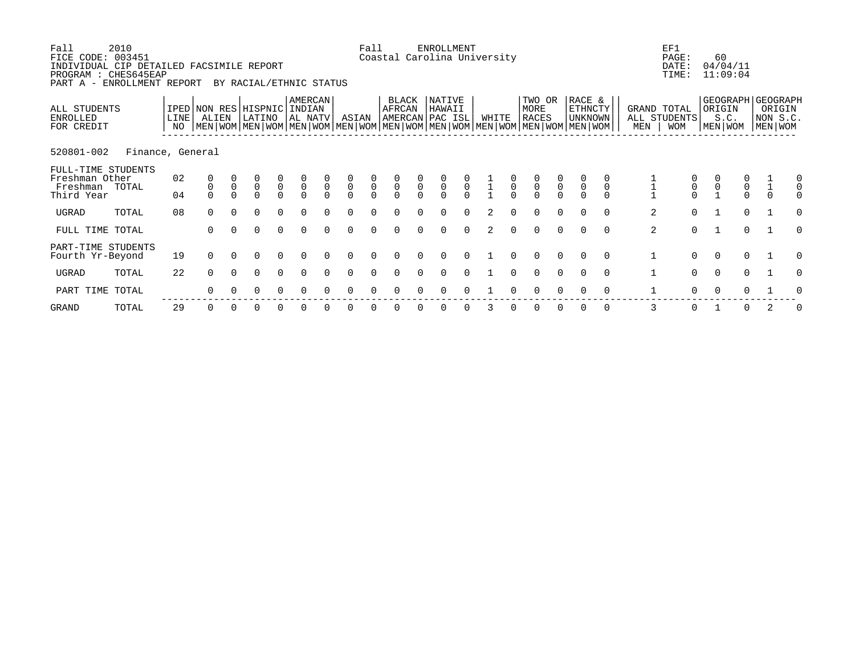| Fall<br>FICE CODE: 003451<br>INDIVIDUAL CIP DETAILED FACSIMILE REPORT<br>PROGRAM : CHES645EAP<br>PART A - ENROLLMENT REPORT | 2010             |              |          |                | BY RACIAL/ETHNIC STATUS          |                                  |                                  |                                  |                                  | Fall           |                 |                                     | <b>ENROLLMENT</b><br>Coastal Carolina University |                                  |       |                |                                                                                                                                               |                                      |              | EF1<br>PAGE:<br>DATE:<br>TIME:            |                                            | 60<br>04/04/11<br>11:09:04                       |                                   |   |
|-----------------------------------------------------------------------------------------------------------------------------|------------------|--------------|----------|----------------|----------------------------------|----------------------------------|----------------------------------|----------------------------------|----------------------------------|----------------|-----------------|-------------------------------------|--------------------------------------------------|----------------------------------|-------|----------------|-----------------------------------------------------------------------------------------------------------------------------------------------|--------------------------------------|--------------|-------------------------------------------|--------------------------------------------|--------------------------------------------------|-----------------------------------|---|
| ALL STUDENTS<br>ENROLLED<br>FOR CREDIT                                                                                      |                  | LINE  <br>NO | ALIEN    |                | IPED NON RES HISPNIC<br>LATINO   |                                  | AMERCAN<br>INDIAN<br>AL NATV     |                                  | ASIAN                            |                | BLACK<br>AFRCAN |                                     | NATIVE<br>HAWAII<br>AMERCAN PAC ISL              |                                  | WHITE |                | TWO OR<br>MORE<br><b>RACES</b><br>  MEN   WOM   MEN   WOM   MEN   WOM   MEN   WOM   MEN   WOM   MEN   WOM   MEN   WOM   MEN   WOM   MEN   WOM | RACE &<br>ETHNCTY<br><b>UNKNOWN</b>  | MEN          | GRAND TOTAL<br>ALL STUDENTS<br><b>WOM</b> |                                            | GEOGRAPH GEOGRAPH<br>ORIGIN<br>S.C.<br>MEN   WOM | ORIGIN<br>NON S.C.<br>  MEN   WOM |   |
| 520801-002                                                                                                                  | Finance, General |              |          |                |                                  |                                  |                                  |                                  |                                  |                |                 |                                     |                                                  |                                  |       |                |                                                                                                                                               |                                      |              |                                           |                                            |                                                  |                                   |   |
| FULL-TIME STUDENTS<br>Freshman Other<br>Freshman<br>Third Year                                                              | TOTAL            | 02<br>04     | $\Omega$ | $\overline{0}$ | $\begin{matrix}0\\0\end{matrix}$ | $\begin{matrix}0\\0\end{matrix}$ | $\begin{matrix}0\\0\end{matrix}$ | $\begin{matrix}0\\0\end{matrix}$ | $\begin{matrix}0\\0\end{matrix}$ | $\overline{0}$ | $\overline{0}$  | $\begin{matrix}0\\0\\0\end{matrix}$ | $\begin{matrix} 0 \\ 0 \end{matrix}$             | $\begin{matrix}0\\0\end{matrix}$ |       | $\overline{0}$ | $\begin{matrix} 0 \\ 0 \\ 0 \end{matrix}$<br>$\begin{matrix} 0 \\ 0 \\ 0 \end{matrix}$                                                        | $\begin{matrix} 0 \\ 0 \end{matrix}$ |              | $\begin{matrix}0\\0\end{matrix}$          | $\begin{smallmatrix}0\\1\end{smallmatrix}$ | $\begin{matrix} 0 \\ 0 \end{matrix}$             |                                   |   |
| UGRAD                                                                                                                       | TOTAL            | 08           | $\Omega$ | $\Omega$       | $\Omega$                         | $\Omega$                         |                                  |                                  | $\Omega$                         |                |                 |                                     | ∩                                                | $\Omega$                         |       |                | $\Omega$<br>$\Omega$                                                                                                                          | $\Omega$<br>$\Omega$                 | 2            | $\Omega$                                  |                                            | $\Omega$                                         |                                   | U |
| FULL TIME TOTAL                                                                                                             |                  |              | 0        |                | 0                                | $\Omega$                         | $\Omega$                         |                                  | $\Omega$                         | $\Omega$       |                 |                                     | 0                                                | $\Omega$                         | 2     | 0              | $\Omega$<br>$\Omega$                                                                                                                          | $\Omega$                             | 2            | $\Omega$                                  |                                            | $\Omega$                                         |                                   |   |
| PART-TIME STUDENTS<br>Fourth Yr-Beyond                                                                                      |                  | 19           | $\Omega$ |                |                                  |                                  |                                  |                                  |                                  |                |                 |                                     |                                                  |                                  |       |                |                                                                                                                                               | $\Omega$                             | $\mathbf 1$  | $\Omega$                                  | $\Omega$                                   | $\Omega$                                         |                                   |   |
| UGRAD                                                                                                                       | TOTAL            | 22           | $\Omega$ | $\Omega$       | $\Omega$                         | $\Omega$                         | $\Omega$                         | $\cap$                           | $\Omega$                         | $\Omega$       |                 |                                     | $\Omega$                                         |                                  |       |                | $\Omega$<br>$\Omega$                                                                                                                          | $\Omega$<br>$\Omega$                 | $\mathbf{1}$ | $\Omega$                                  | $\Omega$                                   | $\Omega$                                         |                                   | O |
| PART TIME TOTAL                                                                                                             |                  |              |          |                |                                  |                                  |                                  |                                  |                                  |                |                 |                                     |                                                  |                                  |       |                |                                                                                                                                               | $\Omega$                             |              |                                           |                                            | U                                                |                                   |   |
|                                                                                                                             |                  |              |          |                |                                  |                                  |                                  |                                  |                                  |                |                 |                                     |                                                  |                                  |       |                |                                                                                                                                               |                                      |              |                                           |                                            |                                                  |                                   |   |

GRAND TOTAL 29 0 0 0 0 0 0 0 0 0 0 0 0 3 0 0 0 0 0 3 0 1 0 2 0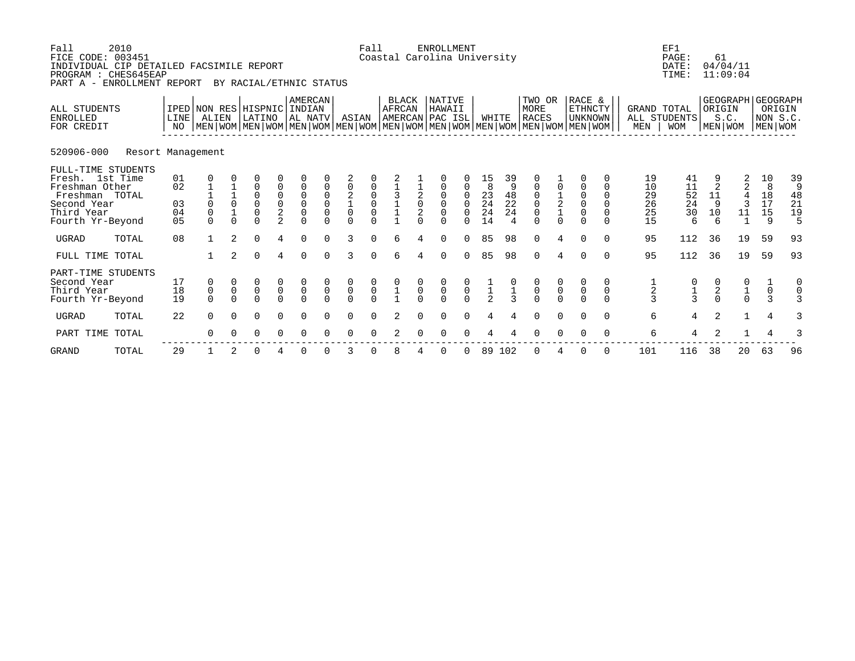| Fall<br>2010<br>FICE CODE: 003451<br>INDIVIDUAL CIP DETAILED FACSIMILE REPORT<br>PROGRAM : CHES645EAP<br>PART A - ENROLLMENT REPORT<br>BY RACIAL/ETHNIC STATUS |                   |                            |                                             |                         |                                 |                                                           |                                                                      |                                                       |                                                                  | Fall<br><b>ENROLLMENT</b><br>Coastal Carolina University |                                            |                        |                                                                 |                                           |                                                           |                                             |                                                                                                                                               |                                                        |                                                              |                                            |                                  | EF1<br>PAGE:<br>DATE:<br>TIME:             | 61<br>04/04/11<br>11:09:04            |                        |                                        |                                |
|----------------------------------------------------------------------------------------------------------------------------------------------------------------|-------------------|----------------------------|---------------------------------------------|-------------------------|---------------------------------|-----------------------------------------------------------|----------------------------------------------------------------------|-------------------------------------------------------|------------------------------------------------------------------|----------------------------------------------------------|--------------------------------------------|------------------------|-----------------------------------------------------------------|-------------------------------------------|-----------------------------------------------------------|---------------------------------------------|-----------------------------------------------------------------------------------------------------------------------------------------------|--------------------------------------------------------|--------------------------------------------------------------|--------------------------------------------|----------------------------------|--------------------------------------------|---------------------------------------|------------------------|----------------------------------------|--------------------------------|
| ALL STUDENTS<br><b>ENROLLED</b><br>FOR CREDIT                                                                                                                  |                   | LINE<br>NO                 | ALIEN                                       |                         | IPED NON RES HISPNIC<br>LATINO  |                                                           | AMERCAN<br>INDIAN<br>AL NATV                                         |                                                       | ASIAN                                                            |                                                          | <b>BLACK</b><br>AFRCAN<br>AMERCAN PAC ISL  |                        | NATIVE<br>HAWAII                                                |                                           | WHITE                                                     |                                             | TWO OR<br>MORE<br><b>RACES</b><br>  MEN   WOM   MEN   WOM   MEN   WOM   MEN   WOM   MEN   WOM   MEN   WOM   MEN   WOM   MEN   WOM   MEN   WOM |                                                        | RACE &<br><b>ETHNCTY</b><br><b>UNKNOWN</b>                   |                                            | GRAND TOTAL<br>MEN               | ALL STUDENTS<br><b>WOM</b>                 | GEOGRAPH<br>ORIGIN<br>S.C.<br>MEN WOM |                        | <b>GEOGRAPH</b><br>NON S.C.<br>MEN WOM | ORIGIN                         |
| 520906-000                                                                                                                                                     | Resort Management |                            |                                             |                         |                                 |                                                           |                                                                      |                                                       |                                                                  |                                                          |                                            |                        |                                                                 |                                           |                                                           |                                             |                                                                                                                                               |                                                        |                                                              |                                            |                                  |                                            |                                       |                        |                                        |                                |
| FULL-TIME STUDENTS<br>Fresh. 1st Time<br>Freshman Other<br>Freshman TOTAL<br>Second Year<br>Third Year<br>Fourth Yr-Beyond                                     |                   | 01<br>02<br>03<br>04<br>05 | 0<br>$\mathbf 0$<br>$\mathbf 0$<br>$\Omega$ | $\Omega$<br>$\cap$      | 0<br>0<br>0<br>0<br>0<br>$\cap$ | 0<br>0<br>$\mathsf 0$<br>$\overline{2}$<br>$\mathfrak{D}$ | $\mathsf 0$<br>$\mathsf 0$<br>$\mathsf 0$<br>$\mathsf 0$<br>$\Omega$ | $\mathbf 0$<br>$\mathbf 0$<br>$\mathbf 0$<br>$\Omega$ | $\mathbf 0$<br>$\overline{2}$<br>$\mathsf{O}\xspace$<br>$\Omega$ | $\mathsf 0$<br>$\mathbf 0$<br>$\cap$                     | $\begin{array}{c} 3 \\ 1 \\ 1 \end{array}$ | $^2_{0}$<br>2          | 0<br>$\mathbf 0$<br>0<br>$\mathsf 0$<br>$\mathsf 0$<br>$\Omega$ | 0<br>0<br>0<br>$\Omega$                   | 15<br>8<br>23<br>$\overline{24}$<br>$\overline{24}$<br>14 | 39<br>9<br>48<br>22<br>24<br>$\overline{4}$ | $\mathsf 0$<br>$\mathbf 0$<br>$\mathsf 0$<br>$\Omega$                                                                                         | $\begin{array}{c} 1 \\ 2 \\ 1 \end{array}$<br>$\Omega$ | $\Omega$<br>$\Omega$<br>$\mathbf 0$<br>$\mathbf 0$<br>$\cap$ | $\Omega$<br>$\Omega$<br>$\Omega$<br>$\cap$ | 19<br>10<br>29<br>26<br>25<br>15 | 41<br>11<br>52<br>24<br>30<br>6            | $\overline{2}$<br>11<br>9<br>10<br>6  | 2<br>2<br>4<br>3<br>11 | 10<br>8<br>18<br>17<br>15<br>9         | 39<br>9<br>48<br>21<br>19<br>5 |
| <b>UGRAD</b>                                                                                                                                                   | TOTAL             | 08                         | $\mathbf{1}$                                | $\mathfrak{D}$          | $\Omega$                        | 4                                                         | $\Omega$                                                             | $\Omega$                                              | 3                                                                | $\Omega$                                                 | 6                                          |                        | $\Omega$                                                        | $\Omega$                                  | 85                                                        | 98                                          | $\Omega$                                                                                                                                      | 4                                                      | $\cap$                                                       | $\cap$                                     | 95                               | 112                                        | 36                                    | 19                     | 59                                     | 93                             |
| FULL TIME TOTAL                                                                                                                                                |                   |                            |                                             | $\overline{a}$          | $\Omega$                        | 4                                                         | $\Omega$                                                             | $\Omega$                                              | 3                                                                | $\Omega$                                                 | 6                                          | 4                      | $\Omega$                                                        | $\Omega$                                  | 85                                                        | 98                                          | $\Omega$                                                                                                                                      | 4                                                      | $\Omega$                                                     | $\Omega$                                   | 95                               | 112                                        | 36                                    | 19                     | 59                                     | 93                             |
| PART-TIME STUDENTS<br>Second Year<br>Third Year<br>Fourth Yr-Beyond                                                                                            |                   | 17<br>18<br>19             | 0<br>$\mathsf 0$<br>$\Omega$                | $\mathsf 0$<br>$\Omega$ | $^0_0$<br>$\Omega$              | $\begin{matrix} 0 \\ 0 \end{matrix}$<br>$\Omega$          | $\begin{matrix} 0 \\ 0 \\ 0 \end{matrix}$                            | $\pmb{0}$<br>$\Omega$                                 | $\begin{matrix} 0 \\ 0 \\ 0 \end{matrix}$                        | $\begin{matrix} 0 \\ 0 \\ 0 \end{matrix}$                | $\begin{array}{c} 0 \\ 1 \\ 1 \end{array}$ | $\mathsf{O}$<br>$\cap$ | $\begin{matrix} 0 \\ 0 \\ 0 \end{matrix}$                       | $\begin{matrix} 0 \\ 0 \\ 0 \end{matrix}$ | $\frac{1}{2}$                                             |                                             | $\overline{0}$                                                                                                                                | $\overline{0}$                                         | $\mathsf{O}\xspace$                                          | $\mathbf 0$<br>$\cap$                      | $\frac{1}{2}$<br>$\mathbf{3}$    | $\begin{array}{c} 0 \\ 1 \\ 3 \end{array}$ | $\frac{2}{0}$                         | $\frac{1}{0}$          | $\boldsymbol{0}$<br>$\mathcal{R}$      | 0<br>$\mathbf 0$               |
| <b>UGRAD</b>                                                                                                                                                   | TOTAL             | 22                         | $\Omega$                                    | $\Omega$                | $\Omega$                        | $\Omega$                                                  | $\Omega$                                                             | 0                                                     | $\Omega$                                                         | $\Omega$                                                 | $\overline{2}$                             | $\Omega$               | $\Omega$                                                        | $\Omega$                                  |                                                           |                                             | $\Omega$                                                                                                                                      | $\cap$                                                 |                                                              | $\Omega$                                   | 6                                | 4                                          | 2                                     | $\mathbf{1}$           | $\overline{4}$                         | 3                              |
| PART TIME                                                                                                                                                      | TOTAL             |                            | $\Omega$                                    |                         | $\Omega$                        |                                                           | $\Omega$                                                             |                                                       | $\Omega$                                                         | $\Omega$                                                 |                                            |                        | $\Omega$                                                        | $\Omega$                                  |                                                           |                                             |                                                                                                                                               |                                                        |                                                              | $\Omega$                                   | 6                                | 4                                          | 2                                     |                        | $\overline{4}$                         |                                |
| <b>GRAND</b>                                                                                                                                                   | TOTAL             | 29                         |                                             |                         | 0                               | 4                                                         | $\Omega$                                                             | O                                                     | 3                                                                | O                                                        | 8                                          |                        | 0                                                               | 0                                         | 89                                                        | 102                                         | $\Omega$                                                                                                                                      |                                                        | $\Omega$                                                     | $\Omega$                                   | 101                              | 116                                        | 38                                    | 20                     | 63                                     | 96                             |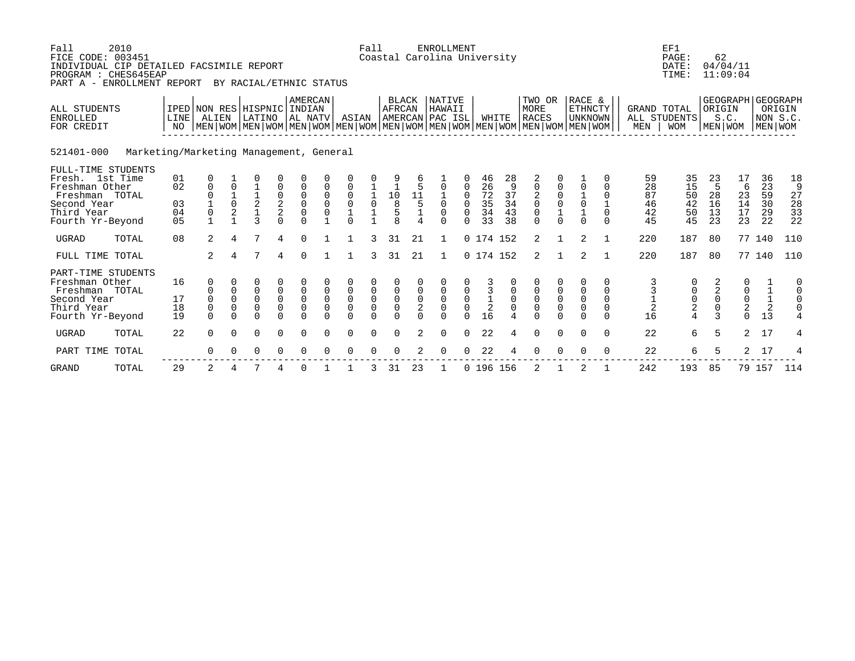| Fall<br>2010<br>FICE CODE: 003451<br>INDIVIDUAL CIP DETAILED FACSIMILE REPORT<br>PROGRAM : CHES645EAP<br>PART A - ENROLLMENT REPORT<br>BY RACIAL/ETHNIC STATUS |                                         |                            |                                                                                                                                                     |                                    |                                     |                                             |                                                            |                                            |                                                     | Fall                                          |                                                                             |                                     | <b>ENROLLMENT</b><br>Coastal Carolina University |                                                      |                                          |                                 |                                        |                                                  |                                                                       |                                                                   |                                  | EF1<br>PAGE:<br>DATE:<br>TIME:                 | 62<br>04/04/11<br>11:09:04                            |                                                  |                                                     |                                                           |
|----------------------------------------------------------------------------------------------------------------------------------------------------------------|-----------------------------------------|----------------------------|-----------------------------------------------------------------------------------------------------------------------------------------------------|------------------------------------|-------------------------------------|---------------------------------------------|------------------------------------------------------------|--------------------------------------------|-----------------------------------------------------|-----------------------------------------------|-----------------------------------------------------------------------------|-------------------------------------|--------------------------------------------------|------------------------------------------------------|------------------------------------------|---------------------------------|----------------------------------------|--------------------------------------------------|-----------------------------------------------------------------------|-------------------------------------------------------------------|----------------------------------|------------------------------------------------|-------------------------------------------------------|--------------------------------------------------|-----------------------------------------------------|-----------------------------------------------------------|
| <b>ALL STUDENTS</b><br><b>ENROLLED</b><br>FOR CREDIT                                                                                                           |                                         | <b>LINE</b><br>NO.         | IPED NON RES HISPNIC INDIAN<br>ALIEN<br>  MEN   WOM   MEN   WOM   MEN   WOM   MEN   WOM   MEN   WOM   MEN   WOM   MEN   WOM   MEN   WOM   MEN   WOM |                                    | LATINO                              |                                             | AMERCAN<br>AL NATV                                         |                                            | ASIAN                                               |                                               | <b>BLACK</b><br><b>AFRCAN</b>                                               |                                     | <b>NATIVE</b><br>HAWAII<br>AMERCAN PAC ISL       |                                                      | WHITE                                    |                                 | TWO OR<br>MORE<br><b>RACES</b>         |                                                  | RACE &<br><b>ETHNCTY</b><br><b>UNKNOWN</b>                            |                                                                   | GRAND TOTAL<br>MEN               | ALL STUDENTS<br><b>WOM</b>                     | ORIGIN<br>S.C.<br>MEN WOM                             |                                                  | GEOGRAPH GEOGRAPH<br>ORIGIN<br>NON S.C.<br>MEN WOM  |                                                           |
| 521401-000                                                                                                                                                     | Marketing/Marketing Management, General |                            |                                                                                                                                                     |                                    |                                     |                                             |                                                            |                                            |                                                     |                                               |                                                                             |                                     |                                                  |                                                      |                                          |                                 |                                        |                                                  |                                                                       |                                                                   |                                  |                                                |                                                       |                                                  |                                                     |                                                           |
| FULL-TIME STUDENTS<br>Fresh. 1st Time<br>Freshman Other<br>Freshman TOTAL<br>Second Year<br>Third Year<br>Fourth Yr-Beyond                                     |                                         | 01<br>02<br>03<br>04<br>05 | 0<br>0<br>0<br>$\mathbf{1}$                                                                                                                         | 0<br>$\Omega$<br>2<br>$\mathbf{1}$ | $\overline{2}$<br>$\mathbf{1}$<br>3 | 0<br>0<br>$\boldsymbol{2}$<br>2<br>$\Omega$ | $\mathbf 0$<br>0<br>$\mathbf 0$<br>0<br>$\Omega$           | 0<br>0<br>$\mathbf 0$<br>0<br>$\mathbf{1}$ | 0<br>0<br>$\mathbf 0$<br>1<br>$\Omega$              | $\mathbf{1}$<br>1<br>0<br>1<br>$\overline{1}$ | $\mathbf{1}$<br>$\begin{array}{c} 10 \\ 8 \\ 5 \end{array}$<br>$\mathsf{R}$ | $\frac{11}{5}$<br>$\mathbf{1}$<br>4 | $\mathbf 0$<br>$\Omega$<br>0<br>$\Omega$         | $\mathbf 0$<br>0<br>$\Omega$<br>$\Omega$<br>$\Omega$ | 46<br>26<br>72<br>35<br>34<br>33         | 28<br>9<br>37<br>34<br>43<br>38 | 2<br>$\mathsf 0$<br>0<br>0<br>$\Omega$ | 0<br>0<br>$\mathbf 1$<br>$\Omega$                | $\mathbf 0$<br>$\mathbf 1$<br>$\mathsf 0$<br>$\mathbf{1}$<br>$\Omega$ | 0<br>$\Omega$<br>$\Omega$<br>$\mathbf{1}$<br>$\Omega$<br>$\Omega$ | 59<br>28<br>87<br>46<br>42<br>45 | 35<br>15<br>50<br>42<br>50<br>45               | 23<br>5<br>28<br>16<br>13<br>23                       | 17<br>6<br>23<br>14<br>17<br>23                  | 36<br>23<br>59<br>30<br>29<br>22                    | 18<br>9<br>27<br>$\overline{28}$<br>$\overline{33}$<br>22 |
| <b>UGRAD</b>                                                                                                                                                   | TOTAL                                   | 08                         | 2                                                                                                                                                   | 4                                  | 7                                   | 4                                           | $\Omega$                                                   | $\mathbf{1}$                               | 1                                                   | 3                                             | 31                                                                          | 21                                  | 1                                                |                                                      | 0 174 152                                |                                 | $\overline{2}$                         | $\mathbf{1}$                                     | 2                                                                     | $\overline{1}$                                                    | 220                              | 187                                            | 80                                                    |                                                  | 77 140                                              | 110                                                       |
| FULL TIME TOTAL                                                                                                                                                |                                         |                            | 2                                                                                                                                                   | 4                                  | 7                                   | 4                                           | $\Omega$                                                   | $\overline{1}$                             | $\mathbf{1}$                                        | 3                                             | 31                                                                          | 21                                  | $\mathbf{1}$                                     |                                                      | 0 174 152                                |                                 | $\overline{2}$                         | 1                                                | 2                                                                     | 1                                                                 | 220                              | 187                                            | 80                                                    |                                                  | 77 140                                              | 110                                                       |
| PART-TIME STUDENTS<br>Freshman Other<br>Freshman TOTAL<br>Second Year<br>Third Year<br>Fourth Yr-Beyond                                                        |                                         | 16<br>17<br>18<br>19       | 0<br>0<br>0<br>$\Omega$                                                                                                                             | $\mathbf 0$<br>0<br>0<br>$\Omega$  | 0<br>$\mathbf 0$<br>0<br>0<br>0     | 0<br>0<br>0<br>0<br>$\Omega$                | 0<br>$\mathbf 0$<br>$\mathbf 0$<br>$\mathsf 0$<br>$\Omega$ | 0<br>$\mathbf 0$<br>0<br>0<br>$\Omega$     | 0<br>$\overline{0}$<br>0<br>$\mathsf 0$<br>$\Omega$ | 0<br>0<br>0<br>0<br>$\Omega$                  | 0<br>0<br>0<br>$\mathbf 0$<br>$\Omega$                                      | $\overline{0}$<br>0<br>2            | 0<br>$\mathbf 0$<br>0<br>$\mathbf 0$<br>$\Omega$ | 0<br>0<br>0<br>$\mathbf 0$<br>$\Omega$               | 3<br>$\mathsf 3$<br>$\overline{2}$<br>16 | $\mathbf 0$<br>0<br>$\mathbf 0$ | 0<br>0<br>0<br>$\mathsf 0$<br>$\Omega$ | 0<br>0<br>$\mathbf 0$<br>$\mathsf 0$<br>$\Omega$ | 0<br>$\mathsf 0$<br>$\mathsf 0$<br>$\mathbf 0$<br>$\Omega$            | 0<br>$\mathbf 0$<br>$\Omega$<br>$\mathbf 0$<br>$\Omega$           | 3<br>$\overline{2}$<br>16        | 0<br>0<br>$\mathsf{O}\xspace$<br>$\frac{2}{4}$ | 2<br>$\overline{\mathbf{c}}$<br>$\mathsf 0$<br>0<br>3 | 0<br>$\mathsf 0$<br>$\mathbb O$<br>2<br>$\Omega$ | 1<br>$\mathbf 1$<br>$\mathbf 1$<br>$\sqrt{2}$<br>13 | $\mathbf 0$<br>$\mathbf 0$<br>0<br>0<br>4                 |
| UGRAD                                                                                                                                                          | TOTAL                                   | 22                         | $\mathbf 0$                                                                                                                                         | 0                                  | 0                                   | 0                                           | $\mathbf 0$                                                | $\Omega$                                   | $\mathbf 0$                                         | $\mathbf 0$                                   | 0                                                                           | 2                                   | 0                                                | 0                                                    | 22                                       | 4                               | 0                                      | $\mathbf 0$                                      | $\Omega$                                                              | $\Omega$                                                          | 22                               | 6                                              | 5                                                     | $\overline{2}$                                   | 17                                                  | 4                                                         |
| PART TIME                                                                                                                                                      | TOTAL                                   |                            | $\Omega$                                                                                                                                            |                                    | O                                   | $\Omega$                                    | 0                                                          | $\Omega$                                   | O                                                   | O                                             | $\Omega$                                                                    |                                     | $\Omega$                                         | 0                                                    | 22                                       | 4                               | $\Omega$                               | $\Omega$                                         | $\Omega$                                                              | $\Omega$                                                          | 22                               | 6                                              | 5                                                     | 2                                                | 17                                                  |                                                           |
| <b>GRAND</b>                                                                                                                                                   | TOTAL                                   | 29                         | 2                                                                                                                                                   | 4                                  |                                     | 4                                           | 0                                                          |                                            |                                                     | 3                                             | 31                                                                          | 23                                  | 1                                                |                                                      | 0 196 156                                |                                 | 2                                      |                                                  | 2                                                                     |                                                                   | 242                              | 193                                            | 85                                                    |                                                  | 79 157                                              | 114                                                       |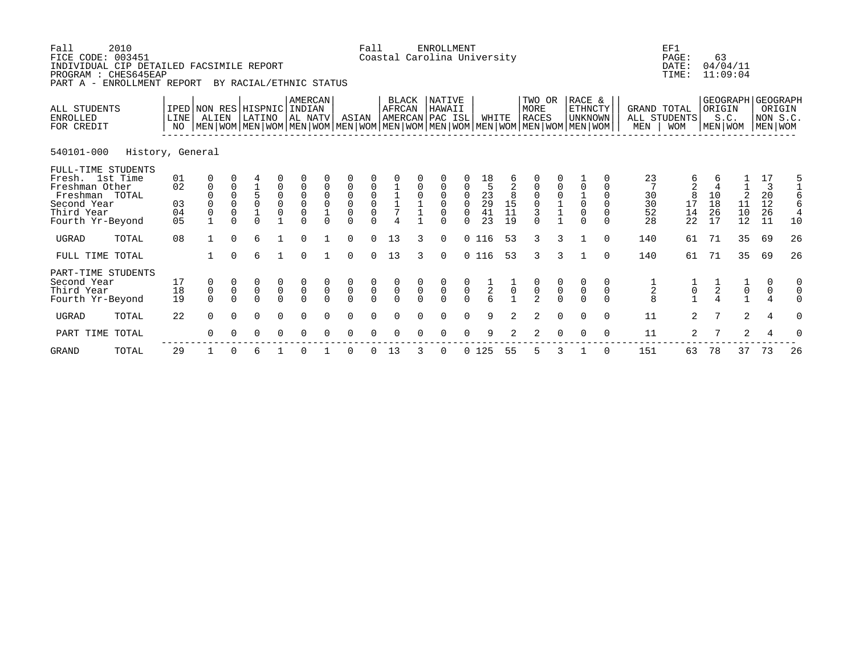| Fall<br>2010<br>FICE CODE: 003451<br>INDIVIDUAL CIP DETAILED FACSIMILE REPORT<br>PROGRAM : CHES645EAP<br>PART A - ENROLLMENT REPORT<br>BY RACIAL/ETHNIC STATUS |                  |                            |                                                             |                                                    |                                                                                                                                               |                                                  |                                                                    |                                        |                                                                               | Fall<br><b>ENROLLMENT</b><br>Coastal Carolina University |                                           |                |                                                   |                                           |                                        |                                                              |                                                        |                |                                            |                                |                               |                            | 63<br>04/04/11<br>11:09:04 |                     |                                              |                              |
|----------------------------------------------------------------------------------------------------------------------------------------------------------------|------------------|----------------------------|-------------------------------------------------------------|----------------------------------------------------|-----------------------------------------------------------------------------------------------------------------------------------------------|--------------------------------------------------|--------------------------------------------------------------------|----------------------------------------|-------------------------------------------------------------------------------|----------------------------------------------------------|-------------------------------------------|----------------|---------------------------------------------------|-------------------------------------------|----------------------------------------|--------------------------------------------------------------|--------------------------------------------------------|----------------|--------------------------------------------|--------------------------------|-------------------------------|----------------------------|----------------------------|---------------------|----------------------------------------------|------------------------------|
| ALL STUDENTS<br><b>ENROLLED</b><br>FOR CREDIT                                                                                                                  |                  | LINE<br>NO                 | ALIEN                                                       |                                                    | IPED NON RES HISPNIC<br>LATINO<br>  MEN   WOM   MEN   WOM   MEN   WOM   MEN   WOM   MEN   WOM   MEN   WOM   MEN   WOM   MEN   WOM   MEN   WOM |                                                  | AMERCAN<br>INDIAN<br>AL NATV                                       |                                        | ASIAN                                                                         |                                                          | <b>BLACK</b><br>AFRCAN<br>AMERCAN PAC ISL |                | NATIVE<br>HAWAII                                  |                                           | WHITE                                  |                                                              | TWO OR<br>MORE<br><b>RACES</b>                         |                | RACE &<br><b>ETHNCTY</b><br><b>UNKNOWN</b> |                                | GRAND TOTAL<br>MEN            | ALL STUDENTS<br><b>WOM</b> | ORIGIN<br>S.C.<br>MEN WOM  | GEOGRAPH            | <b>GEOGRAPH</b><br>NON S.C.<br>MEN WOM       | ORIGIN                       |
| 540101-000                                                                                                                                                     | History, General |                            |                                                             |                                                    |                                                                                                                                               |                                                  |                                                                    |                                        |                                                                               |                                                          |                                           |                |                                                   |                                           |                                        |                                                              |                                                        |                |                                            |                                |                               |                            |                            |                     |                                              |                              |
| FULL-TIME STUDENTS<br>Fresh. 1st Time<br>Freshman Other<br>Freshman TOTAL<br>Second Year<br>Third Year<br>Fourth Yr-Beyond                                     |                  | 01<br>02<br>03<br>04<br>05 | 0<br>$\mathbf 0$<br>$\Omega$<br>$\mathbf 0$<br>$\mathbf{1}$ | $\mathbf 0$<br>$\Omega$<br>$\Omega$<br>0<br>$\cap$ | 4<br>5<br>0<br>$\overline{1}$<br>$\cap$                                                                                                       | 0<br>0<br>$\mathsf 0$<br>$\mathsf 0$             | $\mathbf 0$<br>$\mathsf 0$<br>$\mathsf 0$<br>$\mathsf 0$<br>$\cap$ | $\mathbf 0$<br>$\mathbf 0$<br>$\Omega$ | $\overline{0}$<br>$\overline{0}$<br>$\mathsf 0$<br>$\overline{0}$<br>$\Omega$ | 0<br>0<br>$\cap$                                         | 7                                         | $\overline{0}$ | 0<br>0<br>$\overline{0}$<br>$\mathsf 0$<br>$\cap$ | 0<br>0<br>0<br>$\Omega$                   | 18<br>5<br>23<br>$\frac{29}{41}$<br>23 | 6<br>2<br>8<br>$\begin{array}{c} 15 \\ 11 \end{array}$<br>19 | $\mathbf 0$<br>$\mathsf 0$<br>$\overline{3}$<br>$\cap$ |                | $\Omega$<br>$\mathbf 0$<br>$\cap$          | $\Omega$<br>$\Omega$<br>$\cap$ | 23<br>30<br>30<br>52<br>28    | 6<br>8<br>17<br>14<br>22   | 6<br>10<br>18<br>26<br>17  | 2<br>11<br>10<br>12 | 17<br>$\overline{3}$<br>20<br>12<br>26<br>11 | 5<br>6<br>10                 |
| <b>UGRAD</b>                                                                                                                                                   | TOTAL            | 08                         |                                                             | $\Omega$                                           | 6                                                                                                                                             |                                                  | $\Omega$                                                           |                                        | $\Omega$                                                                      | $\Omega$                                                 | 13                                        | 3              | $\Omega$                                          |                                           | 0 116                                  | 53                                                           | $\mathbf{3}$                                           | $\mathbf{3}$   |                                            | $\cap$                         | 140                           | 61                         | 71                         | 35                  | 69                                           | 26                           |
| FULL TIME TOTAL                                                                                                                                                |                  |                            |                                                             | $\Omega$                                           | 6                                                                                                                                             | $\mathbf{1}$                                     | $\Omega$                                                           | $\mathbf{1}$                           | $\Omega$                                                                      | $\Omega$                                                 | 13                                        | ζ              | $\Omega$                                          |                                           | 0 116                                  | 53                                                           | 3                                                      | $\mathbf{3}$   |                                            | $\Omega$                       | 140                           | 61                         | 71                         | 35                  | 69                                           | 26                           |
| PART-TIME STUDENTS<br>Second Year<br>Third Year<br>Fourth Yr-Beyond                                                                                            |                  | 17<br>18<br>19             | 0<br>$\mathsf 0$<br>$\Omega$                                | $\mathsf 0$<br>$\Omega$                            | 0<br>$\mathsf{O}\xspace$<br>$\Omega$                                                                                                          | $\begin{matrix} 0 \\ 0 \end{matrix}$<br>$\Omega$ | $\begin{matrix} 0 \\ 0 \end{matrix}$<br>$\Omega$                   | $\pmb{0}$<br>$\cap$                    | $\overline{0}$                                                                | $\begin{matrix}0\\0\\0\end{matrix}$                      | $\begin{matrix} 0 \\ 0 \\ 0 \end{matrix}$ | $\mathsf{O}$   | $\begin{matrix} 0 \\ 0 \\ 0 \end{matrix}$         | $\begin{matrix} 0 \\ 0 \\ 0 \end{matrix}$ | $\frac{1}{2}$ 6                        |                                                              | $\frac{0}{2}$                                          | $\overline{0}$ | $\pmb{0}$                                  | $\mathbf 0$<br>$\cap$          | $\frac{1}{2}$<br>$\mathsf{R}$ | $\frac{1}{0}$              | $\boldsymbol{2}$           | $\mathsf{O}\xspace$ | $\mathbf 0$                                  | 0<br>$\mathbf 0$<br>$\Omega$ |
| <b>UGRAD</b>                                                                                                                                                   | TOTAL            | 22                         | $\Omega$                                                    | $\Omega$                                           | $\Omega$                                                                                                                                      | $\Omega$                                         | $\Omega$                                                           | 0                                      | $\Omega$                                                                      | $\Omega$                                                 | $\Omega$                                  | $\Omega$       | $\Omega$                                          | $\Omega$                                  | 9                                      | 2                                                            | 2                                                      | $\Omega$       | $\Omega$                                   | $\Omega$                       | 11                            | $\overline{2}$             | 7                          | 2                   | 4                                            | $\Omega$                     |
| PART TIME                                                                                                                                                      | TOTAL            |                            | $\Omega$                                                    |                                                    | $\Omega$                                                                                                                                      | $\Omega$                                         | $\Omega$                                                           |                                        | $\Omega$                                                                      | ∩                                                        | $\Omega$                                  |                | $\Omega$                                          | $\Omega$                                  | 9                                      |                                                              | 2                                                      | $\Omega$       | $\Omega$                                   | $\Omega$                       | 11                            | $\overline{2}$             |                            | $\overline{a}$      | $\overline{4}$                               | 0                            |
| <b>GRAND</b>                                                                                                                                                   | TOTAL            | 29                         |                                                             | $\Omega$                                           | 6                                                                                                                                             |                                                  | 0                                                                  |                                        | 0                                                                             | $\Omega$                                                 | 13                                        | 3              | 0                                                 |                                           | 0125                                   | 55                                                           | 5                                                      | 3              |                                            | $\Omega$                       | 151                           | 63                         | 78                         | 37                  | 73                                           | 26                           |